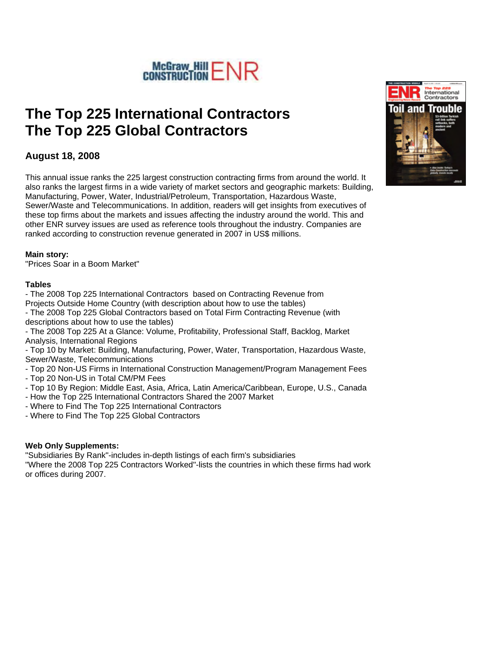

# **The Top 225 International Contractors The Top 225 Global Contractors**

## **August 18, 2008**

This annual issue ranks the 225 largest construction contracting firms from around the world. It also ranks the largest firms in a wide variety of market sectors and geographic markets: Building, Manufacturing, Power, Water, Industrial/Petroleum, Transportation, Hazardous Waste, Sewer/Waste and Telecommunications. In addition, readers will get insights from executives of these top firms about the markets and issues affecting the industry around the world. This and other ENR survey issues are used as reference tools throughout the industry. Companies are ranked according to construction revenue generated in 2007 in US\$ millions.

#### **Main story:**

"Prices Soar in a Boom Market"

#### **Tables**

- The 2008 Top 225 International Contractors based on Contracting Revenue from Projects Outside Home Country (with description about how to use the tables)

- The 2008 Top 225 Global Contractors based on Total Firm Contracting Revenue (with descriptions about how to use the tables)

- The 2008 Top 225 At a Glance: Volume, Profitability, Professional Staff, Backlog, Market Analysis, International Regions

- Top 10 by Market: Building, Manufacturing, Power, Water, Transportation, Hazardous Waste, Sewer/Waste, Telecommunications

- Top 20 Non-US Firms in International Construction Management/Program Management Fees

- Top 20 Non-US in Total CM/PM Fees
- Top 10 By Region: Middle East, Asia, Africa, Latin America/Caribbean, Europe, U.S., Canada
- How the Top 225 International Contractors Shared the 2007 Market
- Where to Find The Top 225 International Contractors
- Where to Find The Top 225 Global Contractors

#### **Web Only Supplements:**

"Subsidiaries By Rank"-includes in-depth listings of each firm's subsidiaries "Where the 2008 Top 225 Contractors Worked"-lists the countries in which these firms had work or offices during 2007.

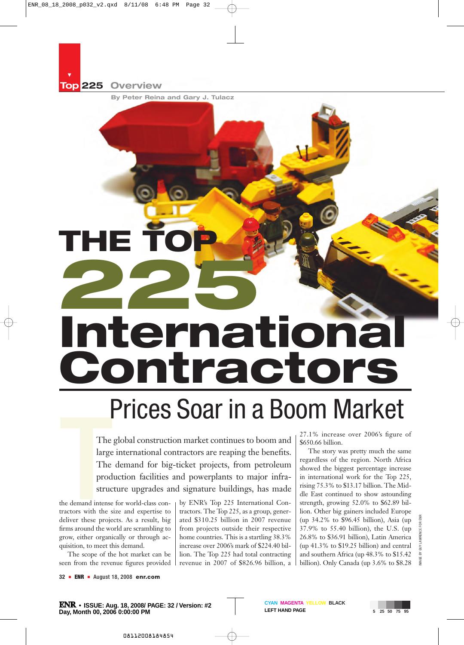**Top 225 Overview**

Ä

**By Peter Reina and Gary J. Tulacz**

# **THE TOP 225 International Contractors**

# Prices Soar in a Boom Market

The global construction market continues to boom and large international contractors are reaping the benefits. The demand for big-ticket projects, from petroleum production facilities and powerplants to major infrastructure upgrades and signature buildings, has made

The<br>
large<br>
The<br>
prod<br>
struce<br>
the demand intense<br>
tractors with the s<br>
deliver these proie the demand intense for world-class contractors with the size and expertise to deliver these projects. As a result, big firms around the world are scrambling to grow, either organically or through acquisition, to meet this demand.

The scope of the hot market can be seen from the revenue figures provided

by ENR's Top 225 International Contractors. The Top 225, as a group, generated \$310.25 billion in 2007 revenue from projects outside their respective home countries. This is a startling 38.3% increase over 2006's mark of \$224.40 billion. The Top 225 had total contracting revenue in 2007 of \$826.96 billion, a 27.1% increase over 2006's figure of \$650.66 billion.

The story was pretty much the same regardless of the region. North Africa showed the biggest percentage increase in international work for the Top 225, rising 75.3% to \$13.17 billion. The Middle East continued to show astounding strength, growing 52.0% to \$62.89 billion. Other big gainers included Europe (up 34.2% to \$96.45 billion), Asia (up 37.9% to 55.40 billion), the U.S. (up 26.8% to \$36.91 billion), Latin America (up 41.3% to \$19.25 billion) and central and southern Africa (up 48.3% to \$15.42 billion). Only Canada (up 3.6% to \$8.28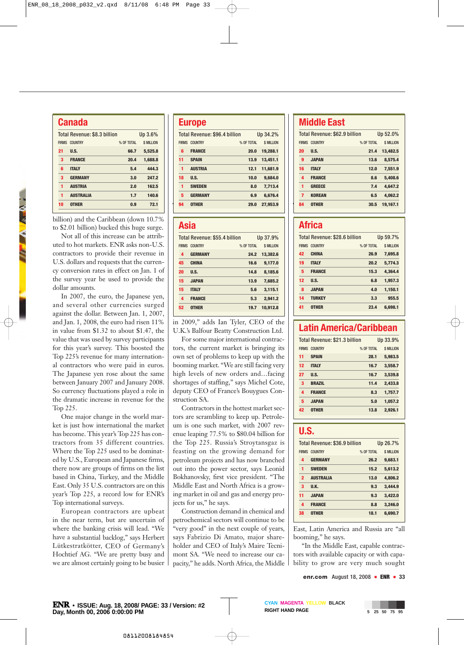| <b>Canada</b>                           |                  |            |                  |  |
|-----------------------------------------|------------------|------------|------------------|--|
| Total Revenue: \$8.3 billion<br>Up 3.6% |                  |            |                  |  |
| <b>FIRMS</b>                            | <b>COUNTRY</b>   | % OF TOTAL | <b>S MILLION</b> |  |
| 21                                      | ILS.             | 66.7       | 5,525.8          |  |
| 3                                       | <b>FRANCE</b>    | 20.4       | 1.688.8          |  |
| 6                                       | <b>ITALY</b>     | 5.4        | 444.3            |  |
| 3                                       | <b>GERMANY</b>   | 3.0        | 247.2            |  |
| 1                                       | <b>AUSTRIA</b>   | 2.0        | 162.5            |  |
| 1                                       | <b>AUSTRALIA</b> | 1.7        | 140.6            |  |
| 10                                      | <b>OTHER</b>     | 0.9        | 72.1             |  |
|                                         |                  |            |                  |  |

billion) and the Caribbean (down 10.7% to \$2.01 billion) bucked this huge surge.

*THE A MEN.* 

Not all of this increase can be attributed to hot markets. ENR asks non-U.S. contractors to provide their revenue in U.S. dollars and requests that the currency conversion rates in effect on Jan. 1 of the survey year be used to provide the dollar amounts.

In 2007, the euro, the Japanese yen, and several other currencies surged against the dollar. Between Jan. 1, 2007, and Jan. 1, 2008, the euro had risen 11% in value from \$1.32 to about \$1.47, the value that was used by survey participants for this year's survey. This boosted the Top 225's revenue for many international contractors who were paid in euros. The Japanese yen rose about the same between January 2007 and January 2008. So currency fluctuations played a role in the dramatic increase in revenue for the Top 225.

One major change in the world market is just how international the market has become. This year's Top 225 has contractors from 35 different countries. Where the Top 225 used to be dominated by U.S., European and Japanese firms, there now are groups of firms on the list based in China, Turkey, and the Middle East. Only 35 U.S. contractors are on this year's Top 225, a record low for ENR's Top international surveys.

European contractors are upbeat in the near term, but are uncertain of where the banking crisis will lead. "We have a substantial backlog," says Herbert Lütkestratkötter, CEO of Germany's Hochtief AG. "We are pretty busy and we are almost certainly going to be busier

#### **Europe**

|    | Total Revenue: \$96.4 billion |            | Up 34.2%          |
|----|-------------------------------|------------|-------------------|
|    | <b>FIRMS COUNTRY</b>          | % OF TOTAL | <b>\$ MILLION</b> |
| 6  | <b>FRANCE</b>                 | 20.0       | 19,288.1          |
| 11 | <b>SPAIN</b>                  | 13.9       | 13.451.1          |
| 1  | <b>AUSTRIA</b>                | 12.1       | 11.681.9          |
| 18 | ILS.                          | 10.0       | 9,684.0           |
| 1  | <b>SWEDEN</b>                 | 8.0        | 7.713.4           |
| 5  | <b>GERMANY</b>                | 6.9        | 6.676.4           |
| 94 | <b>OTHER</b>                  | 29.0       | 27,953.9          |
|    |                               |            |                   |

#### **Asia**

|              | Total Revenue: \$55.4 billion |            | Up 37.9%   |
|--------------|-------------------------------|------------|------------|
| <b>FIRMS</b> | <b>COUNTRY</b>                | % OF TOTAL | \$ MILLION |
| 4            | <b>GERMANY</b>                | 24.2       | 13,382.6   |
| 45           | <b>CHINA</b>                  | 16.6       | 9,177.0    |
| 20           | ILS.                          | 14.8       | 8.185.6    |
| 15           | <b>JAPAN</b>                  | 13.9       | 7.685.2    |
| 15           | <b>ITALY</b>                  | 5.6        | 3,115.1    |
| 4            | <b>FRANCE</b>                 | 5.3        | 2.941.2    |
| 52           | <b>OTHER</b>                  | 19.7       | 10.912.8   |
|              |                               |            |            |

in 2009," adds Ian Tyler, CEO of the U.K.'s Balfour Beatty Construction Ltd.

For some major international contractors, the current market is bringing its own set of problems to keep up with the booming market. "We are still facing very high levels of new orders and…facing shortages of staffing," says Michel Cote, deputy CEO of France's Bouygues Construction SA.

Contractors in the hottest market sectors are scrambling to keep up. Petroleum is one such market, with 2007 revenue leaping 77.5% to \$80.04 billion for the Top 225. Russia's Stroytansgaz is feasting on the growing demand for petroleum projects and has now branched out into the power sector, says Leonid Bokhanovsky, first vice president. "The Middle East and North Africa is a growing market in oil and gas and energy projects for us," he says.

Construction demand in chemical and petrochemical sectors will continue to be "very good" in the next couple of years, says Fabrizio Di Amato, major shareholder and CEO of Italy's Maire Tecnimont SA. "We need to increase our capacity," he adds. North Africa, the Middle

## **Middle East**

|                |            | Up 52.0%                      |
|----------------|------------|-------------------------------|
| <b>COUNTRY</b> | % OF TOTAL | <b>\$ MILLION</b>             |
| ILS.           | 21.4       | 13.482.5                      |
| <b>JAPAN</b>   | 13.6       | 8,575.4                       |
| <b>ITALY</b>   | 12.0       | 7.551.9                       |
| <b>FRANCE</b>  | 8.6        | 5,408.6                       |
| <b>GREECE</b>  | 7.4        | 4.647.2                       |
| <b>KOREAN</b>  | 6.5        | 4,062.2                       |
| <b>OTHER</b>   | 30.5       | 19.167.1                      |
|                |            | Total Revenue: \$62.9 billion |

#### **Africa**

|              | Total Revenue: \$28.6 billion |            | Up 59.7%          |
|--------------|-------------------------------|------------|-------------------|
| <b>FIRMS</b> | <b>COUNTRY</b>                | % OF TOTAL | <b>\$ MILLION</b> |
| 42           | <b>CHINA</b>                  | 26.9       | 7,695.8           |
| 19           | <b>ITALY</b>                  | 20.2       | 5,774.3           |
| 5            | <b>FRANCE</b>                 | 15.3       | 4,364.4           |
| 12           | II.S.                         | 6.8        | 1,957.3           |
| 8            | <b>JAPAN</b>                  | 4.0        | 1.150.1           |
| 14           | <b>TURKEY</b>                 | 3.3        | 955.5             |
| 41           | <b>OTHER</b>                  | 23.4       | 6.698.1           |

## **Latin America/Caribbean**

|              | Total Revenue: \$21.3 billion |            | Up 33.9%          |
|--------------|-------------------------------|------------|-------------------|
| <b>FIRMS</b> | <b>COUNTRY</b>                | % OF TOTAL | <b>\$ MILLION</b> |
| 11           | <b>SPAIN</b>                  | 28.1       | 5,983.5           |
| 12           | <b>ITALY</b>                  | 16.7       | 3.558.7           |
| 27           | U.S.                          | 16.7       | 3.539.8           |
| 3            | <b>BRAZIL</b>                 | 11.4       | 2.433.8           |
| 4            | <b>FRANCE</b>                 | 8.3        | 1,757.7           |
| 5            | <b>JAPAN</b>                  | 5.0        | 1.057.2           |
| 42           | <b>OTHER</b>                  | 13.8       | 2.926.1           |

#### **U.S.**

|                | Total Revenue: \$36.9 billion |            | Up 26.7%          |
|----------------|-------------------------------|------------|-------------------|
| <b>FIRMS</b>   | <b>COUNTRY</b>                | % OF TOTAL | <b>\$ MILLION</b> |
| 4              | <b>GERMANY</b>                | 26.2       | 9.683.1           |
| 1              | <b>SWEDEN</b>                 | 15.2       | 5.613.2           |
| $\overline{2}$ | <b>AUSTRALIA</b>              | 13.0       | 4.806.2           |
| 3              | II.K.                         | 9.3        | 3,444.9           |
| 11             | <b>JAPAN</b>                  | 9.3        | 3.422.0           |
| 4              | <b>FRANCE</b>                 | 8.8        | 3.246.0           |
| 38             | <b>OTHER</b>                  | 18.1       | 6.690.7           |
|                |                               |            |                   |

East, Latin America and Russia are "all booming," he says.

"In the Middle East, capable contractors with available capacity or with capability to grow are very much sought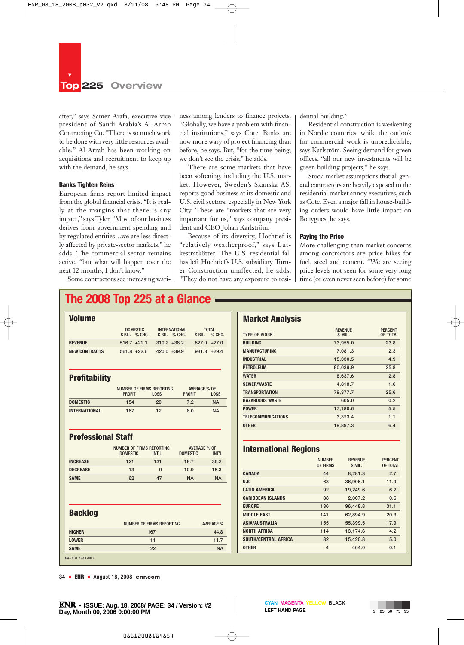after," says Samer Arafa, executive vice president of Saudi Arabia's Al-Arrab Contracting Co. "There is so much work to be done with very little resources available." Al-Arrab has been working on acquisitions and recruitment to keep up with the demand, he says.

#### **Banks Tighten Reins**

European firms report limited impact from the global financial crisis. "It is really at the margins that there is any impact," says Tyler. "Most of our business derives from government spending and by regulated entities…we are less directly affected by private-sector markets," he adds. The commercial sector remains active, "but what will happen over the next 12 months, I don't know."

Some contractors see increasing wari-

ness among lenders to finance projects. "Globally, we have a problem with financial institutions," says Cote. Banks are now more wary of project financing than before, he says. But, "for the time being, we don't see the crisis," he adds.

There are some markets that have been softening, including the U.S. market. However, Sweden's Skanska AS, reports good business at its domestic and U.S. civil sectors, especially in New York City. These are "markets that are very important for us," says company president and CEO Johan Karlström.

Because of its diversity, Hochtief is "relatively weatherproof," says Lütkestratkötter. The U.S. residential fall has left Hochtief's U.S. subsidiary Turner Construction unaffected, he adds. "They do not have any exposure to residential building."

Residential construction is weakening in Nordic countries, while the outlook for commercial work is unpredictable, says Karlström. Seeing demand for green offices, "all our new investments will be green building projects," he says.

Stock-market assumptions that all general contractors are heavily exposed to the residential market annoy executives, such as Cote. Even a major fall in house-building orders would have little impact on Bouygues, he says.

#### **Paying the Price**

More challenging than market concerns among contractors are price hikes for fuel, steel and cement. "We are seeing price levels not seen for some very long time (or even never seen before) for some

# **The 2008 Top 225 at a Glance**

| <b>Volume</b>             |                           |                           |                                          |                                |                     |                          |
|---------------------------|---------------------------|---------------------------|------------------------------------------|--------------------------------|---------------------|--------------------------|
|                           | \$ BIL.                   | <b>DOMESTIC</b><br>% CHG. | \$ BIL.                                  | <b>INTERNATIONAL</b><br>% CHG. | \$ BIL.             | <b>TOTAL</b><br>% CHG.   |
| <b>REVENUE</b>            | $516.7 +21.1$             |                           | $310.2 + 38.2$                           |                                |                     | $827.0 +27.0$            |
| <b>NEW CONTRACTS</b>      | $561.8 + 22.6$            |                           |                                          | $420.0 + 39.9$                 |                     | $981.8 + 29.4$           |
| <b>Profitability</b>      |                           |                           |                                          |                                |                     |                          |
|                           | <b>PROFIT</b>             |                           | NUMBER OF FIRMS REPORTING<br><b>LOSS</b> | <b>PROFIT</b>                  | <b>AVERAGE % OF</b> | <b>LOSS</b>              |
| <b>DOMESTIC</b>           | 154                       |                           | 20                                       | 7.2                            |                     | <b>NA</b>                |
| <b>INTERNATIONAL</b>      | 167                       |                           | 12                                       | 8.0                            |                     | <b>NA</b>                |
| <b>Professional Staff</b> |                           |                           |                                          |                                |                     |                          |
|                           | NUMBER OF FIRMS REPORTING |                           |                                          |                                | <b>AVERAGE % OF</b> |                          |
|                           | <b>DOMESTIC</b>           |                           | INT'L                                    | <b>DOMESTIC</b>                |                     | INT'L                    |
| <b>INCREASE</b>           | 121                       |                           | 131                                      | 18.7                           |                     | 36.2                     |
| <b>DECREASE</b>           | 13                        |                           | 9                                        | 10.9                           |                     | 15.3                     |
| <b>SAME</b>               | 62                        |                           | 47                                       | <b>NA</b>                      |                     | <b>NA</b>                |
|                           |                           |                           |                                          |                                |                     |                          |
|                           |                           |                           |                                          |                                |                     |                          |
| <b>Backlog</b>            |                           |                           | NUMBER OF FIRMS REPORTING                |                                |                     |                          |
| <b>HIGHER</b>             |                           |                           | 167                                      |                                |                     | <b>AVERAGE %</b><br>44.8 |
| <b>LOWER</b>              |                           |                           | 11                                       |                                |                     | 11.7                     |
| <b>SAME</b>               |                           |                           | 22                                       |                                |                     | <b>NA</b>                |
| <b>NA=NOT AVAILABLE</b>   |                           |                           |                                          |                                |                     |                          |

#### **Market Analysis**

| <b>TYPE OF WORK</b>       | <b>REVENUE</b><br>\$ MIL. | <b>PERCENT</b><br>OF TOTAL |
|---------------------------|---------------------------|----------------------------|
| <b>BUILDING</b>           | 73,955.0                  | 23.8                       |
| <b>MANUFACTURING</b>      | 7.081.3                   | 2.3                        |
| <b>INDUSTRIAL</b>         | 15,330.5                  | 4.9                        |
| <b>PETROLEUM</b>          | 80.039.9                  | 25.8                       |
| <b>WATER</b>              | 8,637.6                   | 2.8                        |
| <b>SEWER/WASTE</b>        | 4,818.7                   | 1.6                        |
| <b>TRANSPORTATION</b>     | 79.377.7                  | 25.6                       |
| <b>HAZARDOUS WASTE</b>    | 605.0                     | 0.2                        |
| <b>POWER</b>              | 17,180.6                  | 5.5                        |
| <b>TELECOMMUNICATIONS</b> | 3,323.4                   | 1.1                        |
| <b>OTHER</b>              | 19,897.3                  | 6.4                        |
|                           |                           |                            |

#### **International Regions**

|                             | <b>NUMBER</b><br><b>OF FIRMS</b> | <b>REVENUE</b><br>\$ MIL. | <b>PERCENT</b><br>OF TOTAL |
|-----------------------------|----------------------------------|---------------------------|----------------------------|
| <b>CANADA</b>               | 44                               | 8.281.3                   | 2.7                        |
| U.S.                        | 63                               | 36,906.1                  | 11.9                       |
| <b>LATIN AMERICA</b>        | 92                               | 19,249.6                  | 6.2                        |
| <b>CARIBBEAN ISLANDS</b>    | 38                               | 2,007.2                   | 0.6                        |
| <b>EUROPE</b>               | 136                              | 96.448.8                  | 31.1                       |
| <b>MIDDLE EAST</b>          | 141                              | 62.894.9                  | 20.3                       |
| <b>ASIA/AUSTRALIA</b>       | 155                              | 55,399.5                  | 17.9                       |
| <b>NORTH AFRICA</b>         | 114                              | 13.174.6                  | 4.2                        |
| <b>SOUTH/CENTRAL AFRICA</b> | 82                               | 15,420.8                  | 5.0                        |
| <b>OTHER</b>                | 4                                | 464.0                     | 0.1                        |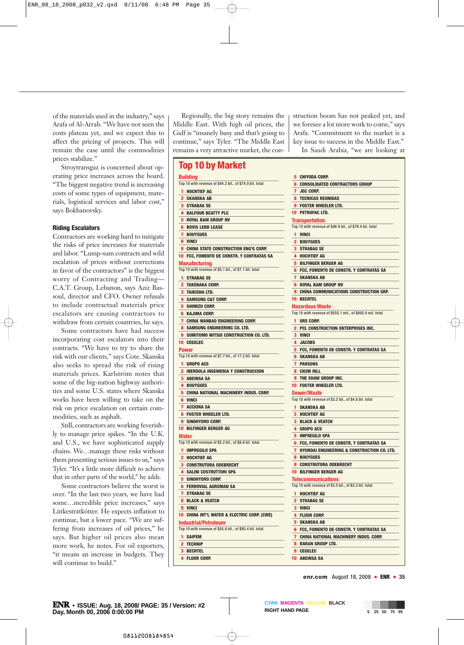of the materials used in the industry," says Arafa of Al-Arrab. "We have not seen the costs plateau yet, and we expect this to affect the pricing of projects. This will remain the case until the commodities prices stabilize."

Stroytransgaz is concerned about operating price increases across the board. "The biggest negative trend is increasing costs of some types of equipment, materials, logistical services and labor cost," says Bokhanovsky.

#### **Riding Escalators**

Contractors are working hard to mitigate the risks of price increases for materials and labor. "Lump-sum contracts and wild escalation of prices without corrections in favor of the contractors" is the biggest worry of Contracting and Trading— C.A.T. Group, Lebanon, says Aziz Bassoul, director and CFO. Owner refusals to include contractual materials price escalators are causing contractors to withdraw from certain countries, he says.

Some contractors have had success incorporating cost escalators into their contracts. "We have to try to share the risk with our clients," says Cote. Skanska also seeks to spread the risk of rising materials prices. Karlström notes that some of the big-nation highway authorities and some U.S. states where Skanska works have been willing to take on the risk on price escalation on certain commodities, such as asphalt.

Still, contractors are working feverishly to manage price spikes. "In the U.K. and U.S., we have sophisticated supply chains. We…manage these risks without them presenting serious issues to us," says Tyler. "It's a little more difficult to achieve that in other parts of the world," he adds.

Some contractors believe the worst is over. "In the last two years, we have had some…incredible price increases," says Lütkestratkötter. He expects inflation to continue, but a lower pace. "We are suffering from increases of oil prices," he says. But higher oil prices also mean more work, he notes. For oil exporters, "it means an increase in budgets. They will continue to build."

Regionally, the big story remains the Middle East. With high oil prices, the Gulf is "insanely busy and that's going to continue," says Tyler. "The Middle East remains a very attractive market, the con-

#### **Top 10 by Market**

|                | <b>Building</b>                                                                         |
|----------------|-----------------------------------------------------------------------------------------|
|                | Top 10 with revenue of \$44.2 bil., of \$74.0 bil. total                                |
| 1              | <b>HOCHTIEF AG</b>                                                                      |
| $\overline{2}$ | <b>SKANSKA AB</b>                                                                       |
|                | <b>3 STRABAG SE</b>                                                                     |
|                | <b>4 BALFOUR BEATTY PLC</b>                                                             |
| 5              | <b>ROYAL BAM GROUP NV</b>                                                               |
|                | <b>6 BOVIS LEND LEASE</b>                                                               |
| 7              | <b>BOUYGUES</b>                                                                         |
|                | 8 VINCI                                                                                 |
| 9              | <b>CHINA STATE CONSTRUCTION ENG'G CORP.</b>                                             |
| 10             | FCC, FOMENTO DE CONSTR. Y CONTRATAS SA                                                  |
|                | Manufacturing                                                                           |
|                | Top 10 with revenue of \$5.1 bil., of \$7.1 bil. total                                  |
| 1              | <b>STRABAG SE</b>                                                                       |
| 2              | <b>TAKENAKA CORP.</b>                                                                   |
| 3              | TAIKISHA LTD.                                                                           |
| 4              | <b>SAMSUNG C&amp;T CORP.</b>                                                            |
| 5              | <b>SHIMIZU CORP.</b>                                                                    |
| 6              | KAJIMA CORP.                                                                            |
| 7              | <b>CHINA WANBAO ENGINEERING CORP.</b>                                                   |
| 8              | SAMSUNG ENGINEERING CO. LTD.                                                            |
| 9              | SUMITOMO MITSUI CONSTRUCTION CO. LTD.                                                   |
|                | <b>10 CEGELEC</b>                                                                       |
|                | Power                                                                                   |
|                | Top 10 with revenue of \$7.7 bil., of 17.2 bil. total                                   |
| 1              | <b>GRUPO ACS</b>                                                                        |
|                |                                                                                         |
|                | <b>2 IBERDOLA INGENIERIA Y CONSTRUCCION</b>                                             |
| 3              | <b>ABEINSA SA</b>                                                                       |
|                | <b>4 BOUYGUES</b>                                                                       |
| 5              | <b>CHINA NATIONAL MACHINERY INDUS. CORP.</b>                                            |
| 6              | <b>VINCI</b>                                                                            |
| 7              | <b>ACCIONA SA</b>                                                                       |
|                | <b>8 FOSTER WHEELER LTD.</b>                                                            |
| 9              | SINOHYDRO CORP.                                                                         |
| 10             | <b>BILFINGER BERGER AG</b>                                                              |
|                | Water                                                                                   |
|                | Top 10 with revenue of \$5.2 bil., of \$8.6 bil. total                                  |
| 1              | <b>IMPREGILO SPA</b>                                                                    |
| 2              | <b>HOCHTIEF AG</b>                                                                      |
| 3              | <b>CONSTRUTORA ODEBRECHT</b>                                                            |
| 4              | SALINI COSTRUTTORI SPA<br>SINOHYDRO CORP.                                               |
| 5<br>6         |                                                                                         |
|                | <b>FERROVIAL AGROMAN SA</b>                                                             |
| 7              | <b>STRABAG SE</b>                                                                       |
|                | <b>8 BLACK &amp; VEATCH</b><br>9 VINCI                                                  |
|                |                                                                                         |
|                | 10 CHINA INT'L WATER & ELECTRIC CORP. (CWE)                                             |
|                | <b>Industrial/Petroleum</b><br>Top 10 with revenue of \$55.8 bil., of \$95.4 bil. total |
|                |                                                                                         |
|                | 1 SAIPEM                                                                                |
|                | 2 TECHNIP<br><b>3 BECHTEL</b>                                                           |
|                | <b>4 FLUOR CORP.</b>                                                                    |

struction boom has not peaked yet, and we foresee a lot more work to come," says Arafa. "Commitment to the market is a key issue to success in the Middle East." In Saudi Arabia, "we are looking at

| 5              | <b>CHIYODA CORP.</b>                                                 |
|----------------|----------------------------------------------------------------------|
| 6              | <b>CONSOLIDATED CONTRACTORS GROUP</b>                                |
|                | 7 JGC CORP.                                                          |
| 8              | <b>TECNICAS REUNIDAS</b>                                             |
|                | <b>9 FOSTER WHEELER LTD.</b>                                         |
|                | <b>10 PETROFAC LTD.</b>                                              |
|                | <b>Transportation</b>                                                |
|                | Top 10 with revenue of \$46.9 bil., of \$79.4 bil. total             |
|                | 1 VINCI                                                              |
| $\overline{2}$ | <b>BOUYGUES</b>                                                      |
| 3              | <b>STRABAG SE</b>                                                    |
|                | <b>4 HOCHTIEF AG</b>                                                 |
|                | <b>5 BILFINGER BERGER AG</b>                                         |
| 6              | FCC, FOMENTO DE CONSTR. Y CONTRATAS SA                               |
|                | <b>7 SKANSKA AB</b>                                                  |
|                | <b>8 ROYAL BAM GROUP NV</b>                                          |
| 9              | <b>CHINA COMMUNICATIONS CONSTRUCTION GRP.</b>                        |
|                | <b>10 BECHTEL</b>                                                    |
|                | <b>Hazardous Waste</b>                                               |
|                | Top 10 with revenue of \$555.1 mil., of \$605.0 mil. total           |
| 1              | URS CORP.                                                            |
|                | <b>2 PCL CONSTRUCTION ENTERPRISES INC.</b>                           |
|                | 3 VINCI                                                              |
| 4<br>5         | <b>JACOBS</b>                                                        |
|                | <b>FCC, FOMENTO DE CONSTR. Y CONTRATAS SA</b><br><b>6 SKANSKA AB</b> |
|                | <b>7 PARSONS</b>                                                     |
|                | 8 CH2M HILL                                                          |
|                | <b>9 THE SHAW GROUP INC.</b>                                         |
|                | <b>10 FOSTER WHEELER LTD.</b>                                        |
|                | Sewer/Waste                                                          |
|                | Top 10 with revenue of \$3.2 bil., of \$4.8 bil. total               |
|                | 1 SKANSKA AB                                                         |
|                | 2 HOCHTIEF AG                                                        |
| 3              | <b>BLACK &amp; VEATCH</b>                                            |
|                | <b>4 GRUPO ACS</b>                                                   |
| 5              | <b>IMPREGILO SPA</b>                                                 |
| 6              | FCC, FOMENTO DE CONSTR. Y CONTRATAS SA                               |
|                | <b>7 HYUNDAI ENGINEERING &amp; CONSTRUCTION CO. LTD.</b>             |
|                | <b>8 BOUYGUES</b>                                                    |
| 9              | <b>CONSTRUTORA ODEBRECHT</b>                                         |
|                | <b>10 BILFINGER BERGER AG</b>                                        |
|                | <b>Telecommunications</b>                                            |
|                | Top 10 with revenue of \$3.0 bil., of \$3.3 bil. total               |
| 1              | <b>HOCHTIEF AG</b>                                                   |
|                | 2 STRABAG SE                                                         |
|                | 3 VINCI                                                              |
| 4              | <b>FLUOR CORP.</b>                                                   |
|                | <b>5 SKANSKA AB</b>                                                  |
| 6              | FCC, FOMENTO DE CONSTR. Y CONTRATAS SA                               |
|                | 7 CHINA NATIONAL MACHINERY INDUS. CORP.                              |
|                | <b>8 BARAN GROUP LTD.</b>                                            |
| 9              | <b>CEGELEC</b>                                                       |
|                | <b>10 ABEINSA SA</b>                                                 |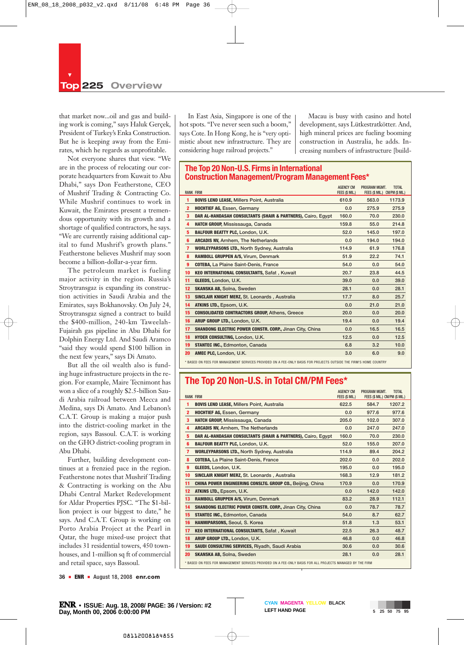that market now...oil and gas and building work is coming," says Haluk Gerçek, President of Turkey's Enka Construction. But he is keeping away from the Emirates, which he regards as unprofitable.

Not everyone shares that view. "We are in the process of relocating our corporate headquarters from Kuwait to Abu Dhabi," says Don Featherstone, CEO of Mushrif Trading & Contracting Co. While Mushrif continues to work in Kuwait, the Emirates present a tremendous opportunity with its growth and a shortage of qualified contractors, he says. "We are currently raising additional capital to fund Mushrif's growth plans." Featherstone believes Mushrif may soon become a billion-dollar-a-year firm.

The petroleum market is fueling major activity in the region. Russia's Stroytransgaz is expanding its construction activities in Saudi Arabia and the Emirates, says Bokhanovsky. On July 24, Stroytransgaz signed a contract to build the \$400-million, 240-km Taweelah-Fujairah gas pipeline in Abu Dhabi for Dolphin Energy Ltd. And Saudi Aramco "said they would spend \$100 billion in the next few years," says Di Amato.

But all the oil wealth also is funding huge infrastructure projects in the region. For example, Maire Tecnimont has won a slice of a roughly \$2.5-billion Saudi Arabia railroad between Mecca and Medina, says Di Amato. And Lebanon's C.A.T. Group is making a major push into the district-cooling market in the region, says Bassoul. C.A.T. is working on the GHO district-cooling program in Abu Dhabi.

Further, building development continues at a frenzied pace in the region. Featherstone notes that Mushrif Trading & Contracting is working on the Abu Dhabi Central Market Redevelopment for Aldar Properties PJSC. "The \$1-billion project is our biggest to date," he says. And C.A.T. Group is working on Porto Arabia Project at the Pearl in Qatar, the huge mixed-use project that includes 31 residential towers, 450 townhouses, and 1-million sq ft of commercial and retail space, says Bassoul.

In East Asia, Singapore is one of the hot spots. "I've never seen such a boom," says Cote. In Hong Kong, he is "very optimistic about new infrastructure. They are considering huge railroad projects."

Macau is busy with casino and hotel development, says Lütkestratkötter. And, high mineral prices are fueling booming construction in Australia, he adds. Increasing numbers of infrastructure [build-

#### **The Top 20 Non-U.S. Firms in International Construction Management/Program Management Fees\***

|                         |                                                                                                                    | <b>AGENCY CM</b> | PROGRAM MGMT.                  | <b>TOTAL</b> |
|-------------------------|--------------------------------------------------------------------------------------------------------------------|------------------|--------------------------------|--------------|
|                         | <b>RANK FIRM</b>                                                                                                   | FEES (\$ MIL.)   | FEES (\$ MIL.) CM/PM (\$ MIL.) |              |
| 1                       | <b>BOVIS LEND LEASE, Millers Point, Australia</b>                                                                  | 610.9            | 563.0                          | 1173.9       |
| $\overline{2}$          | <b>HOCHTIEF AG, Essen, Germany</b>                                                                                 | 0.0              | 275.9                          | 275.9        |
| $\overline{\mathbf{3}}$ | DAR AL-HANDASAH CONSULTANTS (SHAIR & PARTNERS), Cairo, Egypt                                                       | 160.0            | 70.0                           | 230.0        |
| 4                       | HATCH GROUP, Mississauga, Canada                                                                                   | 159.8            | 55.0                           | 214.8        |
| 5                       | <b>BALFOUR BEATTY PLC, London, U.K.</b>                                                                            | 52.0             | 145.0                          | 197.0        |
| 6                       | <b>ARCADIS NV. Arnhem. The Netherlands</b>                                                                         | 0.0              | 194.0                          | 194.0        |
| $\overline{7}$          | <b>WORLEYPARSONS LTD., North Sydney, Australia</b>                                                                 | 114.9            | 61.9                           | 176.8        |
| 8                       | RAMBOLL GRUPPEN A/S, Virum, Denmark                                                                                | 51.9             | 22.2                           | 74.1         |
| $\boldsymbol{9}$        | <b>COTEBA, La Plaine Saint-Denis, France</b>                                                                       | 54.0             | 0.0                            | 54.0         |
| 10                      | <b>KEO INTERNATIONAL CONSULTANTS, Safat, Kuwait</b>                                                                | 20.7             | 23.8                           | 44.5         |
| 11                      | GLEEDS, London, U.K.                                                                                               | 39.0             | 0.0                            | 39.0         |
| 12                      | <b>SKANSKA AB. Solna. Sweden</b>                                                                                   | 28.1             | 0.0                            | 28.1         |
| 13                      | <b>SINCLAIR KNIGHT MERZ, St. Leonards, Australia</b>                                                               | 17.7             | 8.0                            | 25.7         |
| 14                      | ATKINS LTD., Epsom, U.K.                                                                                           | 0.0              | 21.0                           | 21.0         |
| 15                      | <b>CONSOLIDATED CONTRACTORS GROUP, Athens, Greece</b>                                                              | 20.0             | 0.0                            | 20.0         |
| 16                      | ARUP GROUP LTD., London, U.K.                                                                                      | 19.4             | 0.0                            | 19.4         |
| 17                      | SHANDONG ELECTRIC POWER CONSTR. CORP., Jinan City, China                                                           | 0.0              | 16.5                           | 16.5         |
| 18                      | HYDER CONSULTING, London, U.K.                                                                                     | 12.5             | 0.0                            | 12.5         |
| 19                      | <b>STANTEC INC., Edmonton, Canada</b>                                                                              | 6.8              | 3.2                            | 10.0         |
| 20                      | AMEC PLC, London, U.K.                                                                                             | 3.0              | 6.0                            | 9.0          |
|                         | * RASED ON FEES FOR MANAGEMENT SERVICES PROVIDED ON A FEE-ONLY RASIS FOR PROJECTS OUTSIDE THE FIRM'S HOME COUNTRY. |                  |                                |              |

## **The Top 20 Non-U.S. in Total CM/PM Fees\***

|                         | <b>RANK FIRM</b>                                                                                          | <b>AGENCY CM</b><br>FEES (\$ MIL.) | PROGRAM MGMT.<br>FEES (\$ MIL.) CM/PM (\$ MIL.) | <b>TOTAL</b> |
|-------------------------|-----------------------------------------------------------------------------------------------------------|------------------------------------|-------------------------------------------------|--------------|
| 1                       | <b>BOVIS LEND LEASE, Millers Point, Australia</b>                                                         | 622.5                              | 584.7                                           | 1207.2       |
| $\overline{2}$          | <b>HOCHTIEF AG, Essen, Germany</b>                                                                        | 0.0                                | 977.6                                           | 977.6        |
| $\overline{\mathbf{3}}$ | <b>HATCH GROUP, Mississauga, Canada</b>                                                                   | 205.0                              | 102.0                                           | 307.0        |
| 4                       | <b>ARCADIS NV, Arnhem, The Netherlands</b>                                                                | 0.0                                | 247.0                                           | 247.0        |
| 5                       | DAR AL-HANDASAH CONSULTANTS (SHAIR & PARTNERS), Cairo, Egypt                                              | 160.0                              | 70.0                                            | 230.0        |
| 6                       | <b>BALFOUR BEATTY PLC, London, U.K.</b>                                                                   | 52.0                               | 155.0                                           | 207.0        |
| $\overline{7}$          | <b>WORLEYPARSONS LTD., North Sydney, Australia</b>                                                        | 114.9                              | 89.4                                            | 204.2        |
| 8                       | <b>COTEBA, La Plaine Saint-Denis, France</b>                                                              | 202.0                              | 0.0                                             | 202.0        |
| $\boldsymbol{9}$        | GLEEDS, London, U.K.                                                                                      | 195.0                              | 0.0                                             | 195.0        |
| 10                      | SINCLAIR KNIGHT MERZ, St. Leonards, Australia                                                             | 168.3                              | 12.9                                            | 181.2        |
| 11                      | <b>CHINA POWER ENGINEERING CONSLTG. GROUP CO., Beijing, China</b>                                         | 170.9                              | 0.0                                             | 170.9        |
| 12                      | ATKINS LTD., Epsom, U.K.                                                                                  | 0.0                                | 142.0                                           | 142.0        |
| 13                      | RAMBOLL GRUPPEN A/S, Virum, Denmark                                                                       | 83.2                               | 28.9                                            | 112.1        |
| 14                      | SHANDONG ELECTRIC POWER CONSTR. CORP., Jinan City, China                                                  | 0.0                                | 78.7                                            | 78.7         |
| 15                      | <b>STANTEC INC., Edmonton, Canada</b>                                                                     | 54.0                               | 8.7                                             | 62.7         |
| 16                      | HANMIPARSONS, Seoul, S. Korea                                                                             | 51.8                               | 1.3                                             | 53.1         |
| 17                      | <b>KEO INTERNATIONAL CONSULTANTS, Safat, Kuwait</b>                                                       | 22.5                               | 26.3                                            | 48.7         |
| 18                      | ARUP GROUP LTD., London, U.K.                                                                             | 46.8                               | 0.0                                             | 46.8         |
| 19                      | SAUDI CONSULTING SERVICES, Riyadh, Saudi Arabia                                                           | 30.6                               | 0.0                                             | 30.6         |
| 20                      | <b>SKANSKA AB, Solna, Sweden</b>                                                                          | 28.1                               | 0.0                                             | 28.1         |
|                         | * BASED ON FEES FOR MANAGEMENT SERVICES PROVIDED ON A FEE-ONLY BASIS FOR ALL PROJECTS MANAGED BY THE FIRM |                                    |                                                 |              |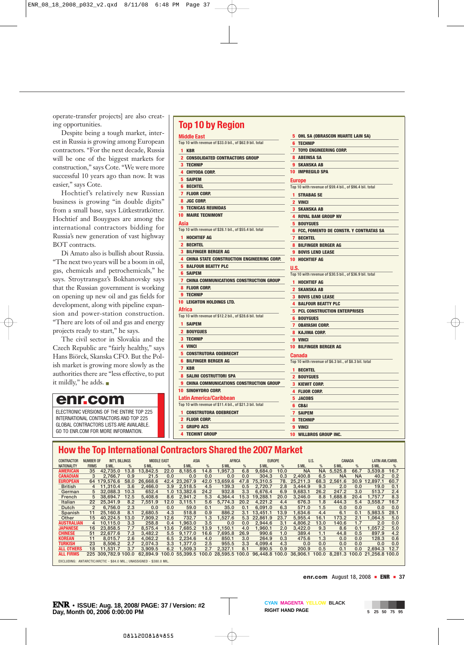operate-transfer projects] are also creating opportunities.

Despite being a tough market, interest in Russia is growing among European contractors. "For the next decade, Russia will be one of the biggest markets for construction," says Cote. "We were more successful 10 years ago than now. It was easier," says Cote.

Hochtief's relatively new Russian business is growing "in double digits" from a small base, says Lütkestratkötter. Hochtief and Bouygues are among the international contractors bidding for Russia's new generation of vast highway BOT contracts.

Di Amato also is bullish about Russia. "The next two years will be a boom in oil, gas, chemicals and petrochemicals," he says. Stroytransgaz's Bokhanovsky says that the Russian government is working on opening up new oil and gas fields for development, along with pipeline expansion and power-station construction. "There are lots of oil and gas and energy projects ready to start," he says.

The civil sector in Slovakia and the Czech Republic are "fairly healthy," says Hans Biörck, Skanska CFO. But the Polish market is growing more slowly as the authorities there are "less effective, to put it mildly," he adds. <sup>m</sup>

## **enr.com**

ELECTRONIC VERSIONS OF THE ENTIRE TOP 225 INTERNATIONAL CONTRACTORS AND TOP 225 GLOBAL CONTRACTORS LISTS ARE AVAILABLE. GO TO ENR.COM FOR MORE INFORMATION.

## **Top 10 by Region**

|                | <b>Middle East</b>                                       |
|----------------|----------------------------------------------------------|
|                | Top 10 with revenue of \$33.0 bil., of \$62.9 bil. total |
|                | 1 KBR                                                    |
|                | <b>2 CONSOLIDATED CONTRACTORS GROUP</b>                  |
| 3              | <b>TECHNIP</b>                                           |
|                | <b>4 CHIYODA CORP.</b>                                   |
| 5.             | <b>SAIPEM</b>                                            |
|                | <b>6 BECHTEL</b>                                         |
|                | <b>7 FLUOR CORP.</b>                                     |
|                | 8 JGC CORP.                                              |
|                | <b>9 TECNICAS REUNIDAS</b>                               |
|                | <b>10 MAIRE TECNIMONT</b>                                |
| Asia           |                                                          |
|                | Top 10 with revenue of \$28.1 bil., of \$55.4 bil. total |
|                | <b>1 HOCHTIEF AG</b>                                     |
|                | 2 BECHTEL                                                |
|                | <b>3 BILFINGER BERGER AG</b>                             |
|                | 4 CHINA STATE CONSTRUCTION ENGINEERING CORP.             |
|                | <b>5 BALFOUR BEATTY PLC</b>                              |
|                | <b>6 SAIPEM</b>                                          |
| $\overline{7}$ | CHINA COMMUNICATIONS CONSTRUCTION GROUP                  |
|                | 8 FLUOR CORP.                                            |
|                | 9 TECHNIP                                                |
|                | 10 LEIGHTON HOLDINGS LTD.                                |
|                | Africa                                                   |
|                | Top 10 with revenue of \$12.2 bil., of \$28.6 bil. total |
| 1.             | <b>SAIPEM</b>                                            |
|                | 2 BOUYGUES                                               |
|                | <b>3 TECHNIP</b>                                         |
|                | 4 VINCI                                                  |
|                | <b>5 CONSTRUTORA ODEBRECHT</b>                           |
|                | <b>6 BILFINGER BERGER AG</b>                             |
|                | 7 KBR                                                    |
|                | <b>8 SALINI COSTRUTTORI SPA</b>                          |
| 9              | CHINA COMMUNICATIONS CONSTRUCTION GROUP                  |
|                | <b>10 SINOHYDRO CORP.</b>                                |
|                | Latin America/Caribbean                                  |
|                | Top 10 with revenue of \$11.4 bil., of \$21.3 bil. total |
|                | <b>1 CONSTRUTORA ODEBRECHT</b>                           |
|                | 2 FLUOR CORP.                                            |
|                | <b>3 GRUPO ACS</b>                                       |
| 4              | <b>TECHINT GROUP</b>                                     |

#### **6 TECHNIP 7 TOYO ENGINEERING CORP. 8 ABEINSA SA 9 SKANSKA AB 10 IMPREGILO SPA Europe** Top 10 with revenue of \$59.4 bil., of \$96.4 bil. total **1 STRABAG SE 2 VINCI 3 SKANSKA AB 4 ROYAL BAM GROUP NV 5 BOUYGUES 6 FCC, FOMENTO DE CONSTR. Y CONTRATAS SA 7 BECHTEL 8 BILFINGER BERGER AG 9 BOVIS LEND LEASE 10 HOCHTIEF AG U.S.** Top 10 with revenue of \$30.5 bil., of \$36.9 bil. total **1 HOCHTIEF AG 2 SKANSKA AB 3 BOVIS LEND LEASE 4 BALFOUR BEATTY PLC 5 PCL CONSTRUCTION ENTERPRISES 6 BOUYGUES 7 OBAYASHI CORP. 8 KAJIMA CORP. 9 VINCI 10 BILFINGER BERGER AG Canada** Top 10 with revenue of \$6.3 bil., of \$8.3 bil. total **1 BECHTEL 2 BOUYGUES 3 KIEWIT CORP. 4 FLUOR CORP. 5 JACOBS 6 CB&I 7 SAIPEM 8 TECHNIP 9 VINCI 10 WILLBROS GROUP INC.**

**5 OHL SA (OBRASCON HUARTE LAIN SA)**

## **How the Top International Contractors Shared the 2007 Market**

| <b>CONTRACTOR</b>                                                    | <b>NUMBER OF</b> | <b>INT'L BILLINGS</b> |      | <b>MIDDLE EAST</b> |                  | <b>ASIA</b>   |      | <b>AFRICA</b>                       |      |                | <b>EUROPE</b> | U.S.           |           | CANADA    |           | LATIN AM./CARIB.             |      |
|----------------------------------------------------------------------|------------------|-----------------------|------|--------------------|------------------|---------------|------|-------------------------------------|------|----------------|---------------|----------------|-----------|-----------|-----------|------------------------------|------|
| <b>NATIONALITY</b>                                                   | <b>FIRMS</b>     | \$ MIL.               | $\%$ | S MIL.             | $\%$             | \$ MIL.       | %    | \$ MIL                              | $\%$ | S MIL.         | %             | \$ MIL.        | $\%$      | \$ MIL.   | $\%$      | \$ MIL.                      | %    |
| <b>AMERICAN</b>                                                      | 35               | 42.735.0              | 13.8 | 13.842.5           | 22.0             | 8.185.6       | 14.8 | .957.3                              | 6.8  | 9.684.0        | 10.0          | <b>NA</b>      | <b>NA</b> | 5,525.8   | 66.7      | 3.539.8                      | 16.7 |
| <b>CANADIAN</b>                                                      | 3                | 2.766.7               | 0.9  | 21.5               | 0.0              | 0.0           | 0.0  | 0.0                                 | 0.0  | 304.3          | 0.3           | 2.400.8        | 6.5       | <b>NA</b> | <b>NA</b> | 40.2                         | 0.2  |
| <b>EUROPEAN</b>                                                      |                  | 64 179.576.6          | 58.0 | 26.668.6           |                  | 42.4 23.267.9 | 42.0 | 13.659.6                            | 47.8 | 75.310.5       | 78.           | 25.211.3       | 68.3      | 2.561.6   |           | 30.9 12.897.1                | 60.7 |
| <b>British</b>                                                       |                  | 4 11.310.4            | 3.6  | 2.466.0            |                  | 3.9 2.518.5   | 4.5  | 139.3                               | 0.5  | 2.720.7        | 2.8           | 3.444.9        | 9.3       | 2.0       | 0.0       | 19.0                         | 0.1  |
| German                                                               | 5                | 32,088.3              | 10.3 | 652.4              |                  | 1.0 13.382.6  | 24.2 | 932.8                               | 3.3  | 6.676.4        | 6.9           | 9.683.1        | 26.2      | 247.2     | 3.0       | 513.7                        | 2.4  |
| French                                                               | 5.               | 38.694.7              | 12.5 | 5.408.6            | 8.6              | 2.941.2       | 5.3  | 4.364.4                             | 15.3 | 19.288.1       | 20.0          | 3,246.0        | 8.8       | 1.688.8   | 20.4      | 1.757.7                      | 8.3  |
| Italian                                                              | 22               | 25.341.9              | 8.2  | 7.551.9            | 12.0             | 3.115.1       | 5.6  | 5.774.3                             | 20.2 | 4.221.2        | 4.4           | 676.3          | 1.8       | 444.3     | 5.4       | 3.558.7                      | 16.7 |
| Dutch                                                                | 2                | 6.756.0               | 2.3  | 0.0                | 0.0              | 59.0          | 0.1  | 35.0                                | 0.1  | 6.091.0        | 6.3           | 571.0          | 1.5       | 0.0       | 0.0       | 0.0                          | 0.0  |
| Spanish                                                              | 11               | 25.160.8              | 8.1  | 2.680.5            | 4.3              | 518.8         | 0.9  | 886.2                               | 3.1  | 13.451.1       | 13.9          | 1.634.6        | 4.4       | 6.1       | 0.1       | 5.983.5                      | 28.1 |
| Other                                                                | 15               | 40.224.5              | 13.0 | 7.909.2            | 12.6             | 732.7         | 1.3  | 1.527.6                             | 5.3  | 22.861.9       | 23.7          | 5.955.4        | 16.1      | 173.2     | 2.1       | 1.064.5                      | 5.0  |
| <b>AUSTRALIAN</b>                                                    | 4                | 10.115.0              | 3.3  | 258.8              | 0.4              | 1.963.0       | 3.5  | 0.0                                 | 0.0  | 2.944.6        | 3.1           | 4.806.2        | 13.0      | 140.6     | 1.7       | 2.0                          | 0.0  |
| <b>JAPANESE</b>                                                      | 16               | 23.858.5              | 7.7  | 8.575.4            | 13.6             | 7.685.2       | 13.9 | 1.150.1                             | 4.0  | 1.960.1        | 2.0           | 3.422.0        | 9.3       | 8.6       | 0.1       | 1.057.2                      | 5.0  |
| <b>CHINESE</b>                                                       | 51               | 22.677.6              | 7.3  | 3.482.2            | 5.5              | 9.177.0       | 16.6 | 7.695.8                             | 26.9 | 990.6          | 1.0           | 389.4          | 1.1       | 44.8      | 0.5       | 897.9                        | 4.2  |
| <b>KOREAN</b>                                                        | 11               | 8.015.7               | 2.6  | 4.062.2            | 6.5              | 2.234.6       | 4.0  | 850.1                               | 3.0  | 264.9          | 0.3           | 475.6          | 1.3       | 0.0       | 0.0       | 128.3                        | 0.6  |
| <b>TURKISH</b>                                                       | 23               | 8.506.2               | 2.7  | 2.074.3            | 3.3 <sub>2</sub> | 1.377.0       | 2.5  | 955.5                               | 3.3  | 4.099.4        | 4.3           | 0.0            | 0.0       | 0.0       | 0.0       | 0.0                          | 0.0  |
| <b>ALL OTHERS</b>                                                    | 18               | 11.531.7              | 3.7  | 3.909.5            | 6.2              | 1.509.3       | 2.7  | 2,327.1                             | 8.1  | 890.5          | 0.9           | 200.9          | 0.5       | 0.1       | 0.0       | 2.694.3                      | 12.7 |
| <b>ALL FIRMS</b>                                                     |                  | 225 309,782.9 100.0   |      | 62.894.9           |                  |               |      | 100.0 55,399.5 100.0 28,595.5 100.0 |      | 96,448.8 100.0 |               | 36,906.1 100.0 |           |           |           | 8.281.3 100.0 21.256.8 100.0 |      |
| EXCLUDING: ANTARCTIC/ARCTIC - \$84.0 MIL.: UNASSIGNED - \$380.0 MIL. |                  |                       |      |                    |                  |               |      |                                     |      |                |               |                |           |           |           |                              |      |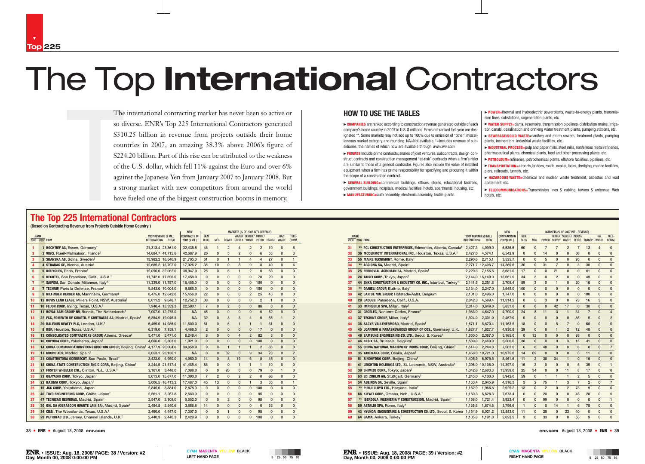#### **HOW TO USE THE TABLES**

► **COMPANIES** are ranked according to construction revenue generated outside of each company's home country in 2007 in U.S. \$ millions. Firms not ranked last year are designated \*\*. Some markets may not add up to 100% due to omission of "other" miscellaneous market category and rounding. NA=Not available. <sup>†</sup>=Includes revenue of subsidiaries, the names of which now are available through *www.enr.com*.

▶ FIGURES Include prime contracts, shares of joint ventures, subcontracts, design-construct contracts and construction management "at-risk" contracts when a firm's risks are similar to those of a general contractor. Figures also include the value of installed equipment when a firm has prime responsibility for specifying and procuring it within the scope of a construction contract.

▶ **POWER**=thermal and hydroelectric powerplants, waste-to-energy plants, transmission lines, substations, cogeneration plants, etc.

► **INDUSTRIAL PROCESS**=pulp and paper mills, steel mills, nonferrous metal refineries, pharmaceutical plants, chemical plants, food and other processing plants, etc.

© **GENERAL BUILDING=**commercial buildings, offices, stores, educational facilities, government buildings, hospitals, medical facilities, hotels, apartments, housing, etc. © **MANUFACTURING=**auto assembly, electronic assembly, textile plants.

© **WATER SUPPLY=**dams, reservoirs, transmission pipelines, distribution mains, irrigation canals, desalination and drinking water treatment plants, pumping stations, etc.

The<br>so d<br>s31<sup>1</sup><br>coul<br>\$331<sup>1</sup><br>coul<br>\$1422<br>of the again<br>a strategy<br>**225 International** The international contracting market has never been so active or so diverse. ENR's Top 225 International Contractors generated \$310.25 billion in revenue from projects outside their home countries in 2007, an amazing 38.3% above 2006's figure of \$224.20 billion. Part of this rise can be attributed to the weakness of the U.S. dollar, which fell 11% against the Euro and over 6% against the Japanese Yen from January 2007 to January 2008. But a strong market with new competitors from around the world have fueled one of the biggest construction booms in memory.

© **SEWERAGE/SOLID WASTE=**sanitary and storm sewers, treatment plants, pumping plants, incinerators, industrial waste facilities, etc.

© **PETROLEUM=**refineries, petrochemical plants, offshore facilities, pipelines, etc.

© **TRANSPORTATION=**airports, bridges, roads, canals, locks, dredging, marine facilities, piers, railroads, tunnels, etc.

© **HAZARDOUS WASTE=**chemical and nuclear waste treatment, asbestos and lead

- 
- 
- 
- 
- abatement, etc.
- hotels, etc.

© **TELECOMMUNICATIONS=**Transmission lines & cabling, towers & antennae, Web

# The Top **International** Contractors

## **The Top 225 International Contractors**

#### **(Based on Contracting Revenue from Projects Outside Home Country )**

|                |             |                                                                                 |                        | <b>NEW</b><br><b>MARKETS (% OF 2007 INT'L REVENUE)</b> |                     |                |                |                |                |                       |                |                                         |              |                |
|----------------|-------------|---------------------------------------------------------------------------------|------------------------|--------------------------------------------------------|---------------------|----------------|----------------|----------------|----------------|-----------------------|----------------|-----------------------------------------|--------------|----------------|
|                | <b>RANK</b> |                                                                                 | 2007 REVENUE (\$ MIL.) |                                                        | <b>CONTRACTS IN</b> | GEN.           |                |                |                | WATER SEWER./ INDUS./ |                |                                         | HAZ.         | TELE-          |
| 2008 2007 FIRM |             |                                                                                 | <b>INTERNATIONAL</b>   | <b>TOTAL</b>                                           | 2007 (\$ MIL.)      | BLDG.          | MFG.           |                |                |                       |                | POWER SUPPLY WASTE PETRO. TRANSP. WASTE |              | COMM.          |
| 1              |             | 1 HOCHTIEF AG, Essen, Germany <sup>†</sup>                                      | 21,313.4 23,861.0      |                                                        | 32,435.5            | 48             | $\mathbf{1}$   | $\overline{2}$ | $\overline{4}$ | $\overline{2}$        | $\overline{2}$ | 19                                      | $\Omega$     | 5              |
| $\mathbf{2}$   |             | 3 VINCI, Rueil-Malmaison, France <sup>†</sup>                                   | 14,684.7 41,715.6      |                                                        | 42,687.9            | 20             | $\mathbf{0}$   | 5              | $\overline{2}$ | $\mathbf{0}$          | 6              | 55                                      | $\mathbf{0}$ | 3              |
| 3              |             | 2 SKANSKA AB, Solna, Sweden <sup>†</sup>                                        | 13,982.2 18,546.9      |                                                        | 21,705.0            | 61             | $\mathbf{0}$   | $\mathbf{1}$   | $\mathbf{1}$   | $\overline{4}$        | $\overline{4}$ | 27                                      | $\mathbf{0}$ | $\mathbf{1}$   |
| 4              |             | 4 STRABAG SE, Vienna, Austria <sup>†</sup>                                      | 12,689.2 15,797.0      |                                                        | 17,925.2            | 35             | 10             | $\mathbf{0}$   | 3              | $\mathbf 0$           | 8              | 40                                      | $\mathbf{0}$ | $\overline{4}$ |
| 5              |             | 5 BOUYGUES, Paris, France <sup>†</sup>                                          | 12,090.0 32,062.0      |                                                        | 38,947.0            | 25             | 0              | 6              | $\mathbf{1}$   | $\overline{2}$        | $\mathbf 0$    | 63                                      | 0            | $\mathbf{0}$   |
| 6              |             | 6 BECHTEL, San Francisco, Calif., U.S.A. <sup>†</sup>                           | 11,742.0 17,696.0      |                                                        | 17,458.0            | $\mathbf{0}$   | 0              | $\mathbf{0}$   | $\mathbf{0}$   | $\mathbf{0}$          | 70             | 29                                      | $\mathbf{0}$ | $\mathbf{0}$   |
| $\overline{7}$ |             | ** SAIPEM, San Donato Milanese, Italy <sup>†</sup>                              | 11,339.0 11,757.0      |                                                        | 16,455.0            | $\mathbf{0}$   | 0              | 0              | $\mathbf{0}$   | $\mathbf 0$           | 100            | $\mathbf{0}$                            | $\mathbf{0}$ | $\mathbf 0$    |
| 8              |             | 7 TECHNIP, Paris la Defense, France <sup>†</sup>                                |                        | 9,843.0 10,004.0                                       | 9.865.0             | $\mathbf{0}$   | $\mathbf{0}$   | $\mathbf{0}$   | $\Omega$       | $\mathbf{0}$          | 100            | $\mathbf{0}$                            | $\Omega$     | $\mathbf{0}$   |
| 9              |             | 9 BILFINGER BERGER AG, Mannheim, Germany <sup>†</sup>                           |                        | 8,475.0 12,642.0                                       | 15,456.0            | 22             | 0              | 6              | $\mathbf{0}$   | $\overline{2}$        | 25             | 45                                      | $\Omega$     | $\mathbf{0}$   |
| 10             |             | 12 BOVIS LEND LEASE, Millers Point, NSW, Australia <sup>†</sup>                 |                        | 8,011.2 9,648.7                                        | 12,752.3            | 38             | 0              | 0              | $\mathbf{0}$   | $\mathbf 0$           | $\overline{2}$ | $\mathbf{1}$                            | $\mathbf{0}$ | $\mathbf{0}$   |
| 11             |             | 10 FLUOR CORP., Irving, Texas, U.S.A. <sup>†</sup>                              |                        | 7,940.4 13,332.3                                       | 22,590.1            | $\overline{7}$ | 0              | $\overline{2}$ | $\mathbf{0}$   | $\mathbf{0}$          | 88             | $\mathbf{0}$                            | $\mathbf{0}$ | 3              |
| 12             |             | 11 ROYAL BAM GROUP NV, Bunnik, The Netherlands <sup>†</sup>                     |                        | 7,007.0 12,275.0                                       | NA.                 | 45             | 0              | 0              | $\mathbf{0}$   | $\mathbf{0}$          | $\mathbf{0}$   | 52                                      | $\mathbf{0}$ | 0              |
| 13             |             | 22 FCC, FOMENTO DE CONSTR. Y CONTRATAS SA, Madrid, Spain <sup>†</sup>           |                        | 6,854.9 19,046.8                                       | <b>NA</b>           | 32             | 0              | 3              | 3              | $\overline{4}$        | $\mathbf{0}$   | 55                                      | $\mathbf{1}$ | $\overline{2}$ |
| 14             |             | 20 BALFOUR BEATTY PLC, London, U.K. <sup>†</sup>                                |                        | 6,469.0 14,986.0                                       | 11,500.0            | 61             | $\mathbf{0}$   | 6              | $\mathbf{1}$   | $\mathbf{1}$          | $\mathbf{1}$   | 31                                      | $\Omega$     | $\mathbf{0}$   |
| 15             |             | 8 KBR, Houston, Texas, U.S.A. <sup>†</sup>                                      | 6.319.0                | 7,159.1                                                | 4.468.5             | $\overline{2}$ | 0              | 0              | $\mathbf{0}$   | $\mathbf{0}$          | 17             | $\mathbf{0}$                            | $\mathbf{0}$ | $\mathbf{0}$   |
| 16             |             | 13 CONSOLIDATED CONTRACTORS GROUP, Athens, Greece <sup>†</sup>                  | 5.471.0                | 5.471.0                                                | 6.248.4             | 8              | $\Omega$       | $\mathbf{0}$   | $\overline{4}$ | $\overline{2}$        | 82             | 3                                       | $\Omega$     | $\mathbf{0}$   |
| 17             |             | 16 CHIYODA CORP., Yokohama, Japan <sup>t</sup>                                  | 4.606.0                | 5.303.0                                                | 1.921.0             | 0              | 0              | $\mathbf{0}$   | $\mathbf{0}$   | $\mathbf{0}$          | 100            | $\mathbf{0}$                            | $\mathbf{0}$ | $\mathbf{0}$   |
| 18             |             | 14 CHINA COMMUNICATIONS CONSTRUCTION GROUP, Beijing, China <sup>†</sup> 4,177.9 |                        | 20,004.6                                               | 30,858.9            | 9              | 0              | $\mathbf{1}$   | $\mathbf{1}$   | $\mathbf{1}$          | $\overline{2}$ | 86                                      | $\Omega$     | $\mathbf{0}$   |
| 19             |             | 17 GRUPO ACS, Madrid, Spain <sup>t</sup>                                        |                        | 3,653.1 23,130.1                                       | <b>NA</b>           | $\Omega$       | 0              | 32             | $\Omega$       | 9                     | 34             | 23                                      | $\mathbf{0}$ | $\overline{2}$ |
| 20             |             | 21 CONSTRUTORA ODEBRECHT, Sao Paulo, Brazil <sup>†</sup>                        | 3,423.0                | 4,950.0                                                | 4,950.0             | 14             | $\Omega$       | 8              | 19             | 6                     | 8              | 45                                      | $\mathbf{0}$ | 0              |
| 21             |             | 18 CHINA STATE CONSTRUCTION ENG'G CORP., Beijing, China <sup>t</sup>            |                        | 3,244.5 21,517.4                                       | 41,485.4            | 88             | 0              | $\mathbf{0}$   | $\mathbf{1}$   | $\mathbf{1}$          | $\mathbf{1}$   | 10                                      | $\mathbf{0}$ | $\mathbf{0}$   |
| 22             |             | 27 FOSTER WHEELER LTD., Clinton, N.J., U.S.A. <sup>†</sup>                      | 3.161.0                | 3,448.0                                                | 7.088.0             | 0              | 0              | 20             | $\mathbf{0}$   | $\mathbf 0$           | 79             | $\mathbf{0}$                            | $\mathbf{1}$ | $\mathbf{0}$   |
| 23             |             | 32 OBAYASHI CORP., Tokyo, Japan <sup>t</sup>                                    |                        | 3.013.0 15.877.0                                       | 11.390.0            | $\overline{7}$ | $\overline{2}$ | $\mathbf{0}$   | $\overline{2}$ | $\overline{2}$        | $\mathbf 0$    | 86                                      | $\mathbf{0}$ | $\mathbf{0}$   |
| 24             |             | 23 KAJIMA CORP., Tokyo, Japan <sup>t</sup>                                      |                        | 3,006.5 16,413.2                                       | 17,487.3            | 45             | 13             | 0              | 0              | $\mathbf{1}$          | 3              | 35                                      | $\mathbf{0}$ | $\mathbf{1}$   |
| 25             |             | 15 JGC CORP., Yokohama, Japan                                                   | 2,845.0                | 3,884.0                                                | 2,875.0             | $\mathbf{0}$   | $\mathbf{0}$   | $\mathbf{0}$   | $\mathbf 0$    | $\mathbf{0}$          | 100            | $\mathbf{0}$                            | $\mathbf{0}$ | $\mathbf{0}$   |
| 26             |             | 40 TOYO ENGINEERING CORP., Chiba, Japan <sup>t</sup>                            | 2,561.1                | 3,267.8                                                | 2,680.9             | $\mathbf{0}$   | 0              | $\mathbf{0}$   | $\mathbf{0}$   | $\mathbf{0}$          | 95             | $\mathbf{0}$                            | $\mathbf{0}$ | $\mathbf{0}$   |
| 27             |             | 47 TECNICAS REUNIDAS, Madrid, Spain <sup>t</sup>                                | 2,547.0                | 3,108.0                                                | 5,552.0             | $\Omega$       | $\mathbf{0}$   | $\overline{2}$ | $\mathbf{0}$   | $\mathbf{0}$          | 98             | $\mathbf{0}$                            | $\mathbf{0}$ | $\mathbf{0}$   |
| 28             |             | 30 OHL SA (OBRASCON HUARTE LAIN SA), Madrid, Spaint                             | 2.494.8                | 5,540.6                                                | 3,886.6             | 14             | 0              | 0              | $\mathbf{0}$   | $\mathbf 0$           | $\mathbf 0$    | 53                                      | $\mathbf{0}$ | $\mathbf{0}$   |
| 29             |             | 34 CB&I, The Woodlands, Texas, U.S.A. <sup>†</sup>                              | 2,460.0                | 4,447.0                                                | 7,307.0             | 0              | 0              | $\mathbf{1}$   | $\mathbf{0}$   | $\mathbf{0}$          | 98             | $\mathbf{0}$                            | $\mathbf{0}$ | $\mathbf 0$    |
| 30             |             | 29 PETROFAC LTD., Jersey, Channel Islands, U.K. <sup>†</sup>                    | 2,440.3                | 2,440.3                                                | 2,428.9             | $\mathbf{0}$   | $\mathbf{0}$   | $\mathbf{0}$   | $\mathbf{0}$   | $\mathbf{0}$          | 100            | $\Omega$                                | $\mathbf{0}$ | $\mathbf{0}$   |

|                     |  |                                                                            |                                                |                  | <b>NEW</b>                           |               |                |                |                | <b>MARKETS (% OF 2007 INT'L REVENUE)</b> |                |                                         |                |                |
|---------------------|--|----------------------------------------------------------------------------|------------------------------------------------|------------------|--------------------------------------|---------------|----------------|----------------|----------------|------------------------------------------|----------------|-----------------------------------------|----------------|----------------|
| <b>RANK</b><br>2008 |  | <b>2007 FIRM</b>                                                           | 2007 REVENUE (\$ MIL.)<br><b>INTERNATIONAL</b> | <b>TOTAL</b>     | <b>CONTRACTS IN</b><br>2007(\$ MIL.) | GEN.<br>BLDG. | MFG.           |                |                | WATER SEWER./ INDUS./                    |                | POWER SUPPLY WASTE PETRO. TRANSP. WASTE | HAZ.           | TELE-<br>COMM. |
|                     |  |                                                                            |                                                |                  |                                      |               |                |                |                |                                          |                |                                         |                |                |
| 31                  |  | <b>PCL CONSTRUCTION ENTERPRISES, Edmonton, Alberta, Canada<sup>†</sup></b> | 2.427.3                                        | 4.999.9          | 6,536.6                              | 60            | $\mathbf{0}$   | $\overline{7}$ | $\overline{7}$ | $\overline{2}$                           | $\overline{7}$ | 13                                      | $\overline{4}$ | 0              |
| 32                  |  | 36 MCDERMOTT INTERNATIONAL INC., Houston, Texas, U.S.A. <sup>†</sup>       | 2.427.0                                        | 4.574.1          | 6.542.9                              | $\mathbf{0}$  | 0              | 14             | $\mathbf{0}$   | $\mathbf{0}$                             | 86             | $\mathbf 0$                             | $\mathbf{0}$   | $\mathbf{0}$   |
| 33                  |  | 56 MAIRE TECNIMONT, Rome, Italy <sup>t</sup>                               | 2,290.6                                        | 2,715.1          | 3,525.7                              | $\Omega$      | 0              | 5              | $\mathbf{0}$   | 0                                        | 95             | $\mathbf 0$                             | $\mathbf{0}$   | 0              |
| 34                  |  | ** ACCIONA SA, Madrid, Spain <sup>†</sup>                                  |                                                | 2,271.7 12,406.7 | 14,360.6                             | 30            | 0              | 31             | $\overline{7}$ | $\mathbf{0}$                             | 3              | 30                                      | $\mathbf{0}$   | 0              |
| 35                  |  | 25 FERROVIAL AGROMAN SA, Madrid, Spain <sup>t</sup>                        | 2.229.3                                        | 7.155.5          | 8.681.0                              | 17            | 0              | $\mathbf{0}$   | 21             | $\mathbf{0}$                             | $\mathbf{0}$   | 61                                      | $\mathbf{0}$   | $\mathbf{0}$   |
| 36                  |  | 24 TAISEI CORP., Tokyo, Japan <sup>t</sup>                                 |                                                | 2,144.0 15,149.0 | 15,661.0                             | 34            | 3              | 8              | $\overline{2}$ | $\mathbf{0}$                             | $\mathbf{0}$   | 49                                      | $\mathbf{0}$   | 0              |
| 37                  |  | 44 ENKA CONSTRUCTION & INDUSTRY CO. INC., Istanbul, Turkey <sup>†</sup>    | 2,141.5                                        | 2,251.8          | 2.705.4                              | 59            | 3              | $\mathbf{0}$   | $\mathbf{1}$   | 0                                        | 20             | 16                                      | $\mathbf{0}$   | $\Omega$       |
| 38                  |  | ** DANIELI GROUP, Buttrio, Italy <sup>†</sup>                              | 2.134.0                                        | 2.247.0          | 3.545.0                              | 100           | 0              | 0              | $\mathbf{0}$   | 0                                        | $\mathbf{0}$   | $\mathbf{0}$                            | $\mathbf{0}$   | 0              |
| 39                  |  | 42 JAN DE NUL GROUP, Hofstade/Aalst, Belgium                               | 2,101.0                                        | 2,496.0          | 1,747.0                              | $\Omega$      | 0              | $\mathbf{0}$   | $\mathbf{0}$   | 0                                        | 0              | 100                                     | $\mathbf{0}$   | 0              |
| 40                  |  | 28 JACOBS, Pasadena, Calif., U.S.A.                                        | 2,042.3                                        | 4,589.4          | 11.314.2                             | 0             | 5              | 3              | $\Omega$       | $\mathbf{0}$                             | 73             | 16                                      | 3              | $\mathbf{0}$   |
| 41                  |  | 33 IMPREGILO SPA, Milan, Italy <sup>t</sup>                                | 2.014.0                                        | 3.649.0          | 5.831.0                              | 0             | $\mathbf{0}$   | $\mathbf{0}$   | 42             | 17                                       | $\mathbf 0$    | 30                                      | $\mathbf 0$    | 0              |
| 42                  |  | 31 CEGELEC, Nanterre Cedex, Francet                                        | 1,983.0                                        | 4,647.0          | 4,700.0                              | 24            | 8              | 11             | 3              | $\mathbf{1}$                             | 34             | $\overline{7}$                          | $\mathbf 0$    | $\overline{4}$ |
| 43                  |  | 37 TECHINT GROUP, Milan, Italy <sup>t</sup>                                | 1,924.0                                        | 2,301.0          | 2,467.0                              | $\mathbf{0}$  | 0              | 8              | $\mathbf{0}$   | $\mathbf{0}$                             | 85             | 5                                       | $\mathbf 0$    | $\overline{2}$ |
| 44                  |  | 38 SACYR VALLEHERMOSO, Madrid, Spain <sup>t</sup>                          | 1,871.1                                        | 8,870.4          | 11,163.5                             | 18            | $\mathbf{0}$   | $\mathbf{0}$   | 5              | $\overline{7}$                           | $\mathbf{0}$   | 66                                      | $\mathbf 0$    | $\mathbf{0}$   |
| 45                  |  | 45 JOANNOU & PARASKEVAIDES GROUP OF COS., Guernsey, U.K.                   | 1,827.7                                        | 1,827.7          | 4,930.8                              | 29            | $\mathbf{0}$   | 8              | $\mathbf{1}$   | $\overline{2}$                           | 12             | 48                                      | $\mathbf{0}$   | $\mathbf{0}$   |
| 46                  |  | 49 SAMSUNG ENGINEERING CO. LTD., Seoul, S. Korea <sup>†</sup>              | 1,650.0                                        | 2,367.0          | 5,165.0                              | $\mathbf{0}$  | 12             | 0              | $\mathbf{0}$   | 0                                        | 88             | $\mathbf 0$                             | 0              | 0              |
| 47                  |  | 46 BESIX SA, Brussels, Belgium <sup>t</sup>                                | 1,589.0                                        | 2,460.0          | 3,506.0                              | 38            | $\mathbf{0}$   | $\mathbf{0}$   | $\mathbf{0}$   | 3                                        | 15             | 41                                      | $\mathbf{0}$   | $\mathbf{0}$   |
| 48                  |  | 55 CHINA NATIONAL MACHINERY INDUS. CORP., Beijing, China <sup>t</sup>      | 1,514.0                                        | 2,244.0          | 7,562.0                              | 6             | 8              | 48             | 9              | $\mathbf{0}$                             | 6              | 8                                       | $\mathbf{0}$   | $\overline{7}$ |
| 49                  |  | 35 TAKENAKA CORP., Osaka, Japan <sup>t</sup>                               |                                                | 1,458.0 10,721.0 | 10,975.0                             | 14            | 69             | $\mathbf{0}$   | $\mathbf{0}$   | $\mathbf{0}$                             | 0              | 11                                      | $\mathbf 0$    | $\mathbf{0}$   |
| 50                  |  | 51 SINOHYDRO CORP., Beijing, China <sup>t</sup>                            | 1,405.9                                        | 6,979.5          | 8,461.6                              | 11            | $\overline{2}$ | 36             | 34             | $\mathbf{1}$                             | $\bf{0}$       | 16                                      | $\mathbf 0$    | $\mathbf{0}$   |
| 51                  |  | 41 LEIGHTON HOLDINGS LTD., St. Leonards, NSW, Australia <sup>†</sup>       |                                                | 1,396.0 10,106.0 | 14,397.0                             | 16            | 3              | $\mathbf{0}$   | $\mathbf{0}$   | $\Omega$                                 | 5              | 35                                      | $\mathbf{0}$   | $\mathbf{1}$   |
| 52                  |  | 39 SHIMIZU CORP., Tokyo, Japan <sup>†</sup>                                |                                                | 1,342.8 12,603.3 | 13,939.0                             | 25            | 34             | $\mathbf{0}$   | $\mathbf 0$    | 11                                       | 8              | 17                                      | $\mathbf{0}$   | 0              |
| 53                  |  | 63 ED. ZUBLIN AG, Stuttgart, Germany <sup>t</sup>                          | 1,245.0                                        | 4,100.0          | 3,942.0                              | 59            | 0              | $\mathbf{1}$   | $\mathbf{1}$   | $\mathbf{1}$                             | $\overline{2}$ | 5                                       | $\mathbf{0}$   | $\Omega$       |
| 54                  |  | 54 ABEINSA SA, Seville, Spain <sup>t</sup>                                 | 1,163.4                                        | 2,045.9          | 4,316.3                              | 3             | $\overline{2}$ | 75             | $\mathbf{1}$   | 3                                        | $\overline{7}$ | $\overline{2}$                          | $\Omega$       | $\overline{7}$ |
| 55                  |  | ** PUNJI LLOYD LTD., Haryana, India <sup>t</sup>                           | 1,162.9                                        | 1,966.8          | 2.929.2                              | 13            | 0              | $\overline{2}$ | $\mathbf{0}$   | $\overline{2}$                           | 73             | 9                                       | $\mathbf{0}$   | $\mathbf{0}$   |
| 56                  |  | 66 KIEWIT CORP., Omaha, Neb., U.S.A. <sup>†</sup>                          | 1,160.3                                        | 5,628.3          | 7,673.4                              | $\Omega$      | $\mathbf{0}$   | 20             | $\Omega$       | $\mathbf{0}$                             | 45             | 28                                      | $\mathbf{0}$   | $\Omega$       |
| 57                  |  | ** IBERDOLA INGENIERIA Y CONSTRUCCION, Madrid, Spain <sup>†</sup>          | 1,156.0                                        | 1,721.4          | 3,923.4                              | $\Omega$      | $\mathbf{0}$   | 99             | $\Omega$       | $\mathbf{0}$                             | $\mathbf{0}$   | $\Omega$                                | $\mathbf{0}$   | $\mathbf{1}$   |
| 58                  |  | 59 ASTALDI SPA, Rome, Italy <sup>t</sup>                                   | 1,155.6                                        | 1,874.6          | 3,796.6                              | $\mathbf{1}$  | 0              | $\mathbf 0$    | 14             | $\mathbf{1}$                             | 6              | 78                                      | $\mathbf{0}$   | $\mathbf{0}$   |
| 59                  |  | 43 HYUNDAI ENGINEERING & CONSTRUCTION CO. LTD., Seoul, S. Korea 1,154.9    |                                                | 6,021.2          | 12,553.0                             | 11            | 0              | 25             | $\mathbf{0}$   | 23                                       | 40             | $\mathbf{0}$                            | 0              | 0              |
| 60                  |  | 64 GAMA, Ankara, Turkey <sup>†</sup>                                       | 1.105.6                                        | 1,191.0          | 2.023.2                              | 3             | 0              | 33             | $\mathbf{0}$   | 0                                        | 55             | 9                                       | $\mathbf 0$    | $\mathbf{0}$   |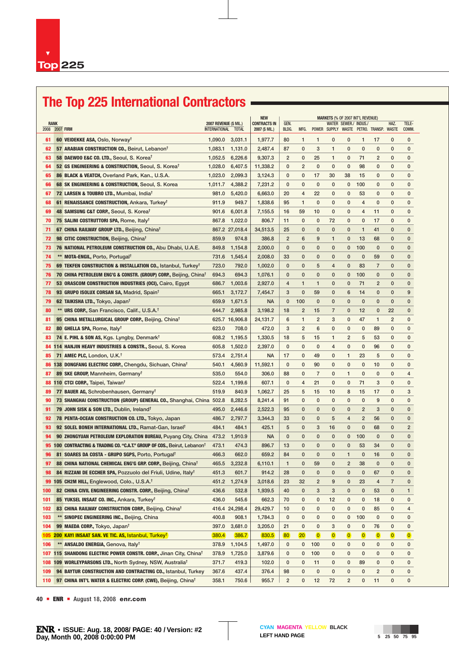# **The Top 225 International Contractors**

|             |                                                                                       |                                               | <b>NEW</b>     |                                       |                |                 |                | <b>MARKETS (% OF 2007 INT'L REVENUE)</b> |                         |                         |                                         |                         |                |  |
|-------------|---------------------------------------------------------------------------------------|-----------------------------------------------|----------------|---------------------------------------|----------------|-----------------|----------------|------------------------------------------|-------------------------|-------------------------|-----------------------------------------|-------------------------|----------------|--|
| <b>RANK</b> | 2008 2007 FIRM                                                                        | 2007 REVENUE (\$ MIL.)<br>INTERNATIONAL TOTAL |                | <b>CONTRACTS IN</b><br>2007 (\$ MIL.) | GEN.<br>BLDG.  | MFG.            |                |                                          |                         | WATER SEWER./ INDUS./   | POWER SUPPLY WASTE PETRO. TRANSP. WASTE | HAZ.                    | TELE-<br>COMM. |  |
| 61          | 60 VEIDEKKE ASA, Oslo, Norway <sup>†</sup>                                            | 1,090.0                                       | 3,031.1        | 1,977.7                               | 80             | $\mathbf{1}$    | $\mathbf{1}$   | 0                                        | 0                       | $\mathbf{1}$            | 17                                      | 0                       | 0              |  |
| 62          | 57 ARABIAN CONSTRUCTION CO., Beirut, Lebanon <sup>t</sup>                             | 1,083.1                                       | 1,131.0        | 2,487.4                               | 87             | $\mathbf{0}$    | 3              | $\mathbf{1}$                             | $\mathbf 0$             | $\mathbf 0$             | 0                                       | $\mathbf 0$             | $\mathbf{0}$   |  |
| 63          | 58 DAEW00 E&C CO. LTD., Seoul, S. Korea <sup>t</sup>                                  | 1,052.5                                       | 6,226.6        | 9,307.3                               | $\overline{2}$ | 0               | 25             | $\mathbf{1}$                             | 0                       | 71                      | $\overline{2}$                          | 0                       | 0              |  |
| 64          | 52 GS ENGINEERING & CONSTRUCTION, Seoul, S. Korea <sup>†</sup>                        | 1,028.0                                       | 6,407.5        | 11,338.2                              | $\mathbf{0}$   | $\overline{c}$  | $\mathbf 0$    | $\mathbf{0}$                             | $\mathbf 0$             | 98                      | 0                                       | 0                       | 0              |  |
| 65          | 86 BLACK & VEATCH, Overland Park, Kan., U.S.A.                                        | 1,023.0                                       | 2,099.3        | 3,124.3                               | 0              | 0               | 17             | 30                                       | 38                      | 15                      | 0                                       | 0                       | $\mathbf{0}$   |  |
| 66          | 68 SK ENGINEERING & CONSTRUCTION, Seoul, S. Korea                                     | 1,011.7                                       | 4,388.2        | 7,231.2                               | 0              | 0               | 0              | 0                                        | $\mathbf 0$             | 100                     | 0                                       | $\mathbf 0$             | $\mathbf{0}$   |  |
| 67          | 72 LARSEN & TOUBRO LTD., Mumbai, India <sup>T</sup>                                   | 981.0                                         | 5,420.0        | 6,663.0                               | 20             | $\overline{4}$  | 22             | $\mathbf{0}$                             | 0                       | 53                      | $\mathbf{0}$                            | $\mathbf{0}$            | 0              |  |
| 68          | 61 RENAISSANCE CONSTRUCTION, Ankara, Turkey <sup>t</sup>                              | 911.9                                         | 949.7          | 1,838.6                               | 95             | $\mathbf{1}$    | $\mathbf 0$    | $\mathbf{0}$                             | 0                       | 4                       | 0                                       | $\mathbf{0}$            | 0              |  |
| 69          | 48 SAMSUNG C&T CORP., Seoul, S. Korea <sup>t</sup>                                    | 901.6                                         | 6.001.8        | 7,155.5                               | 16             | 59              | 10             | $\mathbf{0}$                             | $\mathbf 0$             | 4                       | 11                                      | 0                       | $\mathbf{0}$   |  |
| 70          | 75 SALINI COSTRUTTORI SPA, Rome, Italy <sup>t</sup>                                   | 867.8                                         | 1,022.0        | 806.7                                 | 11             | $\mathbf{0}$    | $\mathbf 0$    | 72                                       | $\mathbf 0$             | 0                       | 17                                      | 0                       | 0              |  |
| 71          | 67 CHINA RAILWAY GROUP LTD., Beijing, Chinat                                          |                                               | 867.2 27,018.4 | 34,513.5                              | 25             | $\mathbf{0}$    | $\mathbf{0}$   | $\mathbf{0}$                             | $\mathbf{0}$            | $\mathbf{1}$            | 41                                      | $\mathbf{0}$            | 0              |  |
| 72          | 98 CITIC CONSTRUCTION, Beijing, China <sup>T</sup>                                    | 859.9                                         | 974.8          | 386.8                                 | $\overline{2}$ | 6               | 9              | $\mathbf{1}$                             | $\mathbf{0}$            | 13                      | 68                                      | $\mathbf{0}$            | $\mathbf{0}$   |  |
| 73          | 76 NATIONAL PETROLEUM CONSTRUCTION CO., Abu Dhabi, U.A.E.                             | 849.8                                         | 1,154.8        | 2,000.0                               | $\mathbf{0}$   | 0               | $\mathbf{0}$   | $\mathbf{0}$                             | 0                       | 100                     | $\mathbf{0}$                            | $\mathbf{0}$            | 0              |  |
| 74          | ** MOTA-ENGIL, Porto, Portugal <sup>†</sup>                                           | 731.6                                         | 1,545.4        | 2,008.0                               | 33             | 0               | $\mathbf{0}$   | $\mathbf{0}$                             | $\mathbf{0}$            | $\mathbf 0$             | 59                                      | $\mathbf{0}$            | $\mathbf 0$    |  |
| 75          | 69 TEKFEN CONSTRUCTION & INSTALLATION CO., Istanbul, Turkey <sup>†</sup>              | 723.0                                         | 792.0          | 1,002.0                               | $\mathbf{0}$   | 0               | 5              | 4                                        | 0                       | 83                      | $\overline{7}$                          | 0                       | $\mathbf 0$    |  |
| 76          | 70 CHINA PETROLEUM ENG'G & CONSTR. (GROUP) CORP., Beijing, China <sup>t</sup>         | 694.3                                         | 694.3          | 1,076.1                               | $\mathbf{0}$   | 0               | $\mathbf{0}$   | $\mathbf{0}$                             | $\mathbf 0$             | 100                     | $\mathbf{0}$                            | $\mathbf{0}$            | $\mathbf{0}$   |  |
| 77          | 53 ORASCOM CONSTRUCTION INDUSTRIES (OCI), Cairo, Egypt                                | 686.7                                         | 1,003.6        | 2,927.0                               | 4              | $\mathbf{1}$    | 1              | 0                                        | $\mathbf{0}$            | 71                      | 2                                       | $\mathbf{0}$            | 0              |  |
| 78          | 93 GRUPO ISOLUX CORSAN SA, Madrid, Spain <sup>t</sup>                                 | 665.1                                         | 3,172.7        | 7,454.7                               | 3              | $\mathbf{0}$    | 59             | $\mathbf{0}$                             | 6                       | 14                      | 0                                       | $\mathbf{0}$            | 9              |  |
| 79          | 62 TAIKISHA LTD., Tokyo, Japan <sup>t</sup>                                           | 659.9                                         | 1,671.5        | <b>NA</b>                             | $\mathbf 0$    | 100             | $\mathbf 0$    | $\mathbf{0}$                             | $\mathbf{0}$            | $\mathbf{0}$            | 0                                       | $\mathbf{0}$            | $\mathbf{0}$   |  |
| 80          | ** URS CORP., San Francisco, Calif., U.S.A. <sup>†</sup>                              | 644.7                                         | 2.985.8        | 3.198.2                               | 18             | $\overline{2}$  | 15             | 7                                        | $\mathbf 0$             | 12                      | $\mathbf{0}$                            | 22                      | $\mathbf 0$    |  |
| 81          | 95 CHINA METALLURGICAL GROUP CORP., Beijing, China <sup>t</sup>                       |                                               | 625.7 16,906.8 | 24,131.7                              | 6              | $\mathbf{1}$    | $\overline{2}$ | 3                                        | $\mathbf 0$             | 47                      | $\mathbf{1}$                            | $\overline{2}$          | $\mathbf{0}$   |  |
| 82          | 80 GHELLA SPA, Rome, Italy <sup>t</sup>                                               | 623.0                                         | 708.0          | 472.0                                 | 3              | $\overline{2}$  | 6              | $\mathbf{0}$                             | $\mathbf 0$             | $\mathbf 0$             | 89                                      | $\mathbf{0}$            | $\mathbf{0}$   |  |
| 83          | 74 E. PIHL & SON AS, Kgs. Lyngby, Denmark <sup>t</sup>                                | 608.2                                         | 1,195.5        | 1,330.5                               | 18             | 5               | 15             | $\mathbf{1}$                             | $\overline{2}$          | 5                       | 53                                      | 0                       | 0              |  |
|             | 84 114 HANJIN HEAVY INDUSTRIES & CONSTR., Seoul, S. Korea                             | 605.8                                         | 1,502.0        | 2,397.0                               | $\mathbf{0}$   | $\mathbf{0}$    | $\mathbf 0$    | $\overline{4}$                           | $\mathbf 0$             | $\mathbf{0}$            | 96                                      | $\mathbf{0}$            | 0              |  |
| 85          | 71 AMEC PLC, London, U.K. <sup>†</sup>                                                | 573.4                                         | 2,751.4        | <b>NA</b>                             | 17             | 0               | 49             | $\mathbf{0}$                             | 1                       | 23                      | 5                                       | $\mathbf{0}$            | $\mathbf 0$    |  |
| 86          | 138 DONGFANG ELECTRIC CORP., Chengdu, Sichuan, Chinat                                 | 540.1                                         | 4,560.9        | 11,592.1                              | $\mathbf 0$    | $\mathbf{0}$    | 90             | $\mathbf{0}$                             | $\mathbf 0$             | $\mathbf 0$             | 10                                      | $\mathbf{0}$            | $\mathbf{0}$   |  |
| 87          | 89 SKE GROUP, Mannheim, Germany <sup>T</sup>                                          | 535.0                                         | 554.0          | 306.0                                 | 88             | 0               | $\overline{7}$ | 0                                        | $\mathbf{1}$            | $\mathbf 0$             | 0                                       | $\mathbf{0}$            | 4              |  |
| 88          | 110 CTCI CORP., Taipei, Taiwan <sup>t</sup>                                           | 522.4                                         | 1,199.6        | 607.1                                 | 0              | 4               | 21             | 0                                        | 0                       | 71                      | 3                                       | $\mathbf{0}$            | 0              |  |
| 89          | 77 BAUER AG, Schrobenhausen, Germany <sup>t</sup>                                     | 519.9                                         | 840.9          | 1,062.7                               | 25             | 5               | 15             | 10                                       | 8                       | 15                      | 17                                      | 0                       | 3              |  |
| 90          | 73 SHANGHAI CONSTRUCTION (GROUP) GENERAL CO., Shanghai, China 502.8                   |                                               | 8,282.5        | 8,241.4                               | 91             | $\mathbf{0}$    | $\mathbf 0$    | $\mathbf{0}$                             | $\mathbf 0$             | 0                       | 9                                       | 0                       | 0              |  |
| 91          | 79 JOHN SISK & SON LTD., Dublin, Ireland <sup>t</sup>                                 | 495.0                                         | 2,446.6        | 2,522.3                               | 95             | 0               | $\mathbf{0}$   | 0                                        | 0                       | $\overline{2}$          | 3                                       | $\mathbf 0$             | $\mathbf 0$    |  |
| 92          | 78 PENTA-OCEAN CONSTRUCTION CO. LTD., Tokyo, Japan                                    | 486.7                                         | 2,797.7        | 3,344.3                               | 33             | $\mathbf{0}$    | $\mathbf 0$    | 5                                        | 4                       | $\overline{2}$          | 56                                      | $\mathbf 0$             | $\mathbf{0}$   |  |
| 93          | 92 SOLEL BONEH INTERNATIONAL LTD., Ramat-Gan, Israel <sup>t</sup>                     | 484.1                                         | 484.1          | 425.1                                 | 5              | 0               | 3              | 16                                       | $\mathbf 0$             | $\mathbf 0$             | 68                                      | $\mathbf 0$             | $\overline{2}$ |  |
| 94          | 90 ZHONGYUAN PETROLEUM EXPLORATION BUREAU, Puyang City, China                         | 473.2                                         | 1,910.9        | <b>NA</b>                             | $\mathbf{0}$   | $\mathbf{0}$    | $\mathbf{0}$   | $\mathbf{0}$                             | 0                       | 100                     | $\mathbf{0}$                            | $\mathbf{0}$            | $\mathbf 0$    |  |
|             | 95 100 CONTRACTING & TRADING CO. "C.A.T." GROUP OF COS., Beirut, Lebanon <sup>†</sup> | 473.1                                         | 474.3          | 896.7                                 | 13             | 0               | $\mathbf{0}$   | $\mathbf{0}$                             | $\mathbf{0}$            | 53                      | 34                                      | $\mathbf{0}$            | $\mathbf 0$    |  |
| 96          | 81 SOARES DA COSTA - GRUPO SGPS, Porto, Portugal <sup>T</sup>                         | 466.3                                         | 662.0          | 659.2                                 | 84             | $\mathbf{0}$    | $\mathbf{0}$   | $\mathbf{0}$                             | $\mathbf{1}$            | $\mathbf{0}$            | 16                                      | $\mathbf 0$             | $\mathbf{0}$   |  |
|             | 97 88 CHINA NATIONAL CHEMICAL ENG'G GRP. CORP., Beijing, Chinat                       |                                               | 465.5 3,232.8  | 6,110.1                               | $\overline{1}$ | 0               | 59             | 0                                        | $\overline{\mathbf{c}}$ | 38                      | $\mathbf 0$                             | 0                       | $\mathbf 0$    |  |
| 98          | 84 RIZZANI DE ECCHER SPA, Pozzuolo del Friuli, Udine, Italy <sup>t</sup>              | 451.3                                         | 601.7          | 914.2                                 | 28             | 0               | 0              | 0                                        | 0                       | 0                       | 67                                      | 0                       | $\mathbf 0$    |  |
| 99          | 105 CH2M HILL, Englewood, Colo., U.S.A. <sup>†</sup>                                  | 451.2                                         | 1,274.9        | 3,018.6                               | 23             | 32              | $\overline{2}$ | 9                                        | $\pmb{0}$               | 23                      | $\overline{4}$                          | $\overline{7}$          | $\mathbf 0$    |  |
| 100         | 82 CHINA CIVIL ENGINEERING CONSTR. CORP., Beijing, Chinat                             | 436.6                                         | 532.8          | 1,939.5                               | 40             | 0               | 3              | 3                                        | 0                       | $\pmb{0}$               | 53                                      | 0                       | $\mathbf{1}$   |  |
| 101         | 85 YUKSEL INSAAT CO. INC., Ankara, Turkey <sup>†</sup>                                | 436.0                                         | 545.6          | 662.3                                 | 70             | 0               | 0              | 12                                       | 0                       | 0                       | 18                                      | 0                       | 0              |  |
| 102         | 83 CHINA RAILWAY CONSTRUCTION CORP., Beijing, China <sup>t</sup>                      |                                               | 416.4 24,298.4 | 29,429.7                              | 10             | 0               | 0              | 0                                        | 0                       | 0                       | 85                                      | 0                       | 4              |  |
| 103         | ** SINOPEC ENGINEERING INC., Beijing, China                                           | 400.8                                         | 908.1          | 1,784.3                               | 0              | 0               | 0              | 0                                        | 0                       | 100                     | 0                                       | 0                       | 0              |  |
| 104         | 99 MAEDA CORP., Tokyo, Japan <sup>t</sup>                                             | 397.0                                         | 3,681.0        | 3,205.0                               | 21             | 0               | 0              | 3                                        | 0                       | 0                       | 76                                      | 0                       | 0              |  |
| 105         | 200 KAYI INSAAT SAN. VE TIC. AS, Istanbul, Turkey <sup>t</sup>                        | 380.4                                         | 386.7          | 830.5                                 | 80             | 20 <sub>2</sub> | $\overline{0}$ | $\overline{0}$                           | $\overline{0}$          | $\overline{\mathbf{0}}$ | $\overline{0}$                          | $\overline{\mathbf{0}}$ | $\bullet$      |  |
| 106         | ** ANSALDO ENERGIA, Genova, Italy <sup>t</sup>                                        | 378.9                                         | 1,104.5        | 1,497.0                               | 0              | 0               | 100            | 0                                        | 0                       | 0                       | 0                                       | 0                       | 0              |  |
|             | 107 115 SHANDONG ELECTRIC POWER CONSTR. CORP., Jinan City, China <sup>t</sup>         | 378.9                                         | 1,725.0        | 3,879.6                               | 0              | 0               | 100            | 0                                        | 0                       | 0                       | 0                                       | 0                       | 0              |  |
| 108         | 109 WORLEYPARSONS LTD., North Sydney, NSW, Australia <sup>†</sup>                     | 371.7                                         | 419.3          | 102.0                                 | 0              | 0               | 11             | 0                                        | 0                       | 89                      | 0                                       | 0                       | 0              |  |
| 109         | 94 BAYTUR CONSTRUCTION AND CONTRACTING CO., Istanbul, Turkey                          | 367.6                                         | 437.4          | 376.4                                 | 98             | 0               | 0              | 0                                        | 0                       | 0                       | 2                                       | 0                       | 0              |  |
| 110         | 97 CHINA INT'L WATER & ELECTRIC CORP. (CWE), Beijing, China <sup>t</sup>              | 358.1                                         | 750.6          | 955.7                                 | $\overline{2}$ | 0               | 12             | 72                                       | $\overline{2}$          | 0                       | 11                                      | 0                       | 0              |  |
|             |                                                                                       |                                               |                |                                       |                |                 |                |                                          |                         |                         |                                         |                         |                |  |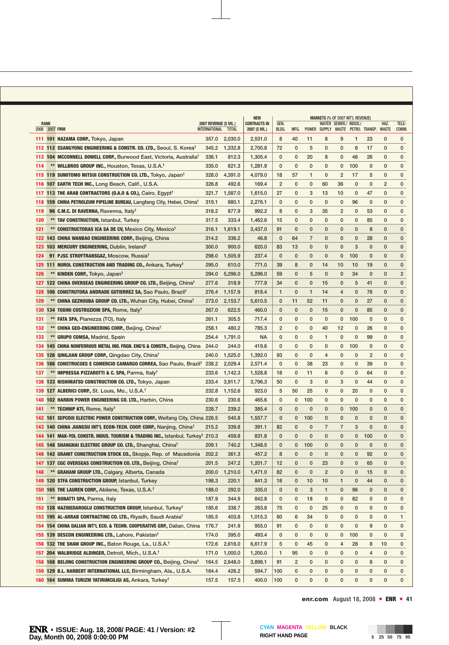|     | <b>RANK</b>    |                                                                                                                                                                                | 2007 REVENUE (\$ MIL.) |                | <b>NEW</b><br><b>CONTRACTS IN</b> | GEN.           |                  |                | MARKETS (% OF 2007 INT'L REVENUE) | WATER SEWER./ INDUS./ |                             |                                         | HAZ.           | TELE-          |
|-----|----------------|--------------------------------------------------------------------------------------------------------------------------------------------------------------------------------|------------------------|----------------|-----------------------------------|----------------|------------------|----------------|-----------------------------------|-----------------------|-----------------------------|-----------------------------------------|----------------|----------------|
|     | 2008 2007 FIRM |                                                                                                                                                                                | INTERNATIONAL TOTAL    |                | 2007 (\$ MIL.)                    | BLDG.          | MFG.             |                |                                   |                       |                             | POWER SUPPLY WASTE PETRO. TRANSP. WASTE |                | COMM.          |
|     |                | 111 101 HAZAMA CORP., Tokyo, Japan                                                                                                                                             | 357.0                  | 2,030.0        | 2,531.0                           | 8              | 40               | 11             | 8                                 | 9                     | 1                           | 23                                      | $\mathbf{0}$   | 0              |
|     |                | 112 112 SSANGYONG ENGINEERING & CONSTR. CO. LTD., Seoul, S. Korea <sup>†</sup>                                                                                                 | 345.2                  | 1,332.8        | 2,700.8                           | 72             | 0                | 5              | $\mathbf 0$                       | 0                     | 6                           | 17                                      | $\mathbf{0}$   | 0              |
|     |                | 113 104 MCCONNELL DOWELL CORP., Burwood East, Victoria, Australia <sup>†</sup>                                                                                                 | 336.1                  | 812.3          | 1,305.4                           | $\mathbf 0$    | 0                | 20             | 8                                 | 0                     | 46                          | 26                                      | $\mathbf{0}$   | 0              |
| 114 |                | ** WILLBROS GROUP INC., Houston, Texas, U.S.A. <sup>†</sup>                                                                                                                    | 335.0                  | 821.3          | 1,281.9                           | $\mathbf{0}$   | 0                | $\mathbf 0$    | $\mathbf 0$                       | 0                     | 100                         | 0                                       | 0              | $\mathbf 0$    |
| 115 |                | 119 SUMITOMO MITSUI CONSTRUCTION CO. LTD., Tokyo, Japan <sup>t</sup>                                                                                                           | 328.0                  | 4,391.0        | 4,079.0                           | 18             | 57               | 1              | $\mathbf 0$                       | $\overline{2}$        | 17                          | 5                                       | 0              | $\mathbf 0$    |
| 116 |                | 107 EARTH TECH INC., Long Beach, Calif., U.S.A.                                                                                                                                | 326.8                  | 492.6          | 169.4                             | $\overline{2}$ | $\mathbf 0$      | $\mathbf 0$    | 60                                | 36                    | $\mathbf 0$                 | $\mathbf 0$                             | $\overline{2}$ | $\mathbf{0}$   |
| 117 |                | 113 THE ARAB CONTRACTORS (0.A.0 & CO.), Cairo, Egypt <sup>†</sup>                                                                                                              | 321.7                  | 1,587.0        | 1,615.0                           | 27             | 0                | 3              | 13                                | 10                    | 0                           | 47                                      | 0              | $\mathbf{0}$   |
| 118 |                | 159 CHINA PETROLEUM PIPELINE BUREAU, Langfang City, Hebei, China <sup>1</sup>                                                                                                  | 319.1                  | 880.1          | 2,276.1                           | 0              | $\mathbf 0$      | $\mathbf 0$    | 0                                 | 0                     | 96                          | 0                                       | $\mathbf{0}$   | $\mathbf{0}$   |
| 119 |                | 96 C.M.C. DI RAVENNA, Ravenna, Italy <sup>t</sup>                                                                                                                              | 318.2                  | 877.9          | 992.2                             | 8              | 0                | 3              | 35                                | $\overline{2}$        | 0                           | 53                                      | $\mathbf{0}$   | 0              |
| 120 |                | ** TAV CONSTRUCTION, Istanbul, Turkey                                                                                                                                          | 317.5                  | 333.4          | 1,462.6                           | 15             | $\mathbf{0}$     | 0              | $\mathbf{0}$                      | 0                     | 0                           | 85                                      | $\mathbf{0}$   | $\mathbf{0}$   |
| 121 |                | ** CONSTRUCTORAS ICA SA DE CV, Mexico City, Mexico <sup>†</sup>                                                                                                                | 316.1                  | 1,619.1        | 3,437.0                           | 91             | $\mathbf{0}$     | $\mathbf{0}$   | 0                                 | 0                     | $\mathbf{0}$                | 8                                       | $\mathbf{0}$   | $\mathbf{0}$   |
|     |                | 122 143 CHINA WANBAO ENGINEERING CORP., Beijing, China                                                                                                                         | 314.2                  | 336.2          | 46.8                              | $\mathbf{0}$   | 64               | $\overline{7}$ | $\mathbf{0}$                      | $\mathbf{0}$          | $\mathbf{0}$                | 28                                      | $\mathbf{0}$   | $\mathbf{0}$   |
|     |                | 123 103 MERCURY ENGINEERING, Dublin, Ireland <sup>†</sup>                                                                                                                      | 300.0                  | 900.0          | 620.0                             | 83             | 13               | $\mathbf{0}$   | $\mathbf{0}$                      | $\mathbf{0}$          | 3                           | $\mathbf{0}$                            | $\mathbf{0}$   | $\mathbf{0}$   |
| 124 |                | 91 PJSC STROYTRANSGAZ, Moscow, Russia <sup>†</sup>                                                                                                                             | 298.0                  | 1,505.9        | 237.4                             | $\mathbf{0}$   | $\mathbf{0}$     | $\mathbf{0}$   | $\mathbf{0}$                      | $\mathbf 0$           | 100                         | 0                                       | $\mathbf{0}$   | $\mathbf 0$    |
|     |                | 125 111 NUROL CONSTRUCTION AND TRADING CO., Ankara, Turkey <sup>†</sup>                                                                                                        | 295.0                  | 610.0          | 771.0                             | 39             | 8                | $\mathbf{0}$   | 14                                | 10                    | 10                          | 19                                      | $\mathbf{0}$   | $\mathbf{0}$   |
| 126 |                | ** KINDEN CORP., Tokyo, Japan <sup>t</sup>                                                                                                                                     | 294.0                  | 5,296.0        | 5,296.0                           | 59             | 0                | 5              | $\mathbf{0}$                      | $\mathbf{0}$          | 34                          | $\mathbf{0}$                            | $\mathbf{0}$   | $\overline{2}$ |
| 127 |                | 122 CHINA OVERSEAS ENGINEERING GROUP CO. LTD., Beijing, Chinat                                                                                                                 | 277.6                  | 318.9          | 777.9                             | 34             | $\mathbf 0$      | $\mathbf{0}$   | 15                                | 0                     | 5                           | 41                                      | $\mathbf{0}$   | $\mathbf{0}$   |
| 128 |                | 106 CONSTRUTORA ANDRADE GUTIERREZ SA, Sao Paulo, Brazil <sup>†</sup>                                                                                                           | 276.4                  | 1,157.9        | 818.4                             | $\mathbf{1}$   | $\mathbf{0}$     | $\mathbf{1}$   | 14                                | 4                     | $\mathbf 0$                 | 76                                      | $\mathbf 0$    | $\mathbf{0}$   |
| 129 |                | ** CHINA GEZHOUBA GROUP CO. LTD., Wuhan City, Hubei, China <sup>t</sup>                                                                                                        | 273.0                  | 2,153.7        | 5,610.5                           | $\mathbf 0$    | 11               | 52             | 11                                | $\mathbf{0}$          | $\mathbf{0}$                | 27                                      | $\mathbf{0}$   | $\mathbf 0$    |
| 130 |                | 134 TODINI COSTRUZIONI SPA, Rome, Italy <sup>t</sup>                                                                                                                           | 267.0                  | 622.5          | 460.0                             | $\mathbf 0$    | $\mathbf 0$      | $\mathbf 0$    | 15                                | 0                     | 0                           | 85                                      | 0              | $\mathbf 0$    |
| 131 |                | ** FATA SPA, Pianezza (TO), Italy                                                                                                                                              | 261.1                  | 305.5          | 717.4                             | 0              | 0                | 0              | 0                                 | 0                     | 100                         | 0                                       | 0              | 0              |
| 132 |                | ** CHINA GEO-ENGINEERING CORP., Beijing, Chinat                                                                                                                                | 258.1                  | 480.2          | 785.3                             | $\overline{2}$ | 0                | $\mathbf 0$    | 40                                | 12                    | 0                           | 26                                      | 0              | 0              |
| 133 |                | ** GRUPO COMSA, Madrid, Spain                                                                                                                                                  | 254.4                  | 1,791.0        | <b>NA</b>                         | 0              | 0                | 0              | 1                                 | 0                     | 0                           | 99                                      | $\mathbf{0}$   | 0              |
| 134 |                | 145 CHINA NONFERROUS METAL IND. FRGN. ENG'G & CONSTR., Beijing, China                                                                                                          | 244.0                  | 244.0          | 419.6                             | $\mathbf 0$    | 0                | $\mathbf 0$    | 0                                 | 0                     | 100                         | 0                                       | 0              | 0              |
| 135 |                |                                                                                                                                                                                | 240.0                  | 1,525.0        | 1,392.0                           | 93             | 0                | 0              | 4                                 | 0                     | $\mathbf 0$                 | 2                                       | 0              | $\mathbf 0$    |
| 136 |                | 126 QINGJIAN GROUP CORP., Qingdao City, China <sup>T</sup><br>186 CONSTRUCOES E COMERCIO CAMARGO CORREA, Sao Paulo, Brazil <sup>†</sup>                                        | 238.2                  | 2,029.4        | 2,571.4                           | $\mathbf 0$    | $\mathbf 0$      | 38             | 23                                | 0                     | $\mathbf 0$                 | 39                                      | 0              | 0              |
| 137 |                | ** IMPRESSA PIZZAROTTI & C. SPA, Parma, Italy <sup>†</sup>                                                                                                                     | 233.6                  | 1,142.3        | 1,528.8                           | 18             | 0                | 11             | 6                                 | 0                     | 0                           | 64                                      | $\mathbf{0}$   | 0              |
| 138 |                | 133 NISHIMATSU CONSTRUCTION CO. LTD., Tokyo, Japan                                                                                                                             | 233.4                  | 3,911.7        | 3,796.3                           | 50             | $\mathbf 0$      | 3              | $\mathbf 0$                       | 3                     | $\mathbf 0$                 | 44                                      | $\mathbf{0}$   | $\mathbf 0$    |
| 139 |                | 127 ALBERICI CORP., St. Louis, Mo., U.S.A. <sup>T</sup>                                                                                                                        | 232.8                  | 1,152.6        | 923.0                             | 5              | 50               | 25             | $\mathbf 0$                       | 0                     | 20                          | 0                                       | $\mathbf{0}$   | 0              |
|     |                | 140 102 HARBIN POWER ENGINEERING CO. LTD., Harbin, China                                                                                                                       | 230.6                  | 230.6          | 465.6                             | $\mathbf 0$    | 0                | 100            | $\mathbf 0$                       | 0                     | $\mathbf{0}$                | 0                                       | $\mathbf{0}$   | 0              |
|     |                | ** TECHNIP KTI, Rome, Italy <sup>†</sup>                                                                                                                                       | 228.7                  | 239.2          | 385.4                             | $\mathbf{0}$   | $\mathbf{0}$     | 0              | $\mathbf{0}$                      | 0                     | 100                         | 0                                       | $\mathbf{0}$   | $\mathbf{0}$   |
| 141 |                |                                                                                                                                                                                |                        | 540.8          |                                   | $\mathbf 0$    |                  | 100            | $\mathbf{0}$                      | $\mathbf{0}$          | $\mathbf{0}$                | $\mathbf{0}$                            | $\mathbf{0}$   | $\mathbf 0$    |
|     |                | 142 161 SEPCOIII ELECTRIC POWER CONSTRUCTION CORP., Weifang City, China 226.5                                                                                                  | 215.2                  | 339.8          | 1,557.7<br>391.1                  | 82             | 0<br>$\mathbf 0$ | $\mathbf 0$    | $\overline{7}$                    | $\overline{7}$        | 3                           | $\mathbf{0}$                            | 0              | $\mathbf 0$    |
|     |                | 143 140 CHINA JIANGSU INT'L ECON-TECH. COOP. CORP., Nanjing, China <sup>t</sup>                                                                                                |                        | 459.8          | 831.8                             | $\mathbf{0}$   | 0                | $\mathbf 0$    | 0                                 | $\mathbf{0}$          |                             | 100                                     | 0              | $\mathbf 0$    |
|     |                | <b>144 141 MAK-YOL CONSTR. INDUS. TOURISM &amp; TRADING INC., Istanbul, Turkey<sup>†</sup> 210.3</b><br>145 148 SHANGHAI ELECTRIC GROUP CO. LTD., Shanghai, China <sup>t</sup> | 209.1                  | 740.2          | 1,348.5                           | $\mathbf{0}$   | $\mathbf 0$      | 100            | $\mathbf{0}$                      | $\mathbf{0}$          | $\mathbf 0$<br>$\mathbf{0}$ | $\mathbf{0}$                            | $\mathbf{0}$   | $\mathbf{0}$   |
|     |                |                                                                                                                                                                                | 202.2                  |                |                                   | 8              | $\mathbf{0}$     | $\mathbf{0}$   | $\mathbf{0}$                      | $\mathbf{0}$          | $\mathbf 0$                 | 92                                      | $\mathbf{0}$   | $\mathbf{0}$   |
|     |                | 146 142 GRANIT CONSTRUCTION STOCK CO., Skopje, Rep. of Macedonia<br>147 137 CGC OVERSEAS CONSTRUCTION CO. LTD., Beijing, Chinat                                                | 201.5                  | 361.3<br>247.2 | 457.2<br>1,201.7                  |                |                  |                |                                   |                       |                             |                                         | 0              |                |
|     |                | ** GRAHAM GROUP LTD., Calgary, Alberta, Canada                                                                                                                                 |                        |                |                                   | 12             | 0                | 0              | 23                                | 0                     | 0                           | 65                                      |                | 0              |
| 148 |                | 120 STFA CONSTRUCTION GROUP, Istanbul, Turkey                                                                                                                                  | 200.0                  | 1,210.0        | 1,471.0                           | 82             | 0                | 0              | $\overline{\mathbf{c}}$           | 0                     | 0                           | 15                                      | 0              | 0              |
| 149 |                |                                                                                                                                                                                | 198.3                  | 220.1          | 841.3                             | 18             | 0                | 10             | 10                                | $\mathbf{1}$          | 0                           | 44                                      | 0              | 0              |
|     |                | 150 165 THE LAUREN CORP., Abilene, Texas, U.S.A. <sup>†</sup>                                                                                                                  | 188.0                  | 292.0          | 335.0                             | 0              | 0                | 3              | 1                                 | 0                     | 96                          | 0                                       | 0              | 0              |
| 151 |                | ** BONATTI SPA, Parma, Italy                                                                                                                                                   | 187.9                  | 344.9          | 842.8                             | 0              | 0                | 18             | 0                                 | 0                     | 82                          | 0                                       | 0              | 0              |
|     |                | 152 128 HAZINEDAROGLU CONSTRUCTION GROUP, Istanbul, Turkeyt                                                                                                                    | 185.6                  | 338.7          | 283.8                             | 75             | 0                | 0              | 25                                | 0                     | 0                           | 0                                       | 0              | 0              |
|     |                | 153 195 AL-ARRAB CONTRACTING CO. LTD., Riyadh, Saudi Arabia <sup>t</sup>                                                                                                       | 185.5                  | 403.8          | 1,015.3                           | 60             | 6                | 34             | 0                                 | 0                     | 0                           | 0                                       | 0              | 1              |
| 154 |                | 154 CHINA DALIAN INT'L ECO. & TECHN. COOPERATIVE GRP., Dalian, China                                                                                                           | 176.7                  | 241.9          | 955.0                             | 91             | 0                | 0              | 0                                 | 0                     | 0                           | 9                                       | 0              | 0              |
| 155 |                | 139 DESCON ENGINEERING LTD., Lahore, Pakistan <sup>t</sup>                                                                                                                     | 174.0                  | 395.0          | 493.4                             | 0              | 0                | 0              | 0                                 | 0                     | 100                         | 0                                       | 0              | 0              |
| 156 |                | 132 THE SHAW GROUP INC., Baton Rouge, La., U.S.A. <sup>†</sup>                                                                                                                 | 172.6                  | 2,616.0        | 6,617.9                           | 5              | 0                | 45             | 0                                 | 4                     | 28                          | 8                                       | 10             | 0              |
| 157 |                | 204 WALBRIDGE ALDINGER, Detroit, Mich., U.S.A. <sup>†</sup>                                                                                                                    | 171.0                  | 1,000.0        | 1,200.0                           | 1              | 95               | 0              | 0                                 | 0                     | 0                           | 4                                       | 0              | 0              |
| 158 |                | 168 BEIJING CONSTRUCTION ENGINEERING GROUP CO., Beijing, China <sup>t</sup>                                                                                                    | 164.5                  | 2,648.0        | 3,898.1                           | 91             | 2                | 0              | 0                                 | 0                     | 0                           | 8                                       | 0              | 0              |
| 159 |                | 129 B.L. HARBERT INTERNATIONAL LLC, Birmingham, Ala., U.S.A.                                                                                                                   | 164.4                  | 426.2          | 594.7                             | 100            | 0                | 0              | 0                                 | 0                     | 0                           | 0                                       | 0              | 0              |
|     |                | 160 164 SUMMA TURIZM YATIRIMCILIGI AS, Ankara, Turkey <sup>†</sup>                                                                                                             | 157.5                  | 157.5          | 400.0                             | 100            | 0                | 0              | 0                                 | 0                     | 0                           | 0                                       | 0              | 0              |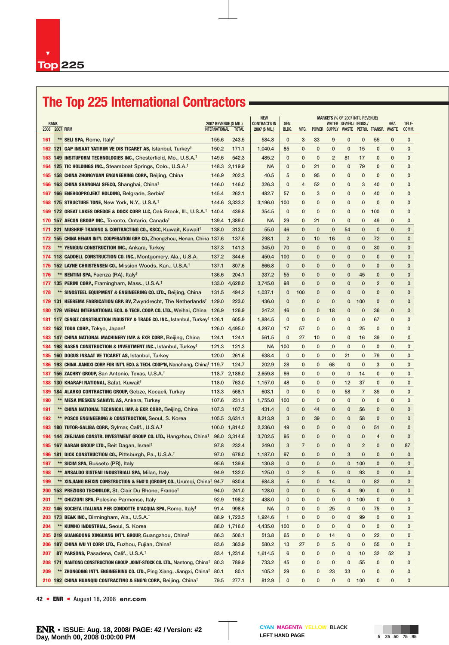# **The Top 225 International Contractors**

|            |                                 |                                                                                                                                  |                                                      | <b>NEW</b>    |                                       |                |              |              | MARKETS (% OF 2007 INT'L REVENUE)       |              |                       |                |              |                |  |
|------------|---------------------------------|----------------------------------------------------------------------------------------------------------------------------------|------------------------------------------------------|---------------|---------------------------------------|----------------|--------------|--------------|-----------------------------------------|--------------|-----------------------|----------------|--------------|----------------|--|
| 2008       | <b>RANK</b><br><b>2007 FIRM</b> |                                                                                                                                  | <b>2007 REVENUE (\$ MIL.)</b><br>INTERNATIONAL TOTAL |               | <b>CONTRACTS IN</b><br>2007 (\$ MIL.) | GEN.<br>BLDG.  | MFG.         |              | POWER SUPPLY WASTE PETRO. TRANSP. WASTE |              | WATER SEWER./ INDUS./ |                | HAZ.         | TELE-<br>COMM. |  |
| 161        |                                 | ** SELI SPA, Rome, Italy <sup>†</sup>                                                                                            | 155.6                                                | 243.5         | 584.8                                 | $\mathbf 0$    | 3            | 33           | 9                                       | $\mathbf 0$  | $\mathbf 0$           | 55             | 0            | $\mathbf 0$    |  |
|            |                                 | 162 121 GAP INSAAT YATIRIM VE DIS TICARET AS, Istanbul, Turkey <sup>†</sup>                                                      | 150.2                                                | 171.1         | 1,040.4                               | 85             | 0            | 0            | 0                                       | 0            | 15                    | 0              | $\mathbf{0}$ | $\mathbf{0}$   |  |
| 163        |                                 | 149 INSITUFORM TECHNOLOGIES INC., Chesterfield, Mo., U.S.A. <sup>†</sup>                                                         | 149.6                                                | 542.3         | 485.2                                 | 0              | 0            | 0            | $\overline{2}$                          | 81           | 17                    | 0              | 0            | $\mathbf{0}$   |  |
| 164        |                                 | 125 TIC HOLDINGS INC., Steamboat Springs, Colo., U.S.A. <sup>1</sup>                                                             | 148.3                                                | 2,119.9       | <b>NA</b>                             | $\mathbf 0$    | 0            | 21           | 0                                       | $\mathbf 0$  | 79                    | 0              | 0            | $\mathbf{0}$   |  |
| 165        |                                 | 158 CHINA ZHONGYUAN ENGINEERING CORP., Beijing, China                                                                            | 146.9                                                | 202.3         | 40.5                                  | 5              | 0            | 95           | $\mathbf{0}$                            | $\mathbf 0$  | 0                     | 0              | 0            | 0              |  |
| 166        |                                 | 163 CHINA SHANGHAI SFECO, Shanghai, China <sup>t</sup>                                                                           | 146.0                                                | 146.0         | 326.3                                 | 0              | 4            | 52           | 0                                       | 0            | 3                     | 40             | 0            | 0              |  |
| 167        |                                 | 166 ENERGOPROJEKT HOLDING, Belgrade, Serbia <sup>t</sup>                                                                         | 145.4                                                | 262.1         | 482.7                                 | 57             | $\mathbf{0}$ | 3            | $\mathbf{0}$                            | 0            | $\mathbf 0$           | 40             | 0            | $\mathbf{0}$   |  |
| 168        |                                 | 175 STRUCTURE TONE, New York, N.Y., U.S.A. <sup>†</sup>                                                                          | 144.6                                                | 3,333.2       | 3,196.0                               | 100            | 0            | $\mathbf{0}$ | 0                                       | 0            | 0                     | $\mathbf 0$    | $\mathbf{0}$ | 0              |  |
| 169        |                                 | 172 GREAT LAKES DREDGE & DOCK CORP. LLC, Oak Brook, III., U.S.A. <sup>†</sup> 140.4                                              |                                                      | 439.8         | 354.5                                 | $\mathbf 0$    | 0            | $\mathbf 0$  | $\mathbf{0}$                            | $\mathbf 0$  | 0                     | 100            | $\mathbf 0$  | $\mathbf{0}$   |  |
| 170        |                                 | 157 AECON GROUP INC., Toronto, Ontario, Canada <sup>†</sup>                                                                      | 139.4                                                | 1,389.0       | <b>NA</b>                             | 29             | 0            | 21           | $\mathbf{0}$                            | $\mathbf 0$  | 0                     | 49             | $\mathbf 0$  | $\mathbf{0}$   |  |
|            |                                 | 171 221 MUSHRIF TRADING & CONTRACTING CO., KSCC, Kuwait, Kuwait <sup>†</sup>                                                     | 138.0                                                | 313.0         | 55.0                                  | 46             | $\mathbf 0$  | $\mathbf{0}$ | $\mathbf{0}$                            | 54           | $\mathbf 0$           | $\mathbf{0}$   | $\mathbf{0}$ | $\mathbf{0}$   |  |
|            |                                 | 172 155 CHINA HENAN INT'L COOPERATION GRP. CO., Zhengzhou, Henan, China 137.6                                                    |                                                      | 137.6         | 298.1                                 | $\overline{2}$ | 0            | 10           | 16                                      | 0            | 0                     | 72             | $\mathbf{0}$ | $\mathbf 0$    |  |
| 173        |                                 | <b>** YENIGUN CONSTRUCTION INC., Ankara, Turkey</b>                                                                              | 137.3                                                | 141.3         | 345.0                                 | 70             | $\mathbf 0$  | $\mathbf{0}$ | $\mathbf{0}$                            | $\mathbf{0}$ | 0                     | 30             | 0            | $\mathbf{0}$   |  |
| 174        |                                 | 118 CADDELL CONSTRUCTION CO. INC., Montgomery, Ala., U.S.A.                                                                      | 137.2                                                | 344.6         | 450.4                                 | 100            | $\mathbf{0}$ | $\mathbf{0}$ | 0                                       | $\mathbf{0}$ | $\mathbf{0}$          | $\mathbf{0}$   | $\mathbf{0}$ | $\mathbf{0}$   |  |
| 175        |                                 | 152 LAYNE CHRISTENSEN CO., Mission Woods, Kan., U.S.A. <sup>†</sup>                                                              | 137.1                                                | 807.6         | 866.8                                 | $\mathbf 0$    | 0            | $\mathbf{0}$ | $\mathbf{0}$                            | $\mathbf{0}$ | $\mathbf{0}$          | $\mathbf{0}$   | $\mathbf{0}$ | $\mathbf{0}$   |  |
| 176        |                                 | ** BENTINI SPA, Faenza (RA), Italy <sup>†</sup>                                                                                  | 136.6                                                | 204.1         | 337.2                                 | 55             | 0            | $\mathbf{0}$ | $\mathbf{0}$                            | 0            | 45                    | $\mathbf{0}$   | 0            | $\mathbf{0}$   |  |
| 177        |                                 | 135 PERINI CORP., Framingham, Mass., U.S.A. <sup>†</sup>                                                                         | 133.0                                                | 4,628.0       | 3,745.0                               | 98             | 0            | $\mathbf{0}$ | $\mathbf{0}$                            | $\mathbf{0}$ | $\mathbf{0}$          | $\overline{2}$ | $\mathbf 0$  | $\mathbf{0}$   |  |
| 178        |                                 | ** SINOSTEEL EQUIPMENT & ENGINEERING CO. LTD., Beijing, China                                                                    | 131.5                                                | 494.2         | 1,037.1                               | $\mathbf 0$    | 100          | $\mathbf{0}$ | 0                                       | 0            | 0                     | $\mathbf{0}$   | 0            | $\mathbf{0}$   |  |
|            |                                 | 179 131 HEEREMA FABRICATION GRP. BV, Zwyndrecht, The Netherlands <sup>†</sup>                                                    | 129.0                                                | 223.0         | 436.0                                 | $\mathbf{0}$   | $\mathbf 0$  | 0            | 0                                       | 0            | 100                   | $\mathbf{0}$   | 0            | $\mathbf{0}$   |  |
| 180        |                                 | 179 WEIHAI INTERNATIONAL ECO. & TECH. COOP. CO. LTD., Weihai, China                                                              | 126.9                                                | 126.9         | 247.2                                 | 46             | 0            | 0            | 18                                      | $\mathbf 0$  | 0                     | 36             | 0            | $\mathbf{0}$   |  |
| 181        |                                 | 117 CENGIZ CONSTRUCTION INDUSTRY & TRADE CO. INC., Istanbul, Turkey <sup>†</sup> 126.1                                           |                                                      | 605.9         | 1,884.5                               | $\mathbf{0}$   | $\mathbf 0$  | $\mathbf 0$  | $\mathbf{0}$                            | 0            | $\mathbf 0$           | 67             | $\mathbf 0$  | $\mathbf{0}$   |  |
|            |                                 | 182 162 TODA CORP., Tokyo, Japan <sup>t</sup>                                                                                    | 126.0                                                | 4,495.0       | 4,297.0                               | 17             | 57           | $\mathbf 0$  | $\mathbf{0}$                            | $\mathbf 0$  | 25                    | $\mathbf 0$    | $\mathbf 0$  | $\mathbf{0}$   |  |
|            |                                 | 183 147 CHINA NATIONAL MACHINERY IMP. & EXP. CORP., Beijing, China                                                               | 124.1                                                | 124.1         | 561.5                                 | 0              | 27           | 10           | $\mathbf{0}$                            | 0            | 16                    | 39             | $\mathbf 0$  | $\mathbf{0}$   |  |
| 184        |                                 | 198 RASEN CONSTRUCTION & INVESTMENT INC., Istanbul, Turkey <sup>t</sup>                                                          | 121.3                                                | 121.3         | NA.                                   | 100            | 0            | 0            | 0                                       | $\mathbf 0$  | 0                     | $\mathbf 0$    | $\mathbf 0$  | $\mathbf{0}$   |  |
| 185        |                                 | 160 DOGUS INSAAT VE TICARET AS, Istanbul, Turkey                                                                                 | 120.0                                                | 261.6         | 638.4                                 | $\mathbf 0$    | $\mathbf{0}$ | $\mathbf{0}$ | $\mathbf{0}$                            | 21           | $\mathbf 0$           | 79             | $\mathbf 0$  | $\mathbf{0}$   |  |
| 186        |                                 | 193 CHINA JIANGXI CORP. FOR INT'L ECO. & TECH. COOP'N, Nanchang, China <sup>†</sup> 119.7                                        |                                                      | 124.7         | 202.9                                 | 28             | 0            | $\mathbf 0$  | 68                                      | $\mathbf 0$  | 0                     | 3              | $\mathbf 0$  | 0              |  |
| 187        |                                 | 156 ZACHRY GROUP, San Antonio, Texas, U.S.A. <sup>T</sup>                                                                        | 118.7                                                | 2,188.0       | 2,659.8                               | 86             | $\mathbf 0$  | $\mathbf 0$  | 0                                       | $\mathbf 0$  | 14                    | $\mathbf 0$    | $\mathbf 0$  | $\mathbf 0$    |  |
| 188        |                                 | 130 KHARAFI NATIONAL, Safat, Kuwait <sup>t</sup>                                                                                 | 118.0                                                | 763.0         | 1,157.0                               | 48             | $\mathbf 0$  | $\mathbf 0$  | $\mathbf 0$                             | 12           | 37                    | $\mathbf 0$    | $\mathbf 0$  | $\mathbf{0}$   |  |
| 189        |                                 | 184 ALARKO CONTRACTING GROUP, Gebze, Kocaeli, Turkey                                                                             | 113.3                                                | 568.1         | 603.1                                 | 0              | 0            | $\mathbf 0$  | 0                                       | 58           | $\overline{7}$        | 35             | 0            | $\mathbf{0}$   |  |
| 190        |                                 | ** MESA MESKEN SANAYIL AS, Ankara, Turkey                                                                                        | 107.6                                                | 231.1         | 1,755.0                               | 100            | $\mathbf 0$  | $\mathbf 0$  | 0                                       | $\mathbf 0$  | 0                     | $\mathbf 0$    | 0            | $\mathbf{0}$   |  |
| 191        |                                 |                                                                                                                                  | 107.3                                                | 107.3         | 431.4                                 | $\mathbf{0}$   | $\mathbf 0$  | 44           | $\mathbf{0}$                            | $\mathbf 0$  | 56                    | $\mathbf 0$    | $\mathbf 0$  | $\mathbf{0}$   |  |
| 192        |                                 | ** CHINA NATIONAL TECHNICAL IMP. & EXP. CORP., Beijing, China<br>** POSCO ENGINEERING & CONSTRUCTION, Seoul, S. Korea            | 105.5                                                | 3,631.1       | 8,213.9                               | 3              | 0            | 39           | 0                                       | 0            | 58                    | $\mathbf 0$    | 0            | $\mathbf 0$    |  |
|            |                                 | 193 180 TUTOR-SALIBA CORP., Sylmar, Calif., U.S.A. <sup>†</sup>                                                                  |                                                      | 100.0 1,814.0 | 2,236.0                               | 49             | $\mathbf 0$  | 0            | 0                                       | $\mathbf 0$  | 0                     | 51             | 0            | $\mathbf{0}$   |  |
| 194        |                                 | 144 ZHEJIANG CONSTR. INVESTMENT GROUP CO. LTD., Hangzhou, China <sup>t</sup>                                                     | 98.0                                                 | 3.314.6       | 3,702.5                               | 95             | $\mathbf 0$  | $\mathbf 0$  | $\mathbf{0}$                            | $\mathbf 0$  | $\mathbf 0$           | 4              | $\mathbf 0$  | $\mathbf{0}$   |  |
|            |                                 |                                                                                                                                  | 97.8                                                 | 232.4         | 249.0                                 | 3              | 7            | $\mathbf{0}$ | 0                                       | $\mathbf 0$  | $\overline{2}$        | $\mathbf 0$    | $\mathbf{0}$ | 87             |  |
|            |                                 | 195 167 BARAN GROUP LTD., Beit Dagan, Israel <sup>t</sup><br>196 181 DICK CONSTRUCTION CO., Pittsburgh, Pa., U.S.A. <sup>†</sup> | 97.0                                                 | 678.0         | 1,187.0                               | 97             | $\mathbf{0}$ | $\mathbf{0}$ | 0                                       | 3            | $\mathbf{0}$          | $\mathbf{0}$   | $\mathbf{0}$ | $\mathbf{0}$   |  |
|            |                                 |                                                                                                                                  | 95.6                                                 | 139.6         |                                       | 0              | 0            | 0            | 0                                       |              |                       | 0              | $\bf{0}$     | 0              |  |
| 197<br>198 |                                 | <b>SICIM SPA, Busseto (PR), Italy</b><br>** ANSALDO SISTEMI INDUSTRIALI SPA, Milan, Italy                                        | 94.9                                                 | 132.0         | 130.8                                 | 0              | 2            | 5            | 0                                       | 0<br>0       | 100<br>93             | 0              | 0            | $\mathbf 0$    |  |
| 199        |                                 | ** XINJIANG BEIXIN CONSTRUCTION & ENG'G (GROUP) CO., Urumqi, China <sup>†</sup> 94.7                                             |                                                      | 630.4         | 125.0<br>684.8                        | 5              | 0            | 0            | 14                                      | 0            | $\mathbf{0}$          | 82             | 0            | $\mathbf 0$    |  |
|            |                                 |                                                                                                                                  |                                                      |               |                                       |                |              |              |                                         |              |                       |                |              |                |  |
|            |                                 | 200 153 PREZIOSO TECHNILOR, St. Clair Du Rhone, Francet                                                                          | 94.0                                                 | 241.0         | 128.0                                 | 0              | 0            | 0            | 5                                       | 4            | 90                    | 0              | 0            | $\mathbf 0$    |  |
| 201        |                                 | ** GHIZZONI SPA, Polesine Parmense, Italy                                                                                        | 92.9                                                 | 198.2         | 438.0                                 | 0              | 0            | 0            | 0                                       | 0            | 100                   | 0              | 0            | 0              |  |
| 202        |                                 | 146 SOCIETA ITALIANA PER CONDOTTE D'ACQUA SPA, Rome, Italy <sup>t</sup>                                                          | 91.4                                                 | 998.6         | <b>NA</b>                             | 0              | 0            | 0            | 25                                      | 0            | $\bf{0}$              | 75             | 0            | 0              |  |
| 203        |                                 | 173 BE&K INC., Birmingham, Ala., U.S.A. <sup>†</sup>                                                                             | 88.9                                                 | 1,723.5       | 1,924.6                               | $\mathbf{1}$   | 0            | 0            | 0                                       | 0            | 99                    | 0              | 0            | 0              |  |
| 204        |                                 | <b>KUMHO INDUSTRIAL, Seoul, S. Korea</b>                                                                                         | 88.0                                                 | 1,716.0       | 4,435.0                               | 100            | 0            | 0            | 0                                       | 0            | $\mathbf 0$           | 0              | 0            | 0              |  |
| 205        |                                 | 219 GUANGDONG XINGUANG INT'L GROUP, Guangzhou, Chinat                                                                            | 86.3                                                 | 506.1         | 513.8                                 | 65             | 0            | 0            | 14                                      | 0            | 0                     | 22             | 0            | 0              |  |
| 206        |                                 | 187 CHINA WU YI CORP. LTD., Fuzhou, Fujian, China <sup>t</sup>                                                                   | 83.6                                                 | 363.9         | 580.2                                 | 13             | 27           | 0            | 5                                       | 0            | 0                     | 55             | 0            | 0              |  |
| 207        |                                 | 87 PARSONS, Pasadena, Calif., U.S.A. <sup>†</sup>                                                                                |                                                      | 83.4 1,231.6  | 1,614.5                               | 6              | 0            | 0            | 0                                       | 0            | 10                    | 32             | 52           | 0              |  |
| 208        |                                 | 171 NANTONG CONSTRUCTION GROUP JOINT-STOCK CO. LTD., Nantong, China <sup>t</sup>                                                 | 80.3                                                 | 789.9         | 733.2                                 | 45             | 0            | 0            | 0                                       | 0            | 55                    | 0              | 0            | 0              |  |
| 209        |                                 | ** ZHONGDING INT'L ENGINEERING CO. LTD., Ping Xiang, Jiangxi, China <sup>t</sup>                                                 | 80.1                                                 | 80.1          | 105.2                                 | 29             | 0            | 0            | 23                                      | 33           | 0                     | 0              | 0            | 0              |  |
|            |                                 | 210 192 CHINA HUANQIU CONTRACTING & ENG'G CORP., Beijing, China <sup>t</sup>                                                     | 79.5                                                 | 277.1         | 812.9                                 | $\mathbf 0$    | 0            | 0            | 0                                       | 0            | 100                   | 0              | 0            | 0              |  |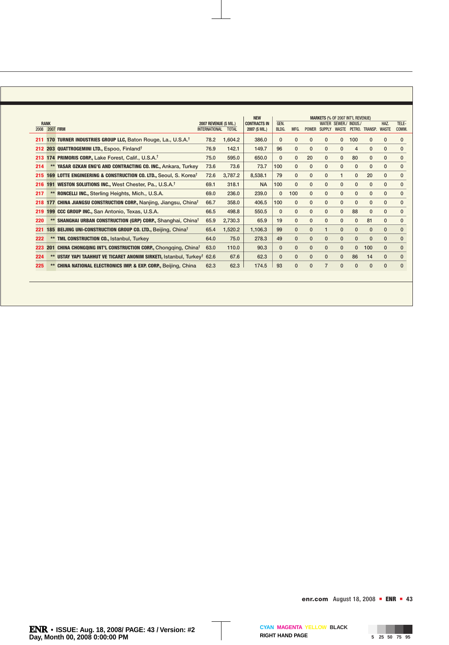|     |                |                                                                             |                        |              | <b>NEW</b>          | <b>MARKETS (% OF 2007 INT'L REVENUE)</b> |              |              |               |                      |                |                            |              |              |
|-----|----------------|-----------------------------------------------------------------------------|------------------------|--------------|---------------------|------------------------------------------|--------------|--------------|---------------|----------------------|----------------|----------------------------|--------------|--------------|
|     | <b>RANK</b>    |                                                                             | 2007 REVENUE (\$ MIL.) |              | <b>CONTRACTS IN</b> | GEN.                                     |              |              |               | <b>WATER SEWER./</b> | INDUS./        |                            | HAZ.         | TELE-        |
|     | 2008 2007 FIRM |                                                                             | <b>INTERNATIONAL</b>   | <b>TOTAL</b> | 2007 (\$ MIL.)      | BLDG.                                    | MFG.         | <b>POWER</b> | <b>SUPPLY</b> |                      |                | WASTE PETRO, TRANSP, WASTE |              | COMM.        |
| 211 |                | 170 TURNER INDUSTRIES GROUP LLC, Baton Rouge, La., U.S.A. <sup>†</sup>      | 78.2                   | 1,604.2      | 386.0               | $\mathbf{0}$                             | $\mathbf{0}$ | $\mathbf{0}$ | $\mathbf{0}$  | 0                    | 100            | $\mathbf{0}$               | $\Omega$     | $\mathbf{0}$ |
| 212 |                | 203 QUATTROGEMINI LTD., Espoo, Finland <sup>†</sup>                         | 76.9                   | 142.1        | 149.7               | 96                                       | $\mathbf{0}$ | $\mathbf{0}$ | $\mathbf{0}$  | $\mathbf{0}$         | $\overline{4}$ | $\mathbf{0}$               | $\mathbf{0}$ | $\mathbf{0}$ |
| 213 |                | 174 PRIMORIS CORP., Lake Forest, Calif., U.S.A. <sup>†</sup>                | 75.0                   | 595.0        | 650.0               | $\mathbf{0}$                             | $\mathbf{0}$ | 20           | $\mathbf{0}$  | $\mathbf{0}$         | 80             | $\mathbf{0}$               | $\mathbf{0}$ | $\mathbf{0}$ |
| 214 |                | YASAR OZKAN ENG'G AND CONTRACTING CO. INC., Ankara, Turkey                  | 73.6                   | 73.6         | 73.7                | 100                                      | $\mathbf{0}$ | $\mathbf{0}$ | $\mathbf{0}$  | $\mathbf{0}$         | $\mathbf{0}$   | $\mathbf{0}$               | $\Omega$     | $\mathbf{0}$ |
| 215 |                | 169 LOTTE ENGINEERING & CONSTRUCTION CO. LTD., Seoul, S. Korea <sup>†</sup> | 72.6                   | 3,787.2      | 8,538.1             | 79                                       | $\mathbf{0}$ | $\mathbf{0}$ | $\mathbf{0}$  |                      | $\mathbf{0}$   | 20                         | $\Omega$     | $\mathbf 0$  |
| 216 |                | 191 WESTON SOLUTIONS INC., West Chester, Pa., U.S.A. <sup>†</sup>           | 69.1                   | 318.1        | <b>NA</b>           | 100                                      | $\mathbf{0}$ | $\mathbf{0}$ | $\mathbf{0}$  | $\mathbf{0}$         | $\mathbf{0}$   | $\mathbf{0}$               | $\mathbf{0}$ | $\mathbf{0}$ |
| 217 |                | ** RONCELLI INC., Sterling Heights, Mich., U.S.A.                           | 69.0                   | 236.0        | 239.0               | $\mathbf{0}$                             | 100          | $\mathbf{0}$ | $\mathbf{0}$  | $\mathbf{0}$         | $\mathbf{0}$   | $\Omega$                   | $\mathbf{0}$ | $\mathbf{0}$ |
| 218 |                | 177 CHINA JIANGSU CONSTRUCTION CORP., Nanjing, Jiangsu, China <sup>†</sup>  | 66.7                   | 358.0        | 406.5               | 100                                      | $\mathbf{0}$ | $\mathbf{0}$ | $\mathbf{0}$  | $\mathbf{0}$         | $\mathbf{0}$   | $\Omega$                   | $\Omega$     | $\mathbf{0}$ |
| 219 |                | 199 CCC GROUP INC., San Antonio, Texas, U.S.A.                              | 66.5                   | 498.8        | 550.5               | $\mathbf{0}$                             | $\mathbf{0}$ | $\mathbf{0}$ | $\mathbf{0}$  | $\mathbf{0}$         | 88             | $\mathbf{0}$               | $\Omega$     | $\mathbf{0}$ |
| 220 |                | SHANGHAI URBAN CONSTRUCTION (GRP) CORP., Shanghai, China <sup>t</sup>       | 65.9                   | 2,730.3      | 65.9                | 19                                       | $\mathbf{0}$ | $\mathbf{0}$ | $\mathbf{0}$  | $\mathbf{0}$         | $\mathbf{0}$   | 81                         | $\mathbf{0}$ | $\mathbf{0}$ |
| 221 |                | 185 BEIJING UNI-CONSTRUCTION GROUP CO. LTD., Beijing, China <sup>t</sup>    | 65.4                   | 1,520.2      | 1,106.3             | 99                                       | $\mathbf{0}$ | $\mathbf{0}$ | $\mathbf{1}$  | $\mathbf{0}$         | $\mathbf{0}$   | $\mathbf{0}$               | $\mathbf{0}$ | $\mathbf{0}$ |
| 222 |                | <b>TML CONSTRUCTION CO., Istanbul, Turkey</b>                               | 64.0                   | 75.0         | 278.3               | 49                                       | $\mathbf{0}$ | $\mathbf{0}$ | $\mathbf{0}$  | $\mathbf{0}$         | $\mathbf{0}$   | $\mathbf{0}$               | $\mathbf{0}$ | $\mathbf{0}$ |
| 223 |                | 201 CHINA CHONGQING INT'L CONSTRUCTION CORP., Chongging, China <sup>t</sup> | 63.0                   | 110.0        | 90.3                | $\mathbf{0}$                             | $\mathbf{0}$ | $\mathbf{0}$ | $\mathbf{0}$  | $\mathbf{0}$         | $\mathbf{0}$   | 100                        | $\mathbf{0}$ | $\mathbf{0}$ |
| 224 |                | USTAY YAPI TAAHHUT VE TICARET ANONIM SIRKETI, Istanbul, Turkey <sup>†</sup> | 62.6                   | 67.6         | 62.3                | $\mathbf{0}$                             | $\mathbf{0}$ | $\mathbf{0}$ | $\mathbf{0}$  | $\mathbf{0}$         | 86             | 14                         | $\mathbf{0}$ | $\mathbf{0}$ |
| 225 |                | <b>CHINA NATIONAL ELECTRONICS IMP. &amp; EXP. CORP., Beijing, China</b>     | 62.3                   | 62.3         | 174.5               | 93                                       | $\mathbf{0}$ | $\Omega$     |               | $\Omega$             | $\Omega$       | $\Omega$                   | $\mathbf{0}$ | $\mathbf{0}$ |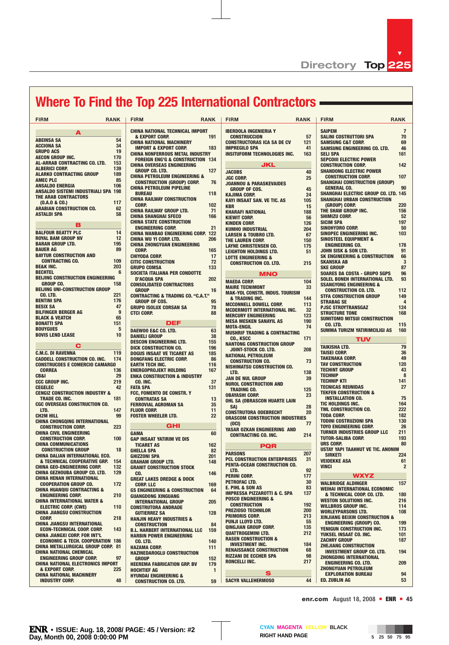$\blacktriangledown$ 

# **Where To Find the Top 225 International Contractors**

| <b>FIRM</b>                                          | <b>RANK</b> | <b>FIRM</b>                                                         | <b>RANK</b> | <b>FIRM</b>                                                   | <b>RANK</b> | <b>FIRM</b>                                                      | <b>RANK</b>    |
|------------------------------------------------------|-------------|---------------------------------------------------------------------|-------------|---------------------------------------------------------------|-------------|------------------------------------------------------------------|----------------|
| А                                                    |             | <b>CHINA NATIONAL TECHNICAL IMPORT</b>                              |             | <b>IBERDOLA INGENIERIA Y</b>                                  |             | <b>SAIPEM</b>                                                    | $\overline{7}$ |
| <b>ABEINSA SA</b>                                    | 54          | & EXPORT CORP.                                                      | 191         | <b>CONSTRUCCION</b>                                           | 57          | <b>SALINI COSTRUTTORI SPA</b>                                    | 70             |
| <b>ACCIONA SA</b>                                    | 34          | <b>CHINA NATIONAL MACHINERY</b>                                     |             | <b>CONSTRUCTORAS ICA SA DE CV</b>                             | 121         | <b>SAMSUNG C&amp;T CORP.</b>                                     | 69             |
| <b>GRUPO ACS</b>                                     | 19          | <b>IMPORT &amp; EXPORT CORP.</b>                                    | 183         | <b>IMPREGILO SPA</b>                                          | 41          | SAMSUNG ENGINEERING CO. LTD.                                     | 46             |
| <b>AECON GROUP INC.</b>                              | 170         | <b>CHINA NONFERROUS METAL INDUSTRY</b>                              |             | <b>INSITUFORM TECHNOLOGIES INC.</b>                           | 163         | <b>SELI SPA</b>                                                  | 161            |
| <b>AL-ARRAB CONTRACTING CO. LTD.</b>                 | 153         | <b>FOREIGN ENG'G &amp; CONSTRUCTION 134</b>                         |             |                                                               |             | <b>SEPCOIII ELECTRIC POWER</b>                                   |                |
| <b>ALBERICI CORP.</b>                                | 139         | <b>CHINA OVERSEAS ENGINEERING</b>                                   |             | JKL                                                           |             | <b>CONSTRUCTION CORP.</b>                                        | 142            |
| <b>ALARKO CONTRACTING GROUP</b>                      | 189         | <b>GROUP CO. LTD.</b>                                               | 127         | <b>JACOBS</b>                                                 | 40          | <b>SHANDONG ELECTRIC POWER</b>                                   |                |
| <b>AMEC PLC</b>                                      | 85          | <b>CHINA PETROLEUM ENGINEERING &amp;</b>                            |             | <b>JGC CORP.</b>                                              | 25          | <b>CONSTRUCTION CORP.</b>                                        | 107            |
| <b>ANSALDO ENERGIA</b>                               | 106         | <b>CONSTRUCTION (GROUP) CORP.</b>                                   | 76          | <b>JOANNOU &amp; PARASKEVAIDES</b>                            |             | <b>SHANGHAI CONSTRUCTION (GROUP)</b>                             |                |
| <b>ANSALDO SISTEMI INDUSTRIALI SPA 198</b>           |             | <b>CHINA PETROLEUM PIPELINE</b>                                     |             | <b>GROUP OF COS.</b>                                          | 45          | <b>GENERAL CO.</b>                                               | 90             |
| <b>THE ARAB CONTRACTORS</b>                          |             | <b>BUREAU</b>                                                       | 118         | <b>KAJIMA CORP.</b>                                           | 24          | <b>SHANGHAI ELECTRIC GROUP CO. LTD. 145</b>                      |                |
| (0.A.0 & C0.)                                        | 117         | <b>CHINA RAILWAY CONSTRUCTION</b>                                   |             | <b>KAYI INSAAT SAN. VE TIC. AS</b>                            | 105         | <b>SHANGHAI URBAN CONSTRUCTION</b>                               |                |
| <b>ARABIAN CONSTRUCTION CO.</b>                      | 62          | <b>CORP.</b>                                                        | 102         | <b>KBR</b>                                                    | 15          | (GROUP) CORP.                                                    | 220            |
| <b>ASTALDI SPA</b>                                   | 58          | <b>CHINA RAILWAY GROUP LTD.</b>                                     | 71          | <b>KHARAFI NATIONAL</b>                                       | 188         | THE SHAW GROUP INC.                                              | 156            |
|                                                      |             | <b>CHINA SHANGHAI SFECO</b>                                         | 166         | <b>KIEWIT CORP.</b>                                           | 56          | <b>SHIMIZU CORP.</b>                                             | 52             |
| в                                                    |             | <b>CHINA STATE CONSTRUCTION</b>                                     | 21          | <b>KINDEN CORP.</b>                                           | 126         | <b>SICIM SPA</b>                                                 | 197            |
| <b>BALFOUR BEATTY PLC</b>                            | 14          | <b>ENGINEERING CORP.</b>                                            |             | <b>KUMHO INDUSTRIAL</b>                                       | 204         | SINOHYDRO CORP.                                                  | 50             |
| <b>ROYAL BAM GROUP NV</b>                            | 12          | <b>CHINA WANBAO ENGINEERING CORP. 122</b>                           | 206         | <b>LARSEN &amp; TOUBRO LTD.</b>                               | 67          | SINOPEC ENGINEERING INC.                                         | 103            |
| <b>BARAN GROUP LTD.</b>                              | 195         | <b>CHINA WU YI CORP. LTD.</b><br><b>CHINA ZHONGYUAN ENGINEERING</b> |             | THE LAUREN CORP.                                              | 150         | <b>SINOSTEEL EQUIPMENT &amp;</b>                                 | 178            |
| <b>BAUER AG</b>                                      | 89          | <b>CORP.</b>                                                        | 165         | <b>LAYNE CHRISTENSEN CO.</b>                                  | 175         | <b>ENGINEERING CO.</b>                                           | 91             |
| <b>BAYTUR CONSTRUCTION AND</b>                       |             | <b>CHIYODA CORP.</b>                                                | 17          | <b>LEIGHTON HOLDINGS LTD.</b>                                 | 51          | JOHN SISK & SON LTD.<br><b>SK ENGINEERING &amp; CONSTRUCTION</b> | 66             |
| <b>CONTRACTING CO.</b>                               | 109         | <b>CITIC CONSTRUCTION</b>                                           | 72          | <b>LOTTE ENGINEERING &amp;</b>                                |             | <b>SKANSKA AB</b>                                                | 3              |
| <b>BE&amp;K INC.</b>                                 | 203         | <b>GRUPO COMSA</b>                                                  | 133         | <b>CONSTRUCTION CO. LTD.</b>                                  | 215         | <b>SKE GROUP</b>                                                 | 87             |
| <b>BECHTEL</b>                                       | 6           | SOCIETA ITALIANA PER CONDOTTE                                       |             |                                                               |             | <b>SOARES DA COSTA - GRUPO SGPS</b>                              | 96             |
| <b>BEIJING CONSTRUCTION ENGINEERING</b>              |             | <b>D'ACQUA SPA</b>                                                  | 202         | <b>MNO</b>                                                    |             | SOLEL BONEH INTERNATIONAL LTD.                                   | 93             |
| <b>GROUP CO.</b>                                     | 158         | <b>CONSOLIDATED CONTRACTORS</b>                                     |             | <b>MAEDA CORP.</b>                                            | 104         | <b>SSANGYONG ENGINEERING &amp;</b>                               |                |
| BEIJING UNI-CONSTRUCTION GROUP                       |             | <b>GROUP</b>                                                        | 16          | <b>MAIRE TECNIMONT</b>                                        | 33          | <b>CONSTRUCTION CO. LTD.</b>                                     | 112            |
| CO. LTD.                                             | 221         | <b>CONTRACTING &amp; TRADING CO. "C.A.T."</b>                       |             | <b>MAK-YOL CONSTR. INDUS. TOURISM</b>                         |             | <b>STFA CONSTRUCTION GROUP</b>                                   | 149            |
| <b>BENTINI SPA</b>                                   | 176         | <b>GROUP OF COS.</b>                                                | 95          | & TRADING INC.                                                | 144         | <b>STRABAG SE</b>                                                | 4              |
| <b>BESIX SA</b>                                      | 47          | <b>GRUPO ISOLUX CORSAN SA</b>                                       | 78          | <b>MCCONNELL DOWELL CORP.</b>                                 | 113         | <b>PJSC STROYTRANSGAZ</b>                                        | 124            |
| <b>BILFINGER BERGER AG</b>                           | 9           | <b>CTCI CORP.</b>                                                   | 88          | <b>MCDERMOTT INTERNATIONAL INC.</b>                           | 32          | <b>STRUCTURE TONE</b>                                            | 168            |
| <b>BLACK &amp; VEATCH</b>                            | 65          |                                                                     |             | <b>MERCURY ENGINEERING</b>                                    | 123         | SUMITOMO MITSUI CONSTRUCTION                                     |                |
| <b>BONATTI SPA</b>                                   | 151         | DEF                                                                 |             | <b>MESA MESKEN SANAYIL AS</b>                                 | 190         | CO. LTD.                                                         | 115            |
| <b>BOUYGUES</b>                                      | 5           | DAEWOO E&C CO. LTD.                                                 | 63          | <b>MOTA-ENGIL</b><br><b>MUSHRIF TRADING &amp; CONTRACTING</b> | 74          | SUMMA TURIZM YATIRIMCILIGI AS                                    | 160            |
| <b>BOVIS LEND LEASE</b>                              | 10          | <b>DANIELI GROUP</b>                                                | 38          |                                                               | 171         |                                                                  |                |
|                                                      |             | <b>DESCON ENGINEERING LTD.</b>                                      | 155         | CO., KSCC<br><b>NANTONG CONSTRUCTION GROUP</b>                |             | TUV                                                              |                |
| С                                                    |             | <b>DICK CONSTRUCTION CO.</b>                                        | 196         | JOINT-STOCK CO. LTD.                                          | 208         | <b>TAIKISHA LTD.</b>                                             | 79             |
| C.M.C. DI RAVENNA                                    | 119         | <b>DOGUS INSAAT VE TICARET AS</b>                                   | 185         | <b>NATIONAL PETROLEUM</b>                                     |             | <b>TAISEI CORP.</b>                                              | 36             |
| <b>CADDELL CONSTRUCTION CO. INC.</b>                 | 174         | <b>DONGFANG ELECTRIC CORP.</b>                                      | 86          | <b>CONSTRUCTION CO.</b>                                       | 73          | <b>TAKENAKA CORP.</b>                                            | 49             |
| <b>CONSTRUCOES E COMERCIO CAMARGO</b>                |             | <b>EARTH TECH INC.</b>                                              | 116         | <b>NISHIMATSU CONSTRUCTION CO.</b>                            |             | <b>TAV CONSTRUCTION</b>                                          | 120            |
| <b>CORREA</b>                                        | 136         | <b>ENERGOPROJEKT HOLDING</b>                                        | 167         | LTD.                                                          | 138         | <b>TECHINT GROUP</b>                                             | 43             |
| CB&I                                                 | 29          | <b>ENKA CONSTRUCTION &amp; INDUSTRY</b>                             |             | <b>JAN DE NUL GROUP</b>                                       | 39          | <b>TECHNIP</b>                                                   | 8              |
| CCC GROUP INC.                                       | 219         | CO. INC.                                                            | 37          | <b>NUROL CONSTRUCTION AND</b>                                 |             | <b>TECHNIP KTI</b>                                               | 141            |
| CEGELEC                                              | 42          | <b>FATA SPA</b>                                                     | 131         | <b>TRADING CO.</b>                                            | 125         | <b>TECNICAS REUNIDAS</b>                                         | 27             |
| <b>CENGIZ CONSTRUCTION INDUSTRY &amp;</b>            |             | FCC, FOMENTO DE CONSTR. Y                                           |             | <b>OBAYASHI CORP.</b>                                         | 23          | <b>TEKFEN CONSTRUCTION &amp;</b>                                 |                |
| TRADE CO. INC.                                       | 181         | <b>CONTRATAS SA</b>                                                 | 13          | <b>OHL SA (OBRASCON HUARTE LAIN</b>                           |             | <b>INSTALLATION CO.</b>                                          | 75             |
| CGC OVERSEAS CONSTRUCTION CO.                        |             | <b>FERROVIAL AGROMAN SA</b>                                         | 35          | SA)                                                           | 28          | TIC HOLDINGS INC.                                                | 164            |
| LTD.                                                 | 147         | <b>FLUOR CORP.</b>                                                  | 11          | <b>CONSTRUTORA ODEBRECHT</b>                                  | 20          | TML CONSTRUCTION CO.<br><b>TODA CORP.</b>                        | 222<br>182     |
| CH2M HILL                                            | 99          | <b>FOSTER WHEELER LTD.</b>                                          | 22          | <b>ORASCOM CONSTRUCTION INDUSTRIES</b>                        |             | <b>TODINI COSTRUZIONI SPA</b>                                    | 130            |
| CHINA CHONGQING INTERNATIONAL                        | 223         | GHI                                                                 |             | (OCI)                                                         | 77          | <b>TOYO ENGINEERING CORP.</b>                                    | 26             |
| <b>CONSTRUCTION CORP.</b><br>CHINA CIVIL ENGINEERING |             |                                                                     |             | YASAR OZKAN ENGINEERING AND                                   |             | <b>TURNER INDUSTRIES GROUP LLC</b>                               | 211            |
| <b>CONSTRUCTION CORP.</b>                            | 100         | <b>GAMA</b>                                                         | 60          | <b>CONTRACTING CO. INC.</b>                                   | 214         | <b>TUTOR-SALIBA CORP.</b>                                        | 193            |
| <b>CHINA COMMUNICATIONS</b>                          |             | <b>GAP INSAAT YATIRIM VE DIS</b>                                    | 162         |                                                               |             | <b>URS CORP.</b>                                                 | 80             |
| <b>CONSTRUCTION GROUP</b>                            | 18          | <b>TICARET AS</b><br><b>GHELLA SPA</b>                              | 82          | PQR                                                           |             | USTAY YAPI TAAHHUT VE TIC, ANONIM                                |                |
| CHINA DALIAN INTERNATIONAL ECO.                      |             | <b>GHIZZONI SPA</b>                                                 | 201         | <b>PARSONS</b>                                                | 207         | <b>SIRKETI</b>                                                   | 224            |
| & TECHNICAL COOPERATIVE GRP. 154                     |             | <b>GRAHAM GROUP LTD.</b>                                            | 148         | <b>PCL CONSTRUCTION ENTERPRISES</b>                           | 31          | <b>VEIDEKKE ASA</b>                                              | 61             |
| CHINA GEO-ENGINEERING CORP.                          | 132         | <b>GRANIT CONSTRUCTION STOCK</b>                                    |             | PENTA-OCEAN CONSTRUCTION CO.                                  |             | <b>VINCI</b>                                                     | $\overline{2}$ |
| CHINA GEZHOUBA GROUP CO. LTD.                        | 129         | CO.                                                                 | 146         | LTD.                                                          | 92          |                                                                  |                |
| <b>CHINA HENAN INTERNATIONAL</b>                     |             | <b>GREAT LAKES DREDGE &amp; DOCK</b>                                |             | <b>PERINI CORP.</b>                                           | 177         | <b>WXYZ</b>                                                      |                |
| <b>COOPERATION GROUP CO.</b>                         | 172         | <b>CORP. LLC</b>                                                    | 169         | PETROFAC LTD.                                                 | 30          | <b>WALBRIDGE ALDINGER</b>                                        | 157            |
| CHINA HUANQIU CONTRACTING &                          |             | <b>GS ENGINEERING &amp; CONSTRUCTION</b>                            | 64          | <b>E. PIHL &amp; SON AS</b>                                   | 83          | <b>WEIHAI INTERNATIONAL ECONOMIC</b>                             |                |
| <b>ENGINEERING CORP.</b>                             | 210         | <b>GUANGDONG XINGUANG</b>                                           |             | <b>IMPRESSA PIZZAROTTI &amp; C. SPA</b>                       | 137         | & TECHNICAL COOP. CO. LTD.                                       | 180            |
| CHINA INTERNATIONAL WATER &                          |             | <b>INTERNATIONAL GROUP</b>                                          | 205         | <b>POSCO ENGINEERING &amp;</b>                                |             | <b>WESTON SOLUTIONS INC.</b>                                     | 216            |
| ELECTRIC CORP. (CWE)                                 | 110         | <b>CONSTRUTORA ANDRADE</b>                                          |             | <b>CONSTRUCTION</b>                                           | 192         | <b>WILLBROS GROUP INC.</b>                                       | 114            |
| CHINA JIANGSU CONSTRUCTION                           |             | <b>GUTIERREZ SA</b>                                                 | 128         | <b>PREZIOSO TECHNILOR</b>                                     | 200         | <b>WORLEYPARSONS LTD.</b>                                        | 108            |
| CORP.                                                | 218         | <b>HANJIN HEAVY INDUSTRIES &amp;</b>                                |             | <b>PRIMORIS CORP.</b>                                         | 213         | <b>XINJIANG BEIXIN CONSTRUCTION &amp;</b>                        |                |
| CHINA JIANGSU INTERNATIONAL                          |             | <b>CONSTRUCTION</b>                                                 | 84          | <b>PUNJI LLOYD LTD.</b>                                       | 55          | <b>ENGINEERING (GROUP) CO.</b>                                   | 199            |
| <b>ECON-TECHNICAL COOP. CORP.</b>                    | 143         | <b>B.L. HARBERT INTERNATIONAL LLC</b>                               | 159         | <b>QINGJIAN GROUP CORP.</b>                                   | 135         | YENIGUN CONSTRUCTION INC.                                        | 173            |
| CHINA JIANGXI CORP. FOR INT'L                        |             | <b>HARBIN POWER ENGINEERING</b>                                     |             | <b>QUATTROGEMINI LTD.</b>                                     | 212         | YUKSEL INSAAT CO. INC.                                           | 101            |
| <b>ECONOMIC &amp; TECH, COOPERATION 186</b>          |             | CO. LTD.                                                            | 140         | <b>RASEN CONSTRUCTION &amp;</b><br><b>INVESTMENT INC.</b>     | 184         | <b>ZACHRY GROUP</b>                                              | 187            |
| CHINA METALLURGICAL GROUP CORP.  81                  |             | <b>HAZAMA CORP.</b>                                                 | 111         | <b>RENAISSANCE CONSTRUCTION</b>                               | 68          | <b>ZHEJIANG CONSTRUCTION</b>                                     |                |
| CHINA NATIONAL CHEMICAL                              |             | <b>HAZINEDAROGLU CONSTRUCTION</b>                                   |             | <b>RIZZANI DE ECCHER SPA</b>                                  | 98          | <b>INVESTMENT GROUP CO. LTD.</b>                                 | 194            |
| <b>ENGINEERING GROUP CORP.</b>                       | 97          | <b>GROUP</b>                                                        | 152         | RONCELLI INC.                                                 | 217         | <b>ZHONGDING INTERNATIONAL</b>                                   |                |
| CHINA NATIONAL ELECTRONICS IMPORT                    |             | <b>HEEREMA FABRICATION GRP. BV</b>                                  | 179         |                                                               |             | <b>ENGINEERING CO. LTD.</b>                                      | 209            |
| & EXPORT CORP.                                       | 225         | <b>HOCHTIEF AG</b>                                                  | 1           | s                                                             |             | <b>ZHONGYUAN PETROLEUM</b>                                       |                |
| CHINA NATIONAL MACHINERY                             |             | <b>HYUNDAI ENGINEERING &amp;</b>                                    |             |                                                               |             | <b>EXPLORATION BUREAU</b>                                        | 94             |
| <b>INDUSTRY CORP.</b>                                | 48          | <b>CONSTRUCTION CO. LTD.</b>                                        | 59          | <b>SACYR VALLEHERMOSO</b>                                     | 44          | <b>ED. ZUBLIN AG</b>                                             | 53             |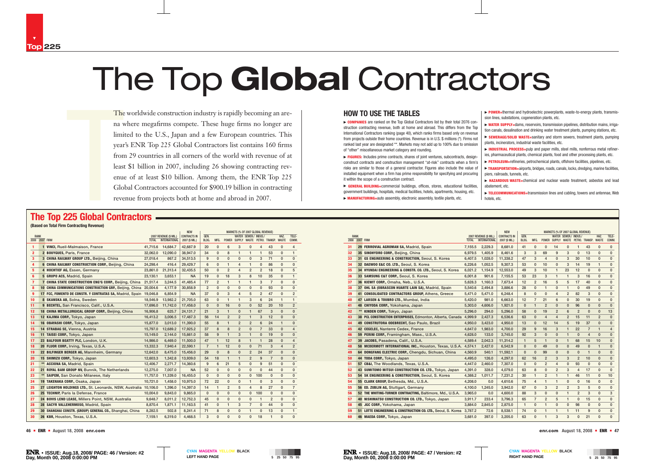#### **HOW TO USE THE TABLES**

► **COMPANIES** are ranked on the Top Global Contractors list by their total 2076 construction contracting revenue, both at home and abroad. This differs from the Top International Contractors ranking (page 40), which ranks firms based only on revenue from projects outside their home countries. Revenue is in U.S. \$ millions (\*). Firms not ranked last year are designated \*\*. Markets may not add up to 100% due to omission of "other" miscellaneous market category and rounding.

▶ FIGURES: Includes prime contracts, shares of joint ventures, subcontracts, designconstruct contracts and construction management "at-risk" contracts when a firm's risks are similar to those of a general contractor. Figures also include the value of installed equipment when a firm has prime responsibility for specifying and procuring it within the scope of a construction contract.

▶ **POWER**=thermal and hydroelectric powerplants, waste-to-energy plants, transmission lines, substations, cogeneration plants, etc.

▶ TRANSPORTATION=airports, bridges, roads, canals, locks, dredging, marine facilities piers, railroads, tunnels, etc.

© **GENERAL BUILDING=**commercial buildings, offices, stores, educational facilities, government buildings, hospitals, medical facilities, hotels, apartments, housing, etc.

© **MANUFACTURING=**auto assembly, electronic assembly, textile plants, etc.

© **WATER SUPPLY=**dams, reservoirs, transmission pipelines, distribution mains, irrigation canals, desalination and drinking water treatment plants, pumping stations, etc.

© **SEWERAGE/SOLID WASTE=**sanitary and storm sewers, treatment plants, pumping plants, incinerators, industrial waste facilities, etc.

© **INDUSTRIAL PROCESS=**pulp and paper mills, steel mills, nonferrous metal refineries, pharmaceutical plants, chemical plants, food and other processing plants, etc.

© **PETROLEUM=**refineries, petrochemical plants, offshore facilities, pipelines, etc.

© **HAZARDOUS WASTE=**chemical and nuclear waste treatment, asbestos and lead

- 
- -
	-
	-
	-
	-
- abatement, etc.
	- hotels, etc.

© **TELECOMMUNICATIONS=**transmission lines and cabling, towers and antennae, Web

The<br>
ma v<br>
limi<br>
year<br>
from<br>
least<br>
enuo<br>
Glo<br>
reve<br>
225 Global Cont<br>
certating Paycaus) The worldwide construction industry is rapidly becoming an arena where megafirms compete. These huge firms no longer are limited to the U.S., Japan and a few European countries. This year's ENR Top 225 Global Contractors list contains 160 firms from 29 countries in all corners of the world with revenue of at least \$1 billion in 2007, including 26 showing contracting revenue of at least \$10 billion. Among them, the ENR Top 225 Global Contractors accounted for \$900.19 billion in contracting revenue from projects both at home and abroad in 2007.

|                     |                                                               |              |                                                | <b>NEW</b>                            |               |                |                | MARKETS (% OF 2007 GLOBAL REVENUE) |                       |                |                                   |                      |                |
|---------------------|---------------------------------------------------------------|--------------|------------------------------------------------|---------------------------------------|---------------|----------------|----------------|------------------------------------|-----------------------|----------------|-----------------------------------|----------------------|----------------|
| <b>RANK</b><br>2008 | <b>2007 FIRM</b>                                              | <b>TOTAL</b> | 2007 REVENUE (\$ MIL.)<br><b>INTERNATIONAL</b> | <b>CONTRACTS IN</b><br>2007 (\$ MIL.) | GEN.<br>BLDG. | MFG.           |                |                                    | WATER SEWER./ INDUS./ |                | POWER SUPPLY WASTE PETRO. TRANSP. | HAZ.<br><b>WASTE</b> | TELE-<br>COMM. |
| 31                  | 29 FERROVIAL AGROMAN SA, Madrid, Spain                        | 7,155.5      | 2.229.3                                        | 8,681.0                               | 41            | $\mathbf{0}$   | $\mathbf{0}$   | 14                                 | 0                     | 1              | 43                                | $\mathbf{0}$         | 0              |
| 32                  | 35 SINOHYDRO CORP., Beijing, China                            | 6,979.5      | 1,405.9                                        | 8.461.6                               | 3             | 3              | 69             | 9                                  | 3                     | $\mathbf{0}$   | 13                                | $\mathbf{0}$         | 0              |
| 33                  | 31 GS ENGINEERING & CONSTRUCTION, Seoul, S. Korea             | 6,407.5      | 1.028.0                                        | 11,338.2                              | 47            | 3              | $\overline{4}$ | 0                                  | 3                     | 30             | 10                                | 0                    | 0              |
| 34                  | 32 DAEW00 E&C CO. LTD., Seoul, S. Korea                       | 6,226.6      | 1,052.5                                        | 9,307.3                               | 53            | $\mathbf{0}$   | 10             | 0                                  | 3                     | 14             | 19                                | $\mathbf{1}$         | 0              |
| 35                  | 34 HYUNDAI ENGINEERING & CONSTR. CO. LTD., Seoul, S. Korea    | 6,021.2      | 1,154.9                                        | 12,553.0                              | 49            | 3              | 10             | 1                                  | 23                    | 12             | $\mathbf 0$                       | $\mathbf{0}$         | 0              |
| 36                  | 33 SAMSUNG C&T CORP., Seoul, S. Korea                         | 6,001.8      | 901.6                                          | 7,155.5                               | 53            | 23             | 3              | $\mathbf{1}$                       | $\mathbf{1}$          | 3              | 16                                | 0                    | 0              |
| 37                  | 36 KIEWIT CORP., Omaha, Neb., U.S.A.                          | 5,628.3      | 1,160.3                                        | 7,673.4                               | 12            | $\overline{2}$ | 16             | 5                                  | 5                     | 17             | 40                                | $\mathbf{0}$         | 0              |
| 38                  | 37 OHL SA (OBRASCON HUARTE LAIN SA), Madrid, Spain            | 5,540.6      | 2,494.8                                        | 3,886.6                               | 28            | $\mathbf{0}$   | $\mathbf{1}$   | $\mathbf{0}$                       | 1                     | $\mathbf{0}$   | 49                                | $\mathbf{0}$         | 0              |
| 39                  | 41 CONSOLIDATED CONTRACTORS GROUP, Athens, Greece             | 5,471.0      | 5,471.0                                        | 6,248.4                               | 8             | $\mathbf{0}$   | $\mathbf{0}$   | 4                                  | $\overline{2}$        | 82             | 3                                 | $\mathbf{0}$         | 0              |
| 40                  | 47 LARSEN & TOUBRO LTD., Mumbai, India                        | 5,420.0      | 981.0                                          | 6,663.0                               | 12            | $\overline{7}$ | 21             | 6                                  | 0                     | 30             | 19                                | 0                    | 0              |
| 41                  | 48 CHIYODA CORP., Yokohama, Japan                             | 5,303.0      | 4,606.0                                        | 1,921.0                               | 0             | $\mathbf{1}$   | $\overline{2}$ | 0                                  | 0                     | 96             | $\mathbf 0$                       | $\mathbf 0$          | 0              |
| 42                  | ** KINDEN CORP., Tokyo, Japan                                 | 5,296.0      | 294.0                                          | 5,296.0                               | 58            | $\mathbf{0}$   | 19             | $\overline{2}$                     | 6                     | $\overline{2}$ | $\mathbf{0}$                      | $\mathbf 0$          | 13             |
| 43                  | 38 PCL CONSTRUCTION ENTERPRISES, Edmonton, Alberta, Canada    | 4,999.9      | 2,427.3                                        | 6,536.6                               | 63            | $\mathbf{0}$   | $\overline{4}$ | 4                                  | $\overline{2}$        | 15             | 11                                | $\overline{2}$       | $\mathbf{0}$   |
| 44                  | 49 CONSTRUTORA ODEBRECHT, Sao Paulo, Brazil                   | 4,950.0      | 3,423.0                                        | 4,950.0                               | 13            | $\Omega$       | 12             | 14                                 | 5                     | 19             | 37                                | $\overline{0}$       | 0              |
| 45                  | 42 CEGELEC, Nanterre Cedex, France                            | 4,647.0      | 1,983.0                                        | 4,700.0                               | 29            | 9              | 16             | 3                                  | 1                     | 22             | $\overline{7}$                    | $\mathbf{1}$         | 4              |
| 46                  | 59 PERINI CORP., Framingham, Mass., U.S.A.                    | 4,628.0      | 133.0                                          | 3,745.0                               | 92            | 3              | $\mathbf{0}$   | $\mathbf{0}$                       | 1                     | $\Omega$       | $\overline{4}$                    | $\mathbf{0}$         | $\Omega$       |
| 47                  | 39 JACOBS, Pasadena, Calif., U.S.A.                           | 4.589.4      | 2.042.3                                        | 11,314.2                              | $\mathbf{1}$  | 5              | $\mathbf{1}$   | 0                                  | $\mathbf{1}$          | 68             | 15                                | 10                   | 0              |
| 48                  | 58 MCDERMOTT INTERNATIONAL INC., Houston, Texas, U.S.A.       | 4.574.1      | 2.427.0                                        | 6,542.9                               | 0             | $\mathbf{0}$   | 49             | 0                                  | 0                     | 49             | $\mathbf 0$                       | $\mathbf{1}$         | 0              |
| 49                  | 64 DONGFANG ELECTRIC CORP., Chengdu, Sichuan, China           | 4,560.9      | 540.1                                          | 11,592.1                              | $\mathbf{0}$  | $\mathbf{0}$   | 99             | 0                                  | 0                     | $\Omega$       | $\mathbf{1}$                      | $\mathbf{0}$         | $\mathbf{0}$   |
| 50                  | 44 TODA CORP., Tokyo, Japan                                   | 4,495.0      | 126.0                                          | 4,297.0                               | 62            | 16             | $\overline{2}$ | 3                                  | 3                     | $\overline{2}$ | 10                                | $\mathbf{0}$         | 0              |
| 51                  | 57 CB&I, The Woodlands, Texas, U.S.A.                         | 4,447.0      | 2,460.0                                        | 7,307.0                               | $\mathbf{0}$  | $\mathbf{0}$   | $\overline{2}$ | 4                                  | $\mathbf{0}$          | 93             | $\mathbf{0}$                      | $\mathbf{0}$         | 0              |
| 52                  | 43 SUMITOMO MITSUI CONSTRUCTION CO. LTD., Tokyo, Japan        | 4,391.0      | 328.0                                          | 4,079.0                               | 63            | 8              | $\mathbf{0}$   | $\overline{2}$                     | 3                     | 4              | 17                                | $\mathbf{0}$         | 0              |
| 53                  | 54 SK ENGINEERING & CONSTRUCTION, Seoul, S. Korea             | 4,388.2      | 1,011.7                                        | 7,231.2                               | 30            | $\mathbf{1}$   | $\overline{2}$ | 1                                  | 1                     | 46             | 11                                | $\mathbf{0}$         | 10             |
| 54                  | 55 CLARK GROUP, Bethesda, Md., U.S.A.                         | 4,208.0      | 0.0                                            | 4,610.6                               | 75            | $\overline{4}$ | 1              | $\mathbf{1}$                       | 0                     | 0              | 16                                | 0                    | $\mathbf{0}$   |
| 55                  | 56 ED. ZUBLIN AG, Stuttgart, Germany                          | 4,100.0      | 1,245.0                                        | 3,942.0                               | 67            | $\mathbf{0}$   | 3              | $\overline{2}$                     | $\overline{2}$        | 3              | 5                                 | 0                    | $\mathbf{0}$   |
| 56                  | 52 THE WHITING-TURNER CONTRACTING, Baltimore, Md., U.S.A.     | 3,965.0      | 0.0                                            | 4,600.0                               | 88            | 3              | $\mathbf{0}$   | 0                                  | $\mathbf{1}$          | $\overline{2}$ | 3                                 | $\mathbf{0}$         | 3              |
| 57                  | 40 NISHIMATSU CONSTRUCTION CO. LTD., Tokyo, Japan             | 3,911.7      | 233.4                                          | 3,796.3                               | 65            | $\overline{7}$ | $\overline{2}$ | 5                                  | $\mathbf{1}$          | $\mathbf{0}$   | 15                                | 0                    | 0              |
| 58                  | 45 JGC CORP., Yokohama, Japan                                 | 3,884.0      | 2,845.0                                        | 2,875.0                               | $\mathbf{1}$  | $\mathbf{0}$   | $\mathbf{1}$   | 0                                  | 0                     | 98             | $\mathbf{0}$                      | $\mathbf{0}$         | 0              |
| 59                  | 51 LOTTE ENGINEERING & CONSTRUCTION CO. LTD., Seoul, S. Korea | 3,787.2      | 72.6                                           | 8,538.1                               | 74            | $\mathbf{0}$   | 1              | 1                                  | 1                     | 11             | 9                                 | $\mathbf{0}$         | $\Omega$       |
| 60                  | 46 MAEDA CORP., Tokyo, Japan                                  | 3,681.0      | 397.0                                          | 3,205.0                               | 63            | $\Omega$       | $\mathbf{1}$   | 3                                  | 3                     | $\Omega$       | 21                                | $\mathbf{0}$         | $\mathbf{0}$   |

# **The Top 225 Global Contractors**

**(Based on Total Firm Contracting Revenue)**

# The Top **Global** Contractors

|                               |      |                                                                    |          |                                                |                                       |                |                |                | MARKETS (% OF 2007 GLOBAL REVENUE) |                |                |                                   |                      |                |
|-------------------------------|------|--------------------------------------------------------------------|----------|------------------------------------------------|---------------------------------------|----------------|----------------|----------------|------------------------------------|----------------|----------------|-----------------------------------|----------------------|----------------|
| <b>RANK</b><br>2008 2007 FIRM |      |                                                                    | TOTAL    | 2007 REVENUE (\$ MIL.)<br><b>INTERNATIONAL</b> | <b>CONTRACTS IN</b><br>2007 (\$ MIL.) | GEN.<br>BLDG.  | MFG.           |                | Water                              | SEWER./        | INDUS./        | POWER SUPPLY WASTE PETRO. TRANSP. | HAZ.<br><b>WASTE</b> | TELE-<br>COMM. |
| 1                             |      | 1 VINCI, Rueil-Malmaison, France                                   | 41,715.6 | 14,684.7                                       | 42,687.9                              | 20             | $\Omega$       | 6              | 3                                  | $\mathbf{0}$   | 4              | 43                                | $\mathbf 0$          | $\overline{4}$ |
| $\overline{\mathbf{2}}$       |      | 2 BOUYGUES, Paris, France                                          | 32,062.0 | 12,090.0                                       | 38,947.0                              | 34             | $\mathbf{0}$   | 8              | 1                                  | 1              | 1              | 53                                | $\Omega$             | $\mathbf{1}$   |
| 3                             |      | 3 CHINA RAILWAY GROUP LTD., Beijing, China                         | 27.018.4 | 867.2                                          | 34.513.5                              | 9              | $\mathbf{0}$   | $\mathbf{0}$   | 0                                  | $\mathbf{0}$   | 3              | 71                                | $\mathbf{0}$         | $\mathbf{0}$   |
| 4                             |      | 6 CHINA RAILWAY CONSTRUCTION CORP., Beijing, China                 | 24,298.4 | 416.4                                          | 29,429.7                              | 6              | $\mathbf{0}$   | 1              | 4                                  | $\mathbf{1}$   | 0              | 86                                | $\mathbf{0}$         | $\mathbf{0}$   |
| 5                             |      | 4 HOCHTIEF AG, Essen, Germany                                      | 23,861.0 | 21,313.4                                       | 32,435.5                              | 50             | $\mathbf 0$    | $\overline{2}$ | 4                                  | $\overline{2}$ | $\overline{2}$ | 18                                | $\mathbf{0}$         | 5              |
| 6                             |      | 5 GRUPO ACS, Madrid, Spain                                         | 23,130.1 | 3,653.1                                        | <b>NA</b>                             | 19             | 0              | 18             | 3                                  | 8              | 10             | 35                                | $\mathbf{0}$         | $\mathbf{1}$   |
| $\overline{7}$                |      | 7 CHINA STATE CONSTRUCTION ENG'G CORP., Beijing, China             | 21,517.4 | 3,244.5                                        | 41,485.4                              | 77             | $\overline{2}$ | 1              | 1                                  | $\mathbf{1}$   | 3              | $\overline{7}$                    | $\Omega$             | $\mathbf{0}$   |
| 8                             |      | 10 CHINA COMMUNICATIONS CONSTRUCTION GRP., Beijing, China 20,004.6 |          | 4,177.9                                        | 30,858.9                              | $\overline{2}$ | $\mathbf{0}$   | $\mathbf{0}$   | 0                                  | $\mathbf{0}$   | $\mathbf 0$    | 93                                | $\mathbf{0}$         | $\mathbf{0}$   |
| $\boldsymbol{9}$              |      | 17 FCC, FOMENTO DE CONSTR. Y CONTRATAS SA, Madrid, Spain 19,046.8  |          | 6,854.9                                        | <b>NA</b>                             | 37             | $\mathbf 0$    | 3              | 4                                  | 5              | 2              | 47                                | $\Omega$             | $\overline{2}$ |
| 10                            |      | 8 SKANSKA AB, Solna, Sweden                                        | 18,546.9 | 13,982.2                                       | 21,705.0                              | 63             | $\mathbf 0$    | 1              | 1                                  | 3              | 6              | 24                                | $\mathbf{1}$         | 1              |
| 11                            |      | 9 BECHTEL, San Francisco, Calif., U.S.A.                           | 17,696.0 | 11,742.0                                       | 17,458.0                              | $\mathbf{0}$   | $\mathbf{0}$   | 16             | 0                                  | $\mathbf{0}$   | 52             | 20                                | 10                   | $\overline{2}$ |
| 12                            |      | 18 CHINA METALLURGICAL GROUP CORP., Beijing, China                 | 16,906.8 | 625.7                                          | 24,131.7                              | 21             | 3              | 1              | 0                                  | 1              | 67             | 3                                 | $\Omega$             | $\mathbf{0}$   |
| 13                            |      | 12 KAJIMA CORP., Tokyo, Japan<br>16,413.2                          |          | 3.006.5                                        | 17,487.3                              | 56             | 14             | $\overline{2}$ | $\overline{2}$                     | $\mathbf{1}$   | 3              | 12                                | $\Omega$             | $\mathbf{0}$   |
| 14                            |      | 16 OBAYASHI CORP., Tokyo, Japan                                    | 15,877.0 | 3.013.0                                        | 11,390.0                              | 55             | 8              | $\mathbf{1}$   | $\overline{2}$                     | $\overline{2}$ | 6              | 24                                | $\mathbf{1}$         | $\mathbf{0}$   |
| 15                            |      | 14 STRABAG SE, Vienna, Austria                                     | 15,797.0 | 12,689.2                                       | 17,925.2                              | 37             | 8              | 8              | $\overline{2}$                     | $\Omega$       | $\overline{7}$ | 33                                | $\Omega$             | 4              |
| 16                            |      | 11 TAISEI CORP., Tokyo, Japan                                      | 15,149.0 | 2,144.0                                        | 15,661.0                              | 58             | 9              | $\mathbf{1}$   | 3                                  | $\mathbf{1}$   | $\Omega$       | 19                                | $\Omega$             | $\mathbf{0}$   |
| 17                            |      | 23 BALFOUR BEATTY PLC, London, U.K.                                | 14.986.0 | 6.469.0                                        | 11,500.0                              | 47             | $\mathbf{1}$   | 12             | 8                                  | $\mathbf{1}$   | 1              | 28                                | $\mathbf{0}$         | $\overline{4}$ |
| 18                            |      | 20 FLUOR CORP., Irving, Texas, U.S.A.                              | 13,332.3 | 7,940.4                                        | 22,590.1                              | $\overline{7}$ | $\mathbf{1}$   | 12             | 0                                  | $\mathbf{0}$   | 71             | 3                                 | $\overline{4}$       | $\overline{2}$ |
| 19                            |      | 22 BILFINGER BERGER AG, Mannheim, Germany                          | 12,642.0 | 8.475.0                                        | 15,456.0                              | 29             | $\mathbf 0$    | 8              | 0                                  | $\overline{2}$ | 24             | 37                                | $\bf{0}$             | 0              |
| 20                            |      | 15 SHIMIZU CORP., Tokyo, Japan                                     | 12,603.3 | 1,342.8                                        | 13,939.0                              | 54             | 18             | $\mathbf{1}$   | 1                                  | $\overline{2}$ | 9              | $\overline{7}$                    | $\Omega$             | $\mathbf{0}$   |
| 21                            |      | <b>ACCIONA SA, Madrid, Spain</b>                                   | 12,406.7 | 2.271.7                                        | 14,360.6                              | 9              | 6              | 21             | 5                                  | $\mathbf{0}$   | 9              | 51                                | $\Omega$             | $\mathbf{0}$   |
| 22                            |      | 21 ROYAL BAM GROUP NV, Bunnik, The Netherlands                     | 12,275.0 | 7.007.0                                        | <b>NA</b>                             | 52             | $\mathbf{0}$   | $\mathbf{0}$   | 0                                  | $\Omega$       | $\Omega$       | 44                                | $\mathbf{0}$         | $\mathbf{0}$   |
| 23                            | $**$ | SAIPEM, San Donato Milanese, Italy                                 | 11,757.0 | 11,339.0                                       | 16,455.0                              | $\mathbf{0}$   | $\Omega$       | $\mathbf{0}$   | 0                                  | $\mathbf{0}$   | 100            | 0                                 | $\Omega$             | $\mathbf{0}$   |
| 24                            |      | 19 TAKENAKA CORP., Osaka, Japan                                    | 10,721.0 | 1,458.0                                        | 10,975.0                              | 72             | 22             | $\mathbf{0}$   | 0                                  | $\mathbf{1}$   | $\mathbf{0}$   | 3                                 | $\Omega$             | $\mathbf{0}$   |
| 25                            |      | 27 LEIGHTON HOLDINGS LTD., St. Leonards, NSW, Australia 10,106.0   |          | 1.396.0                                        | 14,397.0                              | 14             | $\mathbf{1}$   | 2              | 5                                  | $\overline{4}$ | 8              | 27                                | $\mathbf{0}$         | $\overline{7}$ |
| 26                            |      | 25 TECHNIP, Paris la Defense, France                               | 10,004.0 | 9,843.0                                        | 9,865.0                               | $\mathbf{0}$   | $\Omega$       | $\mathbf{0}$   | $\mathbf{0}$                       | $\mathbf{0}$   | 100            | $\mathbf{0}$                      | $\mathbf{0}$         | $\mathbf{0}$   |
| 27                            |      | 24 BOVIS LEND LEASE, Millers Point, NSW, Australia                 | 9,648.7  | 8,011.2                                        | 12,752.3                              | 45             | $\mathbf{0}$   | $\mathbf{0}$   | 0                                  | $\mathbf 0$    | 1              | $\overline{2}$                    | $\mathbf{0}$         | 0              |
| 28                            |      | 28 SACYR VALLEHERMOSO, Madrid, Spain                               | 8,870.4  | 1,871.1                                        | 11,163.5                              | 41             | 0              | 1              | 3                                  | $\overline{7}$ | 0              | 44                                | 0                    | $\mathbf{0}$   |
| 29                            |      | 30 SHANGHAI CONSTR. (GROUP) GENERAL CO., Shanghai, China           | 8,282.5  | 502.8                                          | 8,241.4                               | 71             | 8              | $\mathbf{0}$   | $\mathbf{0}$                       | $\mathbf{1}$   | $\mathbf{0}$   | 13                                | $\mathbf{0}$         | $\mathbf{1}$   |
| 30                            |      | 26 KBR, Houston, Texas, U.S.A.                                     | 7,159.1  | 6,319.0                                        | 4,468.5                               | 3              | $\Omega$       | $\mathbf{0}$   | $\mathbf{0}$                       | $\mathbf{0}$   | 18             | $\mathbf{1}$                      | $\mathbf{0}$         | $\mathbf{0}$   |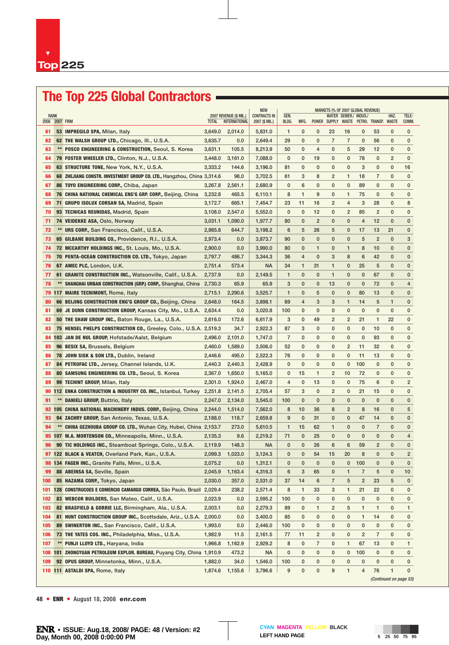# **The Top 225 Global Contractors**

|                        |      |                                                                           |              |                                                |                                       |                |              |                         |                | MARKETS (% OF 2007 GLOBAL REVENUE) |                |                                         |                        |                |
|------------------------|------|---------------------------------------------------------------------------|--------------|------------------------------------------------|---------------------------------------|----------------|--------------|-------------------------|----------------|------------------------------------|----------------|-----------------------------------------|------------------------|----------------|
| RANK<br>2008 2007 FIRM |      |                                                                           | <b>TOTAL</b> | 2007 REVENUE (\$ MIL.)<br><b>INTERNATIONAL</b> | <b>CONTRACTS IN</b><br>2007 (\$ MIL.) | GEN.<br>BLDG.  | MFG.         |                         |                | WATER SEWER./ INDUS./              |                | POWER SUPPLY WASTE PETRO. TRANSP. WASTE | HAZ.                   | TELE-<br>COMM. |
| 61                     |      | 53 IMPREGILO SPA, Milan, Italy                                            | 3,649.0      | 2,014.0                                        | 5,831.0                               | $\mathbf{1}$   | 0            | 0                       | 23             | 16                                 | 0              | 53                                      | 0                      | 0              |
| 62                     |      | 62 THE WALSH GROUP LTD., Chicago, III., U.S.A.                            | 3,635.7      | 0.0                                            | 2,649.4                               | 29             | 0            | 0                       | $\overline{7}$ | 7                                  | $\bf{0}$       | 56                                      | 0                      | 0              |
| 63                     |      | ** POSCO ENGINEERING & CONSTRUCTION, Seoul, S. Korea                      | 3,631.1      | 105.5                                          | 8.213.9                               | 50             | 0            | 4                       | 0              | 5                                  | 29             | 12                                      | 0                      | 0              |
| 64                     |      | 79 FOSTER WHEELER LTD., Clinton, N.J., U.S.A.                             | 3,448.0      | 3,161.0                                        | 7,088.0                               | 0              | 0            | 19                      | 0              | 0                                  | 78             | 0                                       | 2                      | 0              |
| 65                     |      | 63 STRUCTURE TONE, New York, N.Y., U.S.A.                                 | 3,333.2      | 144.6                                          | 3,196.0                               | 81             | 0            | 0                       | $\mathbf{0}$   | 0                                  | 3              | 0                                       | 0                      | 16             |
| 66                     |      | 68 ZHEJIANG CONSTR. INVESTMENT GROUP CO. LTD., Hangzhou, China 3,314.6    |              | 98.0                                           | 3,702.5                               | 61             | 3            | 8                       | 2              | 1                                  | 18             | 7                                       | 0                      | $\mathbf{0}$   |
| 67                     |      | 86 TOYO ENGINEERING CORP., Chiba, Japan                                   | 3,267.8      | 2,561.1                                        | 2,680.9                               | 0              | 6            | 0                       | 0              | $\mathbf 0$                        | 89             | $\mathbf{0}$                            | 0                      | 0              |
| 68                     |      | 76 CHINA NATIONAL CHEMICAL ENG'G GRP. CORP., Beijing, China<br>3,232.8    |              | 465.5                                          | 6,110.1                               | 8              | 1            | 9                       | 0              | 1                                  | 75             | $\mathbf{0}$                            | 0                      | $\mathbf 0$    |
| 69                     |      | 71 GRUPO ISOLUX CORSAN SA, Madrid, Spain                                  | 3,172.7      | 665.1                                          | 7,454.7                               | 23             | 11           | 16                      | $\overline{2}$ | 4                                  | 3              | 28                                      | 0                      | 8              |
| 70                     |      | 93 TECNICAS REUNIDAS, Madrid, Spain                                       | 3,108.0      | 2,547.0                                        | 5,552.0                               | 0              | $\mathbf{0}$ | 12                      | $\mathbf{0}$   | $\overline{2}$                     | 85             | $\overline{2}$                          | 0                      | $\mathbf{0}$   |
| 71                     |      | <b>74 VEIDEKKE ASA, Oslo, Norway</b>                                      | 3,031.1      | 1,090.0                                        | 1,977.7                               | 80             | 0            | $\overline{2}$          | 0              | $\mathbf{0}$                       | $\overline{4}$ | 12                                      | 0                      | 0              |
| 72                     |      | URS CORP., San Francisco, Calif., U.S.A.                                  | 2,985.8      | 644.7                                          | 3,198.2                               | 6              | 5            | 26                      | 5              | 0                                  | 17             | 13                                      | 21                     | $\mathbf{0}$   |
| 73                     |      | 65 GILBANE BUILDING CO., Providence, R.I., U.S.A.                         | 2,973.4      | 0.0                                            | 3,873.7                               | 90             | 0            | 0                       | 0              | $\mathbf{0}$                       | 5              | $\overline{2}$                          | 0                      | 3              |
| 74                     |      | 72 MCCARTHY HOLDINGS INC., St. Louis, Mo., U.S.A.                         | 2,900.0      | 0.0                                            | 3,990.0                               | 80             | 0            | $\mathbf{1}$            | 0              | 1                                  | 8              | 10                                      | 0                      | $\mathbf{0}$   |
| 75                     |      | 70 PENTA-OCEAN CONSTRUCTION CO. LTD., Tokyo, Japan                        | 2,797.7      | 486.7                                          | 3,344.3                               | 36             | 4            | $\bf{0}$                | 3              | 8                                  | 6              | 42                                      | 0                      | $\mathbf{0}$   |
| 76                     |      | 67 AMEC PLC, London, U.K.                                                 | 2,751.4      | 573.4                                          | <b>NA</b>                             | 34             | $\mathbf{1}$ | 31                      | $\mathbf{1}$   | $\mathbf{0}$                       | 25             | 5                                       | 0                      | 0              |
| 77                     |      | 61 GRANITE CONSTRUCTION INC., Watsonville, Calif., U.S.A.                 | 2,737.9      | 0.0                                            | 2,149.5                               | $\mathbf{1}$   | 0            | $\mathbf{0}$            | $\mathbf{1}$   | $\mathbf{0}$                       | $\mathbf 0$    | 67                                      | 0                      | 0              |
| 78                     | $**$ | <b>SHANGHAI URBAN CONSTRUCTION (GRP.) CORP., Shanghai, China</b>          | 2,730.3      | 65.9                                           | 65.9                                  | 3              | $\mathbf{0}$ | $\mathbf{0}$            | 13             | $\mathbf{0}$                       | $\mathbf 0$    | 72                                      | 0                      | 4              |
|                        |      | <b>79 117 MAIRE TECNIMONT, Rome, Italy</b>                                | 2,715.1      | 2,290.6                                        | 3,525.7                               | $\mathbf{1}$   | 0            | 5                       | 0              | $\mathbf{0}$                       | 80             | 13                                      | 0                      | 0              |
| 80                     |      | 66 BEIJING CONSTRUCTION ENG'G GROUP CO., Beijing, China                   | 2,648.0      | 164.5                                          | 3,898.1                               | 69             | 4            | 3                       | 3              | 1                                  | 14             | 5                                       | 1                      | 0              |
| 81                     |      | 69 JE DUNN CONSTRUCTION GROUP, Kansas City, Mo., U.S.A.                   | 2,634.4      | 0.0                                            | 3,020.8                               | 100            | 0            | 0                       | 0              | 0                                  | $\mathbf{0}$   | $\mathbf{0}$                            | 0                      | $\mathbf 0$    |
| 82                     |      | 50 THE SHAW GROUP INC., Baton Rouge, La., U.S.A.                          | 2,616.0      | 172.6                                          | 6,617.9                               | 3              | $\mathbf{0}$ | 49                      | $\overline{2}$ | $\overline{2}$                     | 21             | 1                                       | 22                     | 0              |
| 83                     |      | <b>75 HENSEL PHELPS CONSTRUCTION CO., Greeley, Colo., U.S.A. 2,519.3</b>  |              | 34.7                                           | 2,922.3                               | 87             | 3            | 0                       | 0              | 0                                  | $\mathbf 0$    | 10                                      | 0                      | 0              |
| 84                     |      | 103 JAN DE NUL GROUP, Hofstade/Aalst, Belgium                             | 2,496.0      | 2,101.0                                        | 1,747.0                               | $\overline{7}$ | 0            | 0                       | 0              | $\mathbf{0}$                       | $\mathbf 0$    | 93                                      | 0                      | 0              |
| 85                     |      | 96 BESIX SA, Brussels, Belgium                                            | 2,460.0      | 1,589.0                                        | 3,506.0                               | 52             | 0            | 0                       | 0              | $\overline{c}$                     | 11             | 32                                      | 0                      | 0              |
| 86                     |      | 78 JOHN SISK & SON LTD., Dublin, Ireland                                  | 2,446.6      | 495.0                                          | 2,522.3                               | 76             | 0            | 0                       | 0              | 0                                  | 11             | 13                                      | 0                      | 0              |
| 87                     |      | 84 PETROFAC LTD., Jersey, Channel Islands, U.K.                           | 2,440.3      | 2,440.3                                        | 2,428.9                               | $\mathbf{0}$   | 0            | 0                       | 0              | 0                                  | 100            | 0                                       | 0                      | 0              |
| 88                     |      | 80 SAMSUNG ENGINEERING CO. LTD., Seoul, S. Korea                          | 2,367.0      | 1,650.0                                        | 5,165.0                               | 0              | 15           | 1                       | $\overline{2}$ | 10                                 | 72             | 0                                       | 0                      | 0              |
| 89                     |      | <b>99 TECHINT GROUP, Milan, Italy</b>                                     | 2,301.0      | 1,924.0                                        | 2,467.0                               | 4              | 0            | 13                      | 0              | 0                                  | 75             | 6                                       | 0                      | $\overline{2}$ |
|                        |      | <b>90 112 ENKA CONSTRUCTION &amp; INDUSTRY CO. INC., Istanbul, Turkey</b> | 2,251.8      | 2,141.5                                        | 2,705.4                               | 57             | 3            | 0                       | $\overline{2}$ | 0                                  | 21             | 15                                      | 0                      | $\mathbf{0}$   |
| 91                     | $**$ | <b>DANIELI GROUP, Buttrio, Italy</b>                                      | 2,247.0      | 2,134.0                                        | 3,545.0                               | 100            | $\mathbf{0}$ | $\bf{0}$                | 0              | $\mathbf{0}$                       | $\mathbf{0}$   | $\mathbf{0}$                            | 0                      | 0              |
|                        |      | 92 105 CHINA NATIONAL MACHINERY INDUS. CORP., Beijing, China              | 2,244.0      | 1,514.0                                        | 7,562.0                               | 8              | 10           | 36                      | 8              | 2                                  | 8              | 16                                      | 0                      | 5              |
| 93                     |      | 94 ZACHRY GROUP, San Antonio, Texas, U.S.A.                               | 2,188.0      | 118.7                                          | 2,659.8                               | 9              | $\mathbf{0}$ | 31                      | 0              | $\mathbf{0}$                       | 47             | 14                                      | 0                      | $\mathbf{0}$   |
| 94                     |      | ** CHINA GEZHOUBA GROUP CO. LTD., Wuhan City, Hubei, China 2,153.7        |              | 273.0                                          | 5,610.5                               | $\mathbf{1}$   | 15           | 62                      | $\mathbf{1}$   | $\mathbf{0}$                       | $\mathbf 0$    | $\overline{7}$                          | 0                      | 0              |
|                        |      | 95 107 M.A. MORTENSON CO., Minneapolis, Minn., U.S.A.                     | 2,135.3      | 9.6                                            | 2,219.2                               | 71             | $\mathbf 0$  | 25                      | 0              | $\mathbf{0}$                       | $\mathbf 0$    | 0                                       | 0                      | 4              |
| 96                     |      | <b>90 TIC HOLDINGS INC., Steamboat Springs, Colo., U.S.A.</b>             | 2.119.9      | 148.3                                          | <b>NA</b>                             | $\mathbf{0}$   | 0            | 26                      | 6              | 6                                  | 59             | $\overline{2}$                          | 0                      | $\mathbf{0}$   |
|                        |      | 97 122 BLACK & VEATCH, Overland Park, Kan., U.S.A.                        |              | 2,099.3 1,023.0                                | 3,124.3                               | $\mathbf{0}$   | $\mathbf{0}$ | 54                      | 15             | 20                                 | 8              | $\mathbf{0}$                            | 0                      | $\overline{2}$ |
|                        |      | 98 134 FAGEN INC., Granite Falls, Minn., U.S.A.                           | 2,075.2      | 0.0                                            | 1,312.1                               | 0              | 0            | 0                       | 0              | 0                                  | 100            | 0                                       | 0                      | $\mathbf 0$    |
| 99                     |      | 88 ABEINSA SA, Seville, Spain                                             | 2,045.9      | 1,163.4                                        | 4,316.3                               | 6              | 3            | 65                      | 0              | 1                                  | $\overline{7}$ | 5                                       | 0                      | 10             |
| 100                    |      | 85 HAZAMA CORP., Tokyo, Japan                                             | 2,030.0      | 357.0                                          | 2,531.0                               | 37             | 14           | 6                       | $\overline{7}$ | 5                                  | $\overline{2}$ | 23                                      | 5                      | $\mathbf{0}$   |
| 101                    |      | 128 CONSTRUCOES E COMERCIO CAMARGO CORREA, São Paulo, Brazil 2,029.4      |              | 238.2                                          | 2,571.4                               | 8              | $\mathbf{1}$ | 33                      | 3              | $\mathbf{1}$                       | 21             | 22                                      | 0                      | 0              |
| 102                    |      | 83 WEBCOR BUILDERS, San Mateo, Calif., U.S.A.                             | 2,023.9      | 0.0                                            | 2,595.2                               | 100            | 0            | 0                       | 0              | 0                                  | 0              | 0                                       | 0                      | 0              |
| 103                    |      | 82 BRASFIELD & GORRIE LLC, Birmingham, Ala., U.S.A.                       | 2,003.1      | 0.0                                            | 2,279.3                               | 89             | 0            | 1                       | $\overline{2}$ | 5                                  | 1              | 1                                       | 0                      | $\mathbf{1}$   |
| 104                    |      | 81 HUNT CONSTRUCTION GROUP INC., Scottsdale, Ariz., U.S.A.                | 2,000.0      | 0.0                                            | 3,400.0                               | 85             | 0            | 0                       | 0              | 0                                  | 1              | 14                                      | 0                      | 0              |
| 105                    |      | 89 SWINERTON INC., San Francisco, Calif., U.S.A.                          | 1,993.0      | 0.0                                            | 2,446.0                               | 100            | 0            | 0                       | 0              | 0                                  | 0              | 0                                       | 0                      | 0              |
| 106                    |      | 73 THE YATES COS. INC., Philadelphia, Miss., U.S.A.                       | 1,982.9      | 11.5                                           | 2,161.5                               | 77             | 11           | $\overline{\mathbf{c}}$ | 0              | 0                                  | $\overline{2}$ | 7                                       | 0                      | 0              |
| 107                    |      | ** PUNJI LLOYD LTD., Haryana, India                                       | 1,966.8      | 1,162.9                                        | 2,929.2                               | 8              | 0            | 7                       | 0              | 1                                  | 67             | 13                                      | 0                      | $\mathbf{1}$   |
| 108                    |      | 101 ZHONGYUAN PETROLEUM EXPLOR. BUREAU, Puyang City, China 1,910.9        |              | 473.2                                          | <b>NA</b>                             | 0              | 0            | 0                       | 0              | 0                                  | 100            | 0                                       | 0                      | 0              |
| 109                    |      | 92 OPUS GROUP, Minnetonka, Minn., U.S.A.                                  | 1,882.0      | 34.0                                           | 1,546.0                               | 100            | 0            | 0                       | 0              | 0                                  | 0              | 0                                       | 0                      | 0              |
|                        |      | 110 111 ASTALDI SPA, Rome, Italy                                          | 1,874.6      | 1,155.6                                        | 3,796.6                               | 9              | 0            | 0                       | 9              | 1                                  | 4              | 76                                      | 1                      | 0              |
|                        |      |                                                                           |              |                                                |                                       |                |              |                         |                |                                    |                |                                         | (Continued on page 53) |                |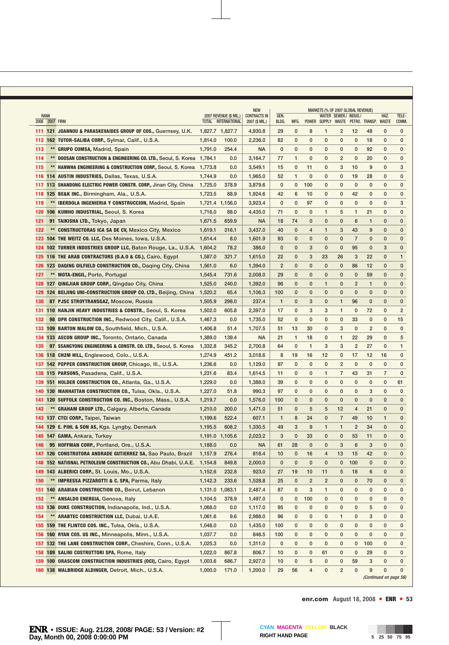|      |                                 |                                                                        |                 |                                           | <b>NEW</b>                            |                |              |                |                | MARKETS (% OF 2007 GLOBAL REVENUE) |                |                                   |                      |                |
|------|---------------------------------|------------------------------------------------------------------------|-----------------|-------------------------------------------|---------------------------------------|----------------|--------------|----------------|----------------|------------------------------------|----------------|-----------------------------------|----------------------|----------------|
| 2008 | <b>RANK</b><br><b>2007 FIRM</b> |                                                                        | <b>TOTAL</b>    | 2007 REVENUE (\$ MIL.)  <br>INTERNATIONAL | <b>CONTRACTS IN</b><br>2007 (\$ MIL.) | GEN.<br>BLDG.  | MFG.         |                |                | WATER SEWER./ INDUS./              |                | POWER SUPPLY WASTE PETRO. TRANSP. | HAZ.<br><b>WASTE</b> | TELE-<br>COMM. |
|      |                                 | 111 121 JOANNOU & PARASKEVAIDES GROUP OF COS., Guernsey, U.K.          | 1,827.7 1,827.7 |                                           | 4,930.8                               | 29             | 0            | 8              | 1              | $\overline{2}$                     | 12             | 48                                | $\mathbf{0}$         | 0              |
|      |                                 | 112 162 TUTOR-SALIBA CORP., Sylmar, Calif., U.S.A.                     | 1,814.0         | 100.0                                     | 2,236.0                               | 82             | 0            | $\mathbf{0}$   | $\mathbf{0}$   | $\mathbf 0$                        | 0              | 18                                | $\mathbf{0}$         | 0              |
| 113  |                                 | ** GRUPO COMSA, Madrid, Spain                                          | 1,791.0         | 254.4                                     | <b>NA</b>                             | 0              | 0            | $\mathbf{0}$   | $\mathbf{0}$   | $\mathbf 0$                        | 0              | 92                                | $\mathbf{0}$         | $\mathbf{0}$   |
| 114  | $**$                            | <b>DOOSAN CONSTRUCTION &amp; ENGINEERING CO. LTD., Seoul, S. Korea</b> | 1,784.1         | 0.0                                       | 3,164.7                               | 77             | 1            | $\mathbf{0}$   | $\mathbf 0$    | $\overline{2}$                     | 0              | 20                                | $\mathbf{0}$         | $\mathbf{0}$   |
| 115  | $**$                            | <b>HANWHA ENGINEERING &amp; CONSTRUCTION CORP., Seoul, S. Korea</b>    | 1,773.8         | 0.0                                       | 3,549.1                               | 15             | 0            | 11             | 0              | 3                                  | 10             | 9                                 | 0                    | 3              |
| 116  |                                 | 1,744.9<br><b>114 AUSTIN INDUSTRIES, Dallas, Texas, U.S.A.</b>         |                 | 0.0                                       | 1,965.0                               | 52             | 1            | 0              | 0              | 0                                  | 19             | 28                                | 0                    | 0              |
| 117  |                                 | 113 SHANDONG ELECTRIC POWER CONSTR. CORP., Jinan City, China           | 1,725.0         | 378.9                                     | 3,879.6                               | $\mathbf 0$    | 0            | 100            | 0              | $\mathbf 0$                        | 0              | 0                                 | 0                    | 0              |
|      |                                 | 118 125 BE&K INC., Birmingham, Ala., U.S.A.                            | 1,723.5         | 88.9                                      | 1,924.6                               | 42             | 6            | 10             | 0              | $\mathbf 0$                        | 42             | 0                                 | 0                    | 0              |
| 119  |                                 | ** IBERDOLA INGENIERIA Y CONSTRUCCION, Madrid, Spain                   | 1,721.4 1,156.0 |                                           | 3,923.4                               | $\mathbf 0$    | $\mathbf 0$  | 97             | $\mathbf 0$    | $\mathbf 0$                        | 0              | 0                                 | 0                    | 3              |
| 120  |                                 | 106 KUMHO INDUSTRIAL, Seoul, S. Korea                                  | 1,716.0         | 88.0                                      | 4,435.0                               | 71             | $\mathbf 0$  | $\mathbf{0}$   | 1              | 5                                  | 1              | 21                                | 0                    | $\mathbf 0$    |
| 121  |                                 | 91 TAIKISHA LTD., Tokyo, Japan                                         | 1,671.5         | 659.9                                     | <b>NA</b>                             | 18             | 74           | $\mathbf{0}$   | $\mathbf{0}$   | $\mathbf{0}$                       | 6              | 1                                 | $\mathbf{0}$         | $\mathbf{0}$   |
| 122  |                                 | ** CONSTRUCTORAS ICA SA DE CV, Mexico City, Mexico                     | 1,619.1         | 316.1                                     | 3,437.0                               | 40             | 0            | 4              | $\mathbf{1}$   | 3                                  | 43             | 9                                 | 0                    | 0              |
|      |                                 | 123 104 THE WEITZ CO. LLC, Des Moines, Iowa, U.S.A.                    | 1,614.4         | 8.0                                       | 1,601.9                               | 93             | 0            | $\mathbf{0}$   | $\mathbf{0}$   | $\mathbf{0}$                       | 7              | $\mathbf{0}$                      | 0                    | 0              |
|      |                                 | 124 102 TURNER INDUSTRIES GROUP LLC, Baton Rouge, La., U.S.A. 1,604.2  |                 | 78.2                                      | 386.0                                 | $\mathbf 0$    | 0            | 3              | $\mathbf{0}$   | $\mathbf 0$                        | 95             | $\mathbf 0$                       | 3                    | 0              |
|      |                                 | 125 116 THE ARAB CONTRACTORS (0.A.O & CO.), Cairo, Egypt               | 1,587.0         | 321.7                                     | 1,615.0                               | 22             | 0            | 3              | 23             | 26                                 | 3              | 22                                | $\mathbf{0}$         | $\mathbf{1}$   |
| 126  |                                 | 123 DAQING OILFIELD CONSTRUCTION CO., Daging City, China               | 1,561.0         | 6.0                                       | 1,394.0                               | $\overline{2}$ | $\mathbf{0}$ | $\mathbf{0}$   | $\mathbf{0}$   | $\mathbf{0}$                       | 86             | 12                                | $\mathbf{0}$         | $\mathbf{0}$   |
| 127  | $**$                            | <b>MOTA-ENGIL, Porto, Portugal</b>                                     | 1,545.4         | 731.6                                     | 2,008.0                               | 29             | 0            | $\mathbf{0}$   | 0              | $\mathbf{0}$                       | 0              | 59                                | 0                    | 0              |
| 128  |                                 | 127 QINGJIAN GROUP CORP., Qingdao City, China                          | 1,525.0         | 240.0                                     | 1,392.0                               | 96             | 0            | $\mathbf 0$    | $\mathbf{1}$   | $\mathbf 0$                        | $\overline{2}$ | $\mathbf{1}$                      | 0                    | $\mathbf 0$    |
| 129  |                                 | 124 BEIJING UNI-CONSTRUCTION GROUP CO. LTD., Beijing, China            | 1,520.2         | 65.4                                      | 1,106.3                               | 100            | 0            | $\mathbf 0$    | 0              | $\mathbf{0}$                       | 0              | $\mathbf 0$                       | 0                    | $\mathbf{0}$   |
| 130  |                                 | 87 PJSC STROYTRANSGAZ, Moscow, Russia                                  | 1,505.9         | 298.0                                     | 237.4                                 | $\mathbf{1}$   | 0            | 3              | 0              | 1                                  | 96             | $\mathbf 0$                       | 0                    | 0              |
| 131  |                                 | 110 HANJIN HEAVY INDUSTRIES & CONSTR., Seoul, S. Korea                 | 1,502.0         | 605.8                                     | 2,397.0                               | 17             | 0            | 3              | 3              | 1                                  | 0              | 72                                | $\mathbf{0}$         | 2              |
| 132  |                                 | <b>98 DPR CONSTRUCTION INC., Redwood City, Calif., U.S.A.</b>          | 1,467.3         | 0.0                                       | 1,735.0                               | 52             | $\mathbf{0}$ | $\mathbf 0$    | $\mathbf{0}$   | $\mathbf 0$                        | 33             | $\mathbf{0}$                      | $\mathbf{0}$         | 15             |
|      |                                 | 133 109 BARTON MALOW CO., Southfield, Mich., U.S.A.                    | 1,406.8         | 51.4                                      | 1,707.5                               | 51             | 13           | 30             | $\mathbf{0}$   | 3                                  | 0              | 2                                 | $\mathbf{0}$         | $\mathbf{0}$   |
|      |                                 | 134 133 AECON GROUP INC., Toronto, Ontario, Canada                     | 1,389.0         | 139.4                                     | <b>NA</b>                             | 21             | $\mathbf{1}$ | 18             | 0              | $\mathbf{1}$                       | 22             | 29                                | 0                    | 5              |
| 135  |                                 | 97 SSANGYONG ENGINEERING & CONSTR. CO. LTD., Seoul, S. Korea           | 1,332.8         | 345.2                                     | 2,700.8                               | 64             | $\mathbf{0}$ | 1              | 3              | 3                                  | $\overline{2}$ | 27                                | $\mathbf{0}$         | $\mathbf{1}$   |
|      |                                 | 136 118 CH2M HILL, Englewood, Colo., U.S.A.                            | 1,274.9         | 451.2                                     | 3,018.6                               | 8              | 19           | 16             | 12             | $\mathbf 0$                        | 17             | 12                                | 16                   | $\mathbf{0}$   |
| 137  |                                 | 142 PEPPER CONSTRUCTION GROUP, Chicago, III., U.S.A.                   | 1,236.6         | 0.0                                       | 1,129.0                               | 97             | $\mathbf{0}$ | $\mathbf 0$    | $\mathbf{0}$   | $\overline{2}$                     | 0              | $\mathbf 0$                       | $\mathbf{0}$         | $\mathbf{0}$   |
| 138  |                                 | 115 PARSONS, Pasadena, Calif., U.S.A.                                  | 1,231.6         | 83.4                                      | 1,614.5                               | 11             | $\mathbf{0}$ | $\mathbf{0}$   | $\mathbf{1}$   | $\overline{7}$                     | 43             | 31                                | 7                    | 0              |
|      |                                 | 139 151 HOLDER CONSTRUCTION CO., Atlanta, Ga., U.S.A.                  | 1,229.0         | 0.0                                       | 1,388.0                               | 39             | 0            | 0              | 0              | $\mathbf 0$                        | $\mathbf{0}$   | 0                                 | $\mathbf 0$          | 61             |
| 140  |                                 | 130 MANHATTAN CONSTRUCTION CO., Tulsa, Okla., U.S.A.                   | 1,227.0         | 51.8                                      | 990.3                                 | 97             | 0            | 0              | 0              | $\mathbf 0$                        | 0              | 3                                 | 0                    | 0              |
| 141  |                                 | 120 SUFFOLK CONSTRUCTION CO. INC., Boston, Mass., U.S.A.               | 1,219.7         | 0.0                                       | 1,576.0                               | 100            | 0            | $\mathbf 0$    | 0              | $\mathbf 0$                        | 0              | $\mathbf 0$                       | 0                    | 0              |
| 142  |                                 | ** GRAHAM GROUP LTD., Calgary, Alberta, Canada                         | 1,210.0         | 200.0                                     | 1,471.0                               | 51             | 0            | 5              | 5              | 12                                 | 4              | 21                                | $\mathbf{0}$         | 0              |
|      |                                 | 143 137 CTCI CORP., Taipei, Taiwan                                     | 1,199.6         | 522.4                                     | 607.1                                 | 1              | 8            | 24             | 0              | $\overline{7}$                     | 49             | 10                                | 1                    | $\mathbf{0}$   |
|      |                                 | 144 129 E. PIHL & SON AS, Kgs. Lyngby, Denmark                         | 1,195.5         | 608.2                                     | 1,330.5                               | 49             | 3            | 9              | 1              | $\mathbf{1}$                       | $\overline{2}$ | 34                                | $\mathbf{0}$         | 0              |
|      |                                 | 145 147 GAMA, Ankara, Turkey                                           | 1,191.0 1,105.6 |                                           | 2,023.2                               | 3              | 0            | 33             | $\mathbf{0}$   | $\mathbf{0}$                       | 53             | 11                                | 0                    | $\mathbf{0}$   |
| 146  |                                 | 95 HOFFMAN CORP., Portland, Ore., U.S.A.                               | 1,188.0         | 0.0                                       | <b>NA</b>                             | 61             | 28           | 0              | 0              | 3                                  | 6              | 3                                 | 0                    | 0              |
|      |                                 | 147 126 CONSTRUTORA ANDRADE GUTIERREZ SA, Sao Paulo, Brazil            | 1,157.9         | 276.4                                     | 818.4                                 | 10             | $\bf{0}$     | 16             | 4              | 13                                 | 15             | 42                                | 0                    | 0              |
|      |                                 | 148 152 NATIONAL PETROLEUM CONSTRUCTION CO., Abu Dhabi, U.A.E.         | 1,154.8         | 849.8                                     | 2,000.0                               | 0              | 0            | $\mathbf 0$    | 0              | $\mathbf 0$                        | 100            | 0                                 | 0                    | 0              |
|      |                                 | 149 143 ALBERICI CORP., St. Louis, Mo., U.S.A.                         | 1,152.6         | 232.8                                     | 923.0                                 | 27             | 19           | 10             | 11             | 5                                  | 18             | 6                                 | 0                    | 0              |
| 150  |                                 | ** IMPRESSA PIZZAROTTI & C. SPA, Parma, Italy                          | 1,142.3         | 233.6                                     | 1,528.8                               | 25             | 0            | $\overline{2}$ | $\overline{2}$ | $\mathbf 0$                        | $\bf{0}$       | 70                                | 0                    | 0              |
|      |                                 | 151 140 ARABIAN CONSTRUCTION CO., Beirut, Lebanon                      | 1,131.0 1,083.1 |                                           | 2,487.4                               | 87             | $\mathbf 0$  | 3              | 1              | 0                                  | 0              | 0                                 | 0                    | 0              |
| 152  |                                 | ** ANSALDO ENERGIA, Genova, Italy                                      | 1,104.5         | 378.9                                     | 1,497.0                               | 0              | 0            | 100            | 0              | 0                                  | 0              | 0                                 | 0                    | 0              |
| 153  |                                 | 136 DUKE CONSTRUCTION, Indianapolis, Ind., U.S.A.                      | 1,068.0         | 0.0                                       | 1,117.0                               | 95             | 0            | 0              | 0              | 0                                  | 0              | 5                                 | 0                    | 0              |
| 154  |                                 | ** ARABTEC CONSTRUCTION LLC, Dubai, U.A.E.                             | 1,061.6         | 9.6                                       | 2,988.0                               | 96             | 0            | 0              | 0              | 1                                  | 0              | 3                                 | 0                    | 0              |
|      |                                 | 155 159 THE FLINTCO COS. INC., Tulsa, Okla., U.S.A.                    | 1,048.0         | 0.0                                       | 1,435.0                               | 100            | 0            | 0              | 0              | 0                                  | 0              | 0                                 | 0                    | 0              |
|      |                                 | 156 160 RYAN COS. US INC., Minneapolis, Minn., U.S.A.                  | 1,037.7         | 0.0                                       | 846.5                                 | 100            | 0            | 0              | 0              | 0                                  | 0              | 0                                 | 0                    | 0              |
|      |                                 | 157 132 THE LANE CONSTRUCTION CORP., Cheshire, Conn., U.S.A.           | 1,025.3         | 0.0                                       | 1,311.0                               | 0              | 0            | 0              | 0              | 0                                  | 0              | 100                               | 0                    | 0              |
|      |                                 | 158 189 SALINI COSTRUTTORI SPA, Rome, Italy                            | 1,022.0         | 867.8                                     | 806.7                                 | 10             | 0            | 0              | 61             | 0                                  | 0              | 29                                | 0                    | 0              |
| 159  |                                 | 100 ORASCOM CONSTRUCTION INDUSTRIES (OCI), Cairo, Egypt                | 1,003.6         | 686.7                                     | 2,927.0                               | 10             | 0            | 5              | 0              | 0                                  | 59             | 3                                 | 0                    | 0              |
|      |                                 | 160 138 WALBRIDGE ALDINGER, Detroit, Mich., U.S.A.                     | 1,000.0         | 171.0                                     | 1,200.0                               | 29             | 56           | 4              | 0              | $\overline{2}$                     | 0              | 9                                 | 0                    | $\mathbf{0}$   |

*(Continued on page 56)*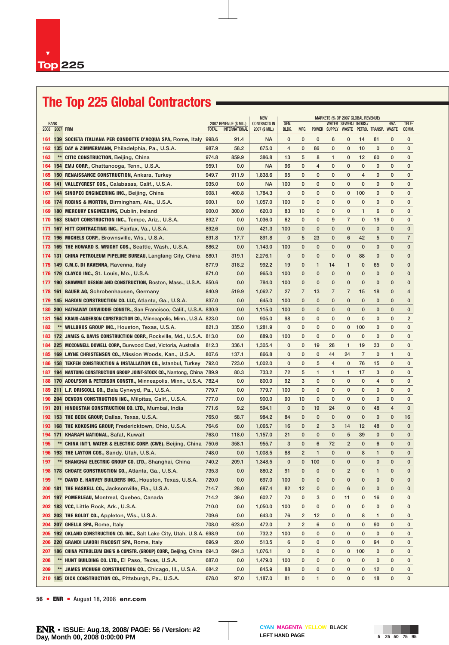# **The Top 225 Global Contractors**

|     |                        |                                                                              |              |                                                | <b>NEW</b>                  | <b>MARKETS (% OF 2007 GLOBAL REVENUE)</b> |                      |                |                |                       |                |                                               |              |                |
|-----|------------------------|------------------------------------------------------------------------------|--------------|------------------------------------------------|-----------------------------|-------------------------------------------|----------------------|----------------|----------------|-----------------------|----------------|-----------------------------------------------|--------------|----------------|
|     | RANK<br>2008 2007 FIRM |                                                                              |              | 2007 REVENUE (\$ MIL.)<br><b>INTERNATIONAL</b> | <b>CONTRACTS IN</b>         | GEN.<br>BLDG.                             |                      |                |                | WATER SEWER./ INDUS./ |                |                                               | HAZ.         | TELE-          |
| 161 |                        | 139 SOCIETA ITALIANA PER CONDOTTE D'ACQUA SPA, Rome, Italy 998.6             | <b>TOTAL</b> | 91.4                                           | 2007 (\$ MIL.)<br><b>NA</b> | 0                                         | MFG.<br>$\mathbf{0}$ | 0              | 6              | 0                     | 14             | POWER SUPPLY WASTE PETRO. TRANSP. WASTE<br>81 | 0            | COMM.<br>0     |
| 162 |                        | 135 DAY & ZIMMERMANN, Philadelphia, Pa., U.S.A.                              | 987.9        | 58.2                                           | 675.0                       | 4                                         | 0                    | 86             | 0              | 0                     | 10             | 0                                             | 0            | 0              |
| 163 |                        | ** CITIC CONSTRUCTION, Beijing, China                                        | 974.8        | 859.9                                          | 386.8                       | 13                                        | 5                    | 8              | 1              | 0                     | 12             | 60                                            | 0            | 0              |
| 164 |                        | 154 EMJ CORP., Chattanooga, Tenn., U.S.A.                                    | 959.1        | 0.0                                            | <b>NA</b>                   | 96                                        | 0                    | 4              | 0              | 0                     | 0              | 0                                             | 0            | 0              |
| 165 |                        | <b>150 RENAISSANCE CONSTRUCTION, Ankara, Turkey</b>                          | 949.7        | 911.9                                          | 1,838.6                     | 95                                        | 0                    | 0              | 0              | 0                     | 4              | 0                                             | 0            | 0              |
| 166 |                        | 141 VALLEYCREST COS., Calabasas, Calif., U.S.A.                              | 935.0        | 0.0                                            | <b>NA</b>                   | 100                                       | 0                    | 0              | 0              | $\mathbf 0$           | 0              | 0                                             | 0            | 0              |
| 167 |                        | 144 SINOPEC ENGINEERING INC., Beijing, China                                 | 908.1        | 400.8                                          | 1,784.3                     | 0                                         | 0                    | 0              | 0              | 0                     | 100            | 0                                             | 0            | $\mathbf{0}$   |
| 168 |                        | 174 ROBINS & MORTON, Birmingham, Ala., U.S.A.                                | 900.1        | 0.0                                            | 1,057.0                     | 100                                       | 0                    | 0              | 0              | 0                     | $\mathbf{0}$   | 0                                             | $\mathbf{0}$ | $\mathbf{0}$   |
| 169 |                        | <b>180 MERCURY ENGINEERING, Dublin, Ireland</b>                              | 900.0        | 300.0                                          | 620.0                       | 83                                        | 10                   | 0              | 0              | 0                     | 1              | 6                                             | 0            | 0              |
| 170 |                        | 163 SUNDT CONSTRUCTION INC., Tempe, Ariz., U.S.A.                            | 892.7        | 0.0                                            | 1,036.0                     | 62                                        | 0                    | 0              | 9              | $\overline{7}$        | $\mathbf 0$    | 19                                            | 0            | $\mathbf{0}$   |
| 171 |                        | 167 HITT CONTRACTING INC., Fairfax, Va., U.S.A.                              | 892.6        | 0.0                                            | 421.3                       | 100                                       | 0                    | 0              | $\mathbf{0}$   | $\mathbf{0}$          | $\mathbf{0}$   | $\bf{0}$                                      | $\mathbf{0}$ | $\mathbf 0$    |
|     |                        | 172 196 MICHELS CORP., Brownsville, Wis., U.S.A.                             | 891.8        | 17.7                                           | 891.8                       | $\mathbf 0$                               | 5                    | 23             | $\mathbf 0$    | 6                     | 42             | 5                                             | 0            | $\overline{7}$ |
| 173 |                        | <b>165 THE HOWARD S. WRIGHT COS., Seattle, Wash., U.S.A.</b>                 | 886.2        | 0.0                                            | 1,143.0                     | 100                                       | 0                    | 0              | 0              | $\mathbf 0$           | 0              | 0                                             | 0            | $\mathbf{0}$   |
|     |                        |                                                                              | 880.1        | 319.1                                          | 2,276.1                     | $\mathbf 0$                               | 0                    | 0              | 0              | 0                     | 88             | 0                                             | 0            | 0              |
| 174 |                        | 131 CHINA PETROLEUM PIPELINE BUREAU, Langfang City, China                    |              |                                                |                             |                                           |                      |                |                |                       |                |                                               |              |                |
| 175 |                        | 149 C.M.C. DI RAVENNA, Ravenna, Italy                                        | 877.9        | 318.2                                          | 992.2                       | 19                                        | 0                    | $\mathbf{1}$   | 14             | 1                     | 0              | 65                                            | 0            | 0              |
|     |                        | 176 179 CLAYCO INC., St. Louis, Mo., U.S.A.                                  | 871.0        | 0.0                                            | 965.0                       | 100                                       | 0                    | $\mathbf{0}$   | $\mathbf{0}$   | $\mathbf 0$           | $\mathbf 0$    | 0                                             | 0            | $\mathbf{0}$   |
| 177 |                        | <b>190 SHAWMUT DESIGN AND CONSTRUCTION, Boston, Mass., U.S.A.</b>            | 850.6        | 0.0                                            | 784.0                       | 100                                       | 0                    | $\mathbf{0}$   | $\mathbf{0}$   | $\mathbf{0}$          | $\mathbf 0$    | 0                                             | 0            | $\mathbf{0}$   |
|     |                        | 178 161 BAUER AG, Schrobenhausen, Germany                                    | 840.9        | 519.9                                          | 1,062.7                     | 27                                        | $\overline{7}$       | 13             | $\overline{7}$ | $\overline{7}$        | 15             | 18                                            | 0            | 4              |
| 179 |                        | <b>145 HARDIN CONSTRUCTION CO. LLC, Atlanta, Ga., U.S.A.</b>                 | 837.0        | 0.0                                            | 645.0                       | 100                                       | $\mathbf{0}$         | $\mathbf 0$    | $\mathbf{0}$   | $\mathbf 0$           | $\mathbf 0$    | 0                                             | 0            | $\mathbf{0}$   |
| 180 |                        | 200 HATHAWAY DINWIDDIE CONSTR., San Francisco, Calif., U.S.A. 830.9          |              | 0.0                                            | 1,115.0                     | 100                                       | 0                    | $\mathbf 0$    | 0              | $\mathbf 0$           | $\mathbf 0$    | 0                                             | $\mathbf{0}$ | 0              |
| 181 |                        | <b>164 KRAUS-ANDERSON CONSTRUCTION CO., Minneapolis, Minn., U.S.A. 823.0</b> |              | 0.0                                            | 905.0                       | 98                                        | 0                    | 0              | 0              | 0                     | $\mathbf{0}$   | 0                                             | $\mathbf{0}$ | $\overline{2}$ |
| 182 |                        | ** WILLBROS GROUP INC., Houston, Texas, U.S.A.                               | 821.3        | 335.0                                          | 1,281.9                     | 0                                         | 0                    | $\mathbf{0}$   | 0              | 0                     | 100            | 0                                             | 0            | $\mathbf 0$    |
| 183 |                        | 172 JAMES G. DAVIS CONSTRUCTION CORP., Rockville, Md., U.S.A. 813.0          |              | 0.0                                            | 889.0                       | 100                                       | $\mathbf{0}$         | $\mathbf{0}$   | $\mathbf{0}$   | 0                     | 0              | 0                                             | $\mathbf{0}$ | 0              |
| 184 |                        | 225 MCCONNELL DOWELL CORP., Burwood East, Victoria, Australia                | 812.3        | 336.1                                          | 1,305.4                     | 0                                         | 0                    | 19             | 28             | $\mathbf{1}$          | 19             | 33                                            | 0            | 0              |
| 185 |                        | 169 LAYNE CHRISTENSEN CO., Mission Woods, Kan., U.S.A.                       | 807.6        | 137.1                                          | 866.8                       | 0                                         | 0                    | 0              | 44             | 24                    | $\overline{7}$ | 0                                             | 1            | 0              |
| 186 |                        | <b>158 TEKFEN CONSTRUCTION &amp; INSTALLATION CO., Istanbul, Turkey</b>      | 792.0        | 723.0                                          | 1,002.0                     | 0                                         | 0                    | 5              | 4              | 0                     | 76             | 15                                            | 0            | 0              |
| 187 |                        | 194 NANTONG CONSTRUCTION GROUP JOINT-STOCK CO., Nantong, China 789.9         |              | 80.3                                           | 733.2                       | 72                                        | 5                    | 1              | $\mathbf{1}$   | $\mathbf{1}$          | 17             | 3                                             | 0            | 0              |
| 188 |                        | 170 ADOLFSON & PETERSON CONSTR., Minneapolis, Minn., U.S.A. 782.4            |              | 0.0                                            | 800.0                       | 92                                        | 3                    | $\mathbf{0}$   | $\mathbf{0}$   | 0                     | 0              | 4                                             | 0            | 0              |
| 189 |                        | 211 L.F. DRISCOLL CO., Bala Cynwyd, Pa., U.S.A.                              | 779.7        | 0.0                                            | 779.7                       | 100                                       | 0                    | 0              | 0              | 0                     | 0              | 0                                             | 0            | 0              |
| 190 |                        | <b>204 DEVCON CONSTRUCTION INC., Milpitas, Calif., U.S.A.</b>                | 777.0        | 0.0                                            | 900.0                       | 90                                        | 10                   | 0              | $\mathbf{0}$   | 0                     | $\mathbf 0$    | 0                                             | 0            | $\mathbf{0}$   |
| 191 |                        | 201 HINDUSTAN CONSTRUCTION CO. LTD., Mumbai, India                           | 771.6        | 9.2                                            | 594.1                       | $\mathbf 0$                               | $\mathbf 0$          | 19             | 24             | $\mathbf 0$           | $\mathbf 0$    | 48                                            | 4            | $\mathbf{0}$   |
|     |                        | 192 153 THE BECK GROUP, Dallas, Texas, U.S.A.                                | 765.0        | 58.7                                           | 984.2                       | 84                                        | 0                    | 0              | $\mathbf 0$    | $\mathbf 0$           | $\mathbf 0$    | 0                                             | 0            | 16             |
|     |                        | 193 168 THE KOKOSING GROUP, Fredericktown, Ohio, U.S.A.                      | 764.6        | 0.0                                            | 1,065.7                     | 16                                        | 0                    | $\overline{2}$ | 3              | 14                    | 12             | 48                                            | 0            | $\mathbf 0$    |
|     |                        | 194 171 KHARAFI NATIONAL, Safat, Kuwait                                      | 763.0        | 118.0                                          | 1,157.0                     | 21                                        | 0                    | $\mathbf{0}$   | $\mathbf{0}$   | 5                     | 39             | 0                                             | 0            | $\mathbf{0}$   |
| 195 |                        | ** CHINA INT'L WATER & ELECTRIC CORP. (CWE), Beijing, China                  | 750.6        | 358.1                                          | 955.7                       | 3                                         | 0                    | 6              | 72             | $\overline{2}$        | 0              | 6                                             | 0            | $\mathbf 0$    |
|     |                        | 196 193 THE LAYTON COS., Sandy, Utah, U.S.A.                                 | 748.0        | 0.0                                            | 1,008.5                     | 88                                        | $\overline{2}$       | $\mathbf{1}$   | $\mathbf{0}$   | $\mathbf{0}$          | 8              | $\mathbf{1}$                                  | 0            | $\mathbf 0$    |
| 197 |                        | ** SHANGHAI ELECTRIC GROUP CO. LTD., Shanghai, China                         | 740.2        | 209.1                                          | 1,348.5                     | $\mathbf 0$                               | 0                    | 100            | $\mathbf{0}$   | $\mathbf{0}$          | $\mathbf{0}$   | $\mathbf{0}$                                  | $\mathbf{0}$ | $\Omega$       |
|     |                        | 198 178 CHOATE CONSTRUCTION CO., Atlanta, Ga., U.S.A.                        | 735.3        | 0.0                                            | 880.2                       | 91                                        | 0                    | 0              | 0              | 2                     | 0              | 1                                             | 0            | 0              |
| 199 |                        | ** DAVID E. HARVEY BUILDERS INC., Houston, Texas, U.S.A.                     | 720.0        | 0.0                                            | 697.0                       | 100                                       | 0                    | 0              | 0              | 0                     | 0              | 0                                             | 0            | $\mathbf{0}$   |
|     |                        | 200 181 THE HASKELL CO., Jacksonville, Fla., U.S.A.                          | 714.7        | 28.0                                           | 687.4                       | 82                                        | 12                   | 0              | $\bf{0}$       | 6                     | 0              | 0                                             | 0            | $\mathbf 0$    |
| 201 |                        | 197 POMERLEAU, Montreal, Quebec, Canada                                      | 714.2        | 39.0                                           | 602.7                       | 70                                        | 0                    | 3              | 0              | 11                    | 0              | 16                                            | 0            | 0              |
| 202 |                        | 183 VCC, Little Rock, Ark., U.S.A.                                           | 710.0        | 0.0                                            | 1,050.0                     | 100                                       | 0                    | 0              | 0              | 0                     | 0              | 0                                             | 0            | 0              |
| 203 |                        | 203 THE BOLDT CO., Appleton, Wis., U.S.A.                                    | 709.6        | 0.0                                            | 643.0                       | 76                                        | 2                    | 12             | 0              | 0                     | 8              | 1                                             | 0            | 0              |
| 204 |                        | 207 GHELLA SPA, Rome, Italy                                                  | 708.0        | 623.0                                          | 472.0                       | $\overline{2}$                            | 2                    | 6              | 0              | 0                     | 0              | 90                                            | 0            | 0              |
| 205 |                        | 192 OKLAND CONSTRUCTION CO. INC., Salt Lake City, Utah, U.S.A. 698.9         |              | 0.0                                            | 732.2                       | 100                                       | 0                    | 0              | 0              | 0                     | 0              | 0                                             | 0            | 0              |
| 206 |                        | 220 GRANDI LAVORI FINCOSIT SPA, Rome, Italy                                  | 696.9        | 20.0                                           | 513.5                       | 6                                         | 0                    | 0              | 0              | 0                     | 0              | 94                                            | 0            | 0              |
| 207 |                        | 186 CHINA PETROLEUM ENG'G & CONSTR. (GROUP) CORP., Beijing, China 694.3      |              | 694.3                                          | 1,076.1                     | 0                                         | 0                    | 0              | 0              | 0                     | 100            | 0                                             | 0            | 0              |
| 208 |                        | ** HUNT BUILDING CO. LTD., El Paso, Texas, U.S.A.                            | 687.0        | 0.0                                            | 1,479.0                     | 100                                       | 0                    | 0              | 0              | 0                     | $\mathbf 0$    | 0                                             | 0            | 0              |
| 209 |                        | ** JAMES MCHUGH CONSTRUCTION CO., Chicago, III., U.S.A.                      | 684.2        | 0.0                                            | 845.9                       | 88                                        | 0                    | 0              | 0              | 0                     | 0              | 12                                            | 0            | 0              |
| 210 |                        | 185 DICK CONSTRUCTION CO., Pittsburgh, Pa., U.S.A.                           | 678.0        | 97.0                                           | 1,187.0                     | 81                                        | 0                    | 1              | 0              | 0                     | 0              | 18                                            | 0            | 0              |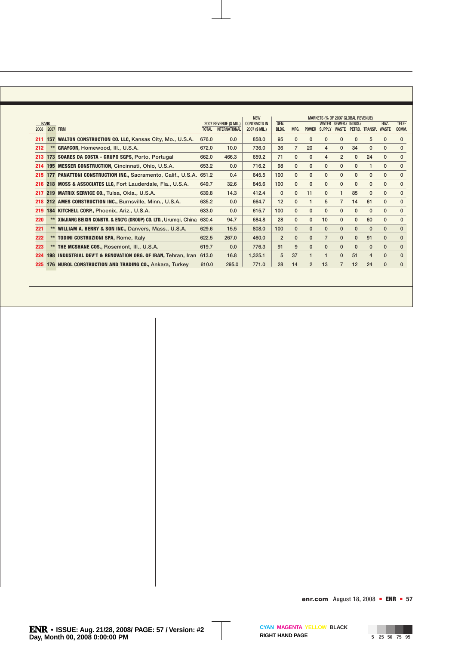|     |                |                                                                 | <b>NEW</b>   |                        |                     |                |                | MARKETS (% OF 2007 GLOBAL REVENUE) |                |                       |              |                |              |              |
|-----|----------------|-----------------------------------------------------------------|--------------|------------------------|---------------------|----------------|----------------|------------------------------------|----------------|-----------------------|--------------|----------------|--------------|--------------|
|     | <b>RANK</b>    |                                                                 |              | 2007 REVENUE (\$ MIL.) | <b>CONTRACTS IN</b> | GEN.           |                |                                    |                | WATER SEWER./ INDUS./ |              |                | HAZ.         | TELE-        |
|     | 2008 2007 FIRM |                                                                 | <b>TOTAL</b> | <b>INTERNATIONAL</b>   | 2007 (\$ MIL.)      | BLDG.          | MFG.           | <b>POWER</b>                       | <b>SUPPLY</b>  | WASTE                 |              | PETRO, TRANSP. | <b>WASTE</b> | COMM.        |
| 211 |                | 157 WALTON CONSTRUCTION CO. LLC, Kansas City, Mo., U.S.A.       | 676.0        | 0.0                    | 858.0               | 95             | $\mathbf{0}$   | 0                                  | $\mathbf{0}$   | $\Omega$              | 0            | 5              | 0            | 0            |
| 212 |                | GRAYCOR, Homewood, III., U.S.A.                                 | 672.0        | 10.0                   | 736.0               | 36             | $\overline{7}$ | 20                                 | $\overline{4}$ | $\mathbf{0}$          | 34           | $\mathbf{0}$   | $\mathbf{0}$ | $\mathbf{0}$ |
| 213 |                | 173 SOARES DA COSTA - GRUPO SGPS, Porto, Portugal               | 662.0        | 466.3                  | 659.2               | 71             | $\mathbf{0}$   | $\mathbf{0}$                       | $\overline{4}$ | $\overline{2}$        | $\mathbf{0}$ | 24             | $\mathbf{0}$ | $\mathbf{0}$ |
| 214 |                | 195 MESSER CONSTRUCTION, Cincinnati, Ohio, U.S.A.               | 653.2        | 0.0                    | 716.2               | 98             | $\mathbf{0}$   | $\mathbf{0}$                       | $\mathbf{0}$   | $\mathbf{0}$          | $\mathbf{0}$ | 1              | $\mathbf{0}$ | $\mathbf{0}$ |
| 215 |                | 177 PANATTONI CONSTRUCTION INC., Sacramento, Calif., U.S.A.     | 651.2        | 0.4                    | 645.5               | 100            | $\mathbf{0}$   | $\mathbf{0}$                       | $\mathbf{0}$   | $\mathbf{0}$          | $\mathbf{0}$ | $\mathbf{0}$   | $\mathbf{0}$ | $\mathbf{0}$ |
| 216 |                | 218 MOSS & ASSOCIATES LLC, Fort Lauderdale, Fla., U.S.A.        | 649.7        | 32.6                   | 845.6               | 100            | $\mathbf{0}$   | $\mathbf{0}$                       | $\mathbf{0}$   | $\mathbf{0}$          | $\mathbf{0}$ | $\mathbf{0}$   | $\mathbf{0}$ | $\mathbf{0}$ |
| 217 |                | 219 MATRIX SERVICE CO., Tulsa, Okla., U.S.A.                    |              | 14.3                   | 412.4               | $\mathbf{0}$   | $\mathbf{0}$   | 11                                 | $\mathbf{0}$   |                       | 85           | $\Omega$       | $\mathbf{0}$ | $\mathbf{0}$ |
| 218 |                | 212 AMES CONSTRUCTION INC., Burnsville, Minn., U.S.A.           | 635.2        | 0.0                    | 664.7               | 12             | $\mathbf{0}$   | 1                                  | 5              | $\overline{7}$        | 14           | 61             | $\mathbf{0}$ | $\mathbf{0}$ |
| 219 |                | 184 KITCHELL CORP., Phoenix, Ariz., U.S.A.                      | 633.0        | 0.0                    | 615.7               | 100            | $\mathbf{0}$   | $\mathbf{0}$                       | $\mathbf{0}$   | $\mathbf{0}$          | $\mathbf{0}$ | $\mathbf{0}$   | $\mathbf{0}$ | $\mathbf{0}$ |
| 220 |                | XINJIANG BEIXIN CONSTR. & ENG'G (GROUP) CO. LTD., Urumqi, China | 630.4        | 94.7                   | 684.8               | 28             | $\mathbf{0}$   | $\mathbf{0}$                       | 10             | $\mathbf{0}$          | $\mathbf{0}$ | 60             | $\mathbf{0}$ | $\mathbf{0}$ |
| 221 |                | WILLIAM A. BERRY & SON INC., Danvers, Mass., U.S.A.             | 629.6        | 15.5                   | 808.0               | 100            | $\mathbf{0}$   | $\mathbf{0}$                       | $\mathbf{0}$   | $\mathbf{0}$          | $\mathbf{0}$ | $\Omega$       | $\Omega$     | $\mathbf{0}$ |
| 222 |                | <b>TODINI COSTRUZIONI SPA, Rome, Italy</b>                      | 622.5        | 267.0                  | 460.0               | $\overline{2}$ | $\mathbf{0}$   | $\mathbf{0}$                       | $\overline{7}$ | $\mathbf{0}$          | $\mathbf{0}$ | 91             | $\mathbf{0}$ | $\mathbf{0}$ |
| 223 |                | THE MCSHANE COS., Rosemont, III., U.S.A.                        | 619.7        | 0.0                    | 776.3               | 91             | 9              | $\mathbf{0}$                       | $\mathbf{0}$   | $\mathbf{0}$          | $\mathbf{0}$ | $\mathbf{0}$   | $\Omega$     | $\mathbf{0}$ |
| 224 |                | 198 INDUSTRIAL DEV'T & RENOVATION ORG. OF IRAN, Tehran, Iran    | 613.0        | 16.8                   | 1,325.1             | 5              | 37             | 1                                  | $\mathbf{1}$   | $\mathbf{0}$          | 51           | $\overline{4}$ | $\mathbf{0}$ | $\mathbf{0}$ |
|     |                | 225 176 NUROL CONSTRUCTION AND TRADING CO., Ankara, Turkey      | 610.0        | 295.0                  | 771.0               | 28             | 14             | $\overline{2}$                     | 13             |                       | 12           | 24             | $\Omega$     | $\mathbf{0}$ |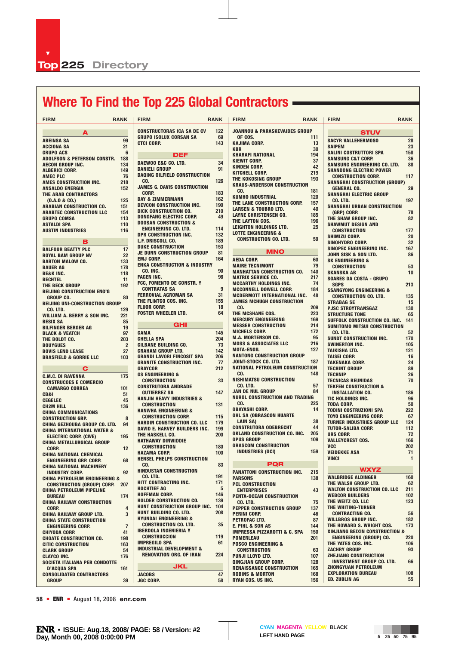# **Where To Find the Top 225 Global Contractors**

| <b>FIRM</b>                                                        | <b>RANK</b>    | <b>FIRM</b>                                                           | <b>RANK</b> | <b>FIRM</b>                                                | <b>RANK</b> | <b>FIRM</b>                                                     | <b>RANK</b>        |
|--------------------------------------------------------------------|----------------|-----------------------------------------------------------------------|-------------|------------------------------------------------------------|-------------|-----------------------------------------------------------------|--------------------|
| A                                                                  |                | <b>CONSTRUCTORAS ICA SA DE CV</b>                                     | 122         | <b>JOANNOU &amp; PARASKEVAIDES GROUP</b>                   |             | <b>STUV</b>                                                     |                    |
| <b>ABEINSA SA</b>                                                  | 99             | <b>GRUPO ISOLUX CORSAN SA</b>                                         | 69          | OF COS.                                                    | 111         | <b>SACYR VALLEHERMOSO</b>                                       | 28                 |
| <b>ACCIONA SA</b>                                                  | 21             | <b>CTCI CORP.</b>                                                     | 143         | <b>KAJIMA CORP.</b><br><b>KBR</b>                          | 13<br>30    | <b>SAIPEM</b>                                                   | 23                 |
| <b>GRUPO ACS</b>                                                   | 6              | DEF                                                                   |             | <b>KHARAFI NATIONAL</b>                                    | 194         | <b>SALINI COSTRUTTORI SPA</b>                                   | 158                |
| <b>ADOLFSON &amp; PETERSON CONSTR.</b>                             | 188            | DAEWOO E&C CO. LTD.                                                   | 34          | <b>KIEWIT CORP.</b>                                        | 37          | <b>SAMSUNG C&amp;T CORP.</b>                                    | 36                 |
| <b>AECON GROUP INC.</b>                                            | 134<br>149     | <b>DANIELI GROUP</b>                                                  | 91          | <b>KINDEN CORP.</b>                                        | 42          | SAMSUNG ENGINEERING CO. LTD.                                    | 88                 |
| <b>ALBERICI CORP.</b><br><b>AMEC PLC</b>                           | 76             | <b>DAQING OILFIELD CONSTRUCTION</b>                                   |             | <b>KITCHELL CORP.</b>                                      | 219         | <b>SHANDONG ELECTRIC POWER</b><br><b>CONSTRUCTION CORP.</b>     | 117                |
| AMES CONSTRUCTION INC.                                             | 218            | CO.                                                                   | 126         | THE KOKOSING GROUP                                         | 193         | <b>SHANGHAI CONSTRUCTION (GROUP)</b>                            |                    |
| <b>ANSALDO ENERGIA</b>                                             | 152            | <b>JAMES G. DAVIS CONSTRUCTION</b>                                    |             | <b>KRAUS-ANDERSON CONSTRUCTION</b><br>CO.                  | 181         | <b>GENERAL CO.</b>                                              | 29                 |
| THE ARAB CONTRACTORS                                               |                | <b>CORP.</b>                                                          | 183<br>162  | <b>KUMHO INDUSTRIAL</b>                                    | 120         | <b>SHANGHAI ELECTRIC GROUP</b>                                  |                    |
| (0.A.0 & 0.0)                                                      | 125            | <b>DAY &amp; ZIMMERMANN</b><br><b>DEVCON CONSTRUCTION INC.</b>        | 190         | THE LANE CONSTRUCTION CORP.                                | 157         | CO. LTD.                                                        | 197                |
| <b>ARABIAN CONSTRUCTION CO.</b><br><b>ARABTEC CONSTRUCTION LLC</b> | 151<br>154     | <b>DICK CONSTRUCTION CO.</b>                                          | 210         | <b>LARSEN &amp; TOUBRO LTD.</b>                            | 40          | <b>SHANGHAI URBAN CONSTRUCTION</b><br>(GRP) CORP.               | 78                 |
| <b>GRUPO COMSA</b>                                                 | 113            | <b>DONGFANG ELECTRIC CORP.</b>                                        | 49          | <b>LAYNE CHRISTENSEN CO.</b>                               | 185         | THE SHAW GROUP INC.                                             | 82                 |
| <b>ASTALDI SPA</b>                                                 | 110            | <b>DOOSAN CONSTRUCTION &amp;</b>                                      |             | THE LAYTON COS.<br>LEIGHTON HOLDINGS LTD.                  | 196<br>25   | <b>SHAWMUT DESIGN AND</b>                                       |                    |
| <b>AUSTIN INDUSTRIES</b>                                           | 116            | <b>ENGINEERING CO. LTD.</b>                                           | 114         | <b>LOTTE ENGINEERING &amp;</b>                             |             | <b>CONSTRUCTION</b>                                             | 177                |
|                                                                    |                | <b>DPR CONSTRUCTION INC.</b><br>L.F. DRISCOLL CO.                     | 132<br>189  | <b>CONSTRUCTION CO. LTD.</b>                               | 59          | <b>SHIMIZU CORP.</b>                                            | 20                 |
| в                                                                  |                | <b>DUKE CONSTRUCTION</b>                                              | 153         |                                                            |             | <b>SINOHYDRO CORP.</b><br>SINOPEC ENGINEERING INC.              | 32<br>167          |
| <b>BALFOUR BEATTY PLC</b><br><b>ROYAL BAM GROUP NV</b>             | 17<br>22       | <b>JE DUNN CONSTRUCTION GROUP</b>                                     | 81          | <b>MNO</b>                                                 |             | JOHN SISK & SON LTD.                                            | 86                 |
| <b>BARTON MALOW CO.</b>                                            | 133            | <b>EMJ CORP.</b>                                                      | 164         | <b>AEDA CORP.</b>                                          | 60          | <b>SK ENGINEERING &amp;</b>                                     |                    |
| <b>BAUER AG</b>                                                    | 178            | <b>ENKA CONSTRUCTION &amp; INDUSTRY</b>                               |             | <b>MAIRE TECNIMONT</b>                                     | 79          | <b>CONSTRUCTION</b>                                             | 53                 |
| <b>BE&amp;K INC.</b>                                               | 118            | CO. INC.<br><b>FAGEN INC.</b>                                         | 90<br>98    | <b>MANHATTAN CONSTRUCTION CO.</b>                          | 140         | <b>SKANSKA AB</b>                                               | 10                 |
| <b>BECHTEL</b>                                                     | 11             | FCC, FOMENTO DE CONSTR. Y                                             |             | <b>MATRIX SERVICE CO.</b><br><b>MCCARTHY HOLDINGS INC.</b> | 217<br>74   | <b>SOARES DA COSTA - GRUPO</b><br><b>SGPS</b>                   | 213                |
| THE BECK GROUP<br><b>BEIJING CONSTRUCTION ENG'G</b>                | 192            | <b>CONTRATAS SA</b>                                                   | 9           | <b>MCCONNELL DOWELL CORP.</b>                              | 184         | <b>SSANGYONG ENGINEERING &amp;</b>                              |                    |
| <b>GROUP CO.</b>                                                   | 80             | <b>FERROVIAL AGROMAN SA</b>                                           | 31          | <b>MCDERMOTT INTERNATIONAL INC.</b>                        | 48          | <b>CONSTRUCTION CO. LTD.</b>                                    | 135                |
| <b>BEIJING UNI-CONSTRUCTION GROUP</b>                              |                | THE FLINTCO COS. INC.                                                 | 155         | <b>JAMES MCHUGH CONSTRUCTION</b>                           |             | <b>STRABAG SE</b>                                               | 15                 |
| CO. LTD.                                                           | 129            | <b>FLUOR CORP.</b><br><b>FOSTER WHEELER LTD.</b>                      | 18<br>64    | CO.<br>THE MCSHANE COS.                                    | 209<br>223  | <b>PJSC STROYTRANSGAZ</b>                                       | 130                |
| <b>WILLIAM A. BERRY &amp; SON INC.</b>                             | 221            |                                                                       |             | <b>MERCURY ENGINEERING</b>                                 | 169         | <b>STRUCTURE TONE</b><br>SUFFOLK CONSTRUCTION CO. INC.          | 65<br>141          |
| <b>BESIX SA</b><br><b>BILFINGER BERGER AG</b>                      | 85<br>19       | <b>GHI</b>                                                            |             | <b>MESSER CONSTRUCTION</b>                                 | 214         | <b>SUMITOMO MITSUI CONSTRUCTION</b>                             |                    |
| <b>BLACK &amp; VEATCH</b>                                          | 97             | <b>GAMA</b>                                                           | 145         | <b>MICHELS CORP.</b>                                       | 172         | CO. LTD.                                                        | 52                 |
| THE BOLDT CO.                                                      | 203            | <b>GHELLA SPA</b>                                                     | 204         | <b>M.A. MORTENSON CO.</b>                                  | 95          | SUNDT CONSTRUCTION INC.                                         | 170                |
| <b>BOUYGUES</b>                                                    | $\overline{2}$ | <b>GILBANE BUILDING CO.</b>                                           | 73          | <b>MOSS &amp; ASSOCIATES LLC</b>                           | 216         | <b>SWINERTON INC.</b>                                           | 105                |
| <b>BOVIS LEND LEASE</b>                                            | 27             | <b>GRAHAM GROUP LTD.</b>                                              | 142<br>206  | <b>MOTA-ENGIL</b><br><b>NANTONG CONSTRUCTION GROUP</b>     | 127         | <b>TAIKISHA LTD.</b><br><b>TAISEI CORP.</b>                     | 121<br>16          |
| <b>BRASFIELD &amp; GORRIE LLC</b>                                  | 103            | <b>GRANDI LAVORI FINCOSIT SPA</b><br><b>GRANITE CONSTRUCTION INC.</b> | 77          | JOINT-STOCK CO. LTD.                                       | 187         | <b>TAKENAKA CORP.</b>                                           | 24                 |
| С                                                                  |                | <b>GRAYCOR</b>                                                        | 212         | <b>NATIONAL PETROLEUM CONSTRUCTION</b>                     |             | <b>TECHINT GROUP</b>                                            | 89                 |
| <b>C.M.C. DI RAVENNA</b>                                           | 175            | <b>GS ENGINEERING &amp;</b>                                           |             | CO.                                                        | 148         | <b>TECHNIP</b>                                                  | 26                 |
| <b>CONSTRUCOES E COMERCIO</b>                                      |                | <b>CONSTRUCTION</b>                                                   | 33          | <b>NISHIMATSU CONSTRUCTION</b><br>CO. LTD.                 | 57          | <b>TECNICAS REUNIDAS</b>                                        | 70                 |
| <b>CAMARGO CORREA</b>                                              | 101            | <b>CONSTRUTORA ANDRADE</b><br><b>GUTIERREZ SA</b>                     | 147         | JAN DE NUL GROUP                                           | 84          | <b>TEKFEN CONSTRUCTION &amp;</b><br><b>INSTALLATION CO.</b>     | 186                |
| CB&I                                                               | 51<br>45       | <b>HANJIN HEAVY INDUSTRIES &amp;</b>                                  |             | <b>NUROL CONSTRUCTION AND TRADING</b>                      |             | TIC HOLDINGS INC.                                               | 96                 |
| <b>CEGELEC</b><br><b>CH2M HILL</b>                                 | 136            | <b>CONSTRUCTION</b>                                                   | 131         | CO.                                                        | 225         | <b>TODA CORP.</b>                                               | 50                 |
| <b>CHINA COMMUNICATIONS</b>                                        |                | <b>HANWHA ENGINEERING &amp;</b>                                       |             | <b>OBAYASHI CORP.</b>                                      | 14          | <b>TODINI COSTRUZIONI SPA</b>                                   | 222                |
| <b>CONSTRUCTION GRP.</b>                                           | 8              | <b>CONSTRUCTION CORP.</b>                                             | 115         | <b>OHL SA (OBRASCON HUARTE</b><br><b>LAIN SA)</b>          | 38          | <b>TOYO ENGINEERING CORP.</b>                                   | 67                 |
| <b>CHINA GEZHOUBA GROUP CO. LTD.</b>                               | 94             | <b>HARDIN CONSTRUCTION CO. LLC</b><br>DAVID E. HARVEY BUILDERS INC.   | 179<br>199  | <b>CONSTRUTORA ODEBRECHT</b>                               | 44          | <b>TURNER INDUSTRIES GROUP LLC</b><br><b>TUTOR-SALIBA CORP.</b> | 124<br>112         |
| <b>CHINA INTERNATIONAL WATER &amp;</b>                             | 195            | THE HASKELL CO.                                                       | 200         | OKLAND CONSTRUCTION CO. INC.                               | 205         | <b>URS CORP.</b>                                                | 72                 |
| <b>ELECTRIC CORP. (CWE)</b><br><b>CHINA METALLURGICAL GROUP</b>    |                | <b>HATHAWAY DINWIDDIE</b>                                             |             | <b>OPUS GROUP</b>                                          | 109         | <b>VALLEYCREST COS.</b>                                         | 166                |
| CORP.                                                              | 12             | <b>CONSTRUCTION</b>                                                   | 180         | <b>ORASCOM CONSTRUCTION</b>                                |             | <b>VCC</b>                                                      | 202                |
| <b>CHINA NATIONAL CHEMICAL</b>                                     |                | <b>HAZAMA CORP.</b>                                                   | 100         | <b>INDUSTRIES (OCI)</b>                                    | 159         | <b>VEIDEKKE ASA</b><br><b>VINCI</b>                             | 71<br>$\mathbf{1}$ |
| <b>ENGINEERING GRP. CORP.</b>                                      | 68             | <b>HENSEL PHELPS CONSTRUCTION</b><br>CO.                              | 83          | <b>PQR</b>                                                 |             |                                                                 |                    |
| <b>CHINA NATIONAL MACHINERY</b><br><b>INDUSTRY CORP.</b>           | 92             | <b>HINDUSTAN CONSTRUCTION</b>                                         |             | <b>PANATTONI CONSTRUCTION INC.</b>                         | 215         | <b>WXYZ</b>                                                     |                    |
| <b>CHINA PETROLEUM ENGINEERING &amp;</b>                           |                | CO. LTD.                                                              | 191         | <b>PARSONS</b>                                             | 138         | <b>WALBRIDGE ALDINGER</b>                                       | 160                |
| <b>CONSTRUCTION (GROUP) CORP.</b>                                  | 207            | <b>HITT CONTRACTING INC.</b>                                          | 171         | <b>PCL CONSTRUCTION</b>                                    |             | THE WALSH GROUP LTD.                                            | 62                 |
| <b>CHINA PETROLEUM PIPELINE</b>                                    |                | <b>HOCHTIEF AG</b><br><b>HOFFMAN CORP.</b>                            | 5<br>146    | <b>ENTERPRISES</b>                                         | 43          | <b>WALTON CONSTRUCTION CO. LLC</b>                              | 211                |
| <b>BUREAU</b>                                                      | 174            | <b>HOLDER CONSTRUCTION CO.</b>                                        | 139         | <b>PENTA-OCEAN CONSTRUCTION</b>                            | 75          | <b>WEBCOR BUILDERS</b><br>THE WEITZ CO. LLC                     | 102<br>123         |
| <b>CHINA RAILWAY CONSTRUCTION</b><br>CORP.                         | $\overline{4}$ | HUNT CONSTRUCTION GROUP INC.                                          | 104         | CO. LTD.<br>PEPPER CONSTRUCTION GROUP                      | 137         | THE WHITING-TURNER                                              |                    |
| <b>CHINA RAILWAY GROUP LTD.</b>                                    | 3              | <b>HUNT BUILDING CO. LTD.</b>                                         | 208         | <b>PERINI CORP.</b>                                        | 46          | <b>CONTRACTING CO.</b>                                          | 56                 |
| <b>CHINA STATE CONSTRUCTION</b>                                    |                | <b>HYUNDAI ENGINEERING &amp;</b>                                      |             | PETROFAC LTD.                                              | 87          | <b>WILLBROS GROUP INC.</b>                                      | 182                |
| <b>ENGINEERING CORP.</b>                                           | $\overline{7}$ | <b>CONSTRUCTION CO. LTD.</b><br><b>IBERDOLA INGENIERIA Y</b>          | 35          | <b>E. PIHL &amp; SON AS</b>                                | 144         | THE HOWARD S. WRIGHT COS.                                       | 173                |
| <b>CHIYODA CORP.</b>                                               | 41             | <b>CONSTRUCCION</b>                                                   | 119         | <b>IMPRESSA PIZZAROTTI &amp; C. SPA</b>                    | 150<br>201  | XINJIANG BEIXIN CONSTRUCTION &<br>ENGINEERING (GROUP) CO.       | 220                |
| <b>CHOATE CONSTRUCTION CO.</b><br><b>CITIC CONSTRUCTION</b>        | 198<br>163     | <b>IMPREGILO SPA</b>                                                  | 61          | <b>POMERLEAU</b><br><b>POSCO ENGINEERING &amp;</b>         |             | THE YATES COS. INC.                                             | 106                |
| <b>CLARK GROUP</b>                                                 | 54             | <b>INDUSTRIAL DEVELOPMENT &amp;</b>                                   |             | <b>CONSTRUCTION</b>                                        | 63          | <b>ZACHRY GROUP</b>                                             | 93                 |
| <b>CLAYCO INC.</b>                                                 | 176            | <b>RENOVATION ORG. OF IRAN</b>                                        | 224         | <b>PUNJI LLOYD LTD.</b>                                    | 107         | <b>ZHEJIANG CONSTRUCTION</b>                                    |                    |
| SOCIETA ITALIANA PER CONDOTTE                                      |                | <b>JKL</b>                                                            |             | QINGJIAN GROUP CORP.                                       | 128         | <b>INVESTMENT GROUP CO. LTD.</b>                                | 66                 |
| <b>D'ACQUA SPA</b>                                                 | 161            |                                                                       |             | <b>RENAISSANCE CONSTRUCTION</b>                            | 165<br>168  | <b>ZHONGYUAN PETROLEUM</b><br><b>EXPLORATION BUREAU</b>         | 108                |
| <b>CONSOLIDATED CONTRACTORS</b><br><b>GROUP</b>                    | 39             | <b>JACOBS</b><br><b>JGC CORP.</b>                                     | 47<br>58    | <b>ROBINS &amp; MORTON</b><br><b>RYAN COS. US INC.</b>     | 156         | <b>ED. ZUBLIN AG</b>                                            | 55                 |
|                                                                    |                |                                                                       |             |                                                            |             |                                                                 |                    |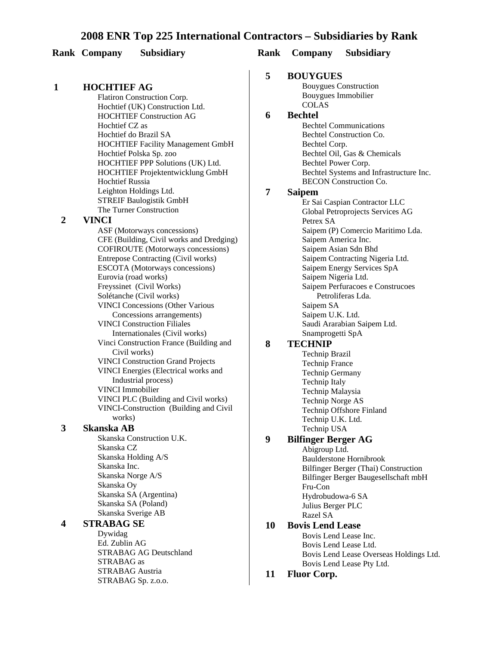#### **Rank Company Subsidiary Rank Company Subsidiary**

#### **1 HOCHTIEF AG**

Flatiron Construction Corp. Hochtief (UK) Construction Ltd. HOCHTIEF Construction AG Hochtief CZ as Hochtief do Brazil SA HOCHTIEF Facility Management GmbH Hochtief Polska Sp. zoo HOCHTIEF PPP Solutions (UK) Ltd. HOCHTIEF Projektentwicklung GmbH **Hochtief Russia** Leighton Holdings Ltd. STREIF Baulogistik GmbH The Turner Construction

#### **2 VINCI**

ASF (Motorways concessions) CFE (Building, Civil works and Dredging) COFIROUTE (Motorways concessions) Entrepose Contracting (Civil works) ESCOTA (Motorways concessions) Eurovia (road works) Freyssinet (Civil Works) Solétanche (Civil works) VINCI Concessions (Other Various Concessions arrangements) VINCI Construction Filiales Internationales (Civil works) Vinci Construction France (Building and Civil works) VINCI Construction Grand Projects VINCI Energies (Electrical works and Industrial process) VINCI Immobilier VINCI PLC (Building and Civil works) VINCI-Construction (Building and Civil works) **3 Skanska AB** Skanska Construction U.K.

Skanska CZ Skanska Holding A/S Skanska Inc. Skanska Norge A/S Skanska Oy Skanska SA (Argentina) Skanska SA (Poland) Skanska Sverige AB

### **4 STRABAG SE**

Dywidag Ed. Zublin AG STRABAG AG Deutschland STRABAG as STRABAG Austria STRABAG Sp. z.o.o.

#### **5 BOUYGUES**

Bouygues Construction Bouygues Immobilier COLAS

## **6 Bechtel**

Bechtel Communications Bechtel Construction Co. Bechtel Corp. Bechtel Oil, Gas & Chemicals Bechtel Power Corp. Bechtel Systems and Infrastructure Inc. BECON Construction Co.

#### **7 Saipem**

Er Sai Caspian Contractor LLC Global Petroprojects Services AG Petrex SA Saipem (P) Comercio Maritimo Lda. Saipem America Inc. Saipem Asian Sdn Bhd Saipem Contracting Nigeria Ltd. Saipem Energy Services SpA Saipem Nigeria Ltd. Saipem Perfuracoes e Construcoes Petroliferas Lda. Saipem SA Saipem U.K. Ltd. Saudi Ararabian Saipem Ltd. Snamprogetti SpA

#### **8 TECHNIP**

Technip Brazil Technip France Technip Germany Technip Italy Technip Malaysia Technip Norge AS Technip Offshore Finland Technip U.K. Ltd. Technip USA

#### **9 Bilfinger Berger AG**

Abigroup Ltd. Baulderstone Hornibrook Bilfinger Berger (Thai) Construction Bilfinger Berger Baugesellschaft mbH Fru-Con Hydrobudowa-6 SA Julius Berger PLC Razel SA

#### **10 Bovis Lend Lease**

Bovis Lend Lease Inc. Bovis Lend Lease Ltd. Bovis Lend Lease Overseas Holdings Ltd. Bovis Lend Lease Pty Ltd.

#### **11 Fluor Corp.**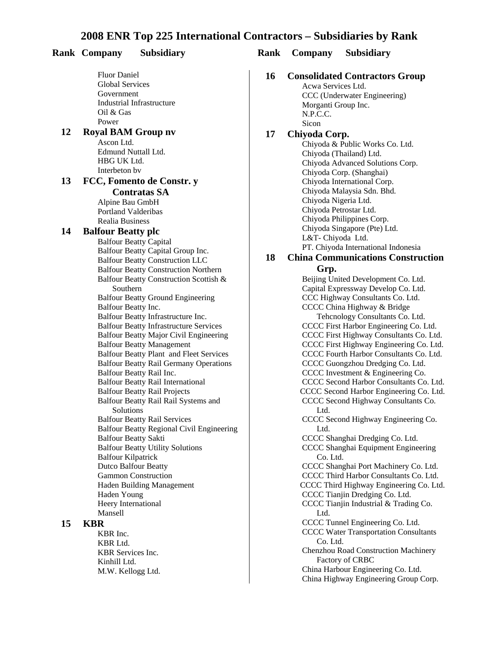#### **Rank Company Subsidiary Rank Company Subsidiary** Fluor Daniel Global Services Government Industrial Infrastructure Oil & Gas Power **12 Royal BAM Group nv** Ascon Ltd. Edmund Nuttall Ltd. HBG UK Ltd. Interbeton bv **13 FCC, Fomento de Constr. y Contratas SA** Alpine Bau GmbH Portland Valderibas Realia Business **14 Balfour Beatty plc Balfour Beatty Capital** Balfour Beatty Capital Group Inc. Balfour Beatty Construction LLC **Balfour Beatty Construction Northern** Balfour Beatty Construction Scottish & Southern Balfour Beatty Ground Engineering Balfour Beatty Inc. Balfour Beatty Infrastructure Inc. Balfour Beatty Infrastructure Services Balfour Beatty Major Civil Engineering Balfour Beatty Management Balfour Beatty Plant and Fleet Services Balfour Beatty Rail Germany Operations Balfour Beatty Rail Inc. Balfour Beatty Rail International **Balfour Beatty Rail Projects** Balfour Beatty Rail Rail Systems and Solutions Balfour Beatty Rail Services Balfour Beatty Regional Civil Engineering Balfour Beatty Sakti Balfour Beatty Utility Solutions

**16 Consolidated Contractors Group** Acwa Services Ltd.

CCC (Underwater Engineering) Morganti Group Inc. N.P.C.C. Sicon

#### **17 Chiyoda Corp.**

Chiyoda & Public Works Co. Ltd. Chiyoda (Thailand) Ltd. Chiyoda Advanced Solutions Corp. Chiyoda Corp. (Shanghai) Chiyoda International Corp. Chiyoda Malaysia Sdn. Bhd. Chiyoda Nigeria Ltd. Chiyoda Petrostar Ltd. Chiyoda Philippines Corp. Chiyoda Singapore (Pte) Ltd. L&T- Chiyoda Ltd. PT. Chiyoda International Indonesia

#### **18 China Communications Construction**

**Grp.** 

Beijing United Development Co. Ltd. Capital Expressway Develop Co. Ltd. CCC Highway Consultants Co. Ltd. CCCC China Highway & Bridge Tehcnology Consultants Co. Ltd. CCCC First Harbor Engineering Co. Ltd. CCCC First Highway Consultants Co. Ltd. CCCC First Highway Engineering Co. Ltd. CCCC Fourth Harbor Consultants Co. Ltd. CCCC Guongzhou Dredging Co. Ltd. CCCC Investment & Engineering Co. CCCC Second Harbor Consultants Co. Ltd. CCCC Second Harbor Engineering Co. Ltd. CCCC Second Highway Consultants Co. Ltd. CCCC Second Highway Engineering Co. Ltd. CCCC Shanghai Dredging Co. Ltd. CCCC Shanghai Equipment Engineering Co. Ltd. CCCC Shanghai Port Machinery Co. Ltd. CCCC Third Harbor Consultants Co. Ltd. CCCC Third Highway Engineering Co. Ltd. CCCC Tianjin Dredging Co. Ltd. CCCC Tianjin Industrial & Trading Co. Ltd. CCCC Tunnel Engineering Co. Ltd. CCCC Water Transportation Consultants Co. Ltd. Chenzhou Road Construction Machinery Factory of CRBC China Harbour Engineering Co. Ltd. China Highway Engineering Group Corp.

#### **15 KBR**

KBR Inc. KBR Ltd. KBR Services Inc. Kinhill Ltd. M.W. Kellogg Ltd.

Balfour Kilpatrick Dutco Balfour Beatty Gammon Construction Haden Building Management

Haden Young Heery International

Mansell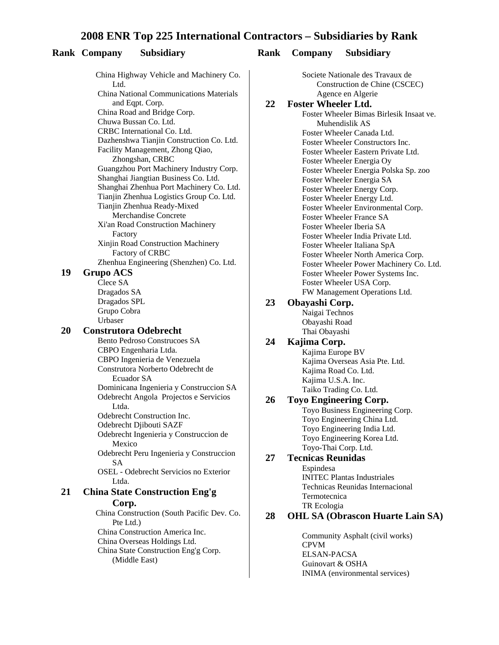#### **Rank Company Subsidiary Rank Company Subsidiary**

China Highway Vehicle and Machinery Co. L<sub>td</sub> China National Communications Materials and Eqpt. Corp. China Road and Bridge Corp. Chuwa Bussan Co. Ltd. CRBC International Co. Ltd. Dazhenshwa Tianjin Construction Co. Ltd. Facility Management, Zhong Qiao, Zhongshan, CRBC Guangzhou Port Machinery Industry Corp. Shanghai Jiangtian Business Co. Ltd. Shanghai Zhenhua Port Machinery Co. Ltd. Tianjin Zhenhua Logistics Group Co. Ltd. Tianjin Zhenhua Ready-Mixed Merchandise Concrete Xi'an Road Construction Machinery Factory Xinjin Road Construction Machinery Factory of CRBC Zhenhua Engineering (Shenzhen) Co. Ltd. **19 Grupo ACS** Clece SA Dragados SA Dragados SPL Grupo Cobra Urbaser **20 Construtora Odebrecht** Bento Pedroso Construcoes SA CBPO Engenharia Ltda. CBPO Ingenieria de Venezuela Construtora Norberto Odebrecht de Ecuador SA Dominicana Ingenieria y Construccion SA Odebrecht Angola Projectos e Servicios Ltda. Odebrecht Construction Inc. Odebrecht Djibouti SAZF Odebrecht Ingenieria y Construccion de Mexico Odebrecht Peru Ingenieria y Construccion SA OSEL - Odebrecht Servicios no Exterior Ltda. **21 China State Construction Eng'g Corp.** China Construction (South Pacific Dev. Co. Pte Ltd.) China Construction America Inc. China Overseas Holdings Ltd. China State Construction Eng'g Corp. (Middle East)

Societe Nationale des Travaux de Construction de Chine (CSCEC) Agence en Algerie

#### **22 Foster Wheeler Ltd.**

Foster Wheeler Bimas Birlesik Insaat ve. Muhendislik AS Foster Wheeler Canada Ltd. Foster Wheeler Constructors Inc. Foster Wheeler Eastern Private Ltd. Foster Wheeler Energia Oy Foster Wheeler Energia Polska Sp. zoo Foster Wheeler Energia SA Foster Wheeler Energy Corp. Foster Wheeler Energy Ltd. Foster Wheeler Environmental Corp. Foster Wheeler France SA Foster Wheeler Iberia SA Foster Wheeler India Private Ltd. Foster Wheeler Italiana SpA Foster Wheeler North America Corp. Foster Wheeler Power Machinery Co. Ltd. Foster Wheeler Power Systems Inc. Foster Wheeler USA Corp. FW Management Operations Ltd.

#### **23 Obayashi Corp.**

Naigai Technos Obayashi Road Thai Obayashi

#### **24 Kajima Corp.**

Kajima Europe BV Kajima Overseas Asia Pte. Ltd. Kajima Road Co. Ltd. Kajima U.S.A. Inc. Taiko Trading Co. Ltd.

#### **26 Toyo Engineering Corp.**

Toyo Business Engineering Corp. Toyo Engineering China Ltd. Toyo Engineering India Ltd. Toyo Engineering Korea Ltd. Toyo-Thai Corp. Ltd.

#### **27 Tecnicas Reunidas**

Espindesa INITEC Plantas Industriales Technicas Reunidas Internacional Termotecnica TR Ecologia

#### **28 OHL SA (Obrascon Huarte Lain SA)**

Community Asphalt (civil works) CPVM ELSAN-PACSA Guinovart & OSHA INIMA (environmental services)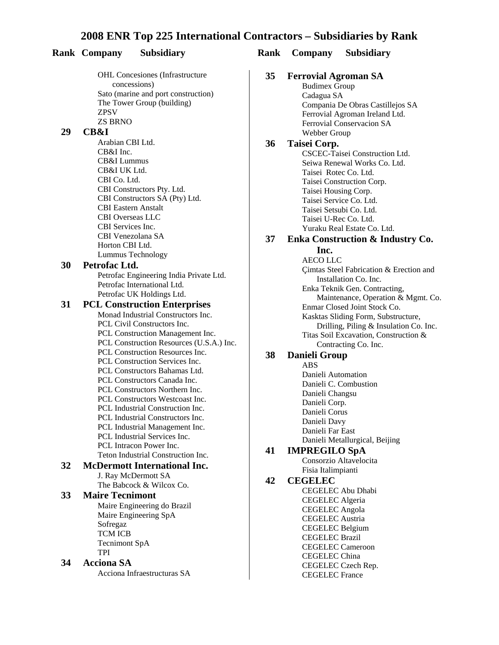**OHL Concesiones (Infrastructure)** concessions) Sato (marine and port construction) The Tower Group (building) ZPSV ZS BRNO **29 CB&I** Arabian CBI Ltd. CB&I Inc. CB&I Lummus CB&I UK Ltd. CBI Co. Ltd. CBI Constructors Pty. Ltd. CBI Constructors SA (Pty) Ltd. CBI Eastern Anstalt CBI Overseas LLC CBI Services Inc. CBI Venezolana SA Horton CBI Ltd. Lummus Technology **30 Petrofac Ltd.** Petrofac Engineering India Private Ltd. Petrofac International Ltd. Petrofac UK Holdings Ltd. **31 PCL Construction Enterprises** Monad Industrial Constructors Inc. **PCL Civil Constructors Inc. PCL Construction Management Inc.** PCL Construction Resources (U.S.A.) Inc. PCL Construction Resources Inc. **PCL Construction Services Inc.** PCL Constructors Bahamas Ltd. **PCL Constructors Canada Inc. PCL Constructors Northern Inc.** PCL Constructors Westcoast Inc. PCL Industrial Construction Inc. PCL Industrial Constructors Inc. PCL Industrial Management Inc. **PCL Industrial Services Inc.** PCL Intracon Power Inc. Teton Industrial Construction Inc. **32 McDermott International Inc.** J. Ray McDermott SA The Babcock & Wilcox Co. **33 Maire Tecnimont** Maire Engineering do Brazil Maire Engineering SpA Sofregaz TCM ICB Tecnimont SpA TPI **34 Acciona SA** Acciona Infraestructuras SA

#### **Rank Company Subsidiary Rank Company Subsidiary**

| 35 | <b>Ferrovial Agroman SA</b>      |
|----|----------------------------------|
|    | <b>Budimex Group</b>             |
|    | Cadagua SA                       |
|    | Compania De Obras Castillejos SA |
|    | Ferrovial Agroman Ireland Ltd.   |
|    | Ferrovial Conservacion SA        |
|    | Webber Group                     |

#### **36 Taisei Corp.**

CSCEC-Taisei Construction Ltd. Seiwa Renewal Works Co. Ltd. Taisei Rotec Co. Ltd. Taisei Construction Corp. Taisei Housing Corp. Taisei Service Co. Ltd. Taisei Setsubi Co. Ltd. Taisei U-Rec Co. Ltd. Yuraku Real Estate Co. Ltd.

## **37 Enka Construction & Industry Co.**

#### **Inc.**

AECO LLC Çimtas Steel Fabrication & Erection and Installation Co. Inc. Enka Teknik Gen. Contracting, Maintenance, Operation & Mgmt. Co. Enmar Closed Joint Stock Co. Kasktas Sliding Form, Substructure, Drilling, Piling & Insulation Co. Inc. Titas Soil Excavation, Construction & Contracting Co. Inc.

#### **38 Danieli Group**

ABS Danieli Automation Danieli C. Combustion Danieli Changsu Danieli Corp. Danieli Corus Danieli Davy Danieli Far East Danieli Metallurgical, Beijing

#### **41 IMPREGILO SpA**

Consorzio Altavelocita Fisia Italimpianti

#### **42 CEGELEC**

CEGELEC Abu Dhabi CEGELEC Algeria CEGELEC Angola CEGELEC Austria CEGELEC Belgium CEGELEC Brazil CEGELEC Cameroon CEGELEC China CEGELEC Czech Rep. CEGELEC France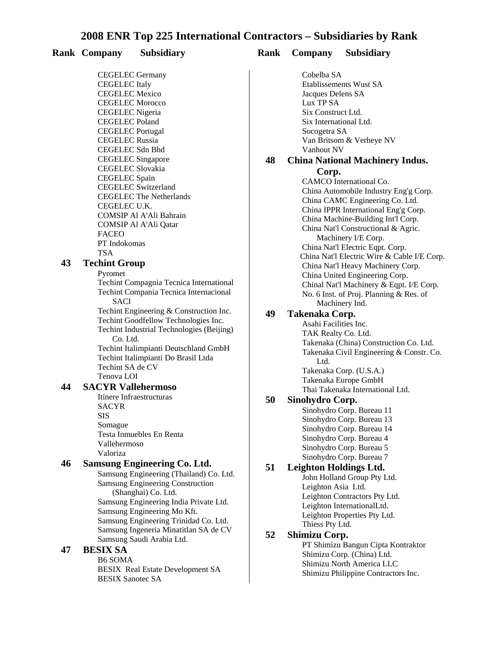#### **Rank Company Subsidiary Rank Company Subsidiary**

CEGELEC Germany CEGELEC Italy CEGELEC Mexico CEGELEC Morocco CEGELEC Nigeria CEGELEC Poland CEGELEC Portugal CEGELEC Russia CEGELEC Sdn Bhd CEGELEC Singapore CEGELEC Slovakia CEGELEC Spain CEGELEC Switzerland **CEGELEC The Netherlands** CEGELEC U.K. COMSIP Al A'Ali Bahrain COMSIP Al A'Ali Qatar FACEO PT Indokomas TSA

#### **43 Techint Group**

Pyromet Techint Compagnia Tecnica International Techint Compania Tecnica Internacional SACI

Techint Engineering & Construction Inc.

Techint Goodfellow Technologies Inc.

Techint Industrial Technologies (Beijing) Co. Ltd.

Techint Italimpianti Deutschland GmbH Techint Italimpianti Do Brasil Ltda Techint SA de CV Tenova LOI

#### **44 SACYR Vallehermoso**

Itinere Infraestructuras SACYR SIS Somague Testa Inmuebles En Renta Vallehermoso Valoriza

#### **46 Samsung Engineering Co. Ltd.**

Samsung Engineering (Thailand) Co. Ltd. Samsung Engineering Construction (Shanghai) Co. Ltd. Samsung Engineering India Private Ltd. Samsung Engineering Mo Kft. Samsung Engineering Trinidad Co. Ltd. Samsung Ingeneria Minatitlan SA de CV Samsung Saudi Arabia Ltd.

#### **47 BESIX SA**

B6 SOMA **BESIX** Real Estate Development SA **BESIX Sanotec SA** 

Cobelba SA Etablissements Wust SA Jacques Delens SA Lux TP SA Six Construct Ltd. Six International Ltd. Socogetra SA Van Britsom & Verheye NV Vanhout NV

## **48 China National Machinery Indus.**

**Corp.** CAMCO International Co. China Automobile Industry Eng'g Corp. China CAMC Engineering Co. Ltd. China IPPR International Eng'g Corp. China Machine-Building Int'l Corp. China Nat'l Constructional & Agric. Machinery I/E Corp. China Nat'l Electric Eqpt. Corp. China Nat'l Electric Wire & Cable I/E Corp. China Nat'l Heavy Machinery Corp. China United Engineering Corp. Chinal Nat'l Machinery & Eqpt. I/E Corp. No. 6 Inst. of Proj. Planning & Res. of Machinery Ind.

#### **49 Takenaka Corp.**

Asahi Facilities Inc. TAK Realty Co. Ltd. Takenaka (China) Construction Co. Ltd. Takenaka Civil Engineering & Constr. Co. Ltd. Takenaka Corp. (U.S.A.) Takenaka Europe GmbH Thai Takenaka International Ltd.

#### **50 Sinohydro Corp.**

Sinohydro Corp. Bureau 11 Sinohydro Corp. Bureau 13 Sinohydro Corp. Bureau 14 Sinohydro Corp. Bureau 4 Sinohydro Corp. Bureau 5 Sinohydro Corp. Bureau 7

#### **51 Leighton Holdings Ltd.**

John Holland Group Pty Ltd. Leighton Asia Ltd. Leighton Contractors Pty Ltd. Leighton InternationalLtd. Leighton Properties Pty Ltd. Thiess Pty Ltd.

#### **52 Shimizu Corp.**

PT Shimizu Bangun Cipta Kontraktor Shimizu Corp. (China) Ltd. Shimizu North America LLC Shimizu Philippine Contractors Inc.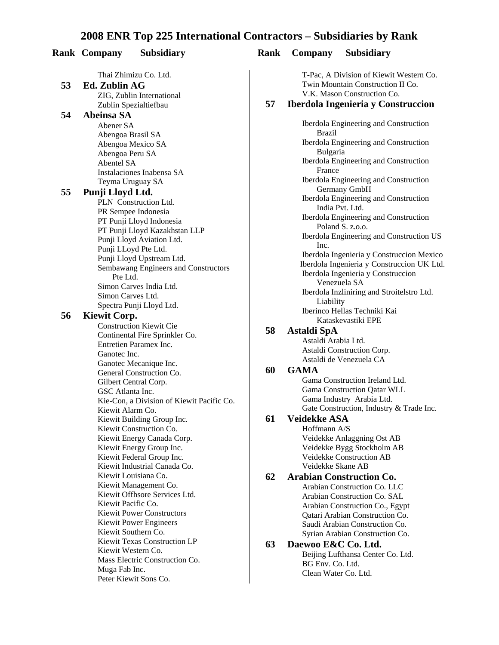|    | <b>Rank Company</b> | <b>Subsidiary</b>                                    | Rank | Company              | <b>Subsidiary</b>                 |
|----|---------------------|------------------------------------------------------|------|----------------------|-----------------------------------|
|    |                     | Thai Zhimizu Co. Ltd.                                |      |                      | T-Pac, A Division of Kiew         |
| 53 | Ed. Zublin AG       |                                                      |      |                      | <b>Twin Mountain Construction</b> |
|    |                     | ZIG, Zublin International                            |      |                      | V.K. Mason Construction (         |
|    |                     | Zublin Spezialtiefbau                                | 57   |                      | Iberdola Ingenieria y Co          |
| 54 | Abeinsa SA          |                                                      |      |                      |                                   |
|    | Abener SA           |                                                      |      |                      | Iberdola Engineering and C        |
|    | Abengoa Brasil SA   |                                                      |      | <b>Brazil</b>        |                                   |
|    |                     | Abengoa Mexico SA                                    |      |                      | Iberdola Engineering and C        |
|    | Abengoa Peru SA     |                                                      |      | Bulgaria             |                                   |
|    | Abentel SA          |                                                      |      | France               | Iberdola Engineering and C        |
|    |                     | Instalaciones Inabensa SA                            |      |                      | Iberdola Engineering and C        |
|    |                     | Teyma Uruguay SA                                     |      |                      | Germany GmbH                      |
| 55 | Punji Lloyd Ltd.    |                                                      |      |                      | Iberdola Engineering and C        |
|    |                     | PLN Construction Ltd.                                |      |                      | India Pvt. Ltd.                   |
|    |                     | PR Sempee Indonesia                                  |      |                      | Iberdola Engineering and C        |
|    |                     | PT Punji Lloyd Indonesia                             |      |                      | Poland S. z.o.o.                  |
|    |                     | PT Punji Lloyd Kazakhstan LLP                        |      |                      | Iberdola Engineering and C        |
|    |                     | Punji Lloyd Aviation Ltd.                            |      | Inc.                 |                                   |
|    |                     | Punji LLoyd Pte Ltd.                                 |      |                      | Iberdola Ingenieria y Const       |
|    |                     | Punji Lloyd Upstream Ltd.                            |      |                      | Iberdola Ingenieria y Const       |
|    | Pte Ltd.            | Sembawang Engineers and Constructors                 |      |                      | Iberdola Ingenieria y Const       |
|    |                     | Simon Carves India Ltd.                              |      |                      | Venezuela SA                      |
|    | Simon Carves Ltd.   |                                                      |      |                      | Iberdola Inzliniring and Str      |
|    |                     | Spectra Punji Lloyd Ltd.                             |      | Liability            |                                   |
| 56 | <b>Kiewit Corp.</b> |                                                      |      |                      | Iberinco Hellas Techniki K        |
|    |                     | <b>Construction Kiewit Cie</b>                       |      |                      | Kataskevastiki EPE                |
|    |                     | Continental Fire Sprinkler Co.                       | 58   | Astaldi SpA          |                                   |
|    |                     | Entretien Paramex Inc.                               |      | Astaldi Arabia Ltd.  |                                   |
|    | Ganotec Inc.        |                                                      |      |                      | Astaldi Construction Corp.        |
|    |                     | Ganotec Mecanique Inc.                               |      |                      | Astaldi de Venezuela CA           |
|    |                     | General Construction Co.                             | 60   | <b>GAMA</b>          |                                   |
|    |                     | Gilbert Central Corp.                                |      |                      | Gama Construction Ireland         |
|    | GSC Atlanta Inc.    |                                                      |      |                      | Gama Construction Qatar V         |
|    |                     | Kie-Con, a Division of Kiewit Pacific Co.            |      |                      | Gama Industry Arabia Ltd          |
|    | Kiewit Alarm Co.    |                                                      |      |                      | Gate Construction, Industry       |
|    |                     | Kiewit Building Group Inc.                           | 61   | <b>Veidekke ASA</b>  |                                   |
|    |                     | Kiewit Construction Co.                              |      | Hoffmann A/S         |                                   |
|    |                     | Kiewit Energy Canada Corp.                           |      |                      | Veidekke Anlaggning Ost           |
|    |                     | Kiewit Energy Group Inc.                             |      |                      | Veidekke Bygg Stockholm           |
|    |                     | Kiewit Federal Group Inc.                            |      |                      | Veidekke Construction AB          |
|    |                     | Kiewit Industrial Canada Co.                         |      | Veidekke Skane AB    |                                   |
|    |                     | Kiewit Louisiana Co.                                 | 62   |                      | <b>Arabian Construction Co</b>    |
|    |                     | Kiewit Management Co.                                |      |                      | Arabian Construction Co. I        |
|    |                     | Kiewit Offhsore Services Ltd.                        |      |                      | Arabian Construction Co. S        |
|    | Kiewit Pacific Co.  |                                                      |      |                      | Arabian Construction Co.,         |
|    |                     | <b>Kiewit Power Constructors</b>                     |      |                      | Qatari Arabian Constructio        |
|    |                     | <b>Kiewit Power Engineers</b><br>Kiewit Southern Co. |      |                      | Saudi Arabian Construction        |
|    |                     | Kiewit Texas Construction LP                         |      |                      | Syrian Arabian Constructio        |
|    |                     | Kiewit Western Co.                                   | 63   | Daewoo E&C Co. Ltd.  |                                   |
|    |                     | Mass Electric Construction Co.                       |      |                      | Beijing Lufthansa Center C        |
|    | Muga Fab Inc.       |                                                      |      | BG Env. Co. Ltd.     |                                   |
|    |                     | Peter Kiewit Sons Co.                                |      | Clean Water Co. Ltd. |                                   |
|    |                     |                                                      |      |                      |                                   |

T-Pac, A Division of Kiewit Western Co. Twin Mountain Construction II Co. V.K. Mason Construction Co.

#### **57 Iberdola Ingenieria y Construccion**

Iberdola Engineering and Construction Brazil Iberdola Engineering and Construction Bulgaria Iberdola Engineering and Construction France Iberdola Engineering and Construction Germany GmbH Iberdola Engineering and Construction India Pvt. Ltd. Iberdola Engineering and Construction Poland S. z.o.o. Iberdola Engineering and Construction US Inc. Iberdola Ingenieria y Construccion Mexico Iberdola Ingenieria y Construccion UK Ltd. Iberdola Ingenieria y Construccion Venezuela SA Iberdola Inzliniring and Stroitelstro Ltd. Liability Iberinco Hellas Techniki Kai Kataskevastiki EPE

#### **58 Astaldi SpA**

#### **60 GAMA**

Gama Construction Ireland Ltd. Gama Construction Qatar WLL Gama Industry Arabia Ltd. Gate Construction, Industry & Trade Inc.

#### **61 Veidekke ASA**

Hoffmann A/S Veidekke Anlaggning Ost AB Veidekke Bygg Stockholm AB Veidekke Construction AB Veidekke Skane AB

#### **62 Arabian Construction Co.** Arabian Construction Co. LLC Arabian Construction Co. SAL

Arabian Construction Co., Egypt Qatari Arabian Construction Co. Saudi Arabian Construction Co. Syrian Arabian Construction Co.

#### **63 Daewoo E&C Co. Ltd.** Beijing Lufthansa Center Co. Ltd. BG Env. Co. Ltd. Clean Water Co. Ltd.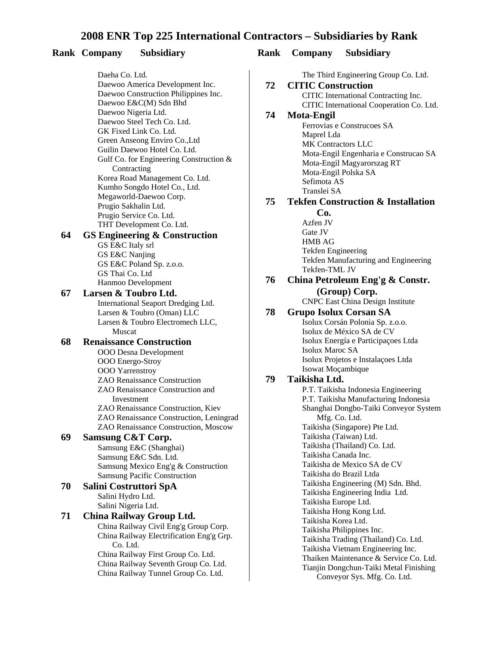#### **Rank Company Subsidiary Rank Company Subsidiary**

Daeha Co. Ltd. Daewoo America Development Inc. Daewoo Construction Philippines Inc. Daewoo E&C(M) Sdn Bhd Daewoo Nigeria Ltd. Daewoo Steel Tech Co. Ltd. GK Fixed Link Co. Ltd. Green Anseong Enviro Co.,Ltd Guilin Daewoo Hotel Co. Ltd. Gulf Co. for Engineering Construction & **Contracting** Korea Road Management Co. Ltd. Kumho Songdo Hotel Co., Ltd. Megaworld-Daewoo Corp. Prugio Sakhalin Ltd. Prugio Service Co. Ltd. THT Development Co. Ltd.

#### **64 GS Engineering & Construction**

GS E&C Italy srl GS E&C Nanjing GS E&C Poland Sp. z.o.o. GS Thai Co. Ltd Hanmoo Development

#### **67 Larsen & Toubro Ltd.** International Seaport Dredging Ltd. Larsen & Toubro (Oman) LLC Larsen & Toubro Electromech LLC, Muscat

#### **68 Renaissance Construction**

- OOO Desna Development OOO Energo-Stroy OOO Yarrenstroy ZAO Renaissance Construction ZAO Renaissance Construction and Investment ZAO Renaissance Construction, Kiev ZAO Renaissance Construction, Leningrad ZAO Renaissance Construction, Moscow **69 Samsung C&T Corp.** 
	- Samsung E&C (Shanghai) Samsung E&C Sdn. Ltd. Samsung Mexico Eng'g & Construction Samsung Pacific Construction

#### **70 Salini Costruttori SpA** Salini Hydro Ltd.

Salini Nigeria Ltd.

# **71 China Railway Group Ltd.**

China Railway Civil Eng'g Group Corp. China Railway Electrification Eng'g Grp. Co. Ltd.

China Railway First Group Co. Ltd. China Railway Seventh Group Co. Ltd. China Railway Tunnel Group Co. Ltd.

The Third Engineering Group Co. Ltd.

#### **72 CITIC Construction** CITIC International Contracting Inc. CITIC International Cooperation Co. Ltd.

# **74 Mota-Engil**

Ferrovias e Construcoes SA Maprel Lda MK Contractors LLC Mota-Engil Engenharia e Construcao SA Mota-Engil Magyarorszag RT Mota-Engil Polska SA Sefimota AS Translei SA

#### **75 Tekfen Construction & Installation**

**Co.** Azfen JV Gate JV HMB AG Tekfen Engineering Tekfen Manufacturing and Engineering Tekfen-TML JV

## **76 China Petroleum Eng'g & Constr. (Group) Corp.**

CNPC East China Design Institute

#### **78 Grupo Isolux Corsan SA**

Isolux Corsán Polonia Sp. z.o.o. Isolux de México SA de CV Isolux Energía e Participaçoes Ltda Isolux Maroc SA Isolux Projetos e Instalaçoes Ltda Isowat Moçambique

#### **79 Taikisha Ltd.**

P.T. Taikisha Indonesia Engineering P.T. Taikisha Manufacturing Indonesia Shanghai Dongbo-Taiki Conveyor System Mfg. Co. Ltd. Taikisha (Singapore) Pte Ltd. Taikisha (Taiwan) Ltd. Taikisha (Thailand) Co. Ltd. Taikisha Canada Inc. Taikisha de Mexico SA de CV Taikisha do Brazil Ltda Taikisha Engineering (M) Sdn. Bhd. Taikisha Engineering India Ltd. Taikisha Europe Ltd. Taikisha Hong Kong Ltd. Taikisha Korea Ltd. Taikisha Philippines Inc. Taikisha Trading (Thailand) Co. Ltd. Taikisha Vietnam Engineering Inc. Thaiken Maintenance & Service Co. Ltd. Tianjin Dongchun-Taiki Metal Finishing Conveyor Sys. Mfg. Co. Ltd.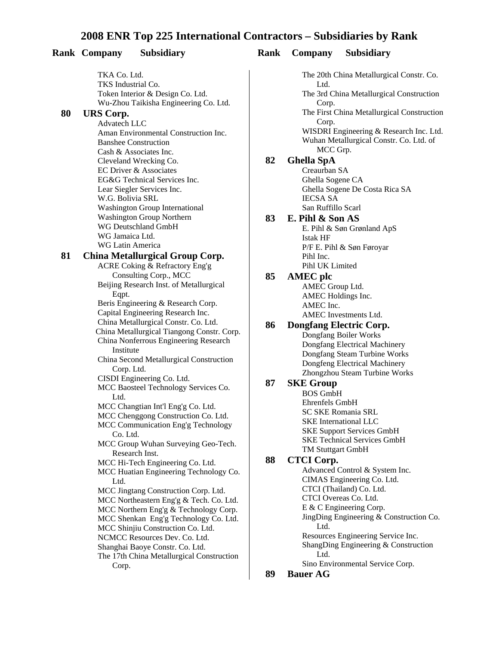#### **Rank Company Subsidiary Rank Company Subsidiary**

TKA Co. Ltd. TKS Industrial Co. Token Interior & Design Co. Ltd. Wu-Zhou Taikisha Engineering Co. Ltd.

#### **80 URS Corp.**

Advatech LLC Aman Environmental Construction Inc. Banshee Construction Cash & Associates Inc. Cleveland Wrecking Co. **EC Driver & Associates** EG&G Technical Services Inc. Lear Siegler Services Inc. W.G. Bolivia SRL Washington Group International Washington Group Northern WG Deutschland GmbH WG Jamaica Ltd. WG Latin America

#### **81 China Metallurgical Group Corp.**

ACRE Coking & Refractory Eng'g Consulting Corp., MCC Beijing Research Inst. of Metallurgical Eqpt. Beris Engineering & Research Corp. Capital Engineering Research Inc. China Metallurgical Constr. Co. Ltd. China Metallurgical Tiangong Constr. Corp. China Nonferrous Engineering Research Institute China Second Metallurgical Construction Corp. Ltd. CISDI Engineering Co. Ltd. MCC Baosteel Technology Services Co. Ltd. MCC Changtian Int'l Eng'g Co. Ltd. MCC Chenggong Construction Co. Ltd. MCC Communication Eng'g Technology Co. Ltd. MCC Group Wuhan Surveying Geo-Tech. Research Inst. MCC Hi-Tech Engineering Co. Ltd. MCC Huatian Engineering Technology Co. Ltd. MCC Jingtang Construction Corp. Ltd. MCC Northeastern Eng'g & Tech. Co. Ltd. MCC Northern Eng'g & Technology Corp. MCC Shenkan Eng'g Technology Co. Ltd. MCC Shinjiu Construction Co. Ltd. NCMCC Resources Dev. Co. Ltd. Shanghai Baoye Constr. Co. Ltd. The 17th China Metallurgical Construction Corp.

The 20th China Metallurgical Constr. Co.

Ltd. The 3rd China Metallurgical Construction Corp. The First China Metallurgical Construction Corp. WISDRI Engineering & Research Inc. Ltd. Wuhan Metallurgical Constr. Co. Ltd. of MCC Grp. **82 Ghella SpA** Creaurban SA Ghella Sogene CA Ghella Sogene De Costa Rica SA IECSA SA San Ruffillo Scarl **83 E. Pihl & Son AS** E. Pihl & Søn Grønland ApS Istak HF P/F E. Pihl & Søn Føroyar Pihl Inc. Pihl UK Limited **85 AMEC plc** AMEC Group Ltd. AMEC Holdings Inc. AMEC Inc. AMEC Investments Ltd. **86 Dongfang Electric Corp.** Dongfang Boiler Works Dongfang Electrical Machinery Dongfang Steam Turbine Works Dongfeng Electrical Machinery Zhongzhou Steam Turbine Works **87 SKE Group** BOS GmbH Ehrenfels GmbH SC SKE Romania SRL **SKE** International LLC **SKE Support Services GmbH SKE Technical Services GmbH** TM Stuttgart GmbH **88 CTCI Corp.** Advanced Control & System Inc. CIMAS Engineering Co. Ltd. CTCI (Thailand) Co. Ltd. CTCI Overeas Co. Ltd. E & C Engineering Corp. JingDing Engineering & Construction Co. Ltd. Resources Engineering Service Inc. ShangDing Engineering & Construction Ltd. Sino Environmental Service Corp. **89 Bauer AG**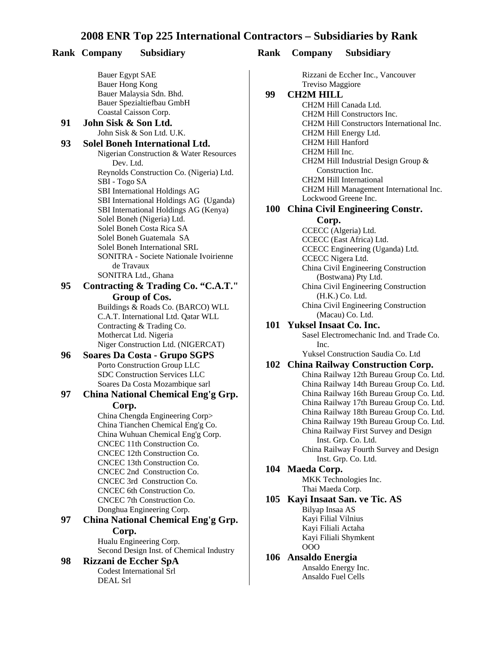#### **Rank Company Subsidiary Rank Company Subsidiary**

Bauer Egypt SAE Bauer Hong Kong Bauer Malaysia Sdn. Bhd. Bauer Spezialtiefbau GmbH Coastal Caisson Corp.

#### **91 John Sisk & Son Ltd.** John Sisk & Son Ltd. U.K. **93 Solel Boneh International Ltd.**

#### Nigerian Construction & Water Resources Dev. Ltd. Reynolds Construction Co. (Nigeria) Ltd. SBI - Togo SA SBI International Holdings AG SBI International Holdings AG (Uganda) SBI International Holdings AG (Kenya) Solel Boneh (Nigeria) Ltd. Solel Boneh Costa Rica SA Solel Boneh Guatemala SA Solel Boneh International SRL SONITRA - Societe Nationale Ivoirienne de Travaux

SONITRA Ltd., Ghana

#### **95 Contracting & Trading Co. "C.A.T." Group of Cos.**

Buildings & Roads Co. (BARCO) WLL C.A.T. International Ltd. Qatar WLL Contracting & Trading Co. Mothercat Ltd. Nigeria Niger Construction Ltd. (NIGERCAT)

#### **96 Soares Da Costa - Grupo SGPS** Porto Construction Group LLC SDC Construction Services LLC Soares Da Costa Mozambique sarl

#### **97 China National Chemical Eng'g Grp. Corp.**

China Chengda Engineering Corp> China Tianchen Chemical Eng'g Co. China Wuhuan Chemical Eng'g Corp. CNCEC 11th Construction Co. CNCEC 12th Construction Co. CNCEC 13th Construction Co. CNCEC 2nd Construction Co. CNCEC 3rd Construction Co. CNCEC 6th Construction Co. CNCEC 7th Construction Co. Donghua Engineering Corp.

## **97 China National Chemical Eng'g Grp. Corp.**

Hualu Engineering Corp. Second Design Inst. of Chemical Industry

#### **98 Rizzani de Eccher SpA**

Codest International Srl DEAL Srl

Rizzani de Eccher Inc., Vancouver **Treviso Maggiore**<br>**99 CH2M HILL** 

#### **99 CH2M HILL**

CH2M Hill Canada Ltd. CH2M Hill Constructors Inc. CH2M Hill Constructors International Inc. CH2M Hill Energy Ltd. CH2M Hill Hanford CH2M Hill Inc. CH2M Hill Industrial Design Group & Construction Inc. CH2M Hill International CH2M Hill Management International Inc. Lockwood Greene Inc.

#### **100 China Civil Engineering Constr.**

**Corp.** 

CCECC (Algeria) Ltd. CCECC (East Africa) Ltd. CCECC Engineering (Uganda) Ltd. CCECC Nigera Ltd. China Civil Engineering Construction (Bostwana) Pty Ltd. China Civil Engineering Construction (H.K.) Co. Ltd. China Civil Engineering Construction (Macau) Co. Ltd.

#### **101 Yuksel Insaat Co. Inc.**

Sasel Electromechanic Ind. and Trade Co. Inc.

#### Yuksel Construction Saudia Co. Ltd **102 China Railway Construction Corp.**

China Railway 12th Bureau Group Co. Ltd. China Railway 14th Bureau Group Co. Ltd. China Railway 16th Bureau Group Co. Ltd. China Railway 17th Bureau Group Co. Ltd. China Railway 18th Bureau Group Co. Ltd. China Railway 19th Bureau Group Co. Ltd. China Railway First Survey and Design Inst. Grp. Co. Ltd. China Railway Fourth Survey and Design Inst. Grp. Co. Ltd.

#### **104 Maeda Corp.**

**MKK** Technologies Inc. Thai Maeda Corp.

#### **105 Kayi Insaat San. ve Tic. AS**

Bilyap Insaa AS Kayi Filial Vilnius Kayi Filiali Actaha Kayi Filiali Shymkent OOO

#### **106 Ansaldo Energia**

Ansaldo Energy Inc. Ansaldo Fuel Cells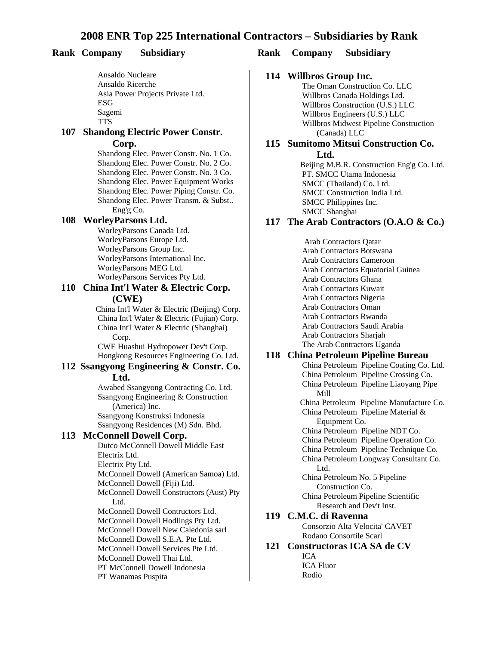Ansaldo Nucleare Ansaldo Ricerche Asia Power Projects Private Ltd. ESG Sagemi TTS

#### **107 Shandong Electric Power Constr. Corp.**

Shandong Elec. Power Constr. No. 1 Co. Shandong Elec. Power Constr. No. 2 Co. Shandong Elec. Power Constr. No. 3 Co. Shandong Elec. Power Equipment Works Shandong Elec. Power Piping Constr. Co. Shandong Elec. Power Transm. & Subst.. Eng'g Co.

#### **108 WorleyParsons Ltd.**

WorleyParsons Canada Ltd. WorleyParsons Europe Ltd. WorleyParsons Group Inc. WorleyParsons International Inc. WorleyParsons MEG Ltd. WorleyParsons Services Pty Ltd.

#### **110 China Int'l Water & Electric Corp. (CWE)**

China Int'l Water & Electric (Beijing) Corp. China Int'l Water & Electric (Fujian) Corp. China Int'l Water & Electric (Shanghai) Corp.

CWE Huashui Hydropower Dev't Corp. Hongkong Resources Engineering Co. Ltd.

#### **112 Ssangyong Engineering & Constr. Co. Ltd.**

Awabed Ssangyong Contracting Co. Ltd. Ssangyong Engineering & Construction (America) Inc. Ssangyong Konstruksi Indonesia Ssangyong Residences (M) Sdn. Bhd.

#### **113 McConnell Dowell Corp.**

Dutco McConnell Dowell Middle East Electrix Ltd. Electrix Pty Ltd. McConnell Dowell (American Samoa) Ltd. McConnell Dowell (Fiji) Ltd. McConnell Dowell Constructors (Aust) Pty Ltd. McConnell Dowell Contructors Ltd. McConnell Dowell Hodlings Pty Ltd. McConnell Dowell New Caledonia sarl McConnell Dowell S.E.A. Pte Ltd. McConnell Dowell Services Pte Ltd. McConnell Dowell Thai Ltd. PT McConnell Dowell Indonesia PT Wanamas Puspita

#### **Rank Company Subsidiary Rank Company Subsidiary**

#### **114 Willbros Group Inc.**

The Oman Construction Co. LLC Willbros Canada Holdings Ltd. Willbros Construction (U.S.) LLC Willbros Engineers (U.S.) LLC Willbros Midwest Pipeline Construction (Canada) LLC

#### **115 Sumitomo Mitsui Construction Co. Ltd.**

Beijing M.B.R. Construction Eng'g Co. Ltd. PT. SMCC Utama Indonesia SMCC (Thailand) Co. Ltd. SMCC Construction India Ltd. SMCC Philippines Inc. SMCC Shanghai

#### **117 The Arab Contractors (O.A.O & Co.)**

Arab Contractors Qatar Arab Contractors Botswana Arab Contractors Cameroon Arab Contractors Equatorial Guinea Arab Contractors Ghana Arab Contractors Kuwait Arab Contractors Nigeria Arab Contractors Oman Arab Contractors Rwanda Arab Contractors Saudi Arabia Arab Contractors Sharjah The Arab Contractors Uganda

#### **118 China Petroleum Pipeline Bureau**

China Petroleum Pipeline Coating Co. Ltd. China Petroleum Pipeline Crossing Co. China Petroleum Pipeline Liaoyang Pipe Mill China Petroleum Pipeline Manufacture Co. China Petroleum Pipeline Material & Equipment Co. China Petroleum Pipeline NDT Co. China Petroleum Pipeline Operation Co. China Petroleum Pipeline Technique Co. China Petroleum Longway Consultant Co. Ltd. China Petroleum No. 5 Pipeline Construction Co. China Petroleum Pipeline Scientific Research and Dev't Inst. **119 C.M.C. di Ravenna** Consorzio Alta Velocita' CAVET Rodano Consortile Scarl

## **121 Constructoras ICA SA de CV** ICA

ICA Fluor Rodio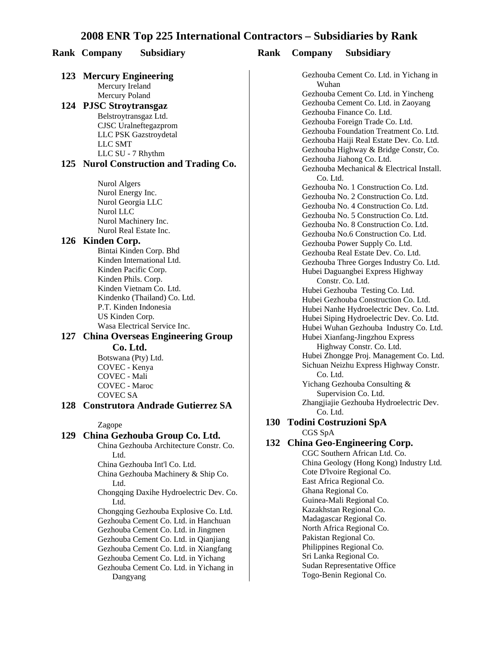#### **Rank Company Subsidiary Rank Company Subsidiary**

#### **123 Mercury Engineering** Mercury Ireland Mercury Poland

**124 PJSC Stroytransgaz** Belstroytransgaz Ltd. CJSC Uralneftegazprom LLC PSK Gazstroydetal LLC SMT LLC SU - 7 Rhythm

#### **125 Nurol Construction and Trading Co.**

Nurol Algers Nurol Energy Inc. Nurol Georgia LLC Nurol LLC Nurol Machinery Inc. Nurol Real Estate Inc.

#### **126 Kinden Corp.**

Bintai Kinden Corp. Bhd Kinden International Ltd. Kinden Pacific Corp. Kinden Phils. Corp. Kinden Vietnam Co. Ltd. Kindenko (Thailand) Co. Ltd. P.T. Kinden Indonesia US Kinden Corp. Wasa Electrical Service Inc.

#### **127 China Overseas Engineering Group Co. Ltd.**

Botswana (Pty) Ltd. COVEC - Kenya COVEC - Mali COVEC - Maroc COVEC SA

#### **128 Construtora Andrade Gutierrez SA**

Zagope

#### **129 China Gezhouba Group Co. Ltd.**

China Gezhouba Architecture Constr. Co. Ltd. China Gezhouba Int'l Co. Ltd. China Gezhouba Machinery & Ship Co. Ltd. Chongqing Daxihe Hydroelectric Dev. Co. Ltd. Chongqing Gezhouba Explosive Co. Ltd. Gezhouba Cement Co. Ltd. in Hanchuan Gezhouba Cement Co. Ltd. in Jingmen Gezhouba Cement Co. Ltd. in Qianjiang Gezhouba Cement Co. Ltd. in Xiangfang Gezhouba Cement Co. Ltd. in Yichang Gezhouba Cement Co. Ltd. in Yichang in Dangyang

Gezhouba Cement Co. Ltd. in Yichang in Wuhan Gezhouba Cement Co. Ltd. in Yincheng Gezhouba Cement Co. Ltd. in Zaoyang Gezhouba Finance Co. Ltd. Gezhouba Foreign Trade Co. Ltd. Gezhouba Foundation Treatment Co. Ltd. Gezhouba Haiji Real Estate Dev. Co. Ltd. Gezhouba Highway & Bridge Constr, Co. Gezhouba Jiahong Co. Ltd. Gezhouba Mechanical & Electrical Install. Co. Ltd. Gezhouba No. 1 Construction Co. Ltd. Gezhouba No. 2 Construction Co. Ltd. Gezhouba No. 4 Construction Co. Ltd. Gezhouba No. 5 Construction Co. Ltd. Gezhouba No. 8 Construction Co. Ltd. Gezhouba No.6 Construction Co. Ltd. Gezhouba Power Supply Co. Ltd. Gezhouba Real Estate Dev. Co. Ltd. Gezhouba Three Gorges Industry Co. Ltd. Hubei Daguangbei Express Highway Constr. Co. Ltd. Hubei Gezhouba Testing Co. Ltd. Hubei Gezhouba Construction Co. Ltd. Hubei Nanhe Hydroelectric Dev. Co. Ltd. Hubei Siping Hydroelectric Dev. Co. Ltd. Hubei Wuhan Gezhouba Industry Co. Ltd. Hubei Xianfang-Jingzhou Express Highway Constr. Co. Ltd. Hubei Zhongge Proj. Management Co. Ltd. Sichuan Neizhu Express Highway Constr. Co. Ltd. Yichang Gezhouba Consulting & Supervision Co. Ltd. Zhangjiajie Gezhouba Hydroelectric Dev. Co. Ltd.

#### **130 Todini Costruzioni SpA** CGS SpA

#### **132 China Geo-Engineering Corp.**

CGC Southern African Ltd. Co. China Geology (Hong Kong) Industry Ltd. Cote D'lvoire Regional Co. East Africa Regional Co. Ghana Regional Co. Guinea-Mali Regional Co. Kazakhstan Regional Co. Madagascar Regional Co. North Africa Regional Co. Pakistan Regional Co. Philippines Regional Co. Sri Lanka Regional Co. Sudan Representative Office Togo-Benin Regional Co.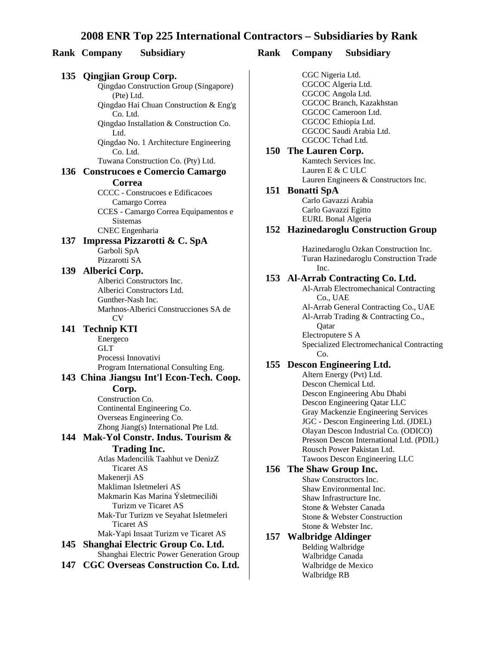#### **Rank Company Subsidiary Rank Company Subsidiary**

#### **135 Qingjian Group Corp.**  *<u>Oingdao Construction Group (Singapore)</u>* (Pte) Ltd. Qingdao Hai Chuan Construction & Eng'g Co. Ltd. Qingdao Installation & Construction Co. Ltd. Qingdao No. 1 Architecture Engineering Co. Ltd. Tuwana Construction Co. (Pty) Ltd. **136 Construcoes e Comercio Camargo Correa** CCCC - Construcoes e Edificacoes Camargo Correa CCES - Camargo Correa Equipamentos e Sistemas CNEC Engenharia **137 Impressa Pizzarotti & C. SpA** Garboli SpA Pizzarotti SA **139 Alberici Corp.** Alberici Constructors Inc. Alberici Constructors Ltd. Gunther-Nash Inc. Marhnos-Alberici Construcciones SA de CV **141 Technip KTI** Energeco GLT Processi Innovativi Program International Consulting Eng. **143 China Jiangsu Int'l Econ-Tech. Coop. Corp.** Construction Co. Continental Engineering Co. Overseas Engineering Co. Zhong Jiang(s) International Pte Ltd. **144 Mak-Yol Constr. Indus. Tourism & Trading Inc.** Atlas Madencilik Taahhut ve DenizZ Ticaret AS Makenerji AS Makliman Isletmeleri AS Makmarin Kas Marina Ýsletmeciliði Turizm ve Ticaret AS Mak-Tur Turizm ve Seyahat Isletmeleri Ticaret AS Mak-Yapi Insaat Turizm ve Ticaret AS **145 Shanghai Electric Group Co. Ltd.** Shanghai Electric Power Generation Group

**147 CGC Overseas Construction Co. Ltd.**

CGC Nigeria Ltd. CGCOC Algeria Ltd. CGCOC Angola Ltd. CGCOC Branch, Kazakhstan CGCOC Cameroon Ltd. CGCOC Ethiopia Ltd. CGCOC Saudi Arabia Ltd. CGCOC Tchad Ltd.

**150 The Lauren Corp.** Kamtech Services Inc. Lauren E & C ULC Lauren Engineers & Constructors Inc.

#### **151 Bonatti SpA**

Carlo Gavazzi Arabia Carlo Gavazzi Egitto EURL Bonal Algeria

#### **152 Hazinedaroglu Construction Group**

Hazinedaroglu Ozkan Construction Inc. Turan Hazinedaroglu Construction Trade Inc.

#### **153 Al-Arrab Contracting Co. Ltd.**

Al-Arrab Electromechanical Contracting Co., UAE Al-Arrab General Contracting Co., UAE Al-Arrab Trading & Contracting Co., Qatar Electroputere S A Specialized Electromechanical Contracting Co.

#### **155 Descon Engineering Ltd.**

Altern Energy (Pvt) Ltd. Descon Chemical Ltd. Descon Engineering Abu Dhabi Descon Engineering Qatar LLC Gray Mackenzie Engineering Services JGC - Descon Engineering Ltd. (JDEL) Olayan Descon Industrial Co. (ODICO) Presson Descon International Ltd. (PDIL) Rousch Power Pakistan Ltd. Tawoos Descon Engineering LLC

#### **156 The Shaw Group Inc.**

Shaw Constructors Inc. Shaw Environmental Inc. Shaw Infrastructure Inc. Stone & Webster Canada Stone & Webster Construction Stone & Webster Inc.

#### **157 Walbridge Aldinger** Belding Walbridge Walbridge Canada Walbridge de Mexico Walbridge RB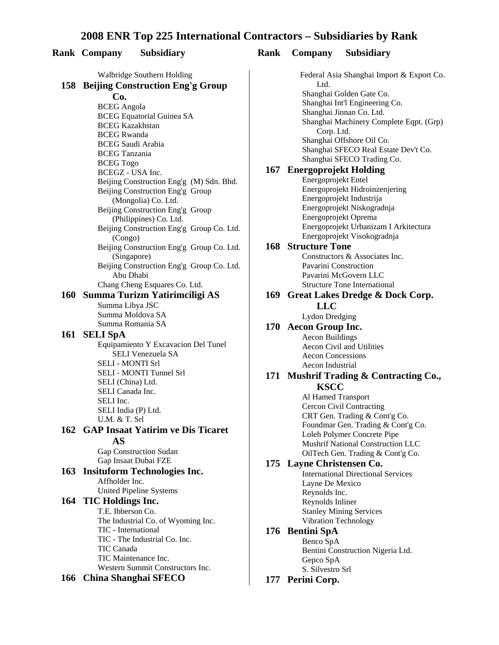#### **Rank Company Subsidiary Rank Company Subsidiary**

#### Walbridge Southern Holding **158 Beijing Construction Eng'g Group Co.** BCEG Angola BCEG Equatorial Guinea SA BCEG Kazakhstan BCEG Rwanda BCEG Saudi Arabia BCEG Tanzania BCEG Togo BCEGZ - USA Inc. Beijing Construction Eng'g (M) Sdn. Bhd. Beijing Construction Eng'g Group (Mongolia) Co. Ltd. Beijing Construction Eng'g Group (Philippines) Co. Ltd. Beijing Construction Eng'g Group Co. Ltd. (Congo) Beijing Construction Eng'g Group Co. Ltd. (Singapore) Beijing Construction Eng'g Group Co. Ltd. Abu Dhabi Chang Cheng Esquares Co. Ltd. **160 Summa Turizm Yatirimciligi AS** Summa Libya JSC Summa Moldova SA Summa Romania SA **161 SELI SpA** Equipamiento Y Excavacion Del Tunel SELI Venezuela SA SELI - MONTI Srl SELI - MONTI Tunnel Srl SELI (China) Ltd. SELI Canada Inc. SELI Inc. SELI India (P) Ltd. U.M. & T. Srl **162 GAP Insaat Yatirim ve Dis Ticaret AS** Gap Construction Sudan Gap Insaat Dubai FZE **163 Insituform Technologies Inc.** Affholder Inc. United Pipeline Systems **164 TIC Holdings Inc.** T.E. Ibberson Co. The Industrial Co. of Wyoming Inc. TIC - International TIC - The Industrial Co. Inc. TIC Canada

TIC Maintenance Inc. Western Summit Constructors Inc.

#### **166 China Shanghai SFECO**

Federal Asia Shanghai Import & Export Co. L<sub>td</sub> Shanghai Golden Gate Co. Shanghai Int'l Engineering Co. Shanghai Jinnan Co. Ltd. Shanghai Machinery Complete Eqpt. (Grp) Corp. Ltd. Shanghai Offshore Oil Co. Shanghai SFECO Real Estate Dev't Co. Shanghai SFECO Trading Co. **167 Energoprojekt Holding** Energoprojekt Entel Energoprojekt Hidroinzenjering Energoprojekt Industrija Energoprojekt Niskogradnja Energoprojekt Oprema Energoprojekt Urbanizam I Arkitectura Energoprojekt Visokogradnja **168 Structure Tone** Constructors & Associates Inc. Pavarini Construction Pavarini McGovern LLC Structure Tone International **169 Great Lakes Dredge & Dock Corp. LLC** Lydon Dredging **170 Aecon Group Inc.** Aecon Buildings Aecon Civil and Utilities Aecon Concessions Aecon Industrial **171 Mushrif Trading & Contracting Co., KSCC** Al Hamed Transport Cercon Civil Contracting CRT Gen. Trading & Cont'g Co. Foundmar Gen. Trading & Cont'g Co. Loleh Polymer Concrete Pipe Mushrif National Construction LLC OilTech Gen. Trading & Cont'g Co. **175 Layne Christensen Co.** International Directional Services Layne De Mexico Reynolds Inc. Reynolds Inliner

#### **176 Bentini SpA**

Benco SpA Bentini Construction Nigeria Ltd. Gepco SpA S. Silvestro Srl

Stanley Mining Services Vibration Technology

#### **177 Perini Corp.**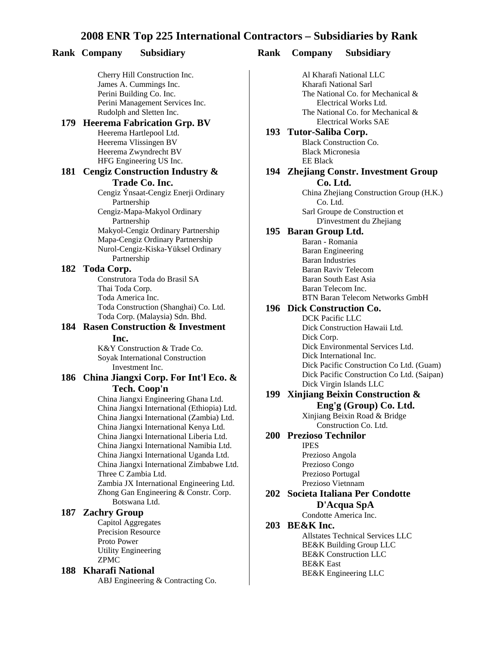#### **Rank Company Subsidiary Rank Company Subsidiary**

Cherry Hill Construction Inc. James A. Cummings Inc. Perini Building Co. Inc. Perini Management Services Inc. Rudolph and Sletten Inc.

#### **179 Heerema Fabrication Grp. BV**

Heerema Hartlepool Ltd. Heerema Vlissingen BV Heerema Zwyndrecht BV HFG Engineering US Inc.

#### **181 Cengiz Construction Industry & Trade Co. Inc.**

Cengiz Ýnsaat-Cengiz Enerji Ordinary Partnership Cengiz-Mapa-Makyol Ordinary Partnership Makyol-Cengiz Ordinary Partnership Mapa-Cengiz Ordinary Partnership Nurol-Cengiz-Kiska-Yüksel Ordinary Partnership

#### **182 Toda Corp.**

Construtora Toda do Brasil SA Thai Toda Corp. Toda America Inc. Toda Construction (Shanghai) Co. Ltd. Toda Corp. (Malaysia) Sdn. Bhd.

#### **184 Rasen Construction & Investment Inc.**

K&Y Construction & Trade Co. Soyak International Construction Investment Inc.

#### **186 China Jiangxi Corp. For Int'l Eco. & Tech. Coop'n**

China Jiangxi Engineering Ghana Ltd. China Jiangxi International (Ethiopia) Ltd. China Jiangxi International (Zambia) Ltd. China Jiangxi International Kenya Ltd. China Jiangxi International Liberia Ltd. China Jiangxi International Namibia Ltd. China Jiangxi International Uganda Ltd. China Jiangxi International Zimbabwe Ltd. Three C Zambia Ltd. Zambia JX International Engineering Ltd. Zhong Gan Engineering & Constr. Corp. Botswana Ltd.

#### **187 Zachry Group**

Capitol Aggregates Precision Resource Proto Power Utility Engineering ZPMC

#### **188 Kharafi National**

ABJ Engineering & Contracting Co.

Al Kharafi National LLC Kharafi National Sarl The National Co. for Mechanical & Electrical Works Ltd. The National Co. for Mechanical & Electrical Works SAE

#### **193 Tutor-Saliba Corp.** Black Construction Co.

Black Micronesia EE Black

#### **194 Zhejiang Constr. Investment Group Co. Ltd.**

China Zhejiang Construction Group (H.K.) Co. Ltd. Sarl Groupe de Construction et D'investment du Zhejiang

#### **195 Baran Group Ltd.**

Baran - Romania Baran Engineering Baran Industries Baran Raviv Telecom Baran South East Asia Baran Telecom Inc. BTN Baran Telecom Networks GmbH

## **196 Dick Construction Co.**

DCK Pacific LLC Dick Construction Hawaii Ltd. Dick Corp. Dick Environmental Services Ltd. Dick International Inc. Dick Pacific Construction Co Ltd. (Guam) Dick Pacific Construction Co Ltd. (Saipan) Dick Virgin Islands LLC

#### **199 Xinjiang Beixin Construction & Eng'g (Group) Co. Ltd.**

Xinjiang Beixin Road & Bridge Construction Co. Ltd.

#### **200 Prezioso Technilor**

IPES Prezioso Angola Prezioso Congo Prezioso Portugal Prezioso Vietnnam

#### **202 Societa Italiana Per Condotte D'Acqua SpA**

Condotte America Inc.

#### **203 BE&K Inc.**

Allstates Technical Services LLC BE&K Building Group LLC BE&K Construction LLC BE&K East BE&K Engineering LLC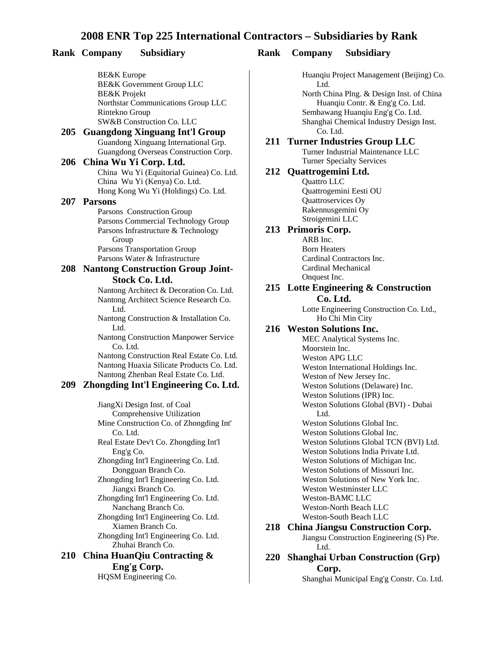#### **Rank Company Subsidiary Rank Company Subsidiary**

BE&K Europe BE&K Government Group LLC BE&K Projekt Northstar Communications Group LLC Rintekno Group SW&B Construction Co. LLC

#### **205 Guangdong Xinguang Int'l Group** Guandong Xinguang International Grp. Guangdong Overseas Construction Corp.

#### **206 China Wu Yi Corp. Ltd.**

China Wu Yi (Equitorial Guinea) Co. Ltd. China Wu Yi (Kenya) Co. Ltd. Hong Kong Wu Yi (Holdings) Co. Ltd.

#### **207 Parsons**

Parsons Construction Group Parsons Commercial Technology Group Parsons Infrastructure & Technology Group Parsons Transportation Group Parsons Water & Infrastructure

#### **208 Nantong Construction Group Joint-Stock Co. Ltd.**

Nantong Architect & Decoration Co. Ltd. Nantong Architect Science Research Co. L<sub>td</sub>

Nantong Construction & Installation Co. Ltd.

Nantong Construction Manpower Service Co. Ltd.

Nantong Construction Real Estate Co. Ltd. Nantong Huaxia Silicate Products Co. Ltd. Nantong Zhenban Real Estate Co. Ltd.

#### **209 Zhongding Int'l Engineering Co. Ltd.**

JiangXi Design Inst. of Coal Comprehensive Utilization Mine Construction Co. of Zhongding Int' Co. Ltd. Real Estate Dev't Co. Zhongding Int'l Eng'g Co. Zhongding Int'l Engineering Co. Ltd. Dongguan Branch Co. Zhongding Int'l Engineering Co. Ltd. Jiangxi Branch Co. Zhongding Int'l Engineering Co. Ltd. Nanchang Branch Co. Zhongding Int'l Engineering Co. Ltd. Xiamen Branch Co. Zhongding Int'l Engineering Co. Ltd. Zhuhai Branch Co. **210 China HuanQiu Contracting & Eng'g Corp.** 

HQSM Engineering Co.

Huanqiu Project Management (Beijing) Co. L<sub>td</sub>

North China Plng. & Design Inst. of China Huanqiu Contr. & Eng'g Co. Ltd. Sembawang Huanqiu Eng'g Co. Ltd. Shanghai Chemical Industry Design Inst. Co. Ltd.

#### **211 Turner Industries Group LLC** Turner Industrial Maintenance LLC

Turner Specialty Services

## **212 Quattrogemini Ltd.**

Quattro LLC Quattrogemini Eesti OU Quattroservices Oy Rakennusgemini Oy Stroigemini LLC

#### **213 Primoris Corp.**

ARB Inc. Born Heaters Cardinal Contractors Inc. Cardinal Mechanical Onquest Inc.

## **215 Lotte Engineering & Construction**

**Co. Ltd.** Lotte Engineering Construction Co. Ltd., Ho Chi Min City

#### **216 Weston Solutions Inc.**

MEC Analytical Systems Inc. Moorstein Inc. Weston APG LLC Weston International Holdings Inc. Weston of New Jersey Inc. Weston Solutions (Delaware) Inc. Weston Solutions (IPR) Inc. Weston Solutions Global (BVI) - Dubai Ltd. Weston Solutions Global Inc. Weston Solutions Global Inc. Weston Solutions Global TCN (BVI) Ltd. Weston Solutions India Private Ltd. Weston Solutions of Michigan Inc. Weston Solutions of Missouri Inc. Weston Solutions of New York Inc. Weston Westminster LLC Weston-BAMC LLC Weston-North Beach LLC Weston-South Beach LLC

#### **218 China Jiangsu Construction Corp.**

Jiangsu Construction Engineering (S) Pte. Ltd.

**220 Shanghai Urban Construction (Grp) Corp.** 

Shanghai Municipal Eng'g Constr. Co. Ltd.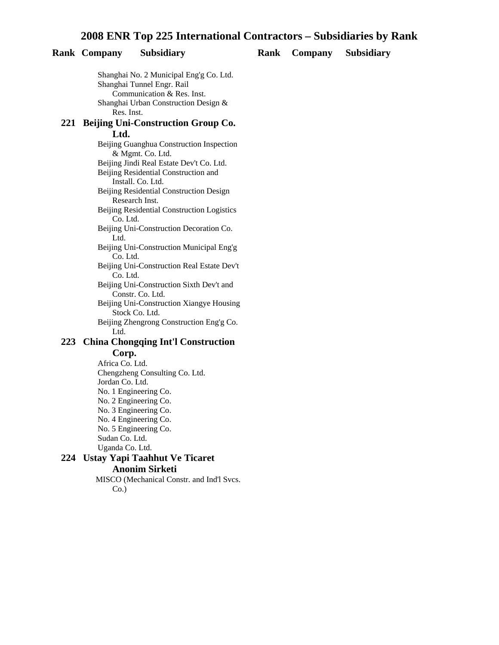#### **Rank Company Subsidiary Rank Company Subsidiary**

Shanghai No. 2 Municipal Eng'g Co. Ltd. Shanghai Tunnel Engr. Rail Communication & Res. Inst. Shanghai Urban Construction Design & Res. Inst. **221 Beijing Uni-Construction Group Co. Ltd.** Beijing Guanghua Construction Inspection & Mgmt. Co. Ltd. Beijing Jindi Real Estate Dev't Co. Ltd. Beijing Residential Construction and Install. Co. Ltd.

> Beijing Residential Construction Design Research Inst.

Beijing Residential Construction Logistics Co. Ltd.

Beijing Uni-Construction Decoration Co. Ltd.

Beijing Uni-Construction Municipal Eng'g Co. Ltd.

Beijing Uni-Construction Real Estate Dev't Co. Ltd.

Beijing Uni-Construction Sixth Dev't and Constr. Co. Ltd.

Beijing Uni-Construction Xiangye Housing Stock Co. Ltd.

Beijing Zhengrong Construction Eng'g Co. Ltd.

#### **223 China Chongqing Int'l Construction Corp.**

Africa Co. Ltd. Chengzheng Consulting Co. Ltd. Jordan Co. Ltd. No. 1 Engineering Co. No. 2 Engineering Co. No. 3 Engineering Co. No. 4 Engineering Co. No. 5 Engineering Co. Sudan Co. Ltd. Uganda Co. Ltd.

#### **224 Ustay Yapi Taahhut Ve Ticaret Anonim Sirketi**

MISCO (Mechanical Constr. and Ind'l Svcs.  $Co.$ )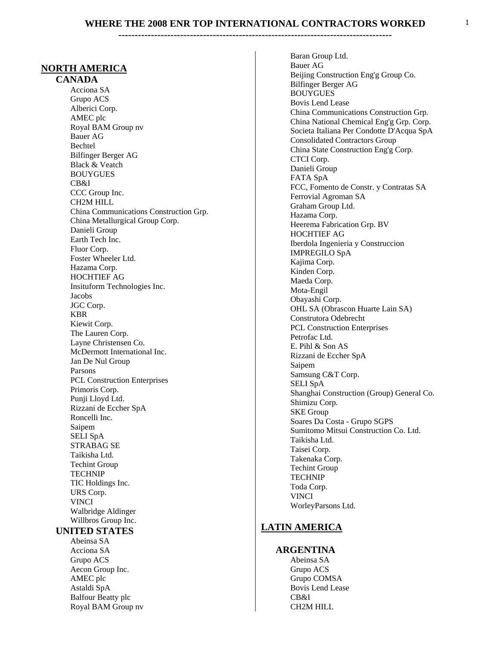#### **NORTH AMERICA**

#### **CANADA**

Acciona SA Grupo ACS Alberici Corp. AMEC plc Royal BAM Group nv Bauer AG Bechtel Bilfinger Berger AG **Black & Veatch** BOUYGUES CB&I CCC Group Inc. CH2M HILL China Communications Construction Grp. China Metallurgical Group Corp. Danieli Group Earth Tech Inc. Fluor Corp. Foster Wheeler Ltd. Hazama Corp. HOCHTIEF AG Insituform Technologies Inc. Jacobs JGC Corp. KBR Kiewit Corp. The Lauren Corp. Layne Christensen Co. McDermott International Inc. Jan De Nul Group Parsons PCL Construction Enterprises Primoris Corp. Punji Lloyd Ltd. Rizzani de Eccher SpA Roncelli Inc. Saipem SELI SpA STRABAG SE Taikisha Ltd. Techint Group TECHNIP TIC Holdings Inc. URS Corp. VINCI Walbridge Aldinger Willbros Group Inc.

#### **UNITED STATES**

Abeinsa SA Acciona SA Grupo ACS Aecon Group Inc. AMEC plc Astaldi SpA Balfour Beatty plc Royal BAM Group nv Baran Group Ltd. Bauer AG Beijing Construction Eng'g Group Co. Bilfinger Berger AG BOUYGUES Bovis Lend Lease China Communications Construction Grp. China National Chemical Eng'g Grp. Corp. Societa Italiana Per Condotte D'Acqua SpA Consolidated Contractors Group China State Construction Eng'g Corp. CTCI Corp. Danieli Group FATA SpA FCC, Fomento de Constr. y Contratas SA Ferrovial Agroman SA Graham Group Ltd. Hazama Corp. Heerema Fabrication Grp. BV HOCHTIEF AG Iberdola Ingenieria y Construccion IMPREGILO SpA Kajima Corp. Kinden Corp. Maeda Corp. Mota-Engil Obayashi Corp. **OHL SA (Obrascon Huarte Lain SA)** Construtora Odebrecht **PCL Construction Enterprises** Petrofac Ltd. E. Pihl & Son AS Rizzani de Eccher SpA Saipem Samsung C&T Corp. SELI SpA Shanghai Construction (Group) General Co. Shimizu Corp. SKE Group Soares Da Costa - Grupo SGPS Sumitomo Mitsui Construction Co. Ltd. Taikisha Ltd. Taisei Corp. Takenaka Corp. Techint Group TECHNIP Toda Corp. VINCI WorleyParsons Ltd.

#### **LATIN AMERICA**

#### **ARGENTINA**

Abeinsa SA Grupo ACS Grupo COMSA Bovis Lend Lease CB&I CH2M HILL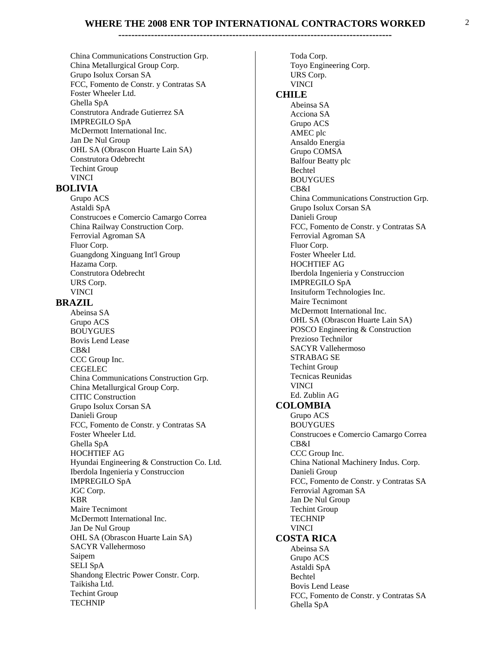**------------------------------------------------------------------------------------** 

China Communications Construction Grp. China Metallurgical Group Corp. Grupo Isolux Corsan SA FCC, Fomento de Constr. y Contratas SA Foster Wheeler Ltd. Ghella SpA Construtora Andrade Gutierrez SA IMPREGILO SpA McDermott International Inc. Jan De Nul Group OHL SA (Obrascon Huarte Lain SA) Construtora Odebrecht Techint Group VINCI

#### **BOLIVIA**

Grupo ACS Astaldi SpA Construcoes e Comercio Camargo Correa China Railway Construction Corp. Ferrovial Agroman SA Fluor Corp. Guangdong Xinguang Int'l Group Hazama Corp. Construtora Odebrecht URS Corp. VINCI

#### **BRAZIL**

Abeinsa SA Grupo ACS BOUYGUES Bovis Lend Lease CB&I CCC Group Inc. CEGELEC China Communications Construction Grp. China Metallurgical Group Corp. CITIC Construction Grupo Isolux Corsan SA Danieli Group FCC, Fomento de Constr. y Contratas SA Foster Wheeler Ltd. Ghella SpA HOCHTIEF AG Hyundai Engineering & Construction Co. Ltd. Iberdola Ingenieria y Construccion IMPREGILO SpA JGC Corp. KBR Maire Tecnimont McDermott International Inc. Jan De Nul Group OHL SA (Obrascon Huarte Lain SA) SACYR Vallehermoso Saipem SELI SpA Shandong Electric Power Constr. Corp. Taikisha Ltd. Techint Group TECHNIP

Toda Corp. Toyo Engineering Corp. URS Corp. VINCI  **CHILE** Abeinsa SA Acciona SA Grupo ACS AMEC plc Ansaldo Energia Grupo COMSA Balfour Beatty plc Bechtel BOUYGUES CB&I China Communications Construction Grp. Grupo Isolux Corsan SA Danieli Group FCC, Fomento de Constr. y Contratas SA Ferrovial Agroman SA Fluor Corp. Foster Wheeler Ltd. HOCHTIEF AG Iberdola Ingenieria y Construccion IMPREGILO SpA Insituform Technologies Inc. Maire Tecnimont McDermott International Inc. OHL SA (Obrascon Huarte Lain SA) POSCO Engineering & Construction Prezioso Technilor SACYR Vallehermoso STRABAG SE Techint Group Tecnicas Reunidas VINCI Ed. Zublin AG  **COLOMBIA** Grupo ACS BOUYGUES Construcoes e Comercio Camargo Correa CB&I CCC Group Inc. China National Machinery Indus. Corp. Danieli Group FCC, Fomento de Constr. y Contratas SA Ferrovial Agroman SA Jan De Nul Group Techint Group TECHNIP VINCI  **COSTA RICA** Abeinsa SA Grupo ACS Astaldi SpA Bechtel Bovis Lend Lease FCC, Fomento de Constr. y Contratas SA Ghella SpA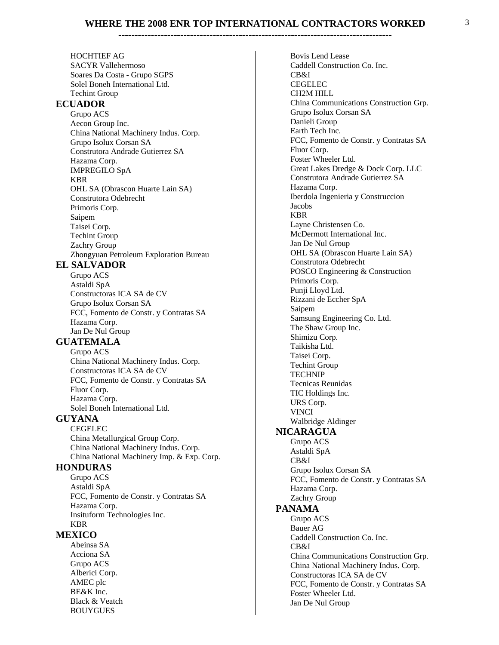**------------------------------------------------------------------------------------** 

HOCHTIEF AG SACYR Vallehermoso Soares Da Costa - Grupo SGPS Solel Boneh International Ltd. Techint Group  **ECUADOR** Grupo ACS Aecon Group Inc. China National Machinery Indus. Corp. Grupo Isolux Corsan SA Construtora Andrade Gutierrez SA Hazama Corp. IMPREGILO SpA KBR OHL SA (Obrascon Huarte Lain SA) Construtora Odebrecht Primoris Corp. Saipem Taisei Corp. Techint Group Zachry Group Zhongyuan Petroleum Exploration Bureau  **EL SALVADOR** Grupo ACS Astaldi SpA Constructoras ICA SA de CV Grupo Isolux Corsan SA FCC, Fomento de Constr. y Contratas SA Hazama Corp. Jan De Nul Group  **GUATEMALA** Grupo ACS China National Machinery Indus. Corp. Constructoras ICA SA de CV FCC, Fomento de Constr. y Contratas SA Fluor Corp. Hazama Corp. Solel Boneh International Ltd.  **GUYANA** CEGELEC China Metallurgical Group Corp. China National Machinery Indus. Corp. China National Machinery Imp. & Exp. Corp.  **HONDURAS** Grupo ACS Astaldi SpA FCC, Fomento de Constr. y Contratas SA Hazama Corp. Insituform Technologies Inc. KBR  **MEXICO** Abeinsa SA Acciona SA Grupo ACS Alberici Corp. AMEC plc BE&K Inc. Black & Veatch

BOUYGUES

Bovis Lend Lease Caddell Construction Co. Inc. CB&I CEGELEC CH2M HILL China Communications Construction Grp. Grupo Isolux Corsan SA Danieli Group Earth Tech Inc. FCC, Fomento de Constr. y Contratas SA Fluor Corp. Foster Wheeler Ltd. Great Lakes Dredge & Dock Corp. LLC Construtora Andrade Gutierrez SA Hazama Corp. Iberdola Ingenieria y Construccion Jacobs KBR Layne Christensen Co. McDermott International Inc. Jan De Nul Group OHL SA (Obrascon Huarte Lain SA) Construtora Odebrecht POSCO Engineering & Construction Primoris Corp. Punji Lloyd Ltd. Rizzani de Eccher SpA Saipem Samsung Engineering Co. Ltd. The Shaw Group Inc. Shimizu Corp. Taikisha Ltd. Taisei Corp. Techint Group TECHNIP Tecnicas Reunidas TIC Holdings Inc. URS Corp. VINCI Walbridge Aldinger  **NICARAGUA** Grupo ACS Astaldi SpA CB&I Grupo Isolux Corsan SA FCC, Fomento de Constr. y Contratas SA Hazama Corp. Zachry Group  **PANAMA** Grupo ACS Bauer AG Caddell Construction Co. Inc. CB&I China Communications Construction Grp. China National Machinery Indus. Corp. Constructoras ICA SA de CV FCC, Fomento de Constr. y Contratas SA Foster Wheeler Ltd. Jan De Nul Group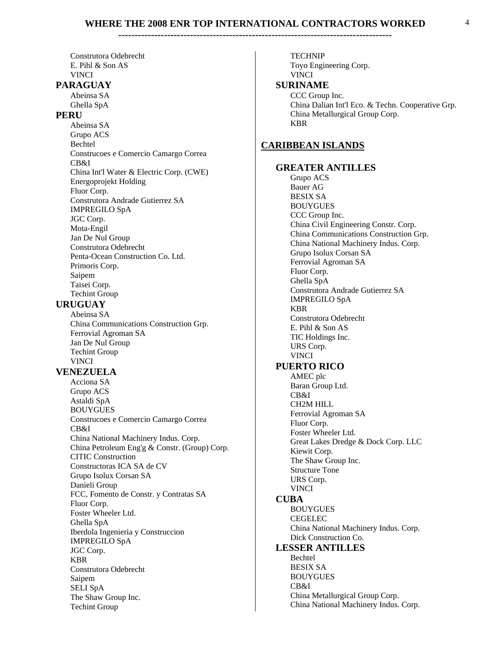Construtora Odebrecht E. Pihl & Son AS VINCI

#### **PARAGUAY**

Abeinsa SA Ghella SpA

#### **PERU**

Abeinsa SA Grupo ACS Bechtel Construcoes e Comercio Camargo Correa CB&I China Int'l Water & Electric Corp. (CWE) Energoprojekt Holding Fluor Corp. Construtora Andrade Gutierrez SA IMPREGILO SpA JGC Corp. Mota-Engil Jan De Nul Group Construtora Odebrecht Penta-Ocean Construction Co. Ltd. Primoris Corp. Saipem Taisei Corp. Techint Group

#### **URUGUAY**

Abeinsa SA China Communications Construction Grp. Ferrovial Agroman SA Jan De Nul Group Techint Group VINCI

#### **VENEZUELA**

Acciona SA Grupo ACS Astaldi SpA BOUYGUES Construcoes e Comercio Camargo Correa CB&I China National Machinery Indus. Corp. China Petroleum Eng'g & Constr. (Group) Corp. CITIC Construction Constructoras ICA SA de CV Grupo Isolux Corsan SA Danieli Group FCC, Fomento de Constr. y Contratas SA Fluor Corp. Foster Wheeler Ltd. Ghella SpA Iberdola Ingenieria y Construccion IMPREGILO SpA JGC Corp. KBR Construtora Odebrecht Saipem SELI SpA The Shaw Group Inc. Techint Group

TECHNIP Toyo Engineering Corp. VINCI  **SURINAME** CCC Group Inc. China Dalian Int'l Eco. & Techn. Cooperative Grp. China Metallurgical Group Corp. KBR **CARIBBEAN ISLANDS GREATER ANTILLES** Grupo ACS Bauer AG BESIX SA BOUYGUES CCC Group Inc. China Civil Engineering Constr. Corp. China Communications Construction Grp. China National Machinery Indus. Corp. Grupo Isolux Corsan SA Ferrovial Agroman SA Fluor Corp. Ghella SpA Construtora Andrade Gutierrez SA IMPREGILO SpA KBR Construtora Odebrecht E. Pihl & Son AS TIC Holdings Inc. URS Corp. VINCI  **PUERTO RICO** AMEC plc Baran Group Ltd. CB&I CH2M HILL Ferrovial Agroman SA Fluor Corp. Foster Wheeler Ltd. Great Lakes Dredge & Dock Corp. LLC Kiewit Corp. The Shaw Group Inc. Structure Tone URS Corp. VINCI  **CUBA** BOUYGUES CEGELEC China National Machinery Indus. Corp. Dick Construction Co.  **LESSER ANTILLES** Bechtel BESIX SA BOUYGUES

CB&I

China Metallurgical Group Corp. China National Machinery Indus. Corp.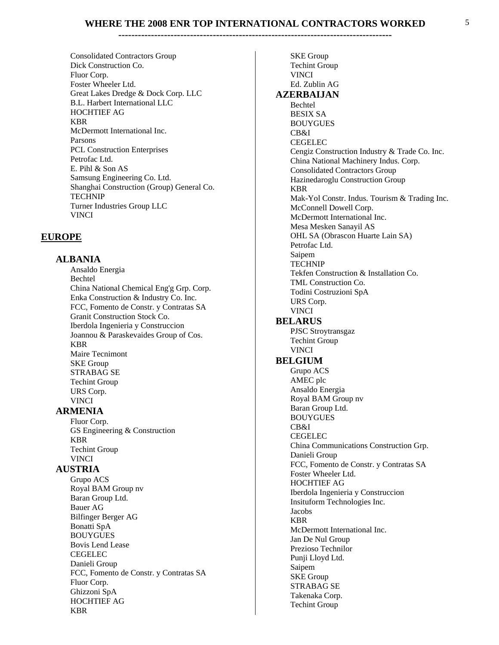**------------------------------------------------------------------------------------** 

Consolidated Contractors Group Dick Construction Co. Fluor Corp. Foster Wheeler Ltd. Great Lakes Dredge & Dock Corp. LLC B.L. Harbert International LLC HOCHTIEF AG KBR McDermott International Inc. Parsons **PCL Construction Enterprises** Petrofac Ltd. E. Pihl & Son AS Samsung Engineering Co. Ltd. Shanghai Construction (Group) General Co. TECHNIP Turner Industries Group LLC VINCI

#### **EUROPE**

 **ALBANIA** 

Ansaldo Energia Bechtel China National Chemical Eng'g Grp. Corp. Enka Construction & Industry Co. Inc. FCC, Fomento de Constr. y Contratas SA Granit Construction Stock Co. Iberdola Ingenieria y Construccion Joannou & Paraskevaides Group of Cos. KBR Maire Tecnimont SKE Group STRABAG SE Techint Group URS Corp. VINCI

#### **ARMENIA**

Fluor Corp. GS Engineering & Construction KBR Techint Group VINCI

#### **AUSTRIA**

Grupo ACS Royal BAM Group nv Baran Group Ltd. Bauer AG Bilfinger Berger AG Bonatti SpA BOUYGUES Bovis Lend Lease CEGELEC Danieli Group FCC, Fomento de Constr. y Contratas SA Fluor Corp. Ghizzoni SpA HOCHTIEF AG KBR

SKE Group Techint Group VINCI Ed. Zublin AG  **AZERBAIJAN** Bechtel BESIX SA BOUYGUES CB&I CEGELEC Cengiz Construction Industry & Trade Co. Inc. China National Machinery Indus. Corp. Consolidated Contractors Group Hazinedaroglu Construction Group KBR Mak-Yol Constr. Indus. Tourism & Trading Inc. McConnell Dowell Corp. McDermott International Inc. Mesa Mesken Sanayil AS OHL SA (Obrascon Huarte Lain SA) Petrofac Ltd. Saipem TECHNIP Tekfen Construction & Installation Co. TML Construction Co. Todini Costruzioni SpA URS Corp. VINCI  **BELARUS** PJSC Stroytransgaz Techint Group VINCI  **BELGIUM** Grupo ACS AMEC plc Ansaldo Energia Royal BAM Group nv Baran Group Ltd. BOUYGUES CB&I CEGELEC China Communications Construction Grp. Danieli Group FCC, Fomento de Constr. y Contratas SA Foster Wheeler Ltd. HOCHTIEF AG Iberdola Ingenieria y Construccion Insituform Technologies Inc. Jacobs KBR McDermott International Inc. Jan De Nul Group Prezioso Technilor Punji Lloyd Ltd. Saipem **SKE** Group STRABAG SE Takenaka Corp. Techint Group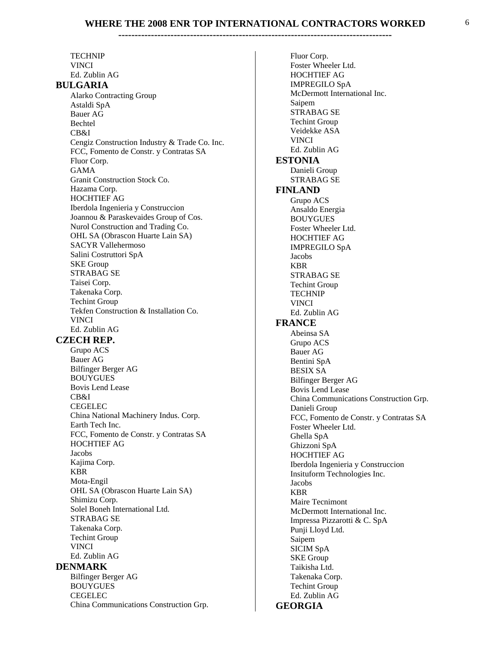TECHNIP VINCI Ed. Zublin AG  **BULGARIA** Alarko Contracting Group Astaldi SpA Bauer AG Bechtel CB&I Cengiz Construction Industry & Trade Co. Inc. FCC, Fomento de Constr. y Contratas SA Fluor Corp. GAMA Granit Construction Stock Co. Hazama Corp. HOCHTIEF AG Iberdola Ingenieria y Construccion Joannou & Paraskevaides Group of Cos. Nurol Construction and Trading Co. OHL SA (Obrascon Huarte Lain SA) SACYR Vallehermoso Salini Costruttori SpA SKE Group STRABAG SE Taisei Corp. Takenaka Corp. Techint Group Tekfen Construction & Installation Co. VINCI Ed. Zublin AG  **CZECH REP.** Grupo ACS Bauer AG Bilfinger Berger AG BOUYGUES Bovis Lend Lease CB&I CEGELEC China National Machinery Indus. Corp. Earth Tech Inc. FCC, Fomento de Constr. y Contratas SA HOCHTIEF AG Jacobs Kajima Corp. KBR Mota-Engil OHL SA (Obrascon Huarte Lain SA) Shimizu Corp. Solel Boneh International Ltd. STRABAG SE Takenaka Corp. Techint Group VINCI Ed. Zublin AG  **DENMARK** Bilfinger Berger AG BOUYGUES CEGELEC China Communications Construction Grp.

Fluor Corp. Foster Wheeler Ltd. HOCHTIEF AG IMPREGILO SpA McDermott International Inc. Saipem STRABAG SE Techint Group Veidekke ASA VINCI Ed. Zublin AG  **ESTONIA** Danieli Group STRABAG SE  **FINLAND** Grupo ACS Ansaldo Energia BOUYGUES Foster Wheeler Ltd. HOCHTIEF AG IMPREGILO SpA Jacobs KBR STRABAG SE Techint Group TECHNIP VINCI Ed. Zublin AG  **FRANCE** Abeinsa SA Grupo ACS Bauer AG Bentini SpA BESIX SA Bilfinger Berger AG Bovis Lend Lease China Communications Construction Grp. Danieli Group FCC, Fomento de Constr. y Contratas SA Foster Wheeler Ltd. Ghella SpA Ghizzoni SpA HOCHTIEF AG Iberdola Ingenieria y Construccion Insituform Technologies Inc. Jacobs KBR Maire Tecnimont McDermott International Inc. Impressa Pizzarotti & C. SpA Punji Lloyd Ltd. Saipem SICIM SpA SKE Group Taikisha Ltd. Takenaka Corp. Techint Group Ed. Zublin AG  **GEORGIA**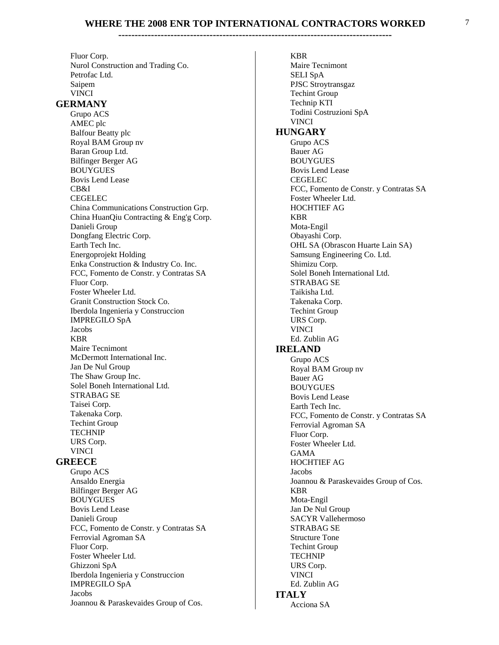Fluor Corp. Nurol Construction and Trading Co. Petrofac Ltd. Saipem VINCI

#### **GERMANY**

Grupo ACS AMEC plc Balfour Beatty plc Royal BAM Group nv Baran Group Ltd. Bilfinger Berger AG BOUYGUES Bovis Lend Lease CB&I CEGELEC China Communications Construction Grp. China HuanQiu Contracting & Eng'g Corp. Danieli Group Dongfang Electric Corp. Earth Tech Inc. Energoprojekt Holding Enka Construction & Industry Co. Inc. FCC, Fomento de Constr. y Contratas SA Fluor Corp. Foster Wheeler Ltd. **Granit Construction Stock Co.** Iberdola Ingenieria y Construccion IMPREGILO SpA Jacobs KBR Maire Tecnimont McDermott International Inc. Jan De Nul Group The Shaw Group Inc. Solel Boneh International Ltd. STRABAG SE Taisei Corp. Takenaka Corp. Techint Group TECHNIP URS Corp. VINCI  **GREECE** Grupo ACS Ansaldo Energia Bilfinger Berger AG BOUYGUES Bovis Lend Lease Danieli Group FCC, Fomento de Constr. y Contratas SA Ferrovial Agroman SA Fluor Corp. Foster Wheeler Ltd. Ghizzoni SpA Iberdola Ingenieria y Construccion IMPREGILO SpA Jacobs Joannou & Paraskevaides Group of Cos.

KBR Maire Tecnimont SELI SpA PJSC Stroytransgaz Techint Group Technip KTI Todini Costruzioni SpA VINCI  **HUNGARY** Grupo ACS Bauer AG BOUYGUES Bovis Lend Lease CEGELEC FCC, Fomento de Constr. y Contratas SA Foster Wheeler Ltd. HOCHTIEF AG KBR Mota-Engil Obayashi Corp. OHL SA (Obrascon Huarte Lain SA) Samsung Engineering Co. Ltd. Shimizu Corp. Solel Boneh International Ltd. STRABAG SE Taikisha Ltd. Takenaka Corp. Techint Group URS Corp. VINCI Ed. Zublin AG  **IRELAND** Grupo ACS Royal BAM Group nv Bauer AG BOUYGUES Bovis Lend Lease Earth Tech Inc. FCC, Fomento de Constr. y Contratas SA Ferrovial Agroman SA Fluor Corp. Foster Wheeler Ltd. GAMA HOCHTIEF AG Jacobs Joannou & Paraskevaides Group of Cos. KBR Mota-Engil Jan De Nul Group SACYR Vallehermoso STRABAG SE Structure Tone Techint Group TECHNIP URS Corp. VINCI Ed. Zublin AG  **ITALY** Acciona SA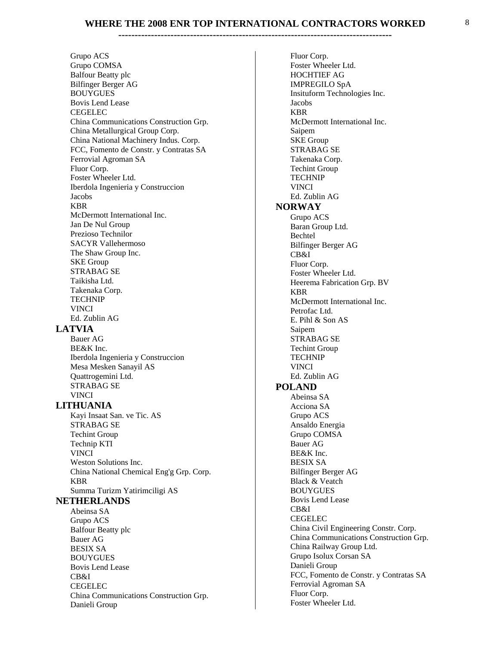#### Grupo ACS Grupo COMSA Balfour Beatty plc Bilfinger Berger AG BOUYGUES Bovis Lend Lease CEGELEC China Communications Construction Grp. China Metallurgical Group Corp. China National Machinery Indus. Corp. FCC, Fomento de Constr. y Contratas SA Ferrovial Agroman SA Fluor Corp. Foster Wheeler Ltd. Iberdola Ingenieria y Construccion Jacobs KBR McDermott International Inc. Jan De Nul Group Prezioso Technilor SACYR Vallehermoso The Shaw Group Inc. SKE Group STRABAG SE Taikisha Ltd. Takenaka Corp. TECHNIP VINCI Ed. Zublin AG  **LATVIA** Bauer AG BE&K Inc. Iberdola Ingenieria y Construccion Mesa Mesken Sanayil AS Quattrogemini Ltd. STRABAG SE VINCI  **LITHUANIA** Kayi Insaat San. ve Tic. AS STRABAG SE Techint Group Technip KTI VINCI Weston Solutions Inc. China National Chemical Eng'g Grp. Corp. KBR Summa Turizm Yatirimciligi AS  **NETHERLANDS** Abeinsa SA Grupo ACS Balfour Beatty plc Bauer AG BESIX SA BOUYGUES Bovis Lend Lease CB&I CEGELEC China Communications Construction Grp. Danieli Group

Fluor Corp. Foster Wheeler Ltd. HOCHTIEF AG IMPREGILO SpA Insituform Technologies Inc. Jacobs KBR McDermott International Inc. Saipem **SKE** Group STRABAG SE Takenaka Corp. Techint Group TECHNIP VINCI Ed. Zublin AG  **NORWAY** Grupo ACS Baran Group Ltd. Bechtel Bilfinger Berger AG CB&I Fluor Corp. Foster Wheeler Ltd. Heerema Fabrication Grp. BV KBR McDermott International Inc. Petrofac Ltd. E. Pihl & Son AS Saipem STRABAG SE Techint Group TECHNIP VINCI Ed. Zublin AG  **POLAND** Abeinsa SA Acciona SA Grupo ACS Ansaldo Energia Grupo COMSA Bauer AG BE&K Inc. BESIX SA Bilfinger Berger AG Black & Veatch BOUYGUES Bovis Lend Lease CB&I CEGELEC China Civil Engineering Constr. Corp. China Communications Construction Grp. China Railway Group Ltd. Grupo Isolux Corsan SA Danieli Group FCC, Fomento de Constr. y Contratas SA Ferrovial Agroman SA Fluor Corp. Foster Wheeler Ltd.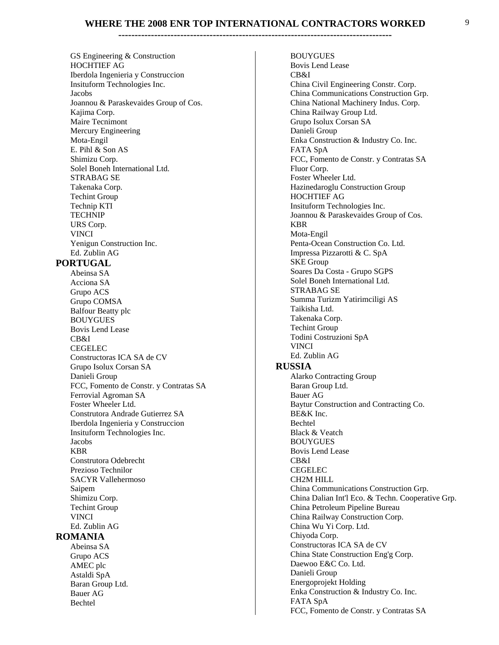**------------------------------------------------------------------------------------** 

GS Engineering & Construction HOCHTIEF AG Iberdola Ingenieria y Construccion Insituform Technologies Inc. Jacobs Joannou & Paraskevaides Group of Cos. Kajima Corp. Maire Tecnimont Mercury Engineering Mota-Engil E. Pihl & Son AS Shimizu Corp. Solel Boneh International Ltd. STRABAG SE Takenaka Corp. Techint Group Technip KTI TECHNIP URS Corp. VINCI Yenigun Construction Inc. Ed. Zublin AG  **PORTUGAL** Abeinsa SA Acciona SA Grupo ACS Grupo COMSA Balfour Beatty plc BOUYGUES Bovis Lend Lease CB&I CEGELEC Constructoras ICA SA de CV Grupo Isolux Corsan SA Danieli Group FCC, Fomento de Constr. y Contratas SA Ferrovial Agroman SA Foster Wheeler Ltd. Construtora Andrade Gutierrez SA Iberdola Ingenieria y Construccion Insituform Technologies Inc. Jacobs KBR Construtora Odebrecht Prezioso Technilor SACYR Vallehermoso Saipem Shimizu Corp. Techint Group VINCI Ed. Zublin AG  **ROMANIA** Abeinsa SA Grupo ACS AMEC plc Astaldi SpA Baran Group Ltd. Bauer AG Bechtel

BOUYGUES Bovis Lend Lease CB&I China Civil Engineering Constr. Corp. China Communications Construction Grp. China National Machinery Indus. Corp. China Railway Group Ltd. Grupo Isolux Corsan SA Danieli Group Enka Construction & Industry Co. Inc. FATA SpA FCC, Fomento de Constr. y Contratas SA Fluor Corp. Foster Wheeler Ltd. Hazinedaroglu Construction Group HOCHTIEF AG Insituform Technologies Inc. Joannou & Paraskevaides Group of Cos. KBR Mota-Engil Penta-Ocean Construction Co. Ltd. Impressa Pizzarotti & C. SpA SKE Group Soares Da Costa - Grupo SGPS Solel Boneh International Ltd. STRABAG SE Summa Turizm Yatirimciligi AS Taikisha Ltd. Takenaka Corp. Techint Group Todini Costruzioni SpA VINCI Ed. Zublin AG  **RUSSIA** Alarko Contracting Group Baran Group Ltd. Bauer AG Baytur Construction and Contracting Co. BE&K Inc. Bechtel **Black & Veatch** BOUYGUES Bovis Lend Lease CB&I CEGELEC CH2M HILL China Communications Construction Grp. China Dalian Int'l Eco. & Techn. Cooperative Grp. China Petroleum Pipeline Bureau China Railway Construction Corp. China Wu Yi Corp. Ltd. Chiyoda Corp. Constructoras ICA SA de CV China State Construction Eng'g Corp. Daewoo E&C Co. Ltd. Danieli Group Energoprojekt Holding Enka Construction & Industry Co. Inc. FATA SpA FCC, Fomento de Constr. y Contratas SA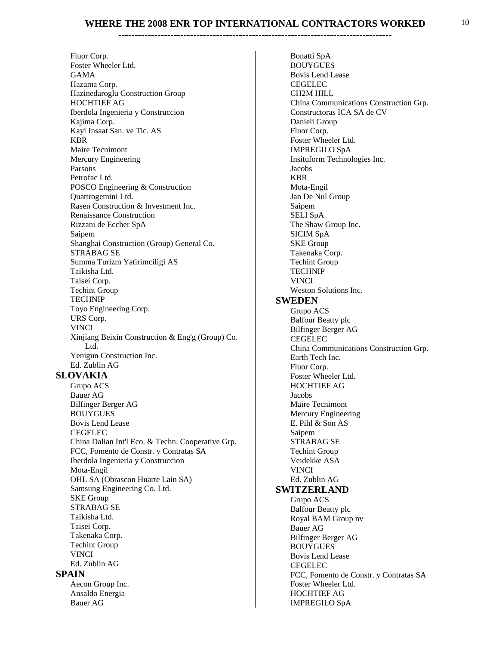**------------------------------------------------------------------------------------** 

Fluor Corp. Foster Wheeler Ltd. GAMA Hazama Corp. Hazinedaroglu Construction Group HOCHTIEF AG Iberdola Ingenieria y Construccion Kajima Corp. Kayi Insaat San. ve Tic. AS KBR Maire Tecnimont Mercury Engineering Parsons Petrofac Ltd. POSCO Engineering & Construction Quattrogemini Ltd. Rasen Construction & Investment Inc. Renaissance Construction Rizzani de Eccher SpA Saipem Shanghai Construction (Group) General Co. STRABAG SE Summa Turizm Yatirimciligi AS Taikisha Ltd. Taisei Corp. Techint Group TECHNIP Toyo Engineering Corp. URS Corp. VINCI Xinjiang Beixin Construction & Eng'g (Group) Co. Ltd. Yenigun Construction Inc. Ed. Zublin AG  **SLOVAKIA** Grupo ACS Bauer AG Bilfinger Berger AG BOUYGUES Bovis Lend Lease CEGELEC China Dalian Int'l Eco. & Techn. Cooperative Grp. FCC, Fomento de Constr. y Contratas SA Iberdola Ingenieria y Construccion Mota-Engil **OHL SA (Obrascon Huarte Lain SA)** Samsung Engineering Co. Ltd. **SKE** Group STRABAG SE Taikisha Ltd. Taisei Corp. Takenaka Corp. Techint Group VINCI Ed. Zublin AG

#### **SPAIN**

Aecon Group Inc. Ansaldo Energia Bauer AG

Bonatti SpA BOUYGUES Bovis Lend Lease CEGELEC CH2M HILL China Communications Construction Grp. Constructoras ICA SA de CV Danieli Group Fluor Corp. Foster Wheeler Ltd. IMPREGILO SpA Insituform Technologies Inc. Jacobs KBR Mota-Engil Jan De Nul Group Saipem SELI SpA The Shaw Group Inc. SICIM SpA **SKE** Group Takenaka Corp. Techint Group TECHNIP VINCI Weston Solutions Inc.  **SWEDEN** Grupo ACS Balfour Beatty plc Bilfinger Berger AG CEGELEC China Communications Construction Grp. Earth Tech Inc. Fluor Corp. Foster Wheeler Ltd. HOCHTIEF AG Jacobs Maire Tecnimont Mercury Engineering E. Pihl & Son AS Saipem STRABAG SE Techint Group Veidekke ASA VINCI Ed. Zublin AG  **SWITZERLAND** Grupo ACS Balfour Beatty plc Royal BAM Group nv Bauer AG Bilfinger Berger AG BOUYGUES Bovis Lend Lease CEGELEC FCC, Fomento de Constr. y Contratas SA Foster Wheeler Ltd. HOCHTIEF AG IMPREGILO SpA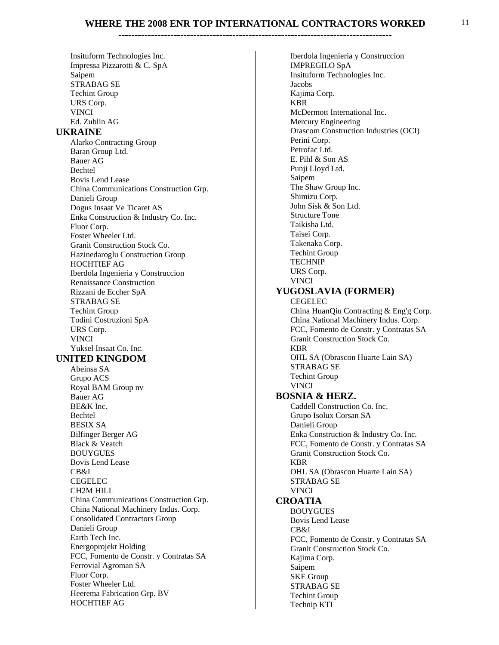#### **------------------------------------------------------------------------------------**

Insituform Technologies Inc. Impressa Pizzarotti & C. SpA Saipem STRABAG SE Techint Group URS Corp. VINCI Ed. Zublin AG  **UKRAINE** Alarko Contracting Group Baran Group Ltd. Bauer AG Bechtel Bovis Lend Lease China Communications Construction Grp. Danieli Group Dogus Insaat Ve Ticaret AS Enka Construction & Industry Co. Inc. Fluor Corp. Foster Wheeler Ltd. Granit Construction Stock Co. Hazinedaroglu Construction Group HOCHTIEF AG Iberdola Ingenieria y Construccion Renaissance Construction Rizzani de Eccher SpA STRABAG SE Techint Group Todini Costruzioni SpA URS Corp. VINCI Yuksel Insaat Co. Inc.  **UNITED KINGDOM** Abeinsa SA Grupo ACS Royal BAM Group nv Bauer AG BE&K Inc. Bechtel BESIX SA Bilfinger Berger AG **Black & Veatch** BOUYGUES Bovis Lend Lease CB&I CEGELEC CH2M HILL China Communications Construction Grp. China National Machinery Indus. Corp. Consolidated Contractors Group Danieli Group Earth Tech Inc. Energoprojekt Holding FCC, Fomento de Constr. y Contratas SA Ferrovial Agroman SA Fluor Corp. Foster Wheeler Ltd. Heerema Fabrication Grp. BV HOCHTIEF AG

Iberdola Ingenieria y Construccion IMPREGILO SpA Insituform Technologies Inc. Jacobs Kajima Corp. KBR McDermott International Inc. Mercury Engineering Orascom Construction Industries (OCI) Perini Corp. Petrofac Ltd. E. Pihl & Son AS Punji Lloyd Ltd. Saipem The Shaw Group Inc. Shimizu Corp. John Sisk & Son Ltd. Structure Tone Taikisha Ltd. Taisei Corp. Takenaka Corp. Techint Group TECHNIP URS Corp. VINCI  **YUGOSLAVIA (FORMER)** CEGELEC China HuanQiu Contracting & Eng'g Corp. China National Machinery Indus. Corp. FCC, Fomento de Constr. y Contratas SA Granit Construction Stock Co. KBR OHL SA (Obrascon Huarte Lain SA) STRABAG SE Techint Group VINCI  **BOSNIA & HERZ.** Caddell Construction Co. Inc. Grupo Isolux Corsan SA Danieli Group Enka Construction & Industry Co. Inc. FCC, Fomento de Constr. y Contratas SA Granit Construction Stock Co. KBR OHL SA (Obrascon Huarte Lain SA) STRABAG SE VINCI  **CROATIA** BOUYGUES Bovis Lend Lease CB&I FCC, Fomento de Constr. y Contratas SA Granit Construction Stock Co. Kajima Corp. Saipem **SKE** Group STRABAG SE Techint Group Technip KTI

11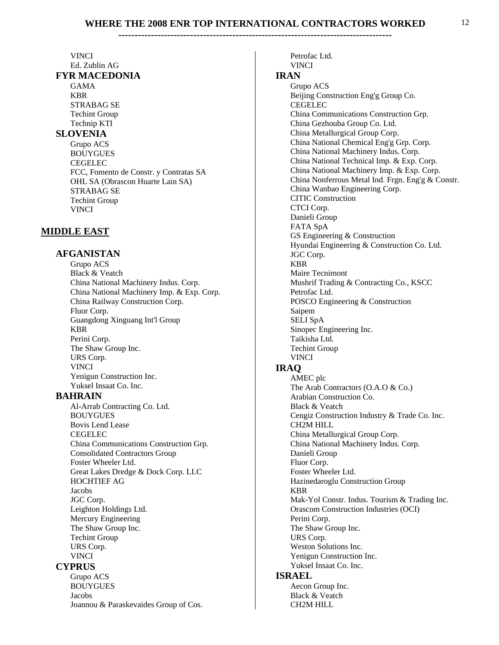#### VINCI

#### Ed. Zublin AG  **FYR MACEDONIA**

GAMA KBR STRABAG SE Techint Group Technip KTI  **SLOVENIA** Grupo ACS BOUYGUES CEGELEC FCC, Fomento de Constr. y Contratas SA OHL SA (Obrascon Huarte Lain SA) STRABAG SE Techint Group VINCI

#### **MIDDLE EAST**

#### **AFGANISTAN**

Grupo ACS **Black & Veatch** China National Machinery Indus. Corp. China National Machinery Imp. & Exp. Corp. China Railway Construction Corp. Fluor Corp. Guangdong Xinguang Int'l Group KBR Perini Corp. The Shaw Group Inc. URS Corp. VINCI Yenigun Construction Inc. Yuksel Insaat Co. Inc.

#### **BAHRAIN**

Al-Arrab Contracting Co. Ltd. BOUYGUES Bovis Lend Lease CEGELEC China Communications Construction Grp. Consolidated Contractors Group Foster Wheeler Ltd. Great Lakes Dredge & Dock Corp. LLC HOCHTIEF AG Jacobs JGC Corp. Leighton Holdings Ltd. Mercury Engineering The Shaw Group Inc. Techint Group URS Corp. VINCI  **CYPRUS** 

Grupo ACS BOUYGUES Jacobs Joannou & Paraskevaides Group of Cos.

Petrofac Ltd. VINCI  **IRAN** Grupo ACS Beijing Construction Eng'g Group Co. CEGELEC China Communications Construction Grp. China Gezhouba Group Co. Ltd. China Metallurgical Group Corp. China National Chemical Eng'g Grp. Corp. China National Machinery Indus. Corp. China National Technical Imp. & Exp. Corp. China National Machinery Imp. & Exp. Corp. China Nonferrous Metal Ind. Frgn. Eng'g & Constr. China Wanbao Engineering Corp. CITIC Construction CTCI Corp. Danieli Group FATA SpA GS Engineering & Construction Hyundai Engineering & Construction Co. Ltd. JGC Corp. KBR Maire Tecnimont Mushrif Trading & Contracting Co., KSCC Petrofac Ltd. POSCO Engineering & Construction Saipem SELI SpA Sinopec Engineering Inc. Taikisha Ltd. Techint Group VINCI  **IRAQ** AMEC plc The Arab Contractors (O.A.O & Co.) Arabian Construction Co.

Cengiz Construction Industry & Trade Co. Inc.

Mak-Yol Constr. Indus. Tourism & Trading Inc.

China Metallurgical Group Corp. China National Machinery Indus. Corp.

Hazinedaroglu Construction Group

Orascom Construction Industries (OCI)

**Black & Veatch** 

CH2M HILL

Danieli Group Fluor Corp.

Perini Corp.

URS Corp.

KBR

 **ISRAEL** 

Foster Wheeler Ltd.

The Shaw Group Inc.

Weston Solutions Inc. Yenigun Construction Inc. Yuksel Insaat Co. Inc.

Aecon Group Inc. Black & Veatch CH2M HILL

12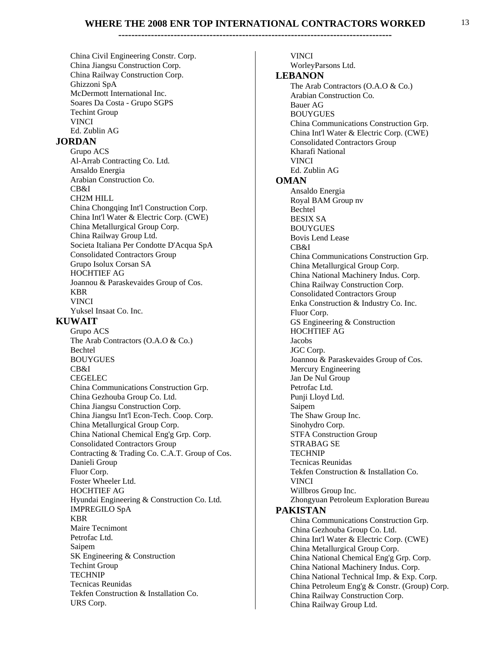China Civil Engineering Constr. Corp. China Jiangsu Construction Corp. China Railway Construction Corp. Ghizzoni SpA McDermott International Inc. Soares Da Costa - Grupo SGPS Techint Group VINCI Ed. Zublin AG  **JORDAN** Grupo ACS Al-Arrab Contracting Co. Ltd. Ansaldo Energia Arabian Construction Co. CB&I CH2M HILL China Chongqing Int'l Construction Corp. China Int'l Water & Electric Corp. (CWE) China Metallurgical Group Corp. China Railway Group Ltd. Societa Italiana Per Condotte D'Acqua SpA Consolidated Contractors Group Grupo Isolux Corsan SA HOCHTIEF AG Joannou & Paraskevaides Group of Cos. KBR VINCI Yuksel Insaat Co. Inc.  **KUWAIT** Grupo ACS The Arab Contractors (O.A.O & Co.) Bechtel BOUYGUES CB&I CEGELEC China Communications Construction Grp. China Gezhouba Group Co. Ltd. China Jiangsu Construction Corp. China Jiangsu Int'l Econ-Tech. Coop. Corp. China Metallurgical Group Corp. China National Chemical Eng'g Grp. Corp. Consolidated Contractors Group Contracting & Trading Co. C.A.T. Group of Cos. Danieli Group Fluor Corp. Foster Wheeler Ltd. HOCHTIEF AG Hyundai Engineering & Construction Co. Ltd. IMPREGILO SpA KBR Maire Tecnimont Petrofac Ltd. Saipem SK Engineering & Construction Techint Group TECHNIP Tecnicas Reunidas Tekfen Construction & Installation Co.

URS Corp.

VINCI WorleyParsons Ltd.  **LEBANON** The Arab Contractors (O.A.O & Co.) Arabian Construction Co. Bauer AG BOUYGUES China Communications Construction Grp. China Int'l Water & Electric Corp. (CWE) Consolidated Contractors Group Kharafi National VINCI Ed. Zublin AG  **OMAN** Ansaldo Energia Royal BAM Group nv Bechtel BESIX SA BOUYGUES Bovis Lend Lease CB&I China Communications Construction Grp. China Metallurgical Group Corp. China National Machinery Indus. Corp. China Railway Construction Corp. Consolidated Contractors Group Enka Construction & Industry Co. Inc. Fluor Corp. GS Engineering & Construction HOCHTIEF AG Jacobs JGC Corp. Joannou & Paraskevaides Group of Cos. Mercury Engineering Jan De Nul Group Petrofac Ltd. Punji Lloyd Ltd. Saipem The Shaw Group Inc. Sinohydro Corp. STFA Construction Group STRABAG SE TECHNIP Tecnicas Reunidas Tekfen Construction & Installation Co. VINCI Willbros Group Inc. Zhongyuan Petroleum Exploration Bureau  **PAKISTAN** China Communications Construction Grp. China Gezhouba Group Co. Ltd. China Int'l Water & Electric Corp. (CWE) China Metallurgical Group Corp. China National Chemical Eng'g Grp. Corp. China National Machinery Indus. Corp. China National Technical Imp. & Exp. Corp. China Petroleum Eng'g & Constr. (Group) Corp. China Railway Construction Corp. China Railway Group Ltd.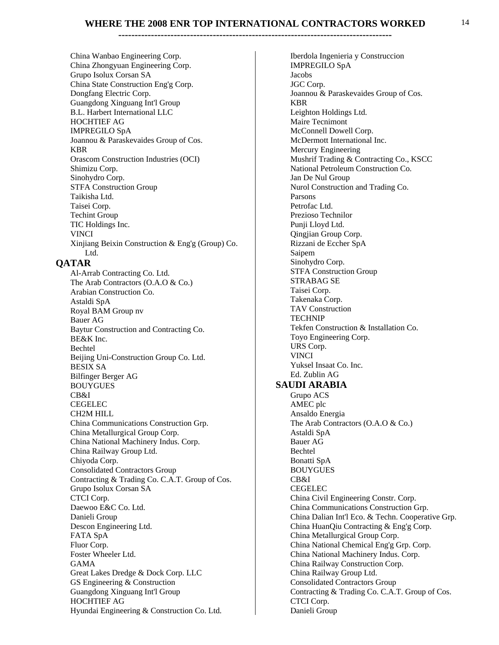**------------------------------------------------------------------------------------** 

China Wanbao Engineering Corp. China Zhongyuan Engineering Corp. Grupo Isolux Corsan SA China State Construction Eng'g Corp. Dongfang Electric Corp. Guangdong Xinguang Int'l Group B.L. Harbert International LLC HOCHTIEF AG IMPREGILO SpA Joannou & Paraskevaides Group of Cos. KBR Orascom Construction Industries (OCI) Shimizu Corp. Sinohydro Corp. STFA Construction Group Taikisha Ltd. Taisei Corp. Techint Group TIC Holdings Inc. VINCI Xinjiang Beixin Construction & Eng'g (Group) Co. Ltd.

#### **QATAR**

Al-Arrab Contracting Co. Ltd. The Arab Contractors (O.A.O & Co.) Arabian Construction Co. Astaldi SpA Royal BAM Group nv Bauer AG Baytur Construction and Contracting Co. BE&K Inc. Bechtel Beijing Uni-Construction Group Co. Ltd. BESIX SA Bilfinger Berger AG BOUYGUES CB&I CEGELEC CH2M HILL China Communications Construction Grp. China Metallurgical Group Corp. China National Machinery Indus. Corp. China Railway Group Ltd. Chiyoda Corp. Consolidated Contractors Group Contracting & Trading Co. C.A.T. Group of Cos. Grupo Isolux Corsan SA CTCI Corp. Daewoo E&C Co. Ltd. Danieli Group Descon Engineering Ltd. FATA SpA Fluor Corp. Foster Wheeler Ltd. GAMA Great Lakes Dredge & Dock Corp. LLC GS Engineering & Construction Guangdong Xinguang Int'l Group HOCHTIEF AG Hyundai Engineering & Construction Co. Ltd.

Iberdola Ingenieria y Construccion IMPREGILO SpA Jacobs JGC Corp. Joannou & Paraskevaides Group of Cos. KBR Leighton Holdings Ltd. Maire Tecnimont McConnell Dowell Corp. McDermott International Inc. Mercury Engineering Mushrif Trading & Contracting Co., KSCC National Petroleum Construction Co. Jan De Nul Group Nurol Construction and Trading Co. Parsons Petrofac Ltd. Prezioso Technilor Punji Lloyd Ltd. Qingjian Group Corp. Rizzani de Eccher SpA Saipem Sinohydro Corp. STFA Construction Group STRABAG SE Taisei Corp. Takenaka Corp. TAV Construction TECHNIP Tekfen Construction & Installation Co. Toyo Engineering Corp. URS Corp. VINCI Yuksel Insaat Co. Inc. Ed. Zublin AG  **SAUDI ARABIA** Grupo ACS AMEC plc Ansaldo Energia The Arab Contractors (O.A.O & Co.) Astaldi SpA Bauer AG Bechtel Bonatti SpA BOUYGUES CB&I CEGELEC China Civil Engineering Constr. Corp. China Communications Construction Grp. China Dalian Int'l Eco. & Techn. Cooperative Grp. China HuanQiu Contracting & Eng'g Corp. China Metallurgical Group Corp. China National Chemical Eng'g Grp. Corp. China National Machinery Indus. Corp. China Railway Construction Corp. China Railway Group Ltd. Consolidated Contractors Group Contracting & Trading Co. C.A.T. Group of Cos. CTCI Corp. Danieli Group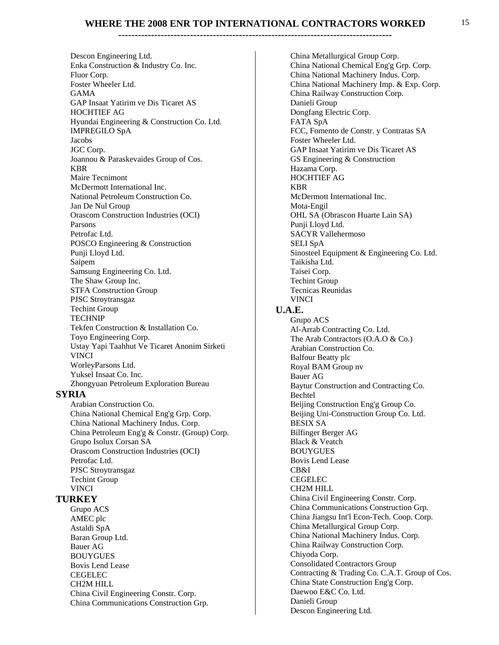**------------------------------------------------------------------------------------** 

Descon Engineering Ltd. Enka Construction & Industry Co. Inc. Fluor Corp. Foster Wheeler Ltd. GAMA GAP Insaat Yatirim ve Dis Ticaret AS HOCHTIEF AG Hyundai Engineering & Construction Co. Ltd. IMPREGILO SpA Jacobs JGC Corp. Joannou & Paraskevaides Group of Cos. KBR Maire Tecnimont McDermott International Inc. National Petroleum Construction Co. Jan De Nul Group Orascom Construction Industries (OCI) Parsons Petrofac Ltd. POSCO Engineering & Construction Punji Lloyd Ltd. Saipem Samsung Engineering Co. Ltd. The Shaw Group Inc. STFA Construction Group PJSC Stroytransgaz Techint Group TECHNIP Tekfen Construction & Installation Co. Toyo Engineering Corp. Ustay Yapi Taahhut Ve Ticaret Anonim Sirketi VINCI WorleyParsons Ltd. Yuksel Insaat Co. Inc. Zhongyuan Petroleum Exploration Bureau  **SYRIA** 

Arabian Construction Co. China National Chemical Eng'g Grp. Corp. China National Machinery Indus. Corp. China Petroleum Eng'g & Constr. (Group) Corp. Grupo Isolux Corsan SA Orascom Construction Industries (OCI) Petrofac Ltd. PJSC Stroytransgaz Techint Group VINCI

#### **TURKEY**

Grupo ACS AMEC plc Astaldi SpA Baran Group Ltd. Bauer AG BOUYGUES Bovis Lend Lease CEGELEC CH2M HILL China Civil Engineering Constr. Corp. China Communications Construction Grp.

China Metallurgical Group Corp. China National Chemical Eng'g Grp. Corp. China National Machinery Indus. Corp. China National Machinery Imp. & Exp. Corp. China Railway Construction Corp. Danieli Group Dongfang Electric Corp. FATA SpA FCC, Fomento de Constr. y Contratas SA Foster Wheeler Ltd. GAP Insaat Yatirim ve Dis Ticaret AS GS Engineering & Construction Hazama Corp. HOCHTIEF AG KBR McDermott International Inc. Mota-Engil OHL SA (Obrascon Huarte Lain SA) Punji Lloyd Ltd. SACYR Vallehermoso SELI SpA Sinosteel Equipment & Engineering Co. Ltd. Taikisha Ltd. Taisei Corp. Techint Group Tecnicas Reunidas VINCI  **U.A.E.** Grupo ACS Al-Arrab Contracting Co. Ltd. The Arab Contractors (O.A.O & Co.) Arabian Construction Co. Balfour Beatty plc Royal BAM Group nv Bauer AG Baytur Construction and Contracting Co. Bechtel Beijing Construction Eng'g Group Co. Beijing Uni-Construction Group Co. Ltd. BESIX SA Bilfinger Berger AG **Black & Veatch** BOUYGUES Bovis Lend Lease CB&I CEGELEC CH2M HILL China Civil Engineering Constr. Corp. China Communications Construction Grp. China Jiangsu Int'l Econ-Tech. Coop. Corp. China Metallurgical Group Corp. China National Machinery Indus. Corp. China Railway Construction Corp. Chiyoda Corp. Consolidated Contractors Group Contracting & Trading Co. C.A.T. Group of Cos. China State Construction Eng'g Corp. Daewoo E&C Co. Ltd. Danieli Group Descon Engineering Ltd.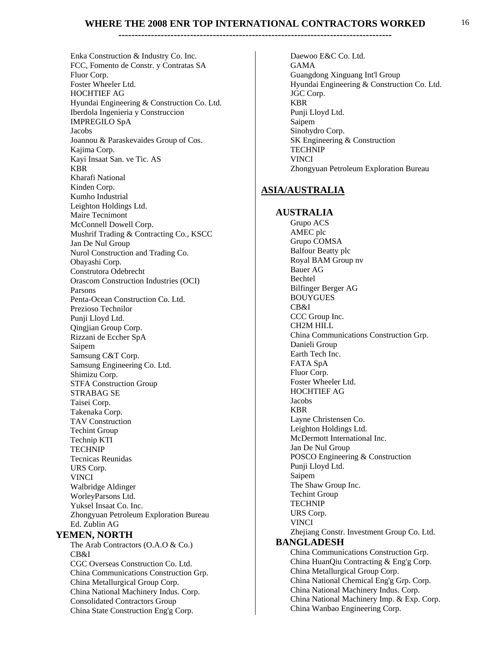**------------------------------------------------------------------------------------** 

Daewoo E&C Co. Ltd.

Enka Construction & Industry Co. Inc. FCC, Fomento de Constr. y Contratas SA Fluor Corp. Foster Wheeler Ltd. HOCHTIEF AG Hyundai Engineering & Construction Co. Ltd. Iberdola Ingenieria y Construccion IMPREGILO SpA Jacobs Joannou & Paraskevaides Group of Cos. Kajima Corp. Kayi Insaat San. ve Tic. AS KBR Kharafi National Kinden Corp. Kumho Industrial Leighton Holdings Ltd. Maire Tecnimont McConnell Dowell Corp. Mushrif Trading & Contracting Co., KSCC Jan De Nul Group Nurol Construction and Trading Co. Obayashi Corp. Construtora Odebrecht Orascom Construction Industries (OCI) Parsons Penta-Ocean Construction Co. Ltd. Prezioso Technilor Punji Lloyd Ltd. Qingjian Group Corp. Rizzani de Eccher SpA Saipem Samsung C&T Corp. Samsung Engineering Co. Ltd. Shimizu Corp. STFA Construction Group STRABAG SE Taisei Corp. Takenaka Corp. TAV Construction Techint Group Technip KTI TECHNIP Tecnicas Reunidas URS Corp. VINCI Walbridge Aldinger WorleyParsons Ltd. Yuksel Insaat Co. Inc. Zhongyuan Petroleum Exploration Bureau Ed. Zublin AG  **YEMEN, NORTH** The Arab Contractors (O.A.O & Co.) CB&I CGC Overseas Construction Co. Ltd. China Communications Construction Grp.

China Metallurgical Group Corp. China National Machinery Indus. Corp. Consolidated Contractors Group China State Construction Eng'g Corp.

GAMA Guangdong Xinguang Int'l Group Hyundai Engineering & Construction Co. Ltd. JGC Corp. KBR Punji Lloyd Ltd. Saipem Sinohydro Corp. SK Engineering & Construction TECHNIP VINCI Zhongyuan Petroleum Exploration Bureau **ASIA/AUSTRALIA AUSTRALIA** Grupo ACS AMEC plc Grupo COMSA Balfour Beatty plc Royal BAM Group nv Bauer AG Bechtel Bilfinger Berger AG BOUYGUES CB&I CCC Group Inc. CH2M HILL China Communications Construction Grp. Danieli Group Earth Tech Inc. FATA SpA Fluor Corp. Foster Wheeler Ltd. HOCHTIEF AG Jacobs KBR Layne Christensen Co. Leighton Holdings Ltd. McDermott International Inc. Jan De Nul Group POSCO Engineering & Construction Punji Lloyd Ltd. Saipem The Shaw Group Inc. Techint Group TECHNIP URS Corp. VINCI Zhejiang Constr. Investment Group Co. Ltd.  **BANGLADESH** China Communications Construction Grp. China HuanQiu Contracting & Eng'g Corp. China Metallurgical Group Corp. China National Chemical Eng'g Grp. Corp. China National Machinery Indus. Corp. China National Machinery Imp. & Exp. Corp. China Wanbao Engineering Corp.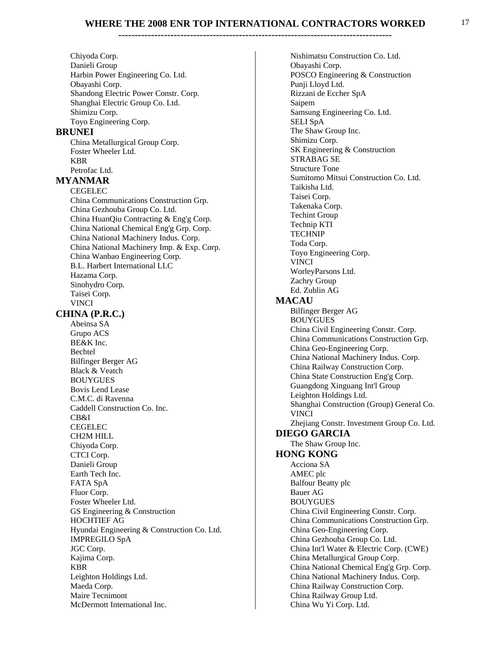#### **------------------------------------------------------------------------------------**

Chiyoda Corp. Danieli Group Harbin Power Engineering Co. Ltd. Obayashi Corp. Shandong Electric Power Constr. Corp. Shanghai Electric Group Co. Ltd. Shimizu Corp. Toyo Engineering Corp.

#### **BRUNEI**

China Metallurgical Group Corp. Foster Wheeler Ltd. KBR Petrofac Ltd.

#### **MYANMAR**

CEGELEC China Communications Construction Grp. China Gezhouba Group Co. Ltd. China HuanQiu Contracting & Eng'g Corp. China National Chemical Eng'g Grp. Corp. China National Machinery Indus. Corp. China National Machinery Imp. & Exp. Corp. China Wanbao Engineering Corp. B.L. Harbert International LLC Hazama Corp. Sinohydro Corp. Taisei Corp. VINCI  **CHINA (P.R.C.)** 

Abeinsa SA Grupo ACS **BE&K** Inc. Bechtel Bilfinger Berger AG **Black & Veatch** BOUYGUES Bovis Lend Lease C.M.C. di Ravenna Caddell Construction Co. Inc. CB&I CEGELEC CH2M HILL Chiyoda Corp. CTCI Corp. Danieli Group Earth Tech Inc. FATA SpA Fluor Corp. Foster Wheeler Ltd. GS Engineering & Construction HOCHTIEF AG Hyundai Engineering & Construction Co. Ltd. IMPREGILO SpA JGC Corp. Kajima Corp. KBR Leighton Holdings Ltd. Maeda Corp. Maire Tecnimont McDermott International Inc.

Nishimatsu Construction Co. Ltd. Obayashi Corp. POSCO Engineering & Construction Punji Lloyd Ltd. Rizzani de Eccher SpA Saipem Samsung Engineering Co. Ltd. SELI SpA The Shaw Group Inc. Shimizu Corp. SK Engineering & Construction STRABAG SE Structure Tone Sumitomo Mitsui Construction Co. Ltd. Taikisha Ltd. Taisei Corp. Takenaka Corp. Techint Group Technip KTI TECHNIP Toda Corp. Toyo Engineering Corp. VINCI WorleyParsons Ltd. Zachry Group Ed. Zublin AG  **MACAU** Bilfinger Berger AG BOUYGUES China Civil Engineering Constr. Corp. China Communications Construction Grp. China Geo-Engineering Corp. China National Machinery Indus. Corp. China Railway Construction Corp. China State Construction Eng'g Corp. Guangdong Xinguang Int'l Group Leighton Holdings Ltd. Shanghai Construction (Group) General Co. VINCI Zhejiang Constr. Investment Group Co. Ltd.  **DIEGO GARCIA** The Shaw Group Inc.  **HONG KONG** Acciona SA AMEC plc Balfour Beatty plc Bauer AG BOUYGUES China Civil Engineering Constr. Corp. China Communications Construction Grp. China Geo-Engineering Corp. China Gezhouba Group Co. Ltd. China Int'l Water & Electric Corp. (CWE) China Metallurgical Group Corp. China National Chemical Eng'g Grp. Corp. China National Machinery Indus. Corp. China Railway Construction Corp. China Railway Group Ltd. China Wu Yi Corp. Ltd.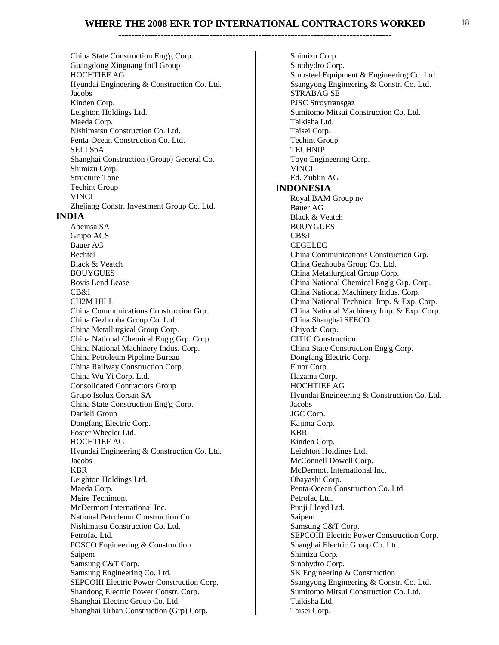**------------------------------------------------------------------------------------** 

China State Construction Eng'g Corp. Guangdong Xinguang Int'l Group HOCHTIEF AG Hyundai Engineering & Construction Co. Ltd. Jacobs Kinden Corp. Leighton Holdings Ltd. Maeda Corp. Nishimatsu Construction Co. Ltd. Penta-Ocean Construction Co. Ltd. SELI SpA Shanghai Construction (Group) General Co. Shimizu Corp. Structure Tone Techint Group VINCI Zhejiang Constr. Investment Group Co. Ltd.  **INDIA** Abeinsa SA Grupo ACS Bauer AG Bechtel **Black & Veatch** BOUYGUES Bovis Lend Lease CB&I CH2M HILL China Communications Construction Grp. China Gezhouba Group Co. Ltd. China Metallurgical Group Corp. China National Chemical Eng'g Grp. Corp. China National Machinery Indus. Corp. China Petroleum Pipeline Bureau China Railway Construction Corp. China Wu Yi Corp. Ltd. Consolidated Contractors Group Grupo Isolux Corsan SA China State Construction Eng'g Corp. Danieli Group Dongfang Electric Corp. Foster Wheeler Ltd. HOCHTIEF AG Hyundai Engineering & Construction Co. Ltd. Jacobs KBR Leighton Holdings Ltd. Maeda Corp. Maire Tecnimont McDermott International Inc. National Petroleum Construction Co. Nishimatsu Construction Co. Ltd. Petrofac Ltd. POSCO Engineering & Construction Saipem Samsung C&T Corp. Samsung Engineering Co. Ltd. **SEPCOIII** Electric Power Construction Corp. Shandong Electric Power Constr. Corp. Shanghai Electric Group Co. Ltd. Shanghai Urban Construction (Grp) Corp.

Shimizu Corp. Sinohydro Corp. Sinosteel Equipment & Engineering Co. Ltd. Ssangyong Engineering & Constr. Co. Ltd. STRABAG SE PJSC Stroytransgaz Sumitomo Mitsui Construction Co. Ltd. Taikisha Ltd. Taisei Corp. Techint Group TECHNIP Toyo Engineering Corp. VINCI Ed. Zublin AG  **INDONESIA** Royal BAM Group nv Bauer AG **Black & Veatch** BOUYGUES CB&I CEGELEC China Communications Construction Grp. China Gezhouba Group Co. Ltd. China Metallurgical Group Corp. China National Chemical Eng'g Grp. Corp. China National Machinery Indus. Corp. China National Technical Imp. & Exp. Corp. China National Machinery Imp. & Exp. Corp. China Shanghai SFECO Chiyoda Corp. CITIC Construction China State Construction Eng'g Corp. Dongfang Electric Corp. Fluor Corp. Hazama Corp. HOCHTIEF AG Hyundai Engineering & Construction Co. Ltd. Jacobs JGC Corp. Kajima Corp. KBR Kinden Corp. Leighton Holdings Ltd. McConnell Dowell Corp. McDermott International Inc. Obayashi Corp. Penta-Ocean Construction Co. Ltd. Petrofac Ltd. Punji Lloyd Ltd. Saipem Samsung C&T Corp. SEPCOIII Electric Power Construction Corp. Shanghai Electric Group Co. Ltd. Shimizu Corp. Sinohydro Corp. SK Engineering & Construction Ssangyong Engineering & Constr. Co. Ltd. Sumitomo Mitsui Construction Co. Ltd. Taikisha Ltd. Taisei Corp.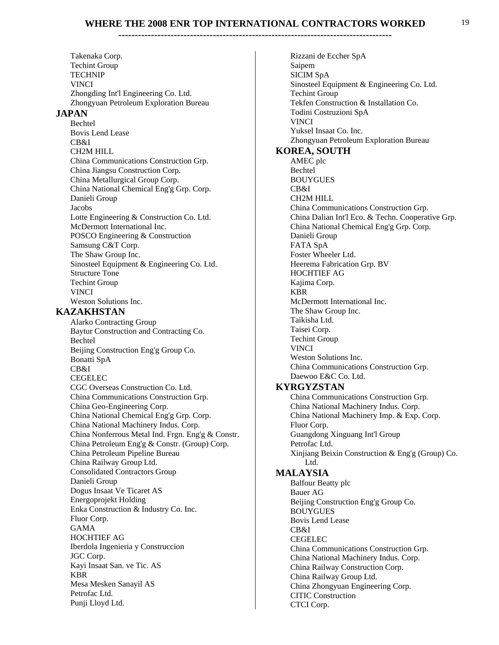**------------------------------------------------------------------------------------** 

Takenaka Corp. Techint Group TECHNIP VINCI Zhongding Int'l Engineering Co. Ltd. Zhongyuan Petroleum Exploration Bureau  **JAPAN** Bechtel Bovis Lend Lease  $CR&I$ CH2M HILL China Communications Construction Grp. China Jiangsu Construction Corp. China Metallurgical Group Corp. China National Chemical Eng'g Grp. Corp. Danieli Group Jacobs Lotte Engineering & Construction Co. Ltd. McDermott International Inc. POSCO Engineering & Construction Samsung C&T Corp. The Shaw Group Inc. Sinosteel Equipment & Engineering Co. Ltd. Structure Tone Techint Group VINCI Weston Solutions Inc.  **KAZAKHSTAN** Alarko Contracting Group Baytur Construction and Contracting Co. Bechtel Beijing Construction Eng'g Group Co. Bonatti SpA CB&I CEGELEC CGC Overseas Construction Co. Ltd. China Communications Construction Grp. China Geo-Engineering Corp. China National Chemical Eng'g Grp. Corp. China National Machinery Indus. Corp. China Nonferrous Metal Ind. Frgn. Eng'g & Constr. China Petroleum Eng'g & Constr. (Group) Corp. China Petroleum Pipeline Bureau China Railway Group Ltd. Consolidated Contractors Group Danieli Group Dogus Insaat Ve Ticaret AS Energoprojekt Holding Enka Construction & Industry Co. Inc. Fluor Corp. GAMA HOCHTIEF AG Iberdola Ingenieria y Construccion JGC Corp. Kayi Insaat San. ve Tic. AS KBR Mesa Mesken Sanayil AS Petrofac Ltd. Punji Lloyd Ltd.

Rizzani de Eccher SpA Saipem SICIM SpA Sinosteel Equipment & Engineering Co. Ltd. Techint Group Tekfen Construction & Installation Co. Todini Costruzioni SpA VINCI Yuksel Insaat Co. Inc. Zhongyuan Petroleum Exploration Bureau  **KOREA, SOUTH** AMEC plc Bechtel BOUYGUES CB&I CH2M HILL China Communications Construction Grp. China Dalian Int'l Eco. & Techn. Cooperative Grp. China National Chemical Eng'g Grp. Corp. Danieli Group FATA SpA Foster Wheeler Ltd. Heerema Fabrication Grp. BV HOCHTIEF AG Kajima Corp. KBR McDermott International Inc. The Shaw Group Inc. Taikisha Ltd. Taisei Corp. Techint Group VINCI Weston Solutions Inc. China Communications Construction Grp. Daewoo E&C Co. Ltd.  **KYRGYZSTAN** China Communications Construction Grp. China National Machinery Indus. Corp. China National Machinery Imp. & Exp. Corp. Fluor Corp. Guangdong Xinguang Int'l Group Petrofac Ltd. Xinjiang Beixin Construction & Eng'g (Group) Co. Ltd.  **MALAYSIA** Balfour Beatty plc Bauer AG Beijing Construction Eng'g Group Co. BOUYGUES Bovis Lend Lease CB&I CEGELEC China Communications Construction Grp. China National Machinery Indus. Corp. China Railway Construction Corp. China Railway Group Ltd. China Zhongyuan Engineering Corp. CITIC Construction CTCI Corp.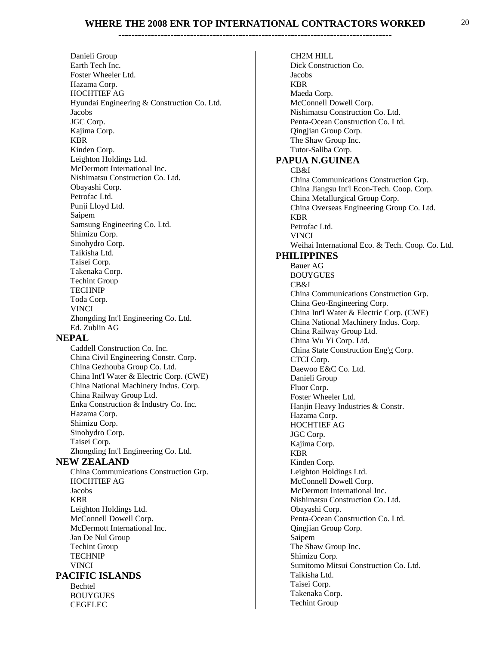#### **------------------------------------------------------------------------------------** Danieli Group Earth Tech Inc. CH2M HILL Jacobs

Foster Wheeler Ltd. Hazama Corp. HOCHTIEF AG Hyundai Engineering & Construction Co. Ltd. Jacobs JGC Corp. Kajima Corp. KBR Kinden Corp. Leighton Holdings Ltd. McDermott International Inc. Nishimatsu Construction Co. Ltd. Obayashi Corp. Petrofac Ltd. Punji Lloyd Ltd. Saipem Samsung Engineering Co. Ltd. Shimizu Corp. Sinohydro Corp. Taikisha Ltd. Taisei Corp. Takenaka Corp. Techint Group TECHNIP Toda Corp. VINCI Zhongding Int'l Engineering Co. Ltd. Ed. Zublin AG  **NEPAL** Caddell Construction Co. Inc. China Civil Engineering Constr. Corp. China Gezhouba Group Co. Ltd. China Int'l Water & Electric Corp. (CWE) China National Machinery Indus. Corp. China Railway Group Ltd. Enka Construction & Industry Co. Inc. Hazama Corp. Shimizu Corp. Sinohydro Corp. Taisei Corp. Zhongding Int'l Engineering Co. Ltd.  **NEW ZEALAND** China Communications Construction Grp. HOCHTIEF AG Jacobs KBR Leighton Holdings Ltd. McConnell Dowell Corp. McDermott International Inc. Jan De Nul Group Techint Group TECHNIP VINCI  **PACIFIC ISLANDS** Bechtel BOUYGUES CEGELEC

Dick Construction Co. KBR Maeda Corp. McConnell Dowell Corp. Nishimatsu Construction Co. Ltd. Penta-Ocean Construction Co. Ltd. Qingjian Group Corp. The Shaw Group Inc. Tutor-Saliba Corp.  **PAPUA N.GUINEA** CB&I China Communications Construction Grp. China Jiangsu Int'l Econ-Tech. Coop. Corp. China Metallurgical Group Corp. China Overseas Engineering Group Co. Ltd. KBR Petrofac Ltd. VINCI Weihai International Eco. & Tech. Coop. Co. Ltd.  **PHILIPPINES** Bauer AG BOUYGUES CB&I China Communications Construction Grp. China Geo-Engineering Corp. China Int'l Water & Electric Corp. (CWE) China National Machinery Indus. Corp. China Railway Group Ltd. China Wu Yi Corp. Ltd. China State Construction Eng'g Corp. CTCI Corp. Daewoo E&C Co. Ltd. Danieli Group Fluor Corp. Foster Wheeler Ltd. Hanjin Heavy Industries & Constr. Hazama Corp. HOCHTIEF AG JGC Corp. Kajima Corp. KBR Kinden Corp. Leighton Holdings Ltd. McConnell Dowell Corp. McDermott International Inc. Nishimatsu Construction Co. Ltd. Obayashi Corp. Penta-Ocean Construction Co. Ltd. Qingjian Group Corp. Saipem The Shaw Group Inc. Shimizu Corp. Sumitomo Mitsui Construction Co. Ltd. Taikisha Ltd. Taisei Corp. Takenaka Corp. Techint Group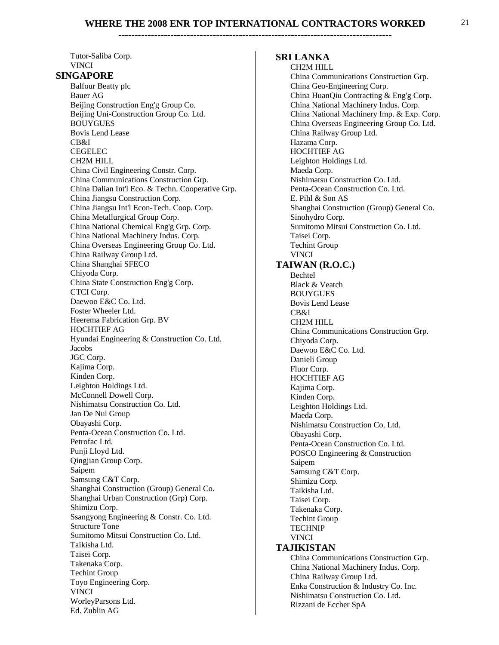**------------------------------------------------------------------------------------** 

Tutor-Saliba Corp. VINCI  **SINGAPORE** Balfour Beatty plc Bauer AG Beijing Construction Eng'g Group Co. Beijing Uni-Construction Group Co. Ltd. BOUYGUES Bovis Lend Lease CB&I CEGELEC CH2M HILL China Civil Engineering Constr. Corp. China Communications Construction Grp. China Dalian Int'l Eco. & Techn. Cooperative Grp. China Jiangsu Construction Corp. China Jiangsu Int'l Econ-Tech. Coop. Corp. China Metallurgical Group Corp. China National Chemical Eng'g Grp. Corp. China National Machinery Indus. Corp. China Overseas Engineering Group Co. Ltd. China Railway Group Ltd. China Shanghai SFECO Chiyoda Corp. China State Construction Eng'g Corp. CTCI Corp. Daewoo E&C Co. Ltd. Foster Wheeler Ltd. Heerema Fabrication Grp. BV HOCHTIEF AG Hyundai Engineering & Construction Co. Ltd. Jacobs JGC Corp. Kajima Corp. Kinden Corp. Leighton Holdings Ltd. McConnell Dowell Corp. Nishimatsu Construction Co. Ltd. Jan De Nul Group Obayashi Corp. Penta-Ocean Construction Co. Ltd. Petrofac Ltd. Punji Lloyd Ltd. Qingjian Group Corp. Saipem Samsung C&T Corp. Shanghai Construction (Group) General Co. Shanghai Urban Construction (Grp) Corp. Shimizu Corp. Ssangyong Engineering & Constr. Co. Ltd. Structure Tone Sumitomo Mitsui Construction Co. Ltd. Taikisha Ltd. Taisei Corp. Takenaka Corp. Techint Group Toyo Engineering Corp. VINCI WorleyParsons Ltd. Ed. Zublin AG

#### **SRI LANKA**

CH2M HILL China Communications Construction Grp. China Geo-Engineering Corp. China HuanQiu Contracting & Eng'g Corp. China National Machinery Indus. Corp. China National Machinery Imp. & Exp. Corp. China Overseas Engineering Group Co. Ltd. China Railway Group Ltd. Hazama Corp. HOCHTIEF AG Leighton Holdings Ltd. Maeda Corp. Nishimatsu Construction Co. Ltd. Penta-Ocean Construction Co. Ltd. E. Pihl & Son AS Shanghai Construction (Group) General Co. Sinohydro Corp. Sumitomo Mitsui Construction Co. Ltd. Taisei Corp. Techint Group VINCI  **TAIWAN (R.O.C.)** Bechtel Black & Veatch BOUYGUES Bovis Lend Lease CB&I CH2M HILL China Communications Construction Grp. Chiyoda Corp. Daewoo E&C Co. Ltd. Danieli Group Fluor Corp. HOCHTIEF AG Kajima Corp. Kinden Corp. Leighton Holdings Ltd. Maeda Corp. Nishimatsu Construction Co. Ltd. Obayashi Corp. Penta-Ocean Construction Co. Ltd. POSCO Engineering & Construction Saipem Samsung C&T Corp. Shimizu Corp. Taikisha Ltd. Taisei Corp. Takenaka Corp. Techint Group TECHNIP VINCI  **TAJIKISTAN** China Communications Construction Grp. China National Machinery Indus. Corp. China Railway Group Ltd. Enka Construction & Industry Co. Inc. Nishimatsu Construction Co. Ltd. Rizzani de Eccher SpA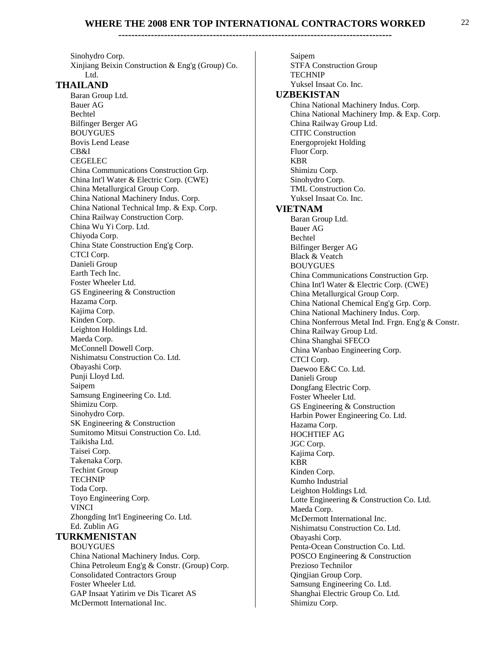#### **------------------------------------------------------------------------------------**

Sinohydro Corp. Xinjiang Beixin Construction & Eng'g (Group) Co. Ltd.  **THAILAND** Baran Group Ltd. Bauer AG Bechtel Bilfinger Berger AG BOUYGUES Bovis Lend Lease CB&I CEGELEC China Communications Construction Grp. China Int'l Water & Electric Corp. (CWE) China Metallurgical Group Corp. China National Machinery Indus. Corp. China National Technical Imp. & Exp. Corp. China Railway Construction Corp. China Wu Yi Corp. Ltd. Chiyoda Corp. China State Construction Eng'g Corp. CTCI Corp. Danieli Group Earth Tech Inc. Foster Wheeler Ltd. GS Engineering & Construction Hazama Corp. Kajima Corp. Kinden Corp. Leighton Holdings Ltd. Maeda Corp. McConnell Dowell Corp. Nishimatsu Construction Co. Ltd. Obayashi Corp. Punji Lloyd Ltd. Saipem Samsung Engineering Co. Ltd. Shimizu Corp. Sinohydro Corp. SK Engineering & Construction Sumitomo Mitsui Construction Co. Ltd. Taikisha Ltd. Taisei Corp. Takenaka Corp. Techint Group TECHNIP Toda Corp. Toyo Engineering Corp. VINCI Zhongding Int'l Engineering Co. Ltd. Ed. Zublin AG  **TURKMENISTAN** BOUYGUES China National Machinery Indus. Corp. China Petroleum Eng'g & Constr. (Group) Corp. Consolidated Contractors Group Foster Wheeler Ltd. GAP Insaat Yatirim ve Dis Ticaret AS McDermott International Inc.

Saipem STFA Construction Group TECHNIP Yuksel Insaat Co. Inc.  **UZBEKISTAN** China National Machinery Indus. Corp. China National Machinery Imp. & Exp. Corp. China Railway Group Ltd. CITIC Construction Energoprojekt Holding Fluor Corp. KBR Shimizu Corp. Sinohydro Corp. TML Construction Co. Yuksel Insaat Co. Inc.  **VIETNAM** Baran Group Ltd. Bauer AG Bechtel Bilfinger Berger AG Black & Veatch BOUYGUES China Communications Construction Grp. China Int'l Water & Electric Corp. (CWE) China Metallurgical Group Corp. China National Chemical Eng'g Grp. Corp. China National Machinery Indus. Corp. China Nonferrous Metal Ind. Frgn. Eng'g & Constr. China Railway Group Ltd. China Shanghai SFECO China Wanbao Engineering Corp. CTCI Corp. Daewoo E&C Co. Ltd. Danieli Group Dongfang Electric Corp. Foster Wheeler Ltd. GS Engineering & Construction Harbin Power Engineering Co. Ltd. Hazama Corp. HOCHTIEF AG JGC Corp. Kajima Corp. KBR Kinden Corp. Kumho Industrial Leighton Holdings Ltd. Lotte Engineering & Construction Co. Ltd. Maeda Corp. McDermott International Inc. Nishimatsu Construction Co. Ltd. Obayashi Corp. Penta-Ocean Construction Co. Ltd. POSCO Engineering & Construction Prezioso Technilor Qingjian Group Corp. Samsung Engineering Co. Ltd. Shanghai Electric Group Co. Ltd. Shimizu Corp.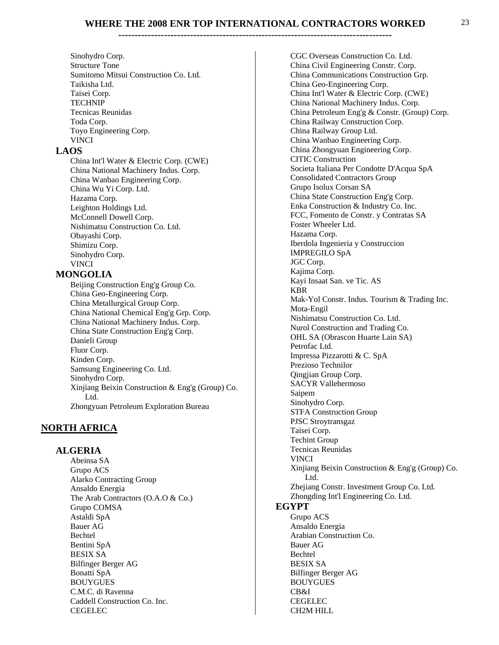#### **------------------------------------------------------------------------------------**

Sinohydro Corp. Structure Tone Sumitomo Mitsui Construction Co. Ltd. Taikisha Ltd. Taisei Corp. TECHNIP Tecnicas Reunidas Toda Corp. Toyo Engineering Corp. VINCI

#### **LAOS**

China Int'l Water & Electric Corp. (CWE) China National Machinery Indus. Corp. China Wanbao Engineering Corp. China Wu Yi Corp. Ltd. Hazama Corp. Leighton Holdings Ltd. McConnell Dowell Corp. Nishimatsu Construction Co. Ltd. Obayashi Corp. Shimizu Corp. Sinohydro Corp. VINCI

#### **MONGOLIA**

Beijing Construction Eng'g Group Co. China Geo-Engineering Corp. China Metallurgical Group Corp. China National Chemical Eng'g Grp. Corp. China National Machinery Indus. Corp. China State Construction Eng'g Corp. Danieli Group Fluor Corp. Kinden Corp. Samsung Engineering Co. Ltd. Sinohydro Corp. Xinjiang Beixin Construction & Eng'g (Group) Co. Ltd. Zhongyuan Petroleum Exploration Bureau

#### **NORTH AFRICA**

#### **ALGERIA**

Abeinsa SA Grupo ACS Alarko Contracting Group Ansaldo Energia The Arab Contractors (O.A.O & Co.) Grupo COMSA Astaldi SpA Bauer AG Bechtel Bentini SpA BESIX SA Bilfinger Berger AG Bonatti SpA BOUYGUES C.M.C. di Ravenna Caddell Construction Co. Inc. CEGELEC

CGC Overseas Construction Co. Ltd. China Civil Engineering Constr. Corp. China Communications Construction Grp. China Geo-Engineering Corp. China Int'l Water & Electric Corp. (CWE) China National Machinery Indus. Corp. China Petroleum Eng'g & Constr. (Group) Corp. China Railway Construction Corp. China Railway Group Ltd. China Wanbao Engineering Corp. China Zhongyuan Engineering Corp. CITIC Construction Societa Italiana Per Condotte D'Acqua SpA Consolidated Contractors Group Grupo Isolux Corsan SA China State Construction Eng'g Corp. Enka Construction & Industry Co. Inc. FCC, Fomento de Constr. y Contratas SA Foster Wheeler Ltd. Hazama Corp. Iberdola Ingenieria y Construccion IMPREGILO SpA JGC Corp. Kajima Corp. Kayi Insaat San. ve Tic. AS KBR Mak-Yol Constr. Indus. Tourism & Trading Inc. Mota-Engil Nishimatsu Construction Co. Ltd. Nurol Construction and Trading Co. OHL SA (Obrascon Huarte Lain SA) Petrofac Ltd. Impressa Pizzarotti & C. SpA Prezioso Technilor Qingjian Group Corp. SACYR Vallehermoso Saipem Sinohydro Corp. STFA Construction Group PJSC Stroytransgaz Taisei Corp. Techint Group Tecnicas Reunidas VINCI Xinjiang Beixin Construction & Eng'g (Group) Co. Ltd. Zhejiang Constr. Investment Group Co. Ltd. Zhongding Int'l Engineering Co. Ltd.  **EGYPT** Grupo ACS Ansaldo Energia Arabian Construction Co. Bauer AG Bechtel BESIX SA Bilfinger Berger AG BOUYGUES CB&I CEGELEC

CH2M HILL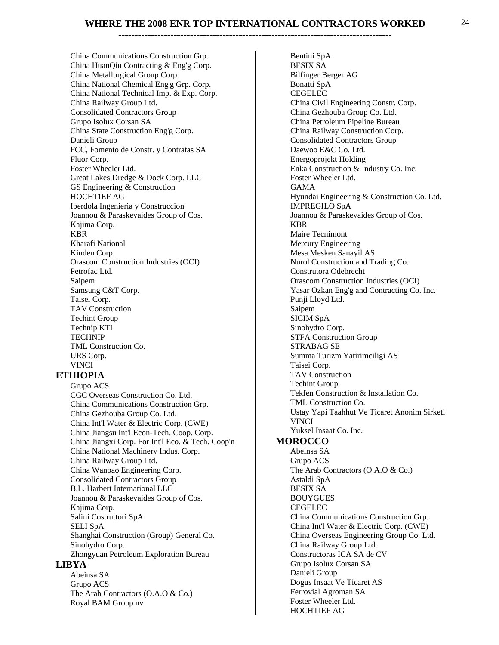China Communications Construction Grp. China HuanQiu Contracting & Eng'g Corp. China Metallurgical Group Corp. China National Chemical Eng'g Grp. Corp. China National Technical Imp. & Exp. Corp. China Railway Group Ltd. Consolidated Contractors Group Grupo Isolux Corsan SA China State Construction Eng'g Corp. Danieli Group FCC, Fomento de Constr. y Contratas SA Fluor Corp. Foster Wheeler Ltd. Great Lakes Dredge & Dock Corp. LLC GS Engineering & Construction HOCHTIEF AG Iberdola Ingenieria y Construccion Joannou & Paraskevaides Group of Cos. Kajima Corp. KBR Kharafi National Kinden Corp. Orascom Construction Industries (OCI) Petrofac Ltd. Saipem Samsung C&T Corp. Taisei Corp. TAV Construction Techint Group Technip KTI TECHNIP TML Construction Co. URS Corp. VINCI

#### **ETHIOPIA**

Grupo ACS CGC Overseas Construction Co. Ltd. China Communications Construction Grp. China Gezhouba Group Co. Ltd. China Int'l Water & Electric Corp. (CWE) China Jiangsu Int'l Econ-Tech. Coop. Corp. China Jiangxi Corp. For Int'l Eco. & Tech. Coop'n China National Machinery Indus. Corp. China Railway Group Ltd. China Wanbao Engineering Corp. Consolidated Contractors Group B.L. Harbert International LLC Joannou & Paraskevaides Group of Cos. Kajima Corp. Salini Costruttori SpA SELI SpA Shanghai Construction (Group) General Co. Sinohydro Corp. Zhongyuan Petroleum Exploration Bureau  **LIBYA** Abeinsa SA

Grupo ACS The Arab Contractors (O.A.O & Co.) Royal BAM Group nv

Bentini SpA BESIX SA Bilfinger Berger AG Bonatti SpA CEGELEC China Civil Engineering Constr. Corp. China Gezhouba Group Co. Ltd. China Petroleum Pipeline Bureau China Railway Construction Corp. Consolidated Contractors Group Daewoo E&C Co. Ltd. Energoprojekt Holding Enka Construction & Industry Co. Inc. Foster Wheeler Ltd. GAMA Hyundai Engineering & Construction Co. Ltd. IMPREGILO SpA Joannou & Paraskevaides Group of Cos. KBR Maire Tecnimont Mercury Engineering Mesa Mesken Sanayil AS Nurol Construction and Trading Co. Construtora Odebrecht Orascom Construction Industries (OCI) Yasar Ozkan Eng'g and Contracting Co. Inc. Punji Lloyd Ltd. Saipem SICIM SpA Sinohydro Corp. STFA Construction Group STRABAG SE Summa Turizm Yatirimciligi AS Taisei Corp. TAV Construction Techint Group Tekfen Construction & Installation Co. TML Construction Co. Ustay Yapi Taahhut Ve Ticaret Anonim Sirketi VINCI Yuksel Insaat Co. Inc.  **MOROCCO** Abeinsa SA Grupo ACS The Arab Contractors (O.A.O & Co.) Astaldi SpA BESIX SA BOUYGUES CEGELEC China Communications Construction Grp. China Int'l Water & Electric Corp. (CWE) China Overseas Engineering Group Co. Ltd. China Railway Group Ltd. Constructoras ICA SA de CV Grupo Isolux Corsan SA Danieli Group Dogus Insaat Ve Ticaret AS Ferrovial Agroman SA Foster Wheeler Ltd. HOCHTIEF AG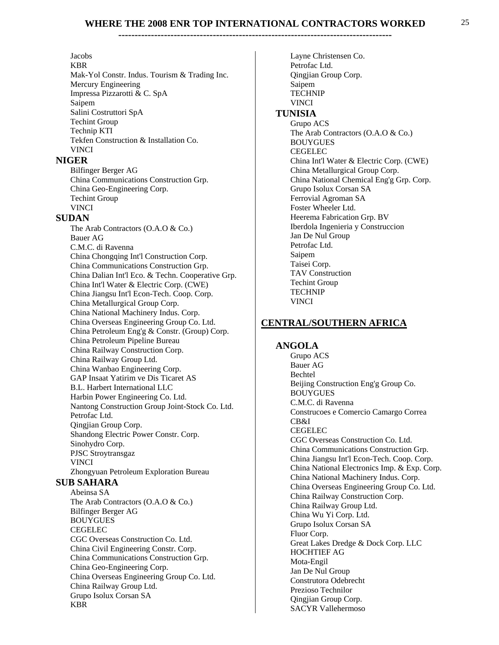#### Jacobs

KBR Mak-Yol Constr. Indus. Tourism & Trading Inc. Mercury Engineering Impressa Pizzarotti & C. SpA Saipem Salini Costruttori SpA Techint Group Technip KTI Tekfen Construction & Installation Co. VINCI

#### **NIGER**

Bilfinger Berger AG China Communications Construction Grp. China Geo-Engineering Corp. Techint Group VINCI

#### **SUDAN**

The Arab Contractors (O.A.O & Co.) Bauer AG C.M.C. di Ravenna China Chongqing Int'l Construction Corp. China Communications Construction Grp. China Dalian Int'l Eco. & Techn. Cooperative Grp. China Int'l Water & Electric Corp. (CWE) China Jiangsu Int'l Econ-Tech. Coop. Corp. China Metallurgical Group Corp. China National Machinery Indus. Corp. China Overseas Engineering Group Co. Ltd. China Petroleum Eng'g & Constr. (Group) Corp. China Petroleum Pipeline Bureau China Railway Construction Corp. China Railway Group Ltd. China Wanbao Engineering Corp. GAP Insaat Yatirim ve Dis Ticaret AS B.L. Harbert International LLC Harbin Power Engineering Co. Ltd. Nantong Construction Group Joint-Stock Co. Ltd. Petrofac Ltd. Qingjian Group Corp. Shandong Electric Power Constr. Corp. Sinohydro Corp. PJSC Stroytransgaz VINCI Zhongyuan Petroleum Exploration Bureau  **SUB SAHARA** Abeinsa SA The Arab Contractors (O.A.O & Co.) Bilfinger Berger AG BOUYGUES CEGELEC CGC Overseas Construction Co. Ltd. China Civil Engineering Constr. Corp. China Communications Construction Grp. China Geo-Engineering Corp. China Overseas Engineering Group Co. Ltd. China Railway Group Ltd. Grupo Isolux Corsan SA KBR

Layne Christensen Co. Petrofac Ltd. Qingjian Group Corp. Saipem TECHNIP VINCI  **TUNISIA** Grupo ACS The Arab Contractors (O.A.O & Co.) BOUYGUES CEGELEC China Int'l Water & Electric Corp. (CWE) China Metallurgical Group Corp. China National Chemical Eng'g Grp. Corp. Grupo Isolux Corsan SA Ferrovial Agroman SA Foster Wheeler Ltd. Heerema Fabrication Grp. BV Iberdola Ingenieria y Construccion Jan De Nul Group Petrofac Ltd. Saipem Taisei Corp. TAV Construction Techint Group TECHNIP VINCI

## **CENTRAL/SOUTHERN AFRICA**

#### **ANGOLA**

Grupo ACS Bauer AG Bechtel Beijing Construction Eng'g Group Co. BOUYGUES C.M.C. di Ravenna Construcoes e Comercio Camargo Correa CB&I CEGELEC CGC Overseas Construction Co. Ltd. China Communications Construction Grp. China Jiangsu Int'l Econ-Tech. Coop. Corp. China National Electronics Imp. & Exp. Corp. China National Machinery Indus. Corp. China Overseas Engineering Group Co. Ltd. China Railway Construction Corp. China Railway Group Ltd. China Wu Yi Corp. Ltd. Grupo Isolux Corsan SA Fluor Corp. Great Lakes Dredge & Dock Corp. LLC HOCHTIEF AG Mota-Engil Jan De Nul Group Construtora Odebrecht Prezioso Technilor Qingjian Group Corp. SACYR Vallehermoso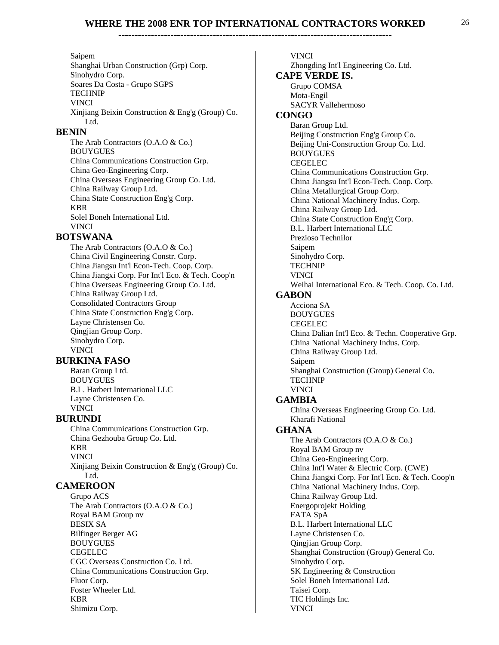#### Saipem

Shanghai Urban Construction (Grp) Corp. Sinohydro Corp. Soares Da Costa - Grupo SGPS TECHNIP VINCI Xinjiang Beixin Construction & Eng'g (Group) Co. Ltd.

#### **BENIN**

The Arab Contractors (O.A.O & Co.) BOUYGUES China Communications Construction Grp. China Geo-Engineering Corp. China Overseas Engineering Group Co. Ltd. China Railway Group Ltd. China State Construction Eng'g Corp. KBR Solel Boneh International Ltd. VINCI

## **BOTSWANA**

The Arab Contractors (O.A.O & Co.) China Civil Engineering Constr. Corp. China Jiangsu Int'l Econ-Tech. Coop. Corp. China Jiangxi Corp. For Int'l Eco. & Tech. Coop'n China Overseas Engineering Group Co. Ltd. China Railway Group Ltd. Consolidated Contractors Group China State Construction Eng'g Corp. Layne Christensen Co. Qingjian Group Corp. Sinohydro Corp. VINCI

## **BURKINA FASO**

Baran Group Ltd. BOUYGUES B.L. Harbert International LLC Layne Christensen Co. VINCI

## **BURUNDI**

China Communications Construction Grp. China Gezhouba Group Co. Ltd. KBR VINCI Xinjiang Beixin Construction & Eng'g (Group) Co. Ltd.

## **CAMEROON**

Grupo ACS The Arab Contractors (O.A.O & Co.) Royal BAM Group nv BESIX SA Bilfinger Berger AG BOUYGUES CEGELEC CGC Overseas Construction Co. Ltd. China Communications Construction Grp. Fluor Corp. Foster Wheeler Ltd. KBR Shimizu Corp.

VINCI Zhongding Int'l Engineering Co. Ltd.  **CAPE VERDE IS.** Grupo COMSA Mota-Engil SACYR Vallehermoso  **CONGO** Baran Group Ltd. Beijing Construction Eng'g Group Co. Beijing Uni-Construction Group Co. Ltd. BOUYGUES CEGELEC China Communications Construction Grp. China Jiangsu Int'l Econ-Tech. Coop. Corp. China Metallurgical Group Corp. China National Machinery Indus. Corp. China Railway Group Ltd. China State Construction Eng'g Corp. B.L. Harbert International LLC Prezioso Technilor Saipem Sinohydro Corp. TECHNIP VINCI Weihai International Eco. & Tech. Coop. Co. Ltd.  **GABON** Acciona SA BOUYGUES CEGELEC China Dalian Int'l Eco. & Techn. Cooperative Grp. China National Machinery Indus. Corp. China Railway Group Ltd. Saipem Shanghai Construction (Group) General Co. TECHNIP VINCI  **GAMBIA** China Overseas Engineering Group Co. Ltd. Kharafi National  **GHANA** The Arab Contractors (O.A.O & Co.) Royal BAM Group nv China Geo-Engineering Corp. China Int'l Water & Electric Corp. (CWE) China Jiangxi Corp. For Int'l Eco. & Tech. Coop'n China National Machinery Indus. Corp. China Railway Group Ltd. Energoprojekt Holding FATA SpA B.L. Harbert International LLC Layne Christensen Co. Qingjian Group Corp. Shanghai Construction (Group) General Co. Sinohydro Corp. SK Engineering & Construction Solel Boneh International Ltd. Taisei Corp. TIC Holdings Inc. VINCI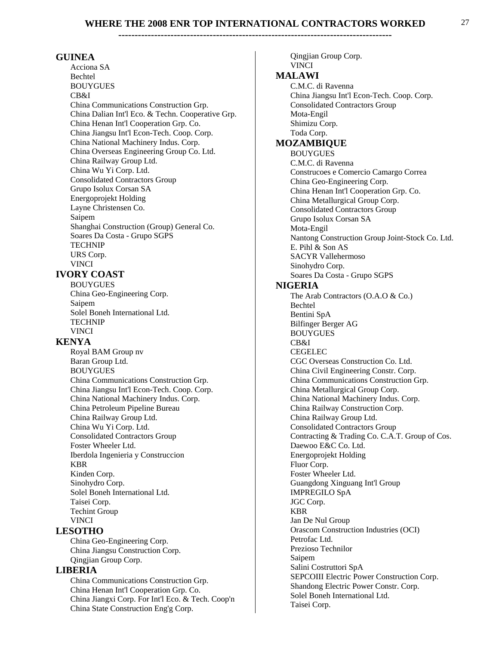#### **GUINEA**

Acciona SA Bechtel BOUYGUES CB&I China Communications Construction Grp. China Dalian Int'l Eco. & Techn. Cooperative Grp. China Henan Int'l Cooperation Grp. Co. China Jiangsu Int'l Econ-Tech. Coop. Corp. China National Machinery Indus. Corp. China Overseas Engineering Group Co. Ltd. China Railway Group Ltd. China Wu Yi Corp. Ltd. Consolidated Contractors Group Grupo Isolux Corsan SA Energoprojekt Holding Layne Christensen Co. Saipem Shanghai Construction (Group) General Co. Soares Da Costa - Grupo SGPS TECHNIP URS Corp. VINCI

#### **IVORY COAST**

BOUYGUES China Geo-Engineering Corp. Saipem Solel Boneh International Ltd. TECHNIP VINCI

#### **KENYA**

Royal BAM Group nv Baran Group Ltd. BOUYGUES China Communications Construction Grp. China Jiangsu Int'l Econ-Tech. Coop. Corp. China National Machinery Indus. Corp. China Petroleum Pipeline Bureau China Railway Group Ltd. China Wu Yi Corp. Ltd. Consolidated Contractors Group Foster Wheeler Ltd. Iberdola Ingenieria y Construccion KBR Kinden Corp. Sinohydro Corp. Solel Boneh International Ltd. Taisei Corp. Techint Group VINCI

#### **LESOTHO**

China Geo-Engineering Corp. China Jiangsu Construction Corp. Qingjian Group Corp.

#### **LIBERIA**

China Communications Construction Grp. China Henan Int'l Cooperation Grp. Co. China Jiangxi Corp. For Int'l Eco. & Tech. Coop'n China State Construction Eng'g Corp.

Qingjian Group Corp. VINCI  **MALAWI** C.M.C. di Ravenna China Jiangsu Int'l Econ-Tech. Coop. Corp. Consolidated Contractors Group Mota-Engil Shimizu Corp. Toda Corp.  **MOZAMBIQUE** BOUYGUES C.M.C. di Ravenna Construcoes e Comercio Camargo Correa China Geo-Engineering Corp. China Henan Int'l Cooperation Grp. Co. China Metallurgical Group Corp. Consolidated Contractors Group Grupo Isolux Corsan SA Mota-Engil Nantong Construction Group Joint-Stock Co. Ltd. E. Pihl & Son AS SACYR Vallehermoso Sinohydro Corp. Soares Da Costa - Grupo SGPS  **NIGERIA** The Arab Contractors (O.A.O & Co.) Bechtel Bentini SpA Bilfinger Berger AG BOUYGUES CB&I CEGELEC CGC Overseas Construction Co. Ltd. China Civil Engineering Constr. Corp. China Communications Construction Grp. China Metallurgical Group Corp. China National Machinery Indus. Corp. China Railway Construction Corp. China Railway Group Ltd. Consolidated Contractors Group Contracting & Trading Co. C.A.T. Group of Cos. Daewoo E&C Co. Ltd. Energoprojekt Holding Fluor Corp. Foster Wheeler Ltd. Guangdong Xinguang Int'l Group IMPREGILO SpA JGC Corp. KBR Jan De Nul Group Orascom Construction Industries (OCI) Petrofac Ltd. Prezioso Technilor Saipem Salini Costruttori SpA SEPCOIII Electric Power Construction Corp. Shandong Electric Power Constr. Corp. Solel Boneh International Ltd. Taisei Corp.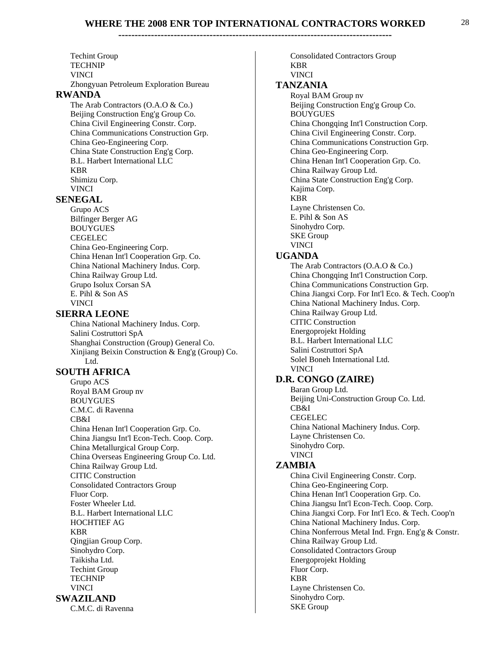**------------------------------------------------------------------------------------** 

Techint Group TECHNIP VINCI Zhongyuan Petroleum Exploration Bureau  **RWANDA** The Arab Contractors (O.A.O & Co.) Beijing Construction Eng'g Group Co. China Civil Engineering Constr. Corp. China Communications Construction Grp. China Geo-Engineering Corp. China State Construction Eng'g Corp. B.L. Harbert International LLC KBR Shimizu Corp. VINCI  **SENEGAL** Grupo ACS Bilfinger Berger AG BOUYGUES CEGELEC China Geo-Engineering Corp. China Henan Int'l Cooperation Grp. Co. China National Machinery Indus. Corp. China Railway Group Ltd. Grupo Isolux Corsan SA E. Pihl & Son AS VINCI  **SIERRA LEONE** China National Machinery Indus. Corp. Salini Costruttori SpA Shanghai Construction (Group) General Co. Xinjiang Beixin Construction & Eng'g (Group) Co. Ltd.  **SOUTH AFRICA** Grupo ACS Royal BAM Group nv BOUYGUES C.M.C. di Ravenna CB&I China Henan Int'l Cooperation Grp. Co. China Jiangsu Int'l Econ-Tech. Coop. Corp. China Metallurgical Group Corp. China Overseas Engineering Group Co. Ltd. China Railway Group Ltd. CITIC Construction Consolidated Contractors Group Fluor Corp. Foster Wheeler Ltd. B.L. Harbert International LLC HOCHTIEF AG KBR Qingjian Group Corp. Sinohydro Corp. Taikisha Ltd. Techint Group TECHNIP VINCI  **SWAZILAND** C.M.C. di Ravenna

Consolidated Contractors Group KBR VINCI  **TANZANIA** Royal BAM Group nv Beijing Construction Eng'g Group Co. BOUYGUES China Chongqing Int'l Construction Corp. China Civil Engineering Constr. Corp. China Communications Construction Grp. China Geo-Engineering Corp. China Henan Int'l Cooperation Grp. Co. China Railway Group Ltd. China State Construction Eng'g Corp. Kajima Corp. KBR Layne Christensen Co. E. Pihl & Son AS Sinohydro Corp. SKE Group VINCI  **UGANDA** The Arab Contractors (O.A.O & Co.) China Chongqing Int'l Construction Corp. China Communications Construction Grp. China Jiangxi Corp. For Int'l Eco. & Tech. Coop'n China National Machinery Indus. Corp. China Railway Group Ltd. CITIC Construction Energoprojekt Holding B.L. Harbert International LLC Salini Costruttori SpA Solel Boneh International Ltd. VINCI  **D.R. CONGO (ZAIRE)** Baran Group Ltd. Beijing Uni-Construction Group Co. Ltd. CB&I CEGELEC China National Machinery Indus. Corp. Layne Christensen Co. Sinohydro Corp. VINCI  **ZAMBIA** China Civil Engineering Constr. Corp. China Geo-Engineering Corp. China Henan Int'l Cooperation Grp. Co. China Jiangsu Int'l Econ-Tech. Coop. Corp. China Jiangxi Corp. For Int'l Eco. & Tech. Coop'n China National Machinery Indus. Corp. China Nonferrous Metal Ind. Frgn. Eng'g & Constr. China Railway Group Ltd. Consolidated Contractors Group Energoprojekt Holding Fluor Corp. KBR Layne Christensen Co.

Sinohydro Corp. SKE Group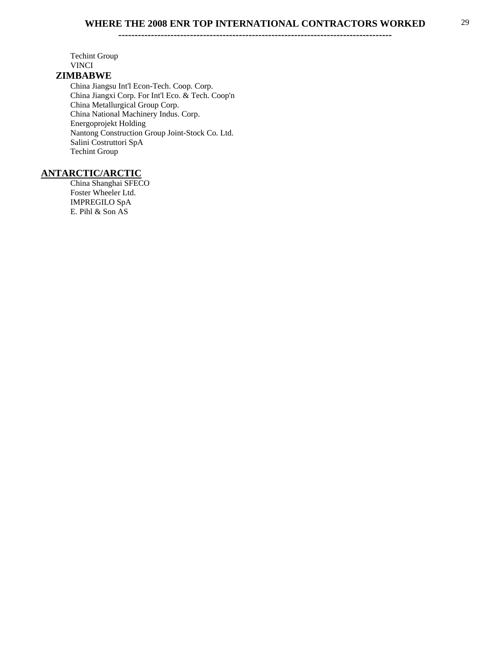**------------------------------------------------------------------------------------** 

Techint Group VINCI  **ZIMBABWE** China Jiangsu Int'l Econ-Tech. Coop. Corp. China Jiangxi Corp. For Int'l Eco. & Tech. Coop'n China Metallurgical Group Corp. China National Machinery Indus. Corp.

Energoprojekt Holding Nantong Construction Group Joint-Stock Co. Ltd. Salini Costruttori SpA Techint Group

#### **ANTARCTIC/ARCTIC**

China Shanghai SFECO Foster Wheeler Ltd. IMPREGILO SpA E. Pihl & Son AS